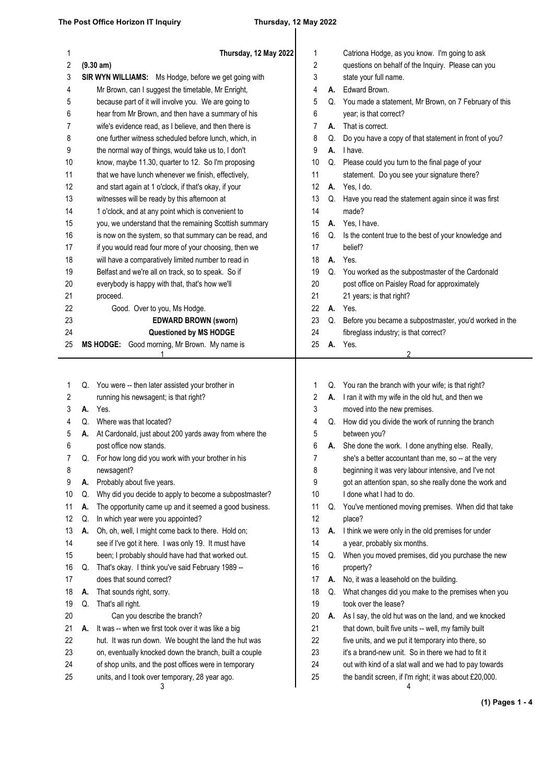## $\mathbf{r}$

| 1<br>$\boldsymbol{2}$ |    | Thursday, 12 May 2022<br>(9.30 am)                     | 1<br>2 |    | Catriona Hodge, as you know. I'm going to ask<br>questions on behalf of the Inquiry. Please can you |
|-----------------------|----|--------------------------------------------------------|--------|----|-----------------------------------------------------------------------------------------------------|
| 3                     |    | SIR WYN WILLIAMS: Ms Hodge, before we get going with   | 3      |    | state your full name.                                                                               |
| 4                     |    | Mr Brown, can I suggest the timetable, Mr Enright,     | 4      |    | A. Edward Brown.                                                                                    |
| 5                     |    | because part of it will involve you. We are going to   | 5      |    | Q. You made a statement, Mr Brown, on 7 February of this                                            |
| 6                     |    | hear from Mr Brown, and then have a summary of his     | 6      |    | year; is that correct?                                                                              |
| 7                     |    | wife's evidence read, as I believe, and then there is  | 7      | А. | That is correct.                                                                                    |
| 8                     |    | one further witness scheduled before lunch, which, in  | 8      | Q. | Do you have a copy of that statement in front of you?                                               |
| 9                     |    | the normal way of things, would take us to, I don't    | 9      |    | A. I have.                                                                                          |
| 10                    |    | know, maybe 11.30, quarter to 12. So I'm proposing     | 10     |    | Q. Please could you turn to the final page of your                                                  |
| 11                    |    | that we have lunch whenever we finish, effectively,    | 11     |    | statement. Do you see your signature there?                                                         |
| 12                    |    | and start again at 1 o'clock, if that's okay, if your  | 12     |    | A. Yes, I do.                                                                                       |
| 13                    |    | witnesses will be ready by this afternoon at           | 13     |    | Q. Have you read the statement again since it was first                                             |
| 14                    |    | 1 o'clock, and at any point which is convenient to     | 14     |    | made?                                                                                               |
| 15                    |    | you, we understand that the remaining Scottish summary | 15     |    | A. Yes, I have.                                                                                     |
| 16                    |    | is now on the system, so that summary can be read, and | 16     | Q. | Is the content true to the best of your knowledge and                                               |
| 17                    |    | if you would read four more of your choosing, then we  | 17     |    | belief?                                                                                             |
| 18                    |    | will have a comparatively limited number to read in    | 18     |    | A. Yes.                                                                                             |
| 19                    |    | Belfast and we're all on track, so to speak. So if     | 19     |    | Q. You worked as the subpostmaster of the Cardonald                                                 |
| 20                    |    | everybody is happy with that, that's how we'll         | 20     |    | post office on Paisley Road for approximately                                                       |
| 21                    |    | proceed.                                               | 21     |    | 21 years; is that right?                                                                            |
| 22                    |    | Good. Over to you, Ms Hodge.                           | 22     | А. | Yes.                                                                                                |
| 23                    |    | <b>EDWARD BROWN (sworn)</b>                            | 23     |    | Q. Before you became a subpostmaster, you'd worked in the                                           |
| 24                    |    | Questioned by MS HODGE                                 | 24     |    | fibreglass industry; is that correct?                                                               |
| 25                    |    | MS HODGE: Good morning, Mr Brown. My name is           | 25     |    | A. Yes.                                                                                             |
|                       |    | 1                                                      |        |    | 2                                                                                                   |
| 1                     |    | Q. You were -- then later assisted your brother in     | 1      |    | Q. You ran the branch with your wife; is that right?                                                |
| 2                     |    | running his newsagent; is that right?                  | 2      |    | A. I ran it with my wife in the old hut, and then we                                                |
| 3                     | А. | Yes.                                                   | 3      |    | moved into the new premises.                                                                        |
| 4                     | Q. | Where was that located?                                | 4      |    | Q. How did you divide the work of running the branch                                                |
| 5                     | А. | At Cardonald, just about 200 yards away from where the | 5      |    | between you?                                                                                        |
| 6                     |    | post office now stands.                                | 6      |    | A. She done the work. I done anything else. Really,                                                 |
| 7                     | Q. | For how long did you work with your brother in his     | 7      |    | she's a better accountant than me, so -- at the very                                                |
| 8                     |    | newsagent?                                             | 8      |    | beginning it was very labour intensive, and I've not                                                |
| 9                     | А. | Probably about five years.                             | 9      |    | got an attention span, so she really done the work and                                              |
| 10                    | Q. | Why did you decide to apply to become a subpostmaster? | 10     |    | I done what I had to do.                                                                            |
| 11                    | А. | The opportunity came up and it seemed a good business. | 11     | Q. | You've mentioned moving premises. When did that take                                                |
| 12                    | Q. | In which year were you appointed?                      | 12     |    | place?                                                                                              |
| 13                    | А. | Oh, oh, well, I might come back to there. Hold on;     | 13     | А. | I think we were only in the old premises for under                                                  |
| 14                    |    | see if I've got it here. I was only 19. It must have   | 14     |    | a year, probably six months.                                                                        |
| 15                    |    | been; I probably should have had that worked out.      | 15     | Q. | When you moved premises, did you purchase the new                                                   |
| 16                    | Q. | That's okay. I think you've said February 1989 --      | 16     |    | property?                                                                                           |
| 17                    |    | does that sound correct?                               | 17     | А. | No, it was a leasehold on the building.                                                             |
| 18                    | А. | That sounds right, sorry.                              | 18     | Q. | What changes did you make to the premises when you                                                  |
| 19                    | Q. | That's all right.                                      | 19     |    | took over the lease?                                                                                |
| 20                    |    | Can you describe the branch?                           | 20     | А. | As I say, the old hut was on the land, and we knocked                                               |
| 21                    | А. | It was -- when we first took over it was like a big    | 21     |    | that down, built five units -- well, my family built                                                |
| 22                    |    | hut. It was run down. We bought the land the hut was   | 22     |    | five units, and we put it temporary into there, so                                                  |
| 23                    |    | on, eventually knocked down the branch, built a couple | 23     |    | it's a brand-new unit. So in there we had to fit it                                                 |
| 24                    |    | of shop units, and the post offices were in temporary  | 24     |    | out with kind of a slat wall and we had to pay towards                                              |
| 25                    |    | units, and I took over temporary, 28 year ago.<br>3    | 25     |    | the bandit screen, if I'm right; it was about £20,000.<br>4                                         |

**(1) Pages 1 - 4**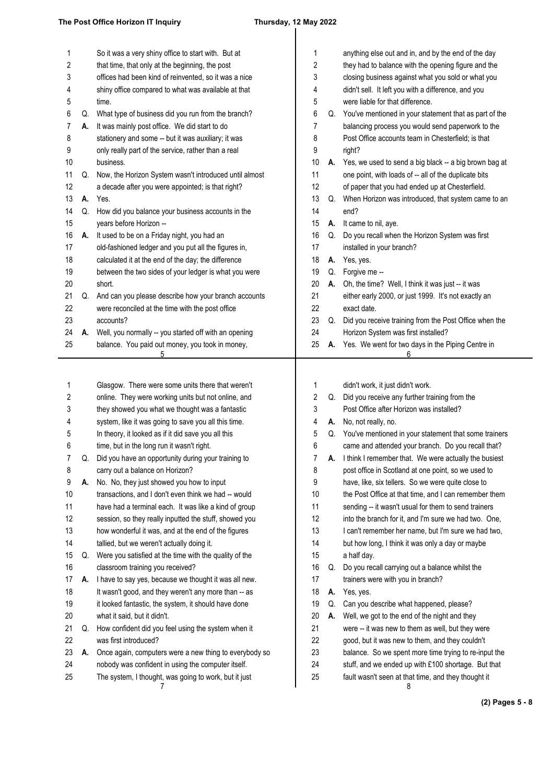| 1  |    | So it was a very shiny office to start with. But at    | 1  |    | anything else out and in, and by the end of the day       |
|----|----|--------------------------------------------------------|----|----|-----------------------------------------------------------|
| 2  |    | that time, that only at the beginning, the post        | 2  |    | they had to balance with the opening figure and the       |
| 3  |    | offices had been kind of reinvented, so it was a nice  | 3  |    | closing business against what you sold or what you        |
| 4  |    | shiny office compared to what was available at that    | 4  |    | didn't sell. It left you with a difference, and you       |
| 5  |    | time.                                                  | 5  |    | were liable for that difference.                          |
| 6  | Q. | What type of business did you run from the branch?     | 6  | Q. | You've mentioned in your statement that as part of the    |
| 7  | А. | It was mainly post office. We did start to do          | 7  |    | balancing process you would send paperwork to the         |
| 8  |    | stationery and some -- but it was auxiliary; it was    | 8  |    | Post Office accounts team in Chesterfield; is that        |
| 9  |    | only really part of the service, rather than a real    | 9  |    | right?                                                    |
| 10 |    | business.                                              | 10 |    | A. Yes, we used to send a big black -- a big brown bag at |
| 11 | Q. | Now, the Horizon System wasn't introduced until almost | 11 |    | one point, with loads of -- all of the duplicate bits     |
| 12 |    | a decade after you were appointed; is that right?      | 12 |    | of paper that you had ended up at Chesterfield.           |
| 13 | А. | Yes.                                                   | 13 | Q. | When Horizon was introduced, that system came to an       |
| 14 | Q. | How did you balance your business accounts in the      | 14 |    | end?                                                      |
| 15 |    | years before Horizon --                                | 15 | А. | It came to nil, aye.                                      |
| 16 | А. | It used to be on a Friday night, you had an            | 16 | Q. | Do you recall when the Horizon System was first           |
| 17 |    | old-fashioned ledger and you put all the figures in,   | 17 |    | installed in your branch?                                 |
| 18 |    | calculated it at the end of the day; the difference    | 18 | А. | Yes, yes.                                                 |
| 19 |    | between the two sides of your ledger is what you were  | 19 | Q. | Forgive me --                                             |
| 20 |    | short.                                                 | 20 | А. | Oh, the time? Well, I think it was just -- it was         |
| 21 | Q. | And can you please describe how your branch accounts   | 21 |    | either early 2000, or just 1999. It's not exactly an      |
| 22 |    | were reconciled at the time with the post office       | 22 |    | exact date.                                               |
| 23 |    | accounts?                                              | 23 | Q. | Did you receive training from the Post Office when the    |
| 24 | А. | Well, you normally -- you started off with an opening  | 24 |    | Horizon System was first installed?                       |
| 25 |    | balance. You paid out money, you took in money,<br>5   | 25 | А. | Yes. We went for two days in the Piping Centre in<br>6    |
|    |    |                                                        |    |    |                                                           |
|    |    |                                                        |    |    |                                                           |
| 1  |    | Glasgow. There were some units there that weren't      | 1  |    | didn't work, it just didn't work.                         |
| 2  |    | online. They were working units but not online, and    | 2  | Q. | Did you receive any further training from the             |
| 3  |    | they showed you what we thought was a fantastic        | 3  |    | Post Office after Horizon was installed?                  |
| 4  |    | system, like it was going to save you all this time.   | 4  | А. | No, not really, no.                                       |
| 5  |    | In theory, it looked as if it did save you all this    | 5  | Q. | You've mentioned in your statement that some trainers     |
| 6  |    | time, but in the long run it wasn't right.             | 6  |    | came and attended your branch. Do you recall that?        |
| 7  | Q. | Did you have an opportunity during your training to    | 7  | А. | I think I remember that. We were actually the busiest     |
| 8  |    | carry out a balance on Horizon?                        | 8  |    | post office in Scotland at one point, so we used to       |
| 9  | А. | No. No, they just showed you how to input              | 9  |    | have, like, six tellers. So we were quite close to        |
| 10 |    | transactions, and I don't even think we had -- would   | 10 |    | the Post Office at that time, and I can remember them     |
| 11 |    | have had a terminal each. It was like a kind of group  | 11 |    | sending -- it wasn't usual for them to send trainers      |
| 12 |    | session, so they really inputted the stuff, showed you | 12 |    | into the branch for it, and I'm sure we had two. One,     |
| 13 |    | how wonderful it was, and at the end of the figures    | 13 |    | I can't remember her name, but I'm sure we had two,       |
| 14 |    | tallied, but we weren't actually doing it.             | 14 |    | but how long, I think it was only a day or maybe          |
| 15 | Q. | Were you satisfied at the time with the quality of the | 15 |    | a half day.                                               |
| 16 |    | classroom training you received?                       | 16 | Q. | Do you recall carrying out a balance whilst the           |
| 17 | А. | I have to say yes, because we thought it was all new.  | 17 |    | trainers were with you in branch?                         |
| 18 |    | It wasn't good, and they weren't any more than -- as   | 18 | А. | Yes, yes.                                                 |
| 19 |    | it looked fantastic, the system, it should have done   | 19 | Q. | Can you describe what happened, please?                   |
| 20 |    | what it said, but it didn't.                           | 20 | А. | Well, we got to the end of the night and they             |
| 21 | Q. | How confident did you feel using the system when it    | 21 |    | were -- it was new to them as well, but they were         |
| 22 |    | was first introduced?                                  | 22 |    | good, but it was new to them, and they couldn't           |
| 23 | А. | Once again, computers were a new thing to everybody so | 23 |    | balance. So we spent more time trying to re-input the     |
| 24 |    | nobody was confident in using the computer itself.     | 24 |    | stuff, and we ended up with £100 shortage. But that       |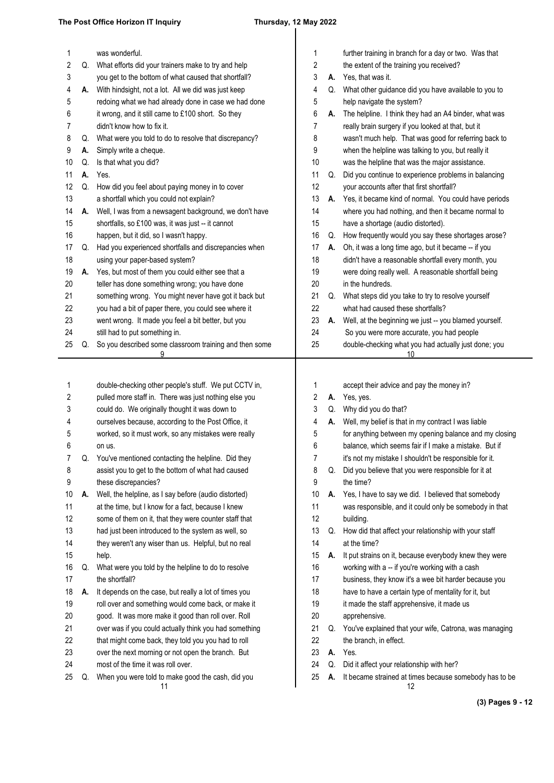| 1      |          | was wonderful.                                                                                                 | 1<br>2 |    | further training in branch for a day or two. Was that                                                       |
|--------|----------|----------------------------------------------------------------------------------------------------------------|--------|----|-------------------------------------------------------------------------------------------------------------|
| 2      |          | Q. What efforts did your trainers make to try and help<br>you get to the bottom of what caused that shortfall? | 3      |    | the extent of the training you received?<br>A. Yes, that was it.                                            |
| 3      |          | A. With hindsight, not a lot. All we did was just keep                                                         |        |    | Q. What other guidance did you have available to you to                                                     |
| 4<br>5 |          | redoing what we had already done in case we had done                                                           | 4<br>5 |    | help navigate the system?                                                                                   |
| 6      |          |                                                                                                                |        |    |                                                                                                             |
| 7      |          | it wrong, and it still came to £100 short. So they<br>didn't know how to fix it.                               | 6<br>7 | А. | The helpline. I think they had an A4 binder, what was<br>really brain surgery if you looked at that, but it |
| 8      |          | What were you told to do to resolve that discrepancy?                                                          |        |    | wasn't much help. That was good for referring back to                                                       |
| 9      | Q.<br>А. | Simply write a cheque.                                                                                         | 8<br>9 |    | when the helpline was talking to you, but really it                                                         |
| 10     | Q.       | Is that what you did?                                                                                          | 10     |    | was the helpline that was the major assistance.                                                             |
| 11     | А.       | Yes.                                                                                                           | 11     | Q. | Did you continue to experience problems in balancing                                                        |
| 12     | Q.       | How did you feel about paying money in to cover                                                                | 12     |    | your accounts after that first shortfall?                                                                   |
| 13     |          | a shortfall which you could not explain?                                                                       | 13     |    | A. Yes, it became kind of normal. You could have periods                                                    |
| 14     | А.       | Well, I was from a newsagent background, we don't have                                                         | 14     |    | where you had nothing, and then it became normal to                                                         |
| 15     |          | shortfalls, so £100 was, it was just -- it cannot                                                              | 15     |    | have a shortage (audio distorted).                                                                          |
| 16     |          | happen, but it did, so I wasn't happy.                                                                         | 16     | Q. | How frequently would you say these shortages arose?                                                         |
| 17     | Q.       | Had you experienced shortfalls and discrepancies when                                                          | 17     | А. | Oh, it was a long time ago, but it became -- if you                                                         |
| 18     |          | using your paper-based system?                                                                                 | 18     |    | didn't have a reasonable shortfall every month, you                                                         |
| 19     | А.       | Yes, but most of them you could either see that a                                                              | 19     |    | were doing really well. A reasonable shortfall being                                                        |
| 20     |          | teller has done something wrong; you have done                                                                 | 20     |    | in the hundreds.                                                                                            |
| 21     |          | something wrong. You might never have got it back but                                                          | 21     |    | Q. What steps did you take to try to resolve yourself                                                       |
| 22     |          | you had a bit of paper there, you could see where it                                                           | 22     |    | what had caused these shortfalls?                                                                           |
| 23     |          | went wrong. It made you feel a bit better, but you                                                             | 23     |    | A. Well, at the beginning we just -- you blamed yourself.                                                   |
| 24     |          | still had to put something in.                                                                                 | 24     |    | So you were more accurate, you had people                                                                   |
| 25     | Q.       | So you described some classroom training and then some                                                         | 25     |    | double-checking what you had actually just done; you                                                        |
|        |          | 9                                                                                                              |        |    | 10                                                                                                          |
|        |          |                                                                                                                |        |    |                                                                                                             |
|        |          |                                                                                                                |        |    |                                                                                                             |
|        |          |                                                                                                                |        |    |                                                                                                             |
| 1      |          | double-checking other people's stuff. We put CCTV in,                                                          | 1      |    | accept their advice and pay the money in?                                                                   |
| 2      |          | pulled more staff in. There was just nothing else you                                                          | 2      |    | A. Yes, yes.                                                                                                |
| 3      |          | could do. We originally thought it was down to                                                                 | 3      |    | Q. Why did you do that?                                                                                     |
| 4      |          | ourselves because, according to the Post Office, it                                                            | 4      | А. | Well, my belief is that in my contract I was liable                                                         |
| 5      |          | worked, so it must work, so any mistakes were really                                                           | 5      |    | for anything between my opening balance and my closing                                                      |
| 6      |          | on us.                                                                                                         | 6      |    | balance, which seems fair if I make a mistake. But if                                                       |
|        |          | You've mentioned contacting the helpline. Did they                                                             |        |    | it's not my mistake I shouldn't be responsible for it.                                                      |
| 8      |          | assist you to get to the bottom of what had caused                                                             | 8      | Q. | Did you believe that you were responsible for it at                                                         |
| 9      |          | these discrepancies?                                                                                           | 9      |    | the time?                                                                                                   |
| 10     | А.       | Well, the helpline, as I say before (audio distorted)                                                          | 10     |    | A. Yes, I have to say we did. I believed that somebody                                                      |
| 11     |          | at the time, but I know for a fact, because I knew                                                             | 11     |    | was responsible, and it could only be somebody in that                                                      |
| 12     |          | some of them on it, that they were counter staff that                                                          | 12     |    | building.                                                                                                   |
| 13     |          | had just been introduced to the system as well, so                                                             | 13     | Q. | How did that affect your relationship with your staff                                                       |
| 14     |          | they weren't any wiser than us. Helpful, but no real                                                           | 14     |    | at the time?                                                                                                |
| 15     |          | help.                                                                                                          | 15     | А. | It put strains on it, because everybody knew they were                                                      |
| 16     | Q.       | What were you told by the helpline to do to resolve                                                            | 16     |    | working with a -- if you're working with a cash                                                             |
| 17     |          | the shortfall?                                                                                                 | 17     |    | business, they know it's a wee bit harder because you                                                       |
| 18     | А.       | It depends on the case, but really a lot of times you                                                          | 18     |    | have to have a certain type of mentality for it, but                                                        |
| 19     |          | roll over and something would come back, or make it                                                            | 19     |    | it made the staff apprehensive, it made us                                                                  |
| 20     |          | good. It was more make it good than roll over. Roll                                                            | 20     |    | apprehensive.                                                                                               |
| 21     |          | over was if you could actually think you had something                                                         | 21     |    | Q. You've explained that your wife, Catrona, was managing                                                   |
| 22     |          | that might come back, they told you you had to roll                                                            | 22     |    | the branch, in effect.                                                                                      |
| 23     |          | over the next morning or not open the branch. But                                                              | 23     | А. | Yes.                                                                                                        |
| 24     |          | most of the time it was roll over.                                                                             | 24     | Q. | Did it affect your relationship with her?                                                                   |
| 25     | Q.       | When you were told to make good the cash, did you<br>11                                                        | 25     | А. | It became strained at times because somebody has to be<br>12                                                |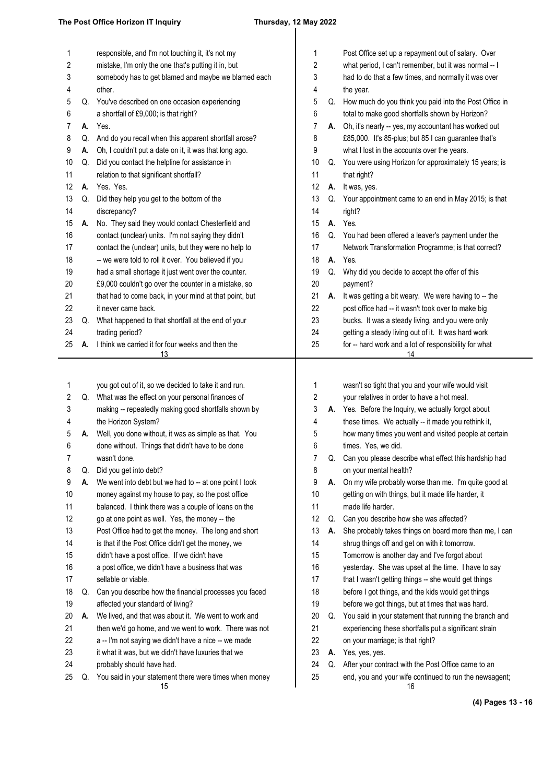# $\overline{\phantom{a}}$

| 1  |    | responsible, and I'm not touching it, it's not my            | 1  |    | Post Office set up a repayment out of salary. Over           |
|----|----|--------------------------------------------------------------|----|----|--------------------------------------------------------------|
| 2  |    | mistake, I'm only the one that's putting it in, but          | 2  |    | what period, I can't remember, but it was normal -- I        |
| 3  |    | somebody has to get blamed and maybe we blamed each          | 3  |    | had to do that a few times, and normally it was over         |
| 4  |    | other.                                                       | 4  |    | the year.                                                    |
| 5  | Q. | You've described on one occasion experiencing                | 5  |    | Q. How much do you think you paid into the Post Office in    |
| 6  |    | a shortfall of £9,000; is that right?                        | 6  |    | total to make good shortfalls shown by Horizon?              |
| 7  | А. | Yes.                                                         | 7  | А. | Oh, it's nearly -- yes, my accountant has worked out         |
| 8  | Q. | And do you recall when this apparent shortfall arose?        | 8  |    | £85,000. It's 85-plus; but 85 I can guarantee that's         |
| 9  | Α. | Oh, I couldn't put a date on it, it was that long ago.       | 9  |    | what I lost in the accounts over the years.                  |
| 10 | Q. | Did you contact the helpline for assistance in               | 10 | Q. | You were using Horizon for approximately 15 years; is        |
| 11 |    | relation to that significant shortfall?                      | 11 |    | that right?                                                  |
| 12 | А. | Yes. Yes.                                                    | 12 | А. | It was, yes.                                                 |
| 13 | Q. | Did they help you get to the bottom of the                   | 13 |    | Q. Your appointment came to an end in May 2015; is that      |
| 14 |    | discrepancy?                                                 | 14 |    | right?                                                       |
| 15 | А. | No. They said they would contact Chesterfield and            | 15 | А. | Yes.                                                         |
| 16 |    | contact (unclear) units. I'm not saying they didn't          | 16 | Q. | You had been offered a leaver's payment under the            |
| 17 |    | contact the (unclear) units, but they were no help to        | 17 |    | Network Transformation Programme; is that correct?           |
| 18 |    | -- we were told to roll it over. You believed if you         | 18 | А. | Yes.                                                         |
| 19 |    | had a small shortage it just went over the counter.          | 19 | Q. | Why did you decide to accept the offer of this               |
| 20 |    | £9,000 couldn't go over the counter in a mistake, so         | 20 |    | payment?                                                     |
| 21 |    | that had to come back, in your mind at that point, but       | 21 | А. | It was getting a bit weary. We were having to -- the         |
| 22 |    | it never came back.                                          | 22 |    | post office had -- it wasn't took over to make big           |
| 23 | Q. | What happened to that shortfall at the end of your           | 23 |    | bucks. It was a steady living, and you were only             |
| 24 |    | trading period?                                              | 24 |    | getting a steady living out of it. It was hard work          |
| 25 | А. | I think we carried it for four weeks and then the            | 25 |    | for -- hard work and a lot of responsibility for what        |
|    |    | 13                                                           |    |    | <u> 14</u>                                                   |
|    |    |                                                              |    |    |                                                              |
| 1  |    | you got out of it, so we decided to take it and run.         | 1  |    | wasn't so tight that you and your wife would visit           |
| 2  |    | Q. What was the effect on your personal finances of          | 2  |    | your relatives in order to have a hot meal.                  |
| 3  |    | making -- repeatedly making good shortfalls shown by         | 3  |    | A. Yes. Before the Inquiry, we actually forgot about         |
| 4  |    | the Horizon System?                                          | 4  |    | these times. We actually -- it made you rethink it,          |
| 5  | А. | Well, you done without, it was as simple as that. You        | 5  |    | how many times you went and visited people at certain        |
| 6  |    | done without. Things that didn't have to be done             | 6  |    | times. Yes, we did.                                          |
| 7  |    | wasn't done.                                                 | 7  |    | Can you please describe what effect this hardship had        |
| 8  | Q. | Did you get into debt?                                       | 8  |    | on your mental health?                                       |
| 9  | А. | We went into debt but we had to -- at one point I took       | 9  | А. | On my wife probably worse than me. I'm quite good at         |
| 10 |    | money against my house to pay, so the post office            | 10 |    | getting on with things, but it made life harder, it          |
| 11 |    | balanced. I think there was a couple of loans on the         | 11 |    | made life harder.                                            |
| 12 |    | go at one point as well. Yes, the money -- the               | 12 | Q. | Can you describe how she was affected?                       |
| 13 |    | Post Office had to get the money. The long and short         | 13 | А. | She probably takes things on board more than me, I can       |
| 14 |    | is that if the Post Office didn't get the money, we          | 14 |    | shrug things off and get on with it tomorrow.                |
| 15 |    | didn't have a post office. If we didn't have                 | 15 |    | Tomorrow is another day and I've forgot about                |
| 16 |    | a post office, we didn't have a business that was            | 16 |    | yesterday. She was upset at the time. I have to say          |
| 17 |    | sellable or viable.                                          | 17 |    | that I wasn't getting things -- she would get things         |
| 18 | Q. | Can you describe how the financial processes you faced       | 18 |    | before I got things, and the kids would get things           |
| 19 |    | affected your standard of living?                            | 19 |    | before we got things, but at times that was hard.            |
| 20 | Α. | We lived, and that was about it. We went to work and         | 20 | Q. | You said in your statement that running the branch and       |
| 21 |    | then we'd go home, and we went to work. There was not        | 21 |    | experiencing these shortfalls put a significant strain       |
| 22 |    | a -- I'm not saying we didn't have a nice -- we made         | 22 |    | on your marriage; is that right?                             |
| 23 |    | it what it was, but we didn't have luxuries that we          | 23 | А. | Yes, yes, yes.                                               |
| 24 |    | probably should have had.                                    | 24 | Q. | After your contract with the Post Office came to an          |
| 25 | Q. | You said in your statement there were times when money<br>15 | 25 |    | end, you and your wife continued to run the newsagent;<br>16 |

**(4) Pages 13 - 16**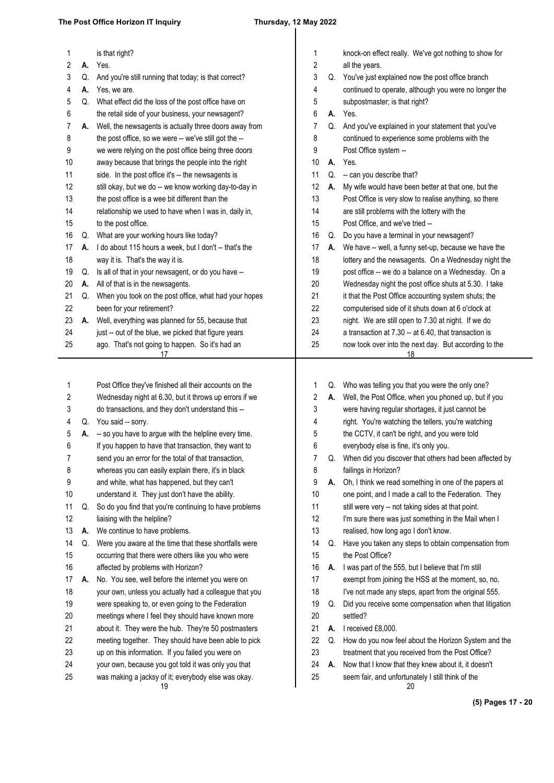### **The Post Office Horizon IT Inquiry Thursday, 12 May 2022**

| 1        |    | is that right?                                                                                             | 1              |    | knock-on effect really. We've got nothing to show for                                                    |
|----------|----|------------------------------------------------------------------------------------------------------------|----------------|----|----------------------------------------------------------------------------------------------------------|
| 2        | А. | Yes.                                                                                                       | $\overline{c}$ |    | all the years.                                                                                           |
| 3        | Q. | And you're still running that today; is that correct?                                                      | 3              |    | Q. You've just explained now the post office branch                                                      |
| 4        | А. | Yes, we are.                                                                                               | 4              |    | continued to operate, although you were no longer the                                                    |
| 5        | Q. | What effect did the loss of the post office have on                                                        | 5              |    | subpostmaster; is that right?                                                                            |
| 6        |    | the retail side of your business, your newsagent?                                                          | 6              |    | A. Yes.                                                                                                  |
| 7        | А. | Well, the newsagents is actually three doors away from                                                     | 7              |    | Q. And you've explained in your statement that you've                                                    |
| 8        |    | the post office, so we were -- we've still got the --                                                      | 8              |    | continued to experience some problems with the                                                           |
| 9        |    | we were relying on the post office being three doors                                                       | 9              |    | Post Office system --                                                                                    |
| 10       |    | away because that brings the people into the right                                                         | 10             | А. | Yes.                                                                                                     |
| 11       |    | side. In the post office it's -- the newsagents is                                                         | 11             | Q. | -- can you describe that?                                                                                |
| 12       |    | still okay, but we do -- we know working day-to-day in                                                     | 12             | А. | My wife would have been better at that one, but the                                                      |
| 13       |    | the post office is a wee bit different than the                                                            | 13             |    | Post Office is very slow to realise anything, so there                                                   |
| 14       |    | relationship we used to have when I was in, daily in,                                                      | 14             |    | are still problems with the lottery with the                                                             |
| 15       |    | to the post office.                                                                                        | 15             |    | Post Office, and we've tried --                                                                          |
| 16       | Q. | What are your working hours like today?                                                                    | 16             | Q. | Do you have a terminal in your newsagent?                                                                |
| 17       | А. | I do about 115 hours a week, but I don't -- that's the                                                     | 17             | А. | We have -- well, a funny set-up, because we have the                                                     |
| 18       |    | way it is. That's the way it is.                                                                           | 18             |    | lottery and the newsagents. On a Wednesday night the                                                     |
| 19       | Q. | Is all of that in your newsagent, or do you have --                                                        | 19             |    | post office -- we do a balance on a Wednesday. On a                                                      |
| 20       | А. | All of that is in the newsagents.                                                                          | 20             |    | Wednesday night the post office shuts at 5.30. I take                                                    |
| 21       | Q. | When you took on the post office, what had your hopes                                                      | 21             |    | it that the Post Office accounting system shuts; the                                                     |
| 22       |    | been for your retirement?                                                                                  | 22             |    | computerised side of it shuts down at 6 o'clock at                                                       |
| 23       | А. | Well, everything was planned for 55, because that                                                          | 23             |    | night. We are still open to 7.30 at night. If we do                                                      |
| 24       |    | just -- out of the blue, we picked that figure years                                                       | 24             |    | a transaction at 7.30 -- at 6.40, that transaction is                                                    |
| 25       |    | ago. That's not going to happen. So it's had an<br>17                                                      | 25             |    | now took over into the next day. But according to the<br>18                                              |
|          |    |                                                                                                            |                |    |                                                                                                          |
| 1        |    | Post Office they've finished all their accounts on the                                                     | 1              |    | Q. Who was telling you that you were the only one?                                                       |
| 2        |    | Wednesday night at 6.30, but it throws up errors if we                                                     | 2              | А. | Well, the Post Office, when you phoned up, but if you                                                    |
| 3        |    | do transactions, and they don't understand this --                                                         | 3              |    | were having regular shortages, it just cannot be                                                         |
| 4        |    | Q. You said -- sorry.                                                                                      | 4              |    | right. You're watching the tellers, you're watching                                                      |
| 5        |    | A. - so you have to argue with the helpline every time.                                                    | 5              |    | the CCTV, it can't be right, and you were told                                                           |
| 6        |    | If you happen to have that transaction, they want to                                                       | 6              |    | everybody else is fine, it's only you.                                                                   |
| 7        |    | send you an error for the total of that transaction,                                                       | 7              | Q. | When did you discover that others had been affected by                                                   |
| 8        |    | whereas you can easily explain there, it's in black                                                        | 8              |    | failings in Horizon?                                                                                     |
| 9        |    | and white, what has happened, but they can't                                                               | 9              | А. | Oh, I think we read something in one of the papers at                                                    |
| 10       |    | understand it. They just don't have the ability.                                                           | 10             |    | one point, and I made a call to the Federation. They                                                     |
| 11       | Q. | So do you find that you're continuing to have problems                                                     | 11             |    | still were very -- not taking sides at that point.                                                       |
| 12       |    | liaising with the helpline?                                                                                | 12             |    | I'm sure there was just something in the Mail when I                                                     |
| 13       | А. | We continue to have problems.                                                                              | 13             |    | realised, how long ago I don't know.                                                                     |
| 14       | Q. | Were you aware at the time that these shortfalls were                                                      | 14             | Q. | Have you taken any steps to obtain compensation from                                                     |
| 15       |    | occurring that there were others like you who were                                                         | 15             |    | the Post Office?                                                                                         |
| 16       |    | affected by problems with Horizon?                                                                         | 16             |    | A. I was part of the 555, but I believe that I'm still                                                   |
| 17       | А. | No. You see, well before the internet you were on                                                          | 17             |    | exempt from joining the HSS at the moment, so, no,                                                       |
| 18       |    | your own, unless you actually had a colleague that you                                                     | 18             |    | I've not made any steps, apart from the original 555.                                                    |
| 19       |    | were speaking to, or even going to the Federation                                                          | 19             | Q. | Did you receive some compensation when that litigation                                                   |
| 20       |    | meetings where I feel they should have known more                                                          | 20             |    | settled?                                                                                                 |
| 21       |    | about it. They were the hub. They're 50 postmasters                                                        | 21             | А. | I received £8,000.                                                                                       |
| 22       |    | meeting together. They should have been able to pick                                                       | 22             | Q. | How do you now feel about the Horizon System and the                                                     |
| 23       |    | up on this information. If you failed you were on                                                          | 23             |    | treatment that you received from the Post Office?                                                        |
| 24<br>25 |    | your own, because you got told it was only you that<br>was making a jacksy of it; everybody else was okay. | 24<br>25       | А. | Now that I know that they knew about it, it doesn't<br>seem fair, and unfortunately I still think of the |

**(5) Pages 17 - 20**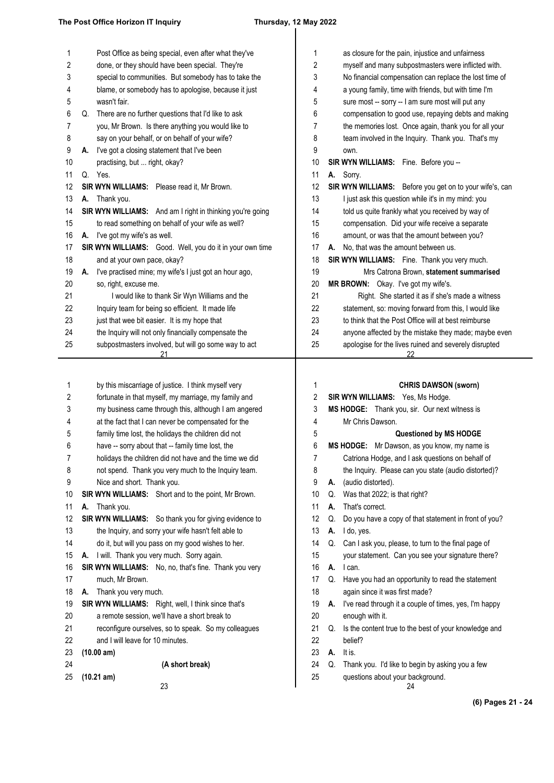| 1  |    | Post Office as being special, even after what they've        |
|----|----|--------------------------------------------------------------|
| 2  |    | done, or they should have been special. They're              |
| 3  |    | special to communities. But somebody has to take the         |
| 4  |    | blame, or somebody has to apologise, because it just         |
| 5  |    | wasn't fair.                                                 |
| 6  | Q. | There are no further questions that I'd like to ask          |
| 7  |    | you, Mr Brown. Is there anything you would like to           |
| 8  |    | say on your behalf, or on behalf of your wife?               |
| 9  | А. | I've got a closing statement that I've been                  |
| 10 |    | practising, but  right, okay?                                |
| 11 | Q. | Yes.                                                         |
| 12 |    | SIR WYN WILLIAMS:<br>Please read it, Mr Brown.               |
| 13 | A. | Thank you.                                                   |
| 14 |    | SIR WYN WILLIAMS:<br>And am I right in thinking you're going |
| 15 |    | to read something on behalf of your wife as well?            |
| 16 | A. | I've got my wife's as well.                                  |
| 17 |    | SIR WYN WILLIAMS:<br>Good. Well, you do it in your own time  |
| 18 |    | and at your own pace, okay?                                  |
| 19 | А. | I've practised mine; my wife's I just got an hour ago,       |
| 20 |    | so, right, excuse me.                                        |
| 21 |    | I would like to thank Sir Wyn Williams and the               |
| 22 |    | Inquiry team for being so efficient. It made life            |
| 23 |    | just that wee bit easier. It is my hope that                 |
| 24 |    | the Inquiry will not only financially compensate the         |
| 25 |    | subpostmasters involved, but will go some way to act         |
|    |    | 21                                                           |
|    |    |                                                              |
| 1  |    | by this miscarriage of justice. I think myself very          |
| 2  |    | fortunate in that myself, my marriage, my family and         |
| 3  |    | my business came through this, although I am angered         |
| 4  |    | at the fact that I can never be compensated for the          |
| 5  |    | family time lost, the holidays the children did not          |
| 6  |    | have -- sorry about that -- family time lost, the            |
| 7  |    | holidays the children did not have and the time we did       |
| 8  |    | not spend. Thank you very much to the Inquiry team.          |
| 9  |    | Nice and short. Thank you.                                   |

**SIR WYN WILLIAMS:** Short and to the point, Mr Brown. 10

**A.** Thank you. 11

**SIR WYN WILLIAMS:** So thank you for giving evidence to 12

the Inquiry, and sorry your wife hasn't felt able to 13

do it, but will you pass on my good wishes to her. 14

**A.** I will. Thank you very much. Sorry again. 15

SIR WYN WILLIAMS: No, no, that's fine. Thank you very much, Mr Brown. **A.** Thank you very much. 16 17 18

**SIR WYN WILLIAMS:** Right, well, I think since that's 19

a remote session, we'll have a short break to 20

reconfigure ourselves, so to speak. So my colleagues 21

- and I will leave for 10 minutes. 22
- **(10.00 am)** 23

24 25

**(10.21 am)**

**(A short break)**

23

| 1  | as closure for the pain, injustice and unfairness              |  |  |
|----|----------------------------------------------------------------|--|--|
| 2  | myself and many subpostmasters were inflicted with.            |  |  |
| 3  | No financial compensation can replace the lost time of         |  |  |
| 4  | a young family, time with friends, but with time I'm           |  |  |
| 5  | sure most -- sorry -- I am sure most will put any              |  |  |
| 6  | compensation to good use, repaying debts and making            |  |  |
| 7  | the memories lost. Once again, thank you for all your          |  |  |
| 8  | team involved in the Inquiry. Thank you. That's my             |  |  |
| 9  | own.                                                           |  |  |
| 10 | SIR WYN WILLIAMS: Fine. Before you --                          |  |  |
| 11 | Sorry.<br>А.                                                   |  |  |
| 12 | <b>SIR WYN WILLIAMS:</b> Before you get on to your wife's, can |  |  |
| 13 | I just ask this question while it's in my mind: you            |  |  |
| 14 | told us quite frankly what you received by way of              |  |  |
| 15 | compensation. Did your wife receive a separate                 |  |  |
| 16 | amount, or was that the amount between you?                    |  |  |
| 17 | No, that was the amount between us.<br>А.                      |  |  |
| 18 | <b>SIR WYN WILLIAMS:</b> Fine. Thank you very much.            |  |  |
| 19 | Mrs Catrona Brown, statement summarised                        |  |  |
| 20 | MR BROWN: Okay. I've got my wife's.                            |  |  |
| 21 | Right. She started it as if she's made a witness               |  |  |
| 22 | statement, so: moving forward from this, I would like          |  |  |
| 23 | to think that the Post Office will at best reimburse           |  |  |
| 24 | anyone affected by the mistake they made; maybe even           |  |  |
| 25 | apologise for the lives ruined and severely disrupted          |  |  |
|    | <u>22</u>                                                      |  |  |

**CHRIS DAWSON (sworn) SIR WYN WILLIAMS:** Yes, Ms Hodge. **MS HODGE:** Thank you, sir. Our next witness is Mr Chris Dawson. **Questioned by MS HODGE MS HODGE:** Mr Dawson, as you know, my name is Catriona Hodge, and I ask questions on behalf of the Inquiry. Please can you state (audio distorted)? **A.** (audio distorted). Q. Was that 2022; is that right? **A.** That's correct. Q. Do you have a copy of that statement in front of you? **A.** I do, yes. Q. Can I ask you, please, to turn to the final page of your statement. Can you see your signature there? **A.** I can. Q. Have you had an opportunity to read the statement again since it was first made? **A.** I've read through it a couple of times, yes, I'm happy enough with it. Q. Is the content true to the best of your knowledge and belief? **A.** It is. Q. Thank you. I'd like to begin by asking you a few 1 2 3 4 5 6 7 8 9 10 11 12 13 14 15 16 17 18 19 20 21 22 23 24

questions about your background. 25

24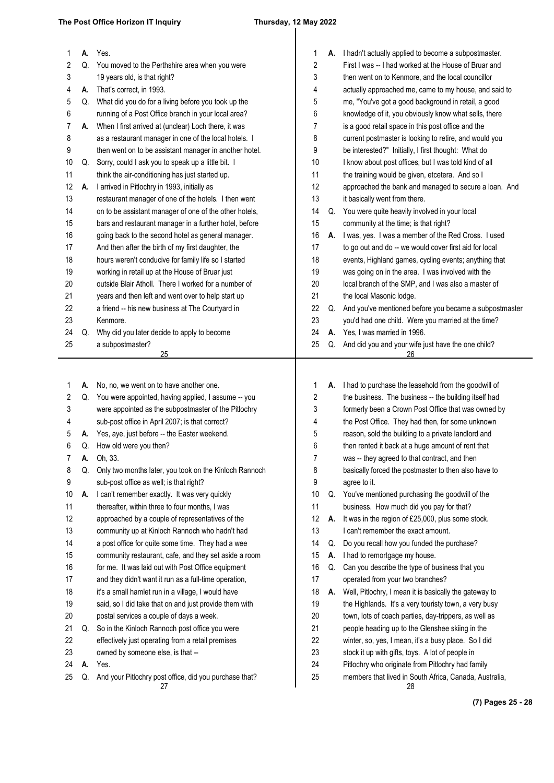# $\overline{\phantom{a}}$

| 1  | А. | Yes.                                                   | 1                |    | A. I hadn't actually applied to become a subpostmaster.  |
|----|----|--------------------------------------------------------|------------------|----|----------------------------------------------------------|
| 2  | Q. | You moved to the Perthshire area when you were         | 2                |    | First I was -- I had worked at the House of Bruar and    |
| 3  |    | 19 years old, is that right?                           | 3                |    | then went on to Kenmore, and the local councillor        |
| 4  | А. | That's correct, in 1993.                               | 4                |    | actually approached me, came to my house, and said to    |
| 5  | Q. | What did you do for a living before you took up the    | 5                |    | me, "You've got a good background in retail, a good      |
| 6  |    | running of a Post Office branch in your local area?    | 6                |    | knowledge of it, you obviously know what sells, there    |
| 7  | А. | When I first arrived at (unclear) Loch there, it was   | 7                |    | is a good retail space in this post office and the       |
| 8  |    | as a restaurant manager in one of the local hotels. I  | 8                |    | current postmaster is looking to retire, and would you   |
| 9  |    | then went on to be assistant manager in another hotel. | 9                |    | be interested?" Initially, I first thought: What do      |
| 10 | Q. | Sorry, could I ask you to speak up a little bit. I     | 10               |    | I know about post offices, but I was told kind of all    |
| 11 |    | think the air-conditioning has just started up.        | 11               |    | the training would be given, etcetera. And so I          |
| 12 | А. | I arrived in Pitlochry in 1993, initially as           | 12               |    | approached the bank and managed to secure a loan. And    |
| 13 |    | restaurant manager of one of the hotels. I then went   | 13               |    | it basically went from there.                            |
| 14 |    | on to be assistant manager of one of the other hotels, | 14               | Q. | You were quite heavily involved in your local            |
| 15 |    | bars and restaurant manager in a further hotel, before | 15               |    | community at the time; is that right?                    |
| 16 |    | going back to the second hotel as general manager.     | 16               |    | A. I was, yes. I was a member of the Red Cross. I used   |
| 17 |    | And then after the birth of my first daughter, the     | 17               |    | to go out and do -- we would cover first aid for local   |
| 18 |    | hours weren't conducive for family life so I started   | 18               |    | events, Highland games, cycling events; anything that    |
| 19 |    | working in retail up at the House of Bruar just        | 19               |    | was going on in the area. I was involved with the        |
| 20 |    | outside Blair Atholl. There I worked for a number of   | 20               |    | local branch of the SMP, and I was also a master of      |
| 21 |    | years and then left and went over to help start up     | 21               |    | the local Masonic lodge.                                 |
| 22 |    | a friend -- his new business at The Courtyard in       | 22               | Q. | And you've mentioned before you became a subpostmaster   |
| 23 |    | Kenmore.                                               | 23               |    | you'd had one child. Were you married at the time?       |
| 24 | Q. | Why did you later decide to apply to become            | 24               | А. | Yes, I was married in 1996.                              |
| 25 |    | a subpostmaster?<br>25                                 | 25               | Q. | And did you and your wife just have the one child?<br>26 |
|    |    |                                                        |                  |    |                                                          |
|    |    |                                                        |                  |    |                                                          |
| 1  | А. | No, no, we went on to have another one.                | 1                |    | A. I had to purchase the leasehold from the goodwill of  |
| 2  | Q. | You were appointed, having applied, I assume -- you    | $\boldsymbol{2}$ |    | the business. The business -- the building itself had    |
| 3  |    | were appointed as the subpostmaster of the Pitlochry   | 3                |    | formerly been a Crown Post Office that was owned by      |
| 4  |    | sub-post office in April 2007; is that correct?        | 4                |    | the Post Office. They had then, for some unknown         |
| 5  |    | A. Yes, aye, just before -- the Easter weekend.        | 5                |    | reason, sold the building to a private landlord and      |
| 6  |    | Q. How old were you then?                              | 6                |    | then rented it back at a huge amount of rent that        |
|    |    | Oh, 33.                                                | 7                |    | was -- they agreed to that contract, and then            |
| 8  | Q. | Only two months later, you took on the Kinloch Rannoch | 8                |    | basically forced the postmaster to then also have to     |
| 9  |    | sub-post office as well; is that right?                | 9                |    | agree to it.                                             |
| 10 | А. | I can't remember exactly. It was very quickly          | 10               | Q. | You've mentioned purchasing the goodwill of the          |
| 11 |    | thereafter, within three to four months, I was         | 11               |    | business. How much did you pay for that?                 |
| 12 |    | approached by a couple of representatives of the       | 12               | А. | It was in the region of £25,000, plus some stock.        |
| 13 |    | community up at Kinloch Rannoch who hadn't had         | 13               |    | I can't remember the exact amount.                       |
| 14 |    | a post office for quite some time. They had a wee      | 14               | Q. | Do you recall how you funded the purchase?               |
| 15 |    | community restaurant, cafe, and they set aside a room  | 15               | А. | I had to remortgage my house.                            |
| 16 |    | for me. It was laid out with Post Office equipment     | 16               | Q. | Can you describe the type of business that you           |
| 17 |    | and they didn't want it run as a full-time operation,  | 17               |    | operated from your two branches?                         |
| 18 |    | it's a small hamlet run in a village, I would have     | 18               | А. | Well, Pitlochry, I mean it is basically the gateway to   |
| 19 |    | said, so I did take that on and just provide them with | 19               |    | the Highlands. It's a very touristy town, a very busy    |
| 20 |    | postal services a couple of days a week.               | 20               |    | town, lots of coach parties, day-trippers, as well as    |
| 21 | Q. | So in the Kinloch Rannoch post office you were         | 21               |    | people heading up to the Glenshee skiing in the          |
| 22 |    | effectively just operating from a retail premises      | 22               |    | winter, so, yes, I mean, it's a busy place. So I did     |
| 23 |    |                                                        |                  |    |                                                          |
|    |    | owned by someone else, is that --                      | 23               |    | stock it up with gifts, toys. A lot of people in         |
| 24 | А. | Yes.                                                   | 24<br>25         |    | Pitlochry who originate from Pitlochry had family        |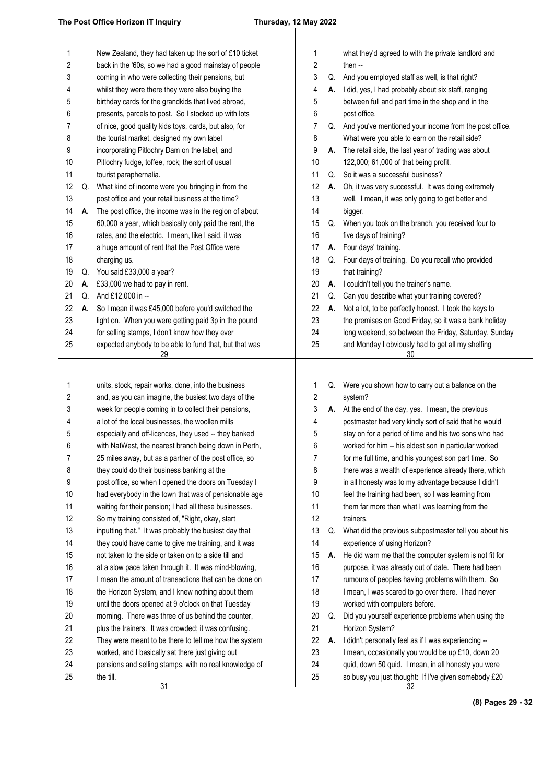| 1  |    | New Zealand, they had taken up the sort of £10 ticket  | 1  |    | what they'd agreed to with the private landlord and    |
|----|----|--------------------------------------------------------|----|----|--------------------------------------------------------|
| 2  |    | back in the '60s, so we had a good mainstay of people  | 2  |    | then $-$                                               |
| 3  |    | coming in who were collecting their pensions, but      | 3  | Q. | And you employed staff as well, is that right?         |
| 4  |    | whilst they were there they were also buying the       | 4  |    | A. I did, yes, I had probably about six staff, ranging |
| 5  |    | birthday cards for the grandkids that lived abroad,    | 5  |    | between full and part time in the shop and in the      |
| 6  |    | presents, parcels to post. So I stocked up with lots   | 6  |    | post office.                                           |
| 7  |    | of nice, good quality kids toys, cards, but also, for  | 7  | Q. | And you've mentioned your income from the post office. |
| 8  |    | the tourist market, designed my own label              | 8  |    | What were you able to earn on the retail side?         |
| 9  |    | incorporating Pitlochry Dam on the label, and          | 9  | А. | The retail side, the last year of trading was about    |
| 10 |    | Pitlochry fudge, toffee, rock; the sort of usual       | 10 |    | 122,000; 61,000 of that being profit.                  |
| 11 |    | tourist paraphernalia.                                 | 11 | Q. | So it was a successful business?                       |
| 12 | Q. | What kind of income were you bringing in from the      | 12 | А. | Oh, it was very successful. It was doing extremely     |
| 13 |    | post office and your retail business at the time?      | 13 |    | well. I mean, it was only going to get better and      |
| 14 | А. | The post office, the income was in the region of about | 14 |    | bigger.                                                |
| 15 |    | 60,000 a year, which basically only paid the rent, the | 15 | Q. | When you took on the branch, you received four to      |
| 16 |    | rates, and the electric. I mean, like I said, it was   | 16 |    | five days of training?                                 |
| 17 |    | a huge amount of rent that the Post Office were        | 17 |    | A. Four days' training.                                |
| 18 |    | charging us.                                           | 18 | Q. | Four days of training. Do you recall who provided      |
| 19 | Q. | You said £33,000 a year?                               | 19 |    | that training?                                         |
| 20 | А. | £33,000 we had to pay in rent.                         | 20 | А. | I couldn't tell you the trainer's name.                |
| 21 | Q. | And £12,000 in --                                      | 21 | Q. | Can you describe what your training covered?           |
| 22 | А. | So I mean it was £45,000 before you'd switched the     | 22 | А. | Not a lot, to be perfectly honest. I took the keys to  |
| 23 |    | light on. When you were getting paid 3p in the pound   | 23 |    | the premises on Good Friday, so it was a bank holiday  |
| 24 |    | for selling stamps, I don't know how they ever         | 24 |    | long weekend, so between the Friday, Saturday, Sunday  |
| 25 |    | expected anybody to be able to fund that, but that was | 25 |    | and Monday I obviously had to get all my shelfing      |
|    |    | 29                                                     |    |    | 30                                                     |
|    |    |                                                        |    |    |                                                        |
| 1  |    | units, stock, repair works, done, into the business    | 1  | Q. | Were you shown how to carry out a balance on the       |
| 2  |    | and, as you can imagine, the busiest two days of the   | 2  |    | system?                                                |
| 3  |    | week for people coming in to collect their pensions,   | 3  |    | A. At the end of the day, yes. I mean, the previous    |
| 4  |    | a lot of the local businesses, the woollen mills       | 4  |    | postmaster had very kindly sort of said that he would  |
| 5  |    | especially and off-licences, they used -- they banked  | 5  |    | stay on for a period of time and his two sons who had  |
| 6  |    | with NatWest, the nearest branch being down in Perth.  | 6  |    | worked for him -- his eldest son in particular worked  |
| 7  |    | 25 miles away, but as a partner of the post office, so | 7  |    | for me full time, and his youngest son part time. So   |
| 8  |    | they could do their business banking at the            | 8  |    | there was a wealth of experience already there, which  |
| 9  |    | post office, so when I opened the doors on Tuesday I   | 9  |    | in all honesty was to my advantage because I didn't    |
| 10 |    | had everybody in the town that was of pensionable age  | 10 |    | feel the training had been, so I was learning from     |
| 11 |    | waiting for their pension; I had all these businesses. | 11 |    | them far more than what I was learning from the        |
| 12 |    | So my training consisted of, "Right, okay, start       | 12 |    | trainers.                                              |
| 13 |    | inputting that." It was probably the busiest day that  | 13 | Q. | What did the previous subpostmaster tell you about his |
| 14 |    | they could have came to give me training, and it was   | 14 |    | experience of using Horizon?                           |
| 15 |    | not taken to the side or taken on to a side till and   | 15 | А. | He did warn me that the computer system is not fit for |
| 16 |    | at a slow pace taken through it. It was mind-blowing,  | 16 |    | purpose, it was already out of date. There had been    |
| 17 |    | I mean the amount of transactions that can be done on  | 17 |    | rumours of peoples having problems with them. So       |
| 18 |    | the Horizon System, and I knew nothing about them      | 18 |    | I mean, I was scared to go over there. I had never     |
| 19 |    | until the doors opened at 9 o'clock on that Tuesday    | 19 |    | worked with computers before.                          |
| 20 |    | morning. There was three of us behind the counter,     | 20 | Q. | Did you yourself experience problems when using the    |
| 21 |    | plus the trainers. It was crowded; it was confusing.   | 21 |    | Horizon System?                                        |
| 22 |    | They were meant to be there to tell me how the system  | 22 | А. | I didn't personally feel as if I was experiencing --   |
| 23 |    | worked, and I basically sat there just giving out      | 23 |    | I mean, occasionally you would be up £10, down 20      |
| 24 |    | pensions and selling stamps, with no real knowledge of | 24 |    | quid, down 50 quid. I mean, in all honesty you were    |

32 so busy you just thought: If I've given somebody £20 25

the till.

25

**(8) Pages 29 - 32**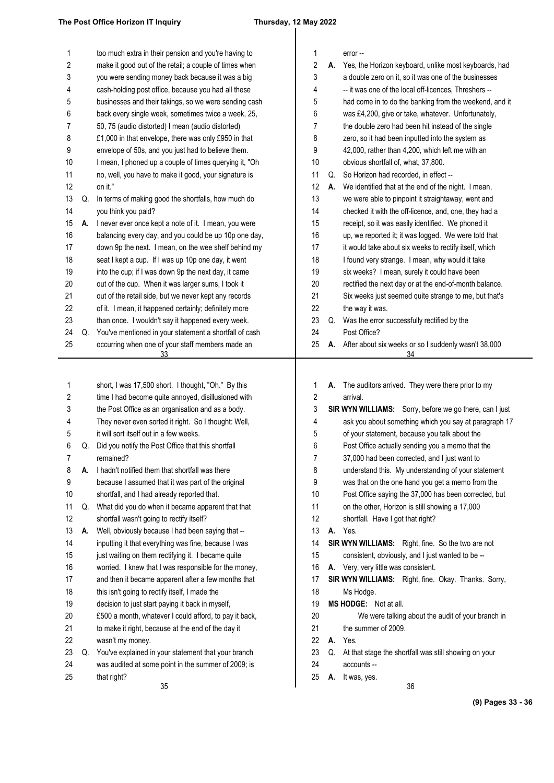# $\overline{\phantom{a}}$

| 1<br>2 |    | too much extra in their pension and you're having to<br>make it good out of the retail; a couple of times when | 1<br>$\sqrt{2}$ | А. | error --<br>Yes, the Horizon keyboard, unlike most keyboards, had                                         |
|--------|----|----------------------------------------------------------------------------------------------------------------|-----------------|----|-----------------------------------------------------------------------------------------------------------|
| 3      |    | you were sending money back because it was a big                                                               | 3               |    | a double zero on it, so it was one of the businesses                                                      |
| 4      |    | cash-holding post office, because you had all these                                                            | 4               |    | -- it was one of the local off-licences, Threshers --                                                     |
| 5      |    | businesses and their takings, so we were sending cash                                                          | 5               |    | had come in to do the banking from the weekend, and it                                                    |
| 6      |    | back every single week, sometimes twice a week, 25,                                                            | 6               |    | was £4,200, give or take, whatever. Unfortunately,                                                        |
| 7      |    | 50, 75 (audio distorted) I mean (audio distorted)                                                              | 7               |    | the double zero had been hit instead of the single                                                        |
| 8      |    | £1,000 in that envelope, there was only £950 in that                                                           | 8               |    | zero, so it had been inputted into the system as                                                          |
| 9      |    | envelope of 50s, and you just had to believe them.                                                             | 9               |    | 42,000, rather than 4,200, which left me with an                                                          |
| 10     |    | I mean, I phoned up a couple of times querying it, "Oh                                                         | 10              |    | obvious shortfall of, what, 37,800.                                                                       |
| 11     |    | no, well, you have to make it good, your signature is                                                          | 11              | Q. | So Horizon had recorded, in effect --                                                                     |
| 12     |    | on it."                                                                                                        | 12              | А. | We identified that at the end of the night. I mean,                                                       |
| 13     | Q. | In terms of making good the shortfalls, how much do                                                            | 13              |    | we were able to pinpoint it straightaway, went and                                                        |
| 14     |    | you think you paid?                                                                                            | 14              |    | checked it with the off-licence, and, one, they had a                                                     |
| 15     | А. | I never ever once kept a note of it. I mean, you were                                                          | 15              |    | receipt, so it was easily identified. We phoned it                                                        |
| 16     |    | balancing every day, and you could be up 10p one day,                                                          | 16              |    | up, we reported it; it was logged. We were told that                                                      |
| 17     |    | down 9p the next. I mean, on the wee shelf behind my                                                           | 17              |    | it would take about six weeks to rectify itself, which                                                    |
| 18     |    | seat I kept a cup. If I was up 10p one day, it went                                                            | 18              |    | I found very strange. I mean, why would it take                                                           |
| 19     |    | into the cup; if I was down 9p the next day, it came                                                           | 19              |    | six weeks? I mean, surely it could have been                                                              |
| 20     |    | out of the cup. When it was larger sums, I took it                                                             | 20              |    | rectified the next day or at the end-of-month balance.                                                    |
| 21     |    | out of the retail side, but we never kept any records                                                          | 21              |    | Six weeks just seemed quite strange to me, but that's                                                     |
| 22     |    | of it. I mean, it happened certainly; definitely more                                                          | 22              |    | the way it was.                                                                                           |
| 23     |    | than once. I wouldn't say it happened every week.                                                              | 23              | Q. | Was the error successfully rectified by the                                                               |
| 24     | Q. | You've mentioned in your statement a shortfall of cash                                                         | 24              |    | Post Office?                                                                                              |
| 25     |    | occurring when one of your staff members made an                                                               | 25              | А. | After about six weeks or so I suddenly wasn't 38,000                                                      |
|        |    | 33                                                                                                             |                 |    | 34                                                                                                        |
|        |    |                                                                                                                |                 |    |                                                                                                           |
|        |    |                                                                                                                |                 |    |                                                                                                           |
|        |    |                                                                                                                |                 |    |                                                                                                           |
| 1      |    | short, I was 17,500 short. I thought, "Oh." By this                                                            | 1               | А. | The auditors arrived. They were there prior to my                                                         |
| 2      |    | time I had become quite annoyed, disillusioned with                                                            | $\overline{c}$  |    | arrival.                                                                                                  |
| 3      |    | the Post Office as an organisation and as a body.                                                              | 3               |    | SIR WYN WILLIAMS: Sorry, before we go there, can I just                                                   |
| 4      |    | They never even sorted it right. So I thought: Well,                                                           | 4               |    | ask you about something which you say at paragraph 17                                                     |
| 5      | Q. | it will sort itself out in a few weeks.                                                                        | 5<br>6          |    | of your statement, because you talk about the                                                             |
| 6<br>7 |    | Did you notify the Post Office that this shortfall<br>remained?                                                |                 |    | Post Office actually sending you a memo that the                                                          |
|        | А. | I hadn't notified them that shortfall was there                                                                | 7<br>8          |    | 37,000 had been corrected, and I just want to                                                             |
| 8<br>9 |    |                                                                                                                | 9               |    | understand this. My understanding of your statement                                                       |
| 10     |    | because I assumed that it was part of the original<br>shortfall, and I had already reported that.              | 10              |    | was that on the one hand you get a memo from the<br>Post Office saying the 37,000 has been corrected, but |
| 11     | Q. | What did you do when it became apparent that that                                                              | 11              |    | on the other, Horizon is still showing a 17,000                                                           |
| 12     |    | shortfall wasn't going to rectify itself?                                                                      | 12              |    | shortfall. Have I got that right?                                                                         |
| 13     | А. | Well, obviously because I had been saying that --                                                              | 13              | А. | Yes.                                                                                                      |
| 14     |    | inputting it that everything was fine, because I was                                                           | 14              |    | SIR WYN WILLIAMS: Right, fine. So the two are not                                                         |
| 15     |    | just waiting on them rectifying it. I became quite                                                             | 15              |    | consistent, obviously, and I just wanted to be --                                                         |
| 16     |    | worried. I knew that I was responsible for the money,                                                          | 16              |    | A. Very, very little was consistent.                                                                      |
| 17     |    | and then it became apparent after a few months that                                                            | 17              |    | SIR WYN WILLIAMS: Right, fine. Okay. Thanks. Sorry,                                                       |
| 18     |    | this isn't going to rectify itself, I made the                                                                 | 18              |    | Ms Hodge.                                                                                                 |
| 19     |    | decision to just start paying it back in myself,                                                               | 19              |    | MS HODGE: Not at all.                                                                                     |
| 20     |    | £500 a month, whatever I could afford, to pay it back,                                                         | 20              |    | We were talking about the audit of your branch in                                                         |
| 21     |    | to make it right, because at the end of the day it                                                             | 21              |    | the summer of 2009.                                                                                       |
| 22     |    | wasn't my money.                                                                                               | 22              | А. | Yes.                                                                                                      |
| 23     | Q. | You've explained in your statement that your branch                                                            | 23              |    | Q. At that stage the shortfall was still showing on your                                                  |
| 24     |    | was audited at some point in the summer of 2009; is                                                            | 24              |    | accounts --                                                                                               |
| 25     |    | that right?<br>35                                                                                              | 25              | А. | It was, yes.<br>36                                                                                        |

**(9) Pages 33 - 36**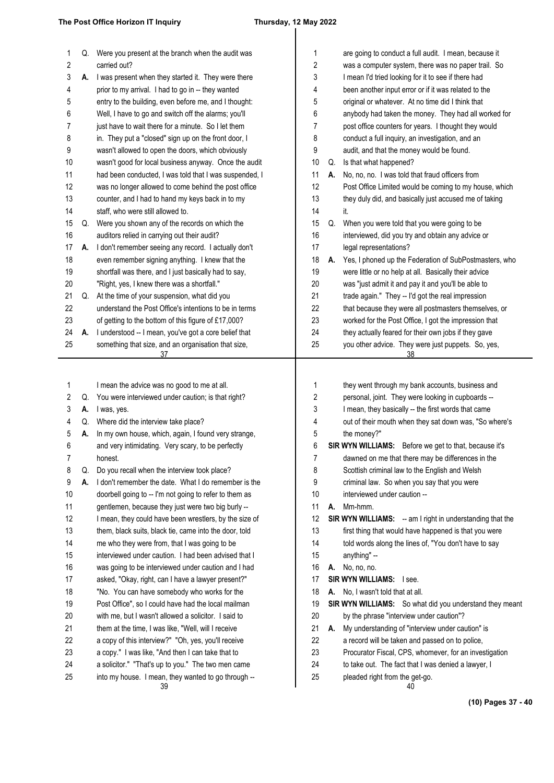## $\overline{\phantom{a}}$

| 1  | Q. | Were you present at the branch when the audit was      | 1                       |    | are going to conduct a full audit. I mean, because it            |
|----|----|--------------------------------------------------------|-------------------------|----|------------------------------------------------------------------|
| 2  |    | carried out?                                           | $\overline{c}$          |    | was a computer system, there was no paper trail. So              |
| 3  | Α. | I was present when they started it. They were there    | 3                       |    | I mean I'd tried looking for it to see if there had              |
| 4  |    | prior to my arrival. I had to go in -- they wanted     | 4                       |    | been another input error or if it was related to the             |
| 5  |    | entry to the building, even before me, and I thought:  | 5                       |    | original or whatever. At no time did I think that                |
| 6  |    | Well, I have to go and switch off the alarms; you'll   | 6                       |    | anybody had taken the money. They had all worked for             |
| 7  |    | just have to wait there for a minute. So I let them    | 7                       |    | post office counters for years. I thought they would             |
| 8  |    | in. They put a "closed" sign up on the front door, I   | 8                       |    | conduct a full inquiry, an investigation, and an                 |
| 9  |    | wasn't allowed to open the doors, which obviously      | 9                       |    | audit, and that the money would be found.                        |
| 10 |    | wasn't good for local business anyway. Once the audit  | 10                      | Q. | Is that what happened?                                           |
| 11 |    | had been conducted, I was told that I was suspended, I | 11                      | А. | No, no, no. I was told that fraud officers from                  |
| 12 |    | was no longer allowed to come behind the post office   | 12                      |    | Post Office Limited would be coming to my house, which           |
| 13 |    | counter, and I had to hand my keys back in to my       | 13                      |    | they duly did, and basically just accused me of taking           |
| 14 |    | staff, who were still allowed to.                      | 14                      |    | it.                                                              |
| 15 | Q. | Were you shown any of the records on which the         | 15                      | Q. | When you were told that you were going to be                     |
| 16 |    | auditors relied in carrying out their audit?           | 16                      |    | interviewed, did you try and obtain any advice or                |
| 17 | А. | I don't remember seeing any record. I actually don't   | 17                      |    | legal representations?                                           |
| 18 |    | even remember signing anything. I knew that the        | 18                      | А. | Yes, I phoned up the Federation of SubPostmasters, who           |
| 19 |    | shortfall was there, and I just basically had to say,  | 19                      |    | were little or no help at all. Basically their advice            |
| 20 |    | "Right, yes, I knew there was a shortfall."            | 20                      |    | was "just admit it and pay it and you'll be able to              |
| 21 | Q. | At the time of your suspension, what did you           | 21                      |    | trade again." They -- I'd got the real impression                |
| 22 |    | understand the Post Office's intentions to be in terms | 22                      |    | that because they were all postmasters themselves, or            |
| 23 |    | of getting to the bottom of this figure of £17,000?    | 23                      |    | worked for the Post Office, I got the impression that            |
| 24 | А. | I understood -- I mean, you've got a core belief that  | 24                      |    | they actually feared for their own jobs if they gave             |
| 25 |    | something that size, and an organisation that size,    | 25                      |    | you other advice. They were just puppets. So, yes,               |
|    |    | 37                                                     |                         |    | 38                                                               |
|    |    |                                                        |                         |    |                                                                  |
| 1  |    | I mean the advice was no good to me at all.            | 1                       |    | they went through my bank accounts, business and                 |
| 2  | Q. | You were interviewed under caution; is that right?     | $\overline{\mathbf{c}}$ |    | personal, joint. They were looking in cupboards --               |
| 3  | А. | I was, yes.                                            | 3                       |    | I mean, they basically -- the first words that came              |
| 4  | Q. | Where did the interview take place?                    | 4                       |    | out of their mouth when they sat down was, "So where's           |
| 5  | Α. | In my own house, which, again, I found very strange,   | 5                       |    | the money?"                                                      |
| 6  |    | and very intimidating. Very scary, to be perfectly     | 6                       |    | SIR WYN WILLIAMS: Before we get to that, because it's            |
| 7  |    |                                                        | 7                       |    | dawned on me that there may be differences in the                |
|    |    | honest.                                                |                         |    |                                                                  |
| 8  | Q. | Do you recall when the interview took place?           | 8                       |    | Scottish criminal law to the English and Welsh                   |
| 9  | A. | I don't remember the date. What I do remember is the   | 9                       |    | criminal law. So when you say that you were                      |
| 10 |    | doorbell going to -- I'm not going to refer to them as | 10                      |    | interviewed under caution --                                     |
| 11 |    | gentlemen, because they just were two big burly --     | 11                      | А. | Mm-hmm.                                                          |
| 12 |    | I mean, they could have been wrestlers, by the size of | 12                      |    | <b>SIR WYN WILLIAMS:</b> -- am I right in understanding that the |
| 13 |    | them, black suits, black tie, came into the door, told | 13                      |    | first thing that would have happened is that you were            |
| 14 |    | me who they were from, that I was going to be          | 14                      |    | told words along the lines of, "You don't have to say            |
| 15 |    | interviewed under caution. I had been advised that I   | 15                      |    | anything" --                                                     |
| 16 |    | was going to be interviewed under caution and I had    | 16                      | А. | No, no, no.                                                      |
| 17 |    | asked, "Okay, right, can I have a lawyer present?"     | 17                      |    | SIR WYN WILLIAMS: I see.                                         |
| 18 |    | "No. You can have somebody who works for the           | 18                      | А. | No, I wasn't told that at all.                                   |
| 19 |    | Post Office", so I could have had the local mailman    | 19                      |    | SIR WYN WILLIAMS: So what did you understand they mean           |
| 20 |    | with me, but I wasn't allowed a solicitor. I said to   | 20                      |    | by the phrase "interview under caution"?                         |
| 21 |    | them at the time, I was like, "Well, will I receive    | 21                      | А. | My understanding of "interview under caution" is                 |
| 22 |    | a copy of this interview?" "Oh, yes, you'll receive    | 22                      |    | a record will be taken and passed on to police,                  |
| 23 |    | a copy." I was like, "And then I can take that to      | 23                      |    | Procurator Fiscal, CPS, whomever, for an investigation           |
| 24 |    | a solicitor." "That's up to you." The two men came     | 24                      |    | to take out. The fact that I was denied a lawyer, I              |
| 25 |    | into my house. I mean, they wanted to go through --    | 25                      |    | pleaded right from the get-go.                                   |
|    |    | 39                                                     |                         |    | 40                                                               |
|    |    |                                                        |                         |    |                                                                  |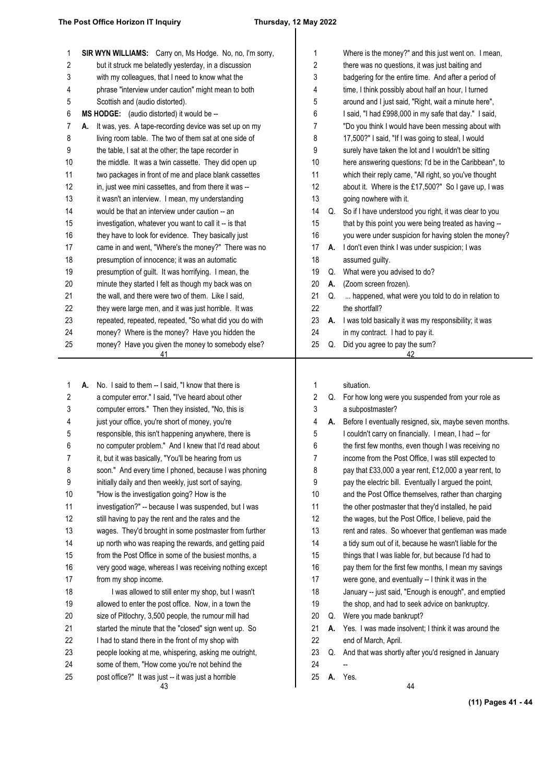### 

| 1        | SIR WYN WILLIAMS: Carry on, Ms Hodge. No, no, I'm sorry,                                                       | 1        |    | Where is the money?" and this just went on. I mean,                                                             |
|----------|----------------------------------------------------------------------------------------------------------------|----------|----|-----------------------------------------------------------------------------------------------------------------|
| 2        | but it struck me belatedly yesterday, in a discussion                                                          | 2        |    | there was no questions, it was just baiting and                                                                 |
| 3        | with my colleagues, that I need to know what the                                                               | 3        |    | badgering for the entire time. And after a period of                                                            |
| 4        | phrase "interview under caution" might mean to both                                                            | 4        |    | time, I think possibly about half an hour, I turned                                                             |
| 5        | Scottish and (audio distorted).                                                                                | 5        |    | around and I just said, "Right, wait a minute here",                                                            |
| 6        | MS HODGE: (audio distorted) it would be --                                                                     | 6        |    | I said, "I had £998,000 in my safe that day." I said,                                                           |
| 7        | It was, yes. A tape-recording device was set up on my<br>A.                                                    | 7        |    | "Do you think I would have been messing about with                                                              |
| 8        | living room table. The two of them sat at one side of                                                          | 8        |    | 17,500?" I said, "If I was going to steal, I would                                                              |
| 9        | the table, I sat at the other; the tape recorder in                                                            | 9        |    | surely have taken the lot and I wouldn't be sitting                                                             |
| 10<br>11 | the middle. It was a twin cassette. They did open up                                                           | 10<br>11 |    | here answering questions; I'd be in the Caribbean", to<br>which their reply came, "All right, so you've thought |
| 12       | two packages in front of me and place blank cassettes<br>in, just wee mini cassettes, and from there it was -- | 12       |    | about it. Where is the £17,500?" So I gave up, I was                                                            |
| 13       | it wasn't an interview. I mean, my understanding                                                               | 13       |    | going nowhere with it.                                                                                          |
| 14       | would be that an interview under caution -- an                                                                 | 14       |    | Q. So if I have understood you right, it was clear to you                                                       |
| 15       | investigation, whatever you want to call it -- is that                                                         | 15       |    | that by this point you were being treated as having --                                                          |
| 16       | they have to look for evidence. They basically just                                                            | 16       |    | you were under suspicion for having stolen the money?                                                           |
| 17       | came in and went, "Where's the money?" There was no                                                            | 17       | А. | I don't even think I was under suspicion; I was                                                                 |
| 18       | presumption of innocence; it was an automatic                                                                  | 18       |    | assumed guilty.                                                                                                 |
| 19       | presumption of guilt. It was horrifying. I mean, the                                                           | 19       | Q. | What were you advised to do?                                                                                    |
| 20       | minute they started I felt as though my back was on                                                            | 20       | А. | (Zoom screen frozen).                                                                                           |
| 21       | the wall, and there were two of them. Like I said,                                                             | 21       | Q. | happened, what were you told to do in relation to                                                               |
| 22       | they were large men, and it was just horrible. It was                                                          | 22       |    | the shortfall?                                                                                                  |
| 23       | repeated, repeated, repeated, "So what did you do with                                                         | 23       |    | A. I was told basically it was my responsibility; it was                                                        |
| 24       | money? Where is the money? Have you hidden the                                                                 | 24       |    | in my contract. I had to pay it.                                                                                |
| 25       | money? Have you given the money to somebody else?                                                              | 25       |    | Q. Did you agree to pay the sum?                                                                                |
|          | 41                                                                                                             |          |    | 42                                                                                                              |
|          |                                                                                                                |          |    |                                                                                                                 |
| 1        | No. I said to them -- I said, "I know that there is<br>А.                                                      | 1        |    | situation.                                                                                                      |
| 2        | a computer error." I said, "I've heard about other                                                             | 2        |    | Q. For how long were you suspended from your role as                                                            |
| 3        | computer errors." Then they insisted, "No, this is                                                             | 3        |    | a subpostmaster?                                                                                                |
| 4        | just your office, you're short of money, you're                                                                | 4        |    | A. Before I eventually resigned, six, maybe seven months.                                                       |
| 5        | responsible, this isn't happening anywhere, there is                                                           | 5        |    | I couldn't carry on financially. I mean, I had -- for                                                           |
| 6        | no computer problem." And I knew that I'd read about                                                           | 6        |    | the first few months, even though I was receiving no                                                            |
| 7        | it, but it was basically, "You'll be hearing from us                                                           | 7        |    | income from the Post Office, I was still expected to                                                            |
| 8        | soon." And every time I phoned, because I was phoning                                                          | 8        |    | pay that £33,000 a year rent, £12,000 a year rent, to                                                           |
| 9        | initially daily and then weekly, just sort of saying,                                                          | 9        |    | pay the electric bill. Eventually I argued the point,                                                           |
| 10       | "How is the investigation going? How is the                                                                    | 10       |    | and the Post Office themselves, rather than charging                                                            |
| 11       | investigation?" -- because I was suspended, but I was                                                          | 11       |    | the other postmaster that they'd installed, he paid                                                             |
| 12       | still having to pay the rent and the rates and the                                                             | 12       |    | the wages, but the Post Office, I believe, paid the                                                             |
| 13       | wages. They'd brought in some postmaster from further                                                          | 13       |    | rent and rates. So whoever that gentleman was made                                                              |
| 14       | up north who was reaping the rewards, and getting paid                                                         | 14       |    | a tidy sum out of it, because he wasn't liable for the                                                          |
| 15       | from the Post Office in some of the busiest months, a                                                          | 15       |    | things that I was liable for, but because I'd had to                                                            |
| 16       | very good wage, whereas I was receiving nothing except                                                         | 16       |    | pay them for the first few months, I mean my savings                                                            |
| 17       | from my shop income.                                                                                           | 17       |    | were gone, and eventually -- I think it was in the                                                              |
| 18       | I was allowed to still enter my shop, but I wasn't                                                             | 18       |    | January -- just said, "Enough is enough", and emptied                                                           |
| 19       | allowed to enter the post office. Now, in a town the                                                           | 19       |    | the shop, and had to seek advice on bankruptcy.                                                                 |
| 20       | size of Pitlochry, 3,500 people, the rumour mill had                                                           | 20       | Q. | Were you made bankrupt?                                                                                         |
| 21       | started the minute that the "closed" sign went up. So                                                          | 21       | А. | Yes. I was made insolvent; I think it was around the                                                            |
| 22       | I had to stand there in the front of my shop with                                                              | 22       |    | end of March, April.                                                                                            |
| 23       | people looking at me, whispering, asking me outright,                                                          | 23       |    | Q. And that was shortly after you'd resigned in January                                                         |
| 24       | some of them, "How come you're not behind the                                                                  | 24       |    |                                                                                                                 |
| 25       | post office?" It was just -- it was just a horrible                                                            | 25       |    | A. Yes.                                                                                                         |
|          | 43                                                                                                             |          |    | 44                                                                                                              |

**(11) Pages 41 - 44**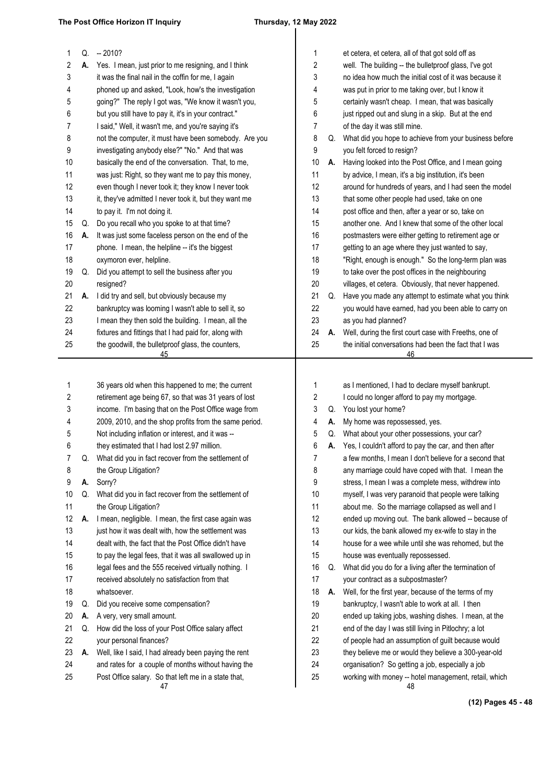| 1  |    | $Q. -2010?$                                              | 1        |    | et cetera, et cetera, all of that got sold off as            |
|----|----|----------------------------------------------------------|----------|----|--------------------------------------------------------------|
| 2  | А. | Yes. I mean, just prior to me resigning, and I think     | 2        |    | well. The building -- the bulletproof glass, I've got        |
| 3  |    | it was the final nail in the coffin for me, I again      | 3        |    | no idea how much the initial cost of it was because it       |
| 4  |    | phoned up and asked, "Look, how's the investigation      | 4        |    | was put in prior to me taking over, but I know it            |
| 5  |    | going?" The reply I got was, "We know it wasn't you,     | 5        |    | certainly wasn't cheap. I mean, that was basically           |
| 6  |    | but you still have to pay it, it's in your contract."    | 6        |    | just ripped out and slung in a skip. But at the end          |
| 7  |    | I said," Well, it wasn't me, and you're saying it's      | 7        |    | of the day it was still mine.                                |
| 8  |    | not the computer, it must have been somebody. Are you    | 8        | Q. | What did you hope to achieve from your business before       |
| 9  |    | investigating anybody else?" "No." And that was          | 9        |    | you felt forced to resign?                                   |
| 10 |    | basically the end of the conversation. That, to me,      | 10       | А. | Having looked into the Post Office, and I mean going         |
| 11 |    | was just: Right, so they want me to pay this money,      | 11       |    | by advice, I mean, it's a big institution, it's been         |
| 12 |    | even though I never took it; they know I never took      | 12       |    | around for hundreds of years, and I had seen the model       |
| 13 |    | it, they've admitted I never took it, but they want me   | 13       |    | that some other people had used, take on one                 |
| 14 |    | to pay it. I'm not doing it.                             | 14       |    | post office and then, after a year or so, take on            |
| 15 | Q. | Do you recall who you spoke to at that time?             | 15       |    | another one. And I knew that some of the other local         |
| 16 | А. | It was just some faceless person on the end of the       | 16       |    | postmasters were either getting to retirement age or         |
| 17 |    | phone. I mean, the helpline -- it's the biggest          | $17\,$   |    | getting to an age where they just wanted to say,             |
| 18 |    | oxymoron ever, helpline.                                 | 18       |    | "Right, enough is enough." So the long-term plan was         |
| 19 | Q. | Did you attempt to sell the business after you           | 19       |    | to take over the post offices in the neighbouring            |
| 20 |    | resigned?                                                | 20       |    | villages, et cetera. Obviously, that never happened.         |
| 21 | А. | I did try and sell, but obviously because my             | 21       | Q. | Have you made any attempt to estimate what you think         |
| 22 |    |                                                          | 22       |    |                                                              |
|    |    | bankruptcy was looming I wasn't able to sell it, so      |          |    | you would have earned, had you been able to carry on         |
| 23 |    | I mean they then sold the building. I mean, all the      | 23       |    | as you had planned?                                          |
| 24 |    | fixtures and fittings that I had paid for, along with    | 24       | А. | Well, during the first court case with Freeths, one of       |
| 25 |    | the goodwill, the bulletproof glass, the counters,<br>45 | 25       |    | the initial conversations had been the fact that I was<br>46 |
|    |    |                                                          |          |    |                                                              |
| 1  |    | 36 years old when this happened to me; the current       | 1        |    | as I mentioned, I had to declare myself bankrupt.            |
| 2  |    | retirement age being 67, so that was 31 years of lost    | 2        |    | I could no longer afford to pay my mortgage.                 |
| 3  |    | income. I'm basing that on the Post Office wage from     | 3        |    | Q. You lost your home?                                       |
| 4  |    | 2009, 2010, and the shop profits from the same period.   | 4        | А. | My home was repossessed, yes.                                |
| 5  |    | Not including inflation or interest, and it was --       | 5        | Q. | What about your other possessions, your car?                 |
| 6  |    | they estimated that I had lost 2.97 million.             | 6        | А. | Yes, I couldn't afford to pay the car, and then after        |
| 7  | Q. | What did you in fact recover from the settlement of      | 7        |    | a few months, I mean I don't believe for a second that       |
| 8  |    | the Group Litigation?                                    | 8        |    | any marriage could have coped with that. I mean the          |
| 9  | А. | Sorry?                                                   | 9        |    | stress, I mean I was a complete mess, withdrew into          |
| 10 | Q. | What did you in fact recover from the settlement of      | 10       |    | myself, I was very paranoid that people were talking         |
| 11 |    | the Group Litigation?                                    | 11       |    | about me. So the marriage collapsed as well and I            |
| 12 | А. | I mean, negligible. I mean, the first case again was     | 12       |    | ended up moving out. The bank allowed -- because of          |
| 13 |    | just how it was dealt with, how the settlement was       | 13       |    | our kids, the bank allowed my ex-wife to stay in the         |
| 14 |    | dealt with, the fact that the Post Office didn't have    | 14       |    | house for a wee while until she was rehomed, but the         |
| 15 |    | to pay the legal fees, that it was all swallowed up in   | 15       |    | house was eventually repossessed.                            |
| 16 |    | legal fees and the 555 received virtually nothing. I     | 16       | Q. | What did you do for a living after the termination of        |
| 17 |    | received absolutely no satisfaction from that            | 17       |    | your contract as a subpostmaster?                            |
|    |    |                                                          |          |    |                                                              |
| 18 |    | whatsoever.                                              | 18       | А. | Well, for the first year, because of the terms of my         |
| 19 | Q. | Did you receive some compensation?                       | 19       |    | bankruptcy, I wasn't able to work at all. I then             |
| 20 | А. | A very, very small amount.                               | 20       |    | ended up taking jobs, washing dishes. I mean, at the         |
| 21 | Q. | How did the loss of your Post Office salary affect       | 21       |    | end of the day I was still living in Pitlochry; a lot        |
| 22 |    | your personal finances?                                  | 22       |    | of people had an assumption of guilt because would           |
| 23 | А. | Well, like I said, I had already been paying the rent    | 23       |    | they believe me or would they believe a 300-year-old         |
| 24 |    | and rates for a couple of months without having the      | 24<br>25 |    | organisation? So getting a job, especially a job             |
| 25 |    | Post Office salary. So that left me in a state that,     |          |    | working with money -- hotel management, retail, which        |

47

**(12) Pages 45 - 48**

48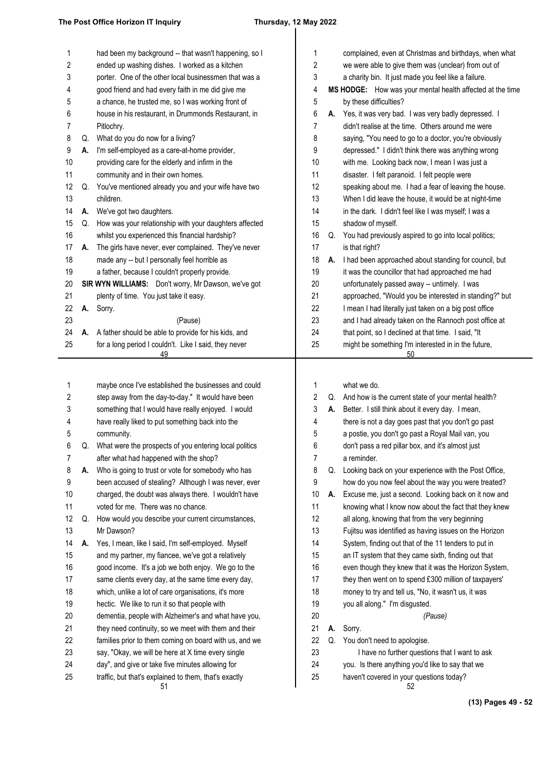## $\overline{\phantom{a}}$

| 1  |    | had been my background -- that wasn't happening, so I       | 1  |    | complained, even at Christmas and birthdays, when what    |
|----|----|-------------------------------------------------------------|----|----|-----------------------------------------------------------|
| 2  |    | ended up washing dishes. I worked as a kitchen              | 2  |    | we were able to give them was (unclear) from out of       |
| 3  |    | porter. One of the other local businessmen that was a       | 3  |    | a charity bin. It just made you feel like a failure.      |
| 4  |    | good friend and had every faith in me did give me           | 4  |    | MS HODGE: How was your mental health affected at the time |
| 5  |    | a chance, he trusted me, so I was working front of          | 5  |    | by these difficulties?                                    |
| 6  |    | house in his restaurant, in Drummonds Restaurant, in        | 6  | А. | Yes, it was very bad. I was very badly depressed. I       |
| 7  |    | Pitlochry.                                                  | 7  |    | didn't realise at the time. Others around me were         |
| 8  | Q. | What do you do now for a living?                            | 8  |    | saying, "You need to go to a doctor, you're obviously     |
| 9  | А. | I'm self-employed as a care-at-home provider,               | 9  |    | depressed." I didn't think there was anything wrong       |
| 10 |    | providing care for the elderly and infirm in the            | 10 |    | with me. Looking back now, I mean I was just a            |
| 11 |    | community and in their own homes.                           | 11 |    | disaster. I felt paranoid. I felt people were             |
| 12 | Q. | You've mentioned already you and your wife have two         | 12 |    | speaking about me. I had a fear of leaving the house.     |
| 13 |    | children.                                                   | 13 |    | When I did leave the house, it would be at night-time     |
| 14 | А. | We've got two daughters.                                    | 14 |    | in the dark. I didn't feel like I was myself; I was a     |
| 15 | Q. | How was your relationship with your daughters affected      | 15 |    | shadow of myself.                                         |
| 16 |    | whilst you experienced this financial hardship?             | 16 | Q. | You had previously aspired to go into local politics;     |
| 17 | А. | The girls have never, ever complained. They've never        | 17 |    | is that right?                                            |
| 18 |    | made any -- but I personally feel horrible as               | 18 | А. | I had been approached about standing for council, but     |
| 19 |    | a father, because I couldn't properly provide.              | 19 |    | it was the councillor that had approached me had          |
| 20 |    | SIR WYN WILLIAMS: Don't worry, Mr Dawson, we've got         | 20 |    | unfortunately passed away -- untimely. I was              |
| 21 |    | plenty of time. You just take it easy.                      | 21 |    | approached, "Would you be interested in standing?" but    |
| 22 | А. | Sorry.                                                      | 22 |    | I mean I had literally just taken on a big post office    |
| 23 |    | (Pause)                                                     | 23 |    | and I had already taken on the Rannoch post office at     |
| 24 | А. | A father should be able to provide for his kids, and        | 24 |    | that point, so I declined at that time. I said, "It       |
| 25 |    | for a long period I couldn't. Like I said, they never<br>49 | 25 |    | might be something I'm interested in in the future,<br>50 |
|    |    |                                                             |    |    |                                                           |
| 1  |    | maybe once I've established the businesses and could        | 1  |    | what we do.                                               |
| 2  |    | step away from the day-to-day." It would have been          | 2  |    | Q. And how is the current state of your mental health?    |
| 3  |    | something that I would have really enjoyed. I would         | 3  |    | A. Better. I still think about it every day. I mean,      |
| 4  |    | have really liked to put something back into the            | 4  |    | there is not a day goes past that you don't go past       |
| 5  |    | community.                                                  | 5  |    | a postie, you don't go past a Royal Mail van, you         |
| 6  | Q. | What were the prospects of you entering local politics      | 6  |    | don't pass a red pillar box, and it's almost just         |
| 7  |    | after what had happened with the shop?                      |    |    | a reminder.                                               |
| 8  | А. | Who is going to trust or vote for somebody who has          | 8  | Q. | Looking back on your experience with the Post Office,     |
| 9  |    | been accused of stealing? Although I was never, ever        | 9  |    | how do you now feel about the way you were treated?       |
| 10 |    | charged, the doubt was always there. I wouldn't have        | 10 | А. | Excuse me, just a second. Looking back on it now and      |
| 11 |    | voted for me. There was no chance.                          | 11 |    | knowing what I know now about the fact that they knew     |
| 12 | Q. | How would you describe your current circumstances,          | 12 |    | all along, knowing that from the very beginning           |
| 13 |    | Mr Dawson?                                                  | 13 |    | Fujitsu was identified as having issues on the Horizon    |
| 14 | А. | Yes, I mean, like I said, I'm self-employed. Myself         | 14 |    | System, finding out that of the 11 tenders to put in      |
| 15 |    | and my partner, my fiancee, we've got a relatively          | 15 |    | an IT system that they came sixth, finding out that       |
| 16 |    | good income. It's a job we both enjoy. We go to the         | 16 |    | even though they knew that it was the Horizon System,     |
| 17 |    | same clients every day, at the same time every day,         | 17 |    | they then went on to spend £300 million of taxpayers'     |
| 18 |    | which, unlike a lot of care organisations, it's more        | 18 |    | money to try and tell us, "No, it wasn't us, it was       |
| 19 |    | hectic. We like to run it so that people with               | 19 |    | you all along." I'm disgusted.                            |
| 20 |    | dementia, people with Alzheimer's and what have you,        | 20 |    | (Pause)                                                   |
| 21 |    | they need continuity, so we meet with them and their        | 21 | А. | Sorry.                                                    |
| 22 |    | families prior to them coming on board with us, and we      | 22 | Q. | You don't need to apologise.                              |
| 23 |    | say, "Okay, we will be here at X time every single          | 23 |    | I have no further questions that I want to ask            |
| 24 |    | day", and give or take five minutes allowing for            | 24 |    | you. Is there anything you'd like to say that we          |
| 25 |    | traffic, but that's explained to them, that's exactly       | 25 |    | haven't covered in your questions today?                  |
|    |    | 51                                                          |    |    | 52                                                        |
|    |    |                                                             |    |    |                                                           |

**(13) Pages 49 - 52**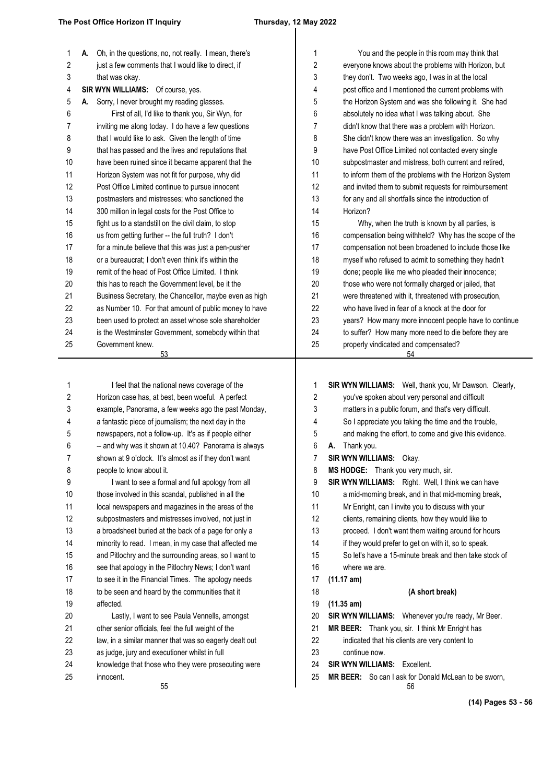| 1  | Oh, in the questions, no, not really. I mean, there's<br>А. | 1                | You and the people in this room may think that             |
|----|-------------------------------------------------------------|------------------|------------------------------------------------------------|
| 2  | just a few comments that I would like to direct, if         | $\boldsymbol{2}$ | everyone knows about the problems with Horizon, but        |
| 3  | that was okay.                                              | 3                | they don't. Two weeks ago, I was in at the local           |
| 4  | SIR WYN WILLIAMS: Of course, yes.                           | 4                | post office and I mentioned the current problems with      |
| 5  | A. Sorry, I never brought my reading glasses.               | 5                | the Horizon System and was she following it. She had       |
| 6  | First of all, I'd like to thank you, Sir Wyn, for           | 6                | absolutely no idea what I was talking about. She           |
| 7  | inviting me along today. I do have a few questions          | 7                | didn't know that there was a problem with Horizon.         |
| 8  | that I would like to ask. Given the length of time          | 8                | She didn't know there was an investigation. So why         |
| 9  | that has passed and the lives and reputations that          | 9                | have Post Office Limited not contacted every single        |
| 10 | have been ruined since it became apparent that the          | 10               | subpostmaster and mistress, both current and retired,      |
| 11 | Horizon System was not fit for purpose, why did             | 11               | to inform them of the problems with the Horizon System     |
| 12 | Post Office Limited continue to pursue innocent             | 12               | and invited them to submit requests for reimbursement      |
| 13 | postmasters and mistresses; who sanctioned the              | 13               | for any and all shortfalls since the introduction of       |
| 14 | 300 million in legal costs for the Post Office to           | 14               | Horizon?                                                   |
| 15 | fight us to a standstill on the civil claim, to stop        | 15               | Why, when the truth is known by all parties, is            |
| 16 | us from getting further -- the full truth? I don't          | 16               | compensation being withheld? Why has the scope of the      |
| 17 | for a minute believe that this was just a pen-pusher        | 17               | compensation not been broadened to include those like      |
| 18 | or a bureaucrat; I don't even think it's within the         | 18               | myself who refused to admit to something they hadn't       |
| 19 | remit of the head of Post Office Limited. I think           | 19               | done; people like me who pleaded their innocence;          |
| 20 | this has to reach the Government level, be it the           | 20               | those who were not formally charged or jailed, that        |
| 21 | Business Secretary, the Chancellor, maybe even as high      | 21               | were threatened with it, threatened with prosecution,      |
| 22 | as Number 10. For that amount of public money to have       | 22               | who have lived in fear of a knock at the door for          |
| 23 | been used to protect an asset whose sole shareholder        | 23               | years? How many more innocent people have to continue      |
| 24 | is the Westminster Government, somebody within that         | 24               | to suffer? How many more need to die before they are       |
| 25 | Government knew.                                            | 25               | properly vindicated and compensated?                       |
|    | 53                                                          |                  | 54                                                         |
|    |                                                             |                  |                                                            |
|    |                                                             |                  |                                                            |
| 1  | I feel that the national news coverage of the               | 1                | SIR WYN WILLIAMS: Well, thank you, Mr Dawson. Clearly,     |
| 2  | Horizon case has, at best, been woeful. A perfect           | 2                | you've spoken about very personal and difficult            |
| 3  | example, Panorama, a few weeks ago the past Monday,         | 3                | matters in a public forum, and that's very difficult.      |
| 4  | a fantastic piece of journalism; the next day in the        | 4                | So I appreciate you taking the time and the trouble,       |
| 5  | newspapers, not a follow-up. It's as if people either       | 5                | and making the effort, to come and give this evidence.     |
| 6  | -- and why was it shown at 10.40? Panorama is always        | 6                | Thank you.<br>Α.                                           |
| 7  | shown at 9 o'clock. It's almost as if they don't want       | 7                | SIR WYN WILLIAMS: Okay.                                    |
| 8  | people to know about it.                                    | 8                | MS HODGE: Thank you very much, sir.                        |
| 9  | I want to see a formal and full apology from all            | 9                | SIR WYN WILLIAMS: Right. Well, I think we can have         |
| 10 | those involved in this scandal, published in all the        | 10               | a mid-morning break, and in that mid-morning break,        |
| 11 | local newspapers and magazines in the areas of the          | 11               | Mr Enright, can I invite you to discuss with your          |
| 12 | subpostmasters and mistresses involved, not just in         | 12               | clients, remaining clients, how they would like to         |
| 13 | a broadsheet buried at the back of a page for only a        | 13               | proceed. I don't want them waiting around for hours        |
| 14 | minority to read. I mean, in my case that affected me       | 14               | if they would prefer to get on with it, so to speak.       |
| 15 | and Pitlochry and the surrounding areas, so I want to       | 15               | So let's have a 15-minute break and then take stock of     |
| 16 | see that apology in the Pitlochry News; I don't want        | 16               | where we are.                                              |
| 17 | to see it in the Financial Times. The apology needs         | 17               | (11.17 am)                                                 |
| 18 | to be seen and heard by the communities that it             | 18               | (A short break)                                            |
| 19 | affected.                                                   | 19               | (11.35 am)                                                 |
| 20 | Lastly, I want to see Paula Vennells, amongst               | 20               | SIR WYN WILLIAMS: Whenever you're ready, Mr Beer.          |
| 21 | other senior officials, feel the full weight of the         | 21               | MR BEER: Thank you, sir. I think Mr Enright has            |
| 22 | law, in a similar manner that was so eagerly dealt out      | 22               | indicated that his clients are very content to             |
| 23 | as judge, jury and executioner whilst in full               | 23               | continue now.                                              |
| 24 | knowledge that those who they were prosecuting were         | 24               | <b>SIR WYN WILLIAMS: Excellent.</b>                        |
| 25 | innocent.<br>55                                             | 25               | MR BEER: So can I ask for Donald McLean to be sworn,<br>56 |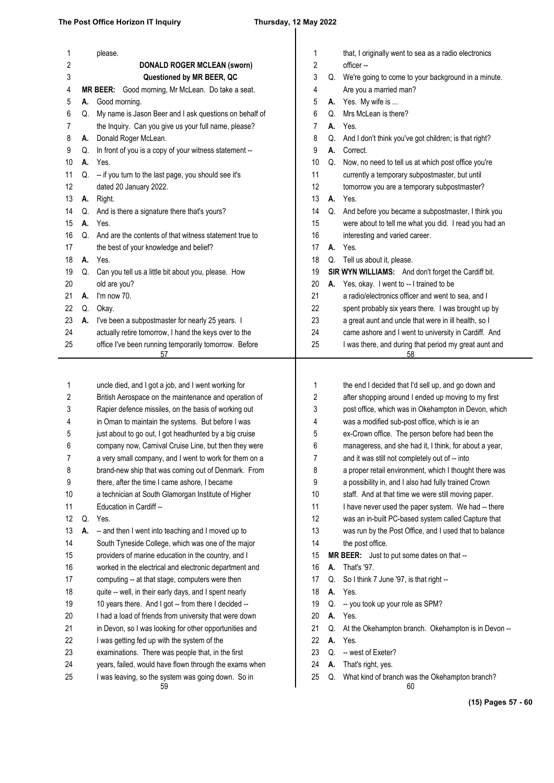| 1      |          | please.                                                                        | 1      |          | that, I originally went to sea as a radio electronics  |
|--------|----------|--------------------------------------------------------------------------------|--------|----------|--------------------------------------------------------|
| 2      |          | <b>DONALD ROGER MCLEAN (sworn)</b>                                             | 2      |          | officer-                                               |
| 3      |          | Questioned by MR BEER, QC<br>MR BEER: Good morning, Mr McLean. Do take a seat. | 3      |          | Q. We're going to come to your background in a minute. |
| 4      |          |                                                                                | 4      |          | Are you a married man?<br>A. Yes. My wife is           |
| 5      | А.       | Good morning.<br>My name is Jason Beer and I ask questions on behalf of        | 5<br>6 |          | Mrs McLean is there?                                   |
| 6      | Q.       | the Inquiry. Can you give us your full name, please?                           |        | Q.       | Yes.                                                   |
| 7      |          | Donald Roger McLean.                                                           | 7      | А.       | And I don't think you've got children; is that right?  |
| 8<br>9 | А.<br>Q. | In front of you is a copy of your witness statement --                         | 8<br>9 | Q.<br>А. | Correct.                                               |
| 10     | А.       | Yes.                                                                           | 10     | Q.       | Now, no need to tell us at which post office you're    |
| 11     | Q.       | -- if you turn to the last page, you should see it's                           | 11     |          | currently a temporary subpostmaster, but until         |
| 12     |          | dated 20 January 2022.                                                         | 12     |          | tomorrow you are a temporary subpostmaster?            |
| 13     | А.       | Right.                                                                         | 13     | А.       | Yes.                                                   |
| 14     | Q.       | And is there a signature there that's yours?                                   | 14     | Q.       | And before you became a subpostmaster, I think you     |
| 15     | А.       | Yes.                                                                           | 15     |          | were about to tell me what you did. I read you had an  |
| 16     | Q.       | And are the contents of that witness statement true to                         | 16     |          | interesting and varied career.                         |
| 17     |          | the best of your knowledge and belief?                                         | 17     | А.       | Yes.                                                   |
| 18     |          | A. Yes.                                                                        | 18     | Q.       | Tell us about it, please.                              |
| 19     | Q.       | Can you tell us a little bit about you, please. How                            | 19     |          | SIR WYN WILLIAMS: And don't forget the Cardiff bit.    |
| 20     |          | old are you?                                                                   | 20     | А.       | Yes, okay. I went to -- I trained to be                |
| 21     | А.       | I'm now 70.                                                                    | 21     |          | a radio/electronics officer and went to sea, and I     |
| 22     | Q.       | Okay.                                                                          | 22     |          | spent probably six years there. I was brought up by    |
| 23     | А.       | I've been a subpostmaster for nearly 25 years. I                               | 23     |          | a great aunt and uncle that were in ill health, so I   |
| 24     |          | actually retire tomorrow, I hand the keys over to the                          | 24     |          | came ashore and I went to university in Cardiff. And   |
| 25     |          | office I've been running temporarily tomorrow. Before                          | 25     |          | I was there, and during that period my great aunt and  |
|        |          | 57                                                                             |        |          | 58                                                     |
|        |          |                                                                                |        |          |                                                        |
| 1      |          | uncle died, and I got a job, and I went working for                            | 1      |          | the end I decided that I'd sell up, and go down and    |
| 2      |          | British Aerospace on the maintenance and operation of                          | 2      |          | after shopping around I ended up moving to my first    |
| 3      |          | Rapier defence missiles, on the basis of working out                           | 3      |          | post office, which was in Okehampton in Devon, which   |
| 4      |          | in Oman to maintain the systems. But before I was                              | 4      |          | was a modified sub-post office, which is ie an         |
| 5      |          | just about to go out, I got headhunted by a big cruise                         | 5      |          | ex-Crown office. The person before had been the        |
| 6      |          | company now, Carnival Cruise Line, but then they were                          | 6      |          | manageress, and she had it, I think, for about a year, |
| 7      |          | a very small company, and I went to work for them on a                         | 7      |          | and it was still not completely out of -- into         |
| 8      |          | brand-new ship that was coming out of Denmark. From                            | 8      |          | a proper retail environment, which I thought there was |
| 9      |          | there, after the time I came ashore, I became                                  | 9      |          | a possibility in, and I also had fully trained Crown   |
| 10     |          | a technician at South Glamorgan Institute of Higher                            | 10     |          | staff. And at that time we were still moving paper.    |
| 11     |          | Education in Cardiff --                                                        | 11     |          | I have never used the paper system. We had -- there    |
| 12     | Q.       | Yes.                                                                           | 12     |          | was an in-built PC-based system called Capture that    |
| 13     | А.       | -- and then I went into teaching and I moved up to                             | 13     |          | was run by the Post Office, and I used that to balance |
| 14     |          | South Tyneside College, which was one of the major                             | 14     |          | the post office.                                       |
| 15     |          | providers of marine education in the country, and I                            | 15     |          | MR BEER: Just to put some dates on that --             |
| 16     |          | worked in the electrical and electronic department and                         | 16     | А.       | That's '97.                                            |
| 17     |          | computing -- at that stage, computers were then                                | 17     | Q.       | So I think 7 June '97, is that right --                |
| 18     |          | quite -- well, in their early days, and I spent nearly                         | 18     | А.       | Yes.                                                   |
| 19     |          | 10 years there. And I got -- from there I decided --                           | 19     | Q.       | -- you took up your role as SPM?                       |
| 20     |          | I had a load of friends from university that were down                         | 20     | А.       | Yes.                                                   |
| 21     |          | in Devon, so I was looking for other opportunities and                         | 21     | Q.       | At the Okehampton branch. Okehampton is in Devon --    |
| 22     |          | I was getting fed up with the system of the                                    | 22     | А.       | Yes.                                                   |
| 23     |          | examinations. There was people that, in the first                              | 23     | Q.       | -- west of Exeter?                                     |
| 24     |          | years, failed, would have flown through the exams when                         | 24     | А.       | That's right, yes.                                     |
| 25     |          | I was leaving, so the system was going down. So in<br>59                       | 25     | Q.       | What kind of branch was the Okehampton branch?<br>60   |

**(15) Pages 57 - 60**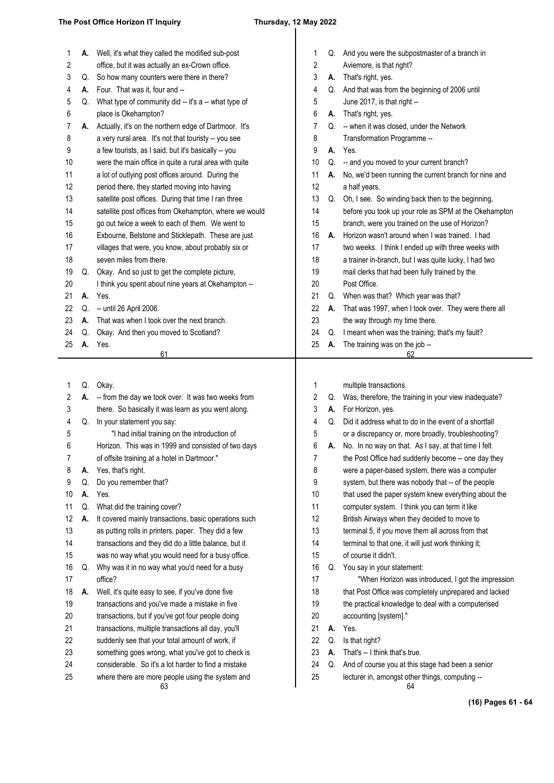## $\overline{\phantom{a}}$

|    | Α. | Well, it's what they called the modified sub-post      | 1              |    | Q. And you were the subpostmaster of a branch in      |
|----|----|--------------------------------------------------------|----------------|----|-------------------------------------------------------|
| 2  |    | office, but it was actually an ex-Crown office.        | 2              |    | Aviemore, is that right?                              |
| 3  | Q. | So how many counters were there in there?              | 3              |    | A. That's right, yes.                                 |
| 4  | А. | Four. That was it, four and --                         | 4              |    | Q. And that was from the beginning of 2006 until      |
| 5  | Q. | What type of community did -- it's a -- what type of   | 5              |    | June 2017, is that right --                           |
| 6  |    | place is Okehampton?                                   | 6              | А. | That's right, yes.                                    |
| 7  | A. | Actually, it's on the northern edge of Dartmoor. It's  | 7              | Q. | -- when it was closed, under the Network              |
| 8  |    | a very rural area. It's not that touristy -- you see   | 8              |    | Transformation Programme --                           |
| 9  |    | a few tourists, as I said, but it's basically -- you   | 9              | А. | Yes.                                                  |
| 10 |    | were the main office in quite a rural area with quite  | 10             | Q. | -- and you moved to your current branch?              |
| 11 |    | a lot of outlying post offices around. During the      | 11             | А. | No, we'd been running the current branch for nine and |
| 12 |    | period there, they started moving into having          | 12             |    | a half years.                                         |
| 13 |    | satellite post offices. During that time I ran three   | 13             | Q. | Oh, I see. So winding back then to the beginning,     |
| 14 |    | satellite post offices from Okehampton, where we would | 14             |    | before you took up your role as SPM at the Okehampton |
| 15 |    | go out twice a week to each of them. We went to        | 15             |    | branch, were you trained on the use of Horizon?       |
| 16 |    | Exbourne, Belstone and Sticklepath. These are just     | 16             | А. | Horizon wasn't around when I was trained. I had       |
| 17 |    | villages that were, you know, about probably six or    | 17             |    | two weeks. I think I ended up with three weeks with   |
| 18 |    | seven miles from there.                                | 18             |    | a trainer in-branch, but I was quite lucky, I had two |
| 19 | Q. | Okay. And so just to get the complete picture,         | 19             |    | mail clerks that had been fully trained by the        |
| 20 |    | I think you spent about nine years at Okehampton --    | 20             |    | Post Office.                                          |
| 21 | А. | Yes.                                                   | 21             | Q. | When was that? Which year was that?                   |
| 22 | Q. | -- until 26 April 2006.                                | 22             | А. | That was 1997, when I took over. They were there all  |
| 23 | А. | That was when I took over the next branch.             | 23             |    | the way through my time there.                        |
| 24 | Q. | Okay. And then you moved to Scotland?                  | 24             | Q. | I meant when was the training; that's my fault?       |
| 25 | А. | Yes.                                                   | 25             | А. | The training was on the job --                        |
|    |    | 61                                                     |                |    | 62                                                    |
|    |    |                                                        |                |    |                                                       |
| 1  |    | Q. Okay.                                               | 1              |    | multiple transactions.                                |
| 2  | А. | -- from the day we took over. It was two weeks from    | 2              | Q. | Was, therefore, the training in your view inadequate? |
| 3  |    | there. So basically it was learn as you went along.    | 3              | А. | For Horizon, yes.                                     |
| 4  | Q. | In your statement you say:                             | 4              | Q. | Did it address what to do in the event of a shortfall |
| 5  |    | "I had initial training on the introduction of         | 5              |    | or a discrepancy or, more broadly, troubleshooting?   |
| 6  |    | Horizon. This was in 1999 and consisted of two days    | 6              | А. | No. In no way on that. As I say, at that time I felt  |
| 7  |    | of offsite training at a hotel in Dartmoor."           | $\overline{7}$ |    | the Post Office had suddenly become -- one day they   |
| 8  | А. | Yes, that's right.                                     | 8              |    | were a paper-based system, there was a computer       |
| 9  | Q. | Do you remember that?                                  | 9              |    | system, but there was nobody that -- of the people    |
| 10 | А. | Yes.                                                   | 10             |    | that used the paper system knew everything about the  |
| 11 | Q. | What did the training cover?                           | 11             |    | computer system. I think you can term it like         |
| 12 | А. | It covered mainly transactions, basic operations such  | 12             |    | British Airways when they decided to move to          |
| 13 |    | as putting rolls in printers, paper. They did a few    | 13             |    | terminal 5, if you move them all across from that     |
| 14 |    | transactions and they did do a little balance, but it  | 14             |    | terminal to that one, it will just work thinking it;  |
| 15 |    | was no way what you would need for a busy office.      | 15             |    | of course it didn't.                                  |
| 16 | Q. | Why was it in no way what you'd need for a busy        | 16             | Q. | You say in your statement:                            |
| 17 |    | office?                                                | 17             |    | "When Horizon was introduced, I got the impression    |
| 18 | А. | Well, it's quite easy to see, if you've done five      | 18             |    | that Post Office was completely unprepared and lacked |
| 19 |    | transactions and you've made a mistake in five         | 19             |    | the practical knowledge to deal with a computerised   |
| 20 |    | transactions, but if you've got four people doing      | 20             |    | accounting [system]."                                 |
| 21 |    | transactions, multiple transactions all day, you'll    | 21             | А. | Yes.                                                  |
| 22 |    | suddenly see that your total amount of work, if        | 22             | Q. | Is that right?                                        |
| 23 |    | something goes wrong, what you've got to check is      | 23             | А. | That's -- I think that's true.                        |
| 24 |    | considerable. So it's a lot harder to find a mistake   | 24             | Q. | And of course you at this stage had been a senior     |
| 25 |    | where there are more people using the system and       | 25             |    | lecturer in, amongst other things, computing --       |
|    |    | 63                                                     |                |    | 64                                                    |

**(16) Pages 61 - 64**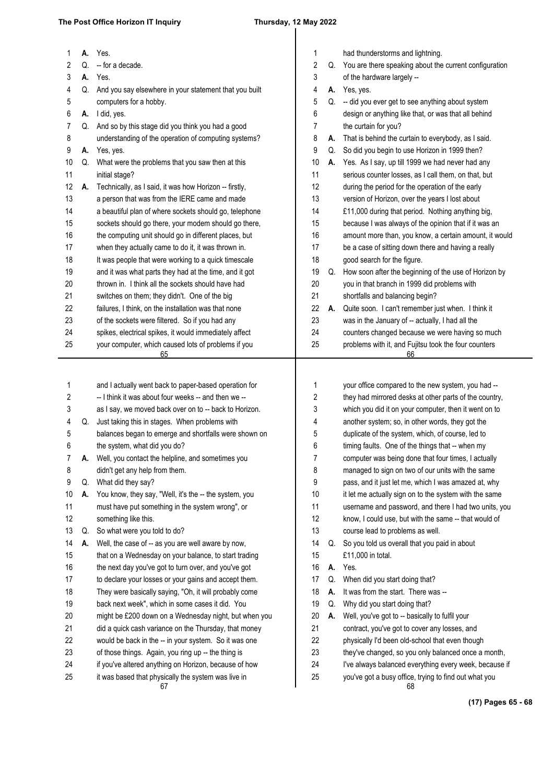### **The Post Office Horizon IT Inquiry Thursday, 12 May 2022**

| 1        | А. | Yes.                                                                                                         | 1        |    | had thunderstorms and lightning.                                                                                |
|----------|----|--------------------------------------------------------------------------------------------------------------|----------|----|-----------------------------------------------------------------------------------------------------------------|
| 2        | Q. | -- for a decade.                                                                                             | 2        |    | Q. You are there speaking about the current configuration                                                       |
| 3        | А. | Yes.                                                                                                         | 3        |    | of the hardware largely --                                                                                      |
| 4        | Q. | And you say elsewhere in your statement that you built                                                       | 4        |    | A. Yes, yes.                                                                                                    |
| 5        |    | computers for a hobby.                                                                                       | 5        | Q. | -- did you ever get to see anything about system                                                                |
| 6        | А. | I did, yes.                                                                                                  | 6        |    | design or anything like that, or was that all behind                                                            |
| 7        | Q. | And so by this stage did you think you had a good                                                            | 7        |    | the curtain for you?                                                                                            |
| 8        |    | understanding of the operation of computing systems?                                                         | 8        | А. | That is behind the curtain to everybody, as I said.                                                             |
| 9        | А. | Yes, yes.                                                                                                    | 9        | Q. | So did you begin to use Horizon in 1999 then?                                                                   |
| 10       | Q. | What were the problems that you saw then at this                                                             | 10       | А. | Yes. As I say, up till 1999 we had never had any                                                                |
| 11       |    | initial stage?                                                                                               | 11       |    | serious counter losses, as I call them, on that, but                                                            |
| 12       | А. | Technically, as I said, it was how Horizon -- firstly,                                                       | 12       |    | during the period for the operation of the early                                                                |
| 13       |    | a person that was from the IERE came and made                                                                | 13       |    | version of Horizon, over the years I lost about                                                                 |
| 14       |    | a beautiful plan of where sockets should go, telephone                                                       | 14       |    | £11,000 during that period. Nothing anything big,                                                               |
| 15       |    | sockets should go there, your modem should go there,                                                         | 15       |    | because I was always of the opinion that if it was an                                                           |
| 16       |    | the computing unit should go in different places, but                                                        | 16       |    | amount more than, you know, a certain amount, it would                                                          |
| 17       |    | when they actually came to do it, it was thrown in.                                                          | 17       |    | be a case of sitting down there and having a really                                                             |
| 18       |    | It was people that were working to a quick timescale                                                         | 18       |    | good search for the figure.                                                                                     |
| 19       |    | and it was what parts they had at the time, and it got                                                       | 19       | Q. | How soon after the beginning of the use of Horizon by                                                           |
| 20       |    | thrown in. I think all the sockets should have had                                                           | 20       |    | you in that branch in 1999 did problems with                                                                    |
| 21       |    | switches on them; they didn't. One of the big                                                                | 21       |    | shortfalls and balancing begin?                                                                                 |
| 22       |    | failures, I think, on the installation was that none                                                         | 22       | А. | Quite soon. I can't remember just when. I think it                                                              |
| 23       |    | of the sockets were filtered. So if you had any                                                              | 23       |    | was in the January of -- actually, I had all the                                                                |
| 24       |    | spikes, electrical spikes, it would immediately affect                                                       | 24       |    | counters changed because we were having so much                                                                 |
| 25       |    | your computer, which caused lots of problems if you                                                          | 25       |    | problems with it, and Fujitsu took the four counters                                                            |
|          |    | 65                                                                                                           |          |    | 66                                                                                                              |
|          |    |                                                                                                              |          |    |                                                                                                                 |
|          |    |                                                                                                              |          |    |                                                                                                                 |
| 1        |    | and I actually went back to paper-based operation for                                                        | 1        |    | your office compared to the new system, you had --                                                              |
| 2        |    | -- I think it was about four weeks -- and then we --                                                         | 2        |    | they had mirrored desks at other parts of the country,                                                          |
| 3        |    | as I say, we moved back over on to -- back to Horizon.                                                       | 3        |    | which you did it on your computer, then it went on to                                                           |
| 4        | Q. | Just taking this in stages. When problems with                                                               | 4        |    | another system; so, in other words, they got the                                                                |
| 5        |    | balances began to emerge and shortfalls were shown on                                                        | 5        |    | duplicate of the system, which, of course, led to                                                               |
| 6        |    | the system, what did you do?                                                                                 | 6        |    | timing faults. One of the things that -- when my                                                                |
| 7        | А. | Well, you contact the helpline, and sometimes you                                                            | 7        |    | computer was being done that four times, I actually                                                             |
| 8        |    | didn't get any help from them.                                                                               | 8        |    | managed to sign on two of our units with the same                                                               |
| 9        | Q. | What did they say?                                                                                           | 9        |    | pass, and it just let me, which I was amazed at, why                                                            |
| 10       | А. | You know, they say, "Well, it's the -- the system, you                                                       | 10       |    | it let me actually sign on to the system with the same                                                          |
| 11       |    | must have put something in the system wrong", or                                                             | 11       |    | username and password, and there I had two units, you                                                           |
| 12       |    | something like this.                                                                                         | 12       |    | know, I could use, but with the same -- that would of                                                           |
| 13       | Q. | So what were you told to do?                                                                                 | 13       |    | course lead to problems as well.                                                                                |
| 14       | А. | Well, the case of -- as you are well aware by now,                                                           | 14       | Q. | So you told us overall that you paid in about                                                                   |
| 15       |    | that on a Wednesday on your balance, to start trading                                                        | 15       |    | £11,000 in total.                                                                                               |
| 16       |    | the next day you've got to turn over, and you've got                                                         | 16       | А. | Yes.                                                                                                            |
| 17       |    | to declare your losses or your gains and accept them.                                                        | 17       | Q. | When did you start doing that?                                                                                  |
| 18       |    | They were basically saying, "Oh, it will probably come                                                       | 18       | А. | It was from the start. There was --                                                                             |
| 19       |    | back next week", which in some cases it did. You                                                             | 19       | Q. | Why did you start doing that?                                                                                   |
| 20       |    | might be £200 down on a Wednesday night, but when you                                                        | 20       | А. | Well, you've got to -- basically to fulfil your                                                                 |
| 21       |    | did a quick cash variance on the Thursday, that money                                                        | 21       |    | contract, you've got to cover any losses, and                                                                   |
| 22       |    | would be back in the -- in your system. So it was one                                                        | 22       |    | physically I'd been old-school that even though                                                                 |
| 23       |    | of those things. Again, you ring up -- the thing is                                                          | 23       |    | they've changed, so you only balanced once a month,                                                             |
| 24<br>25 |    | if you've altered anything on Horizon, because of how<br>it was based that physically the system was live in | 24<br>25 |    | I've always balanced everything every week, because if<br>you've got a busy office, trying to find out what you |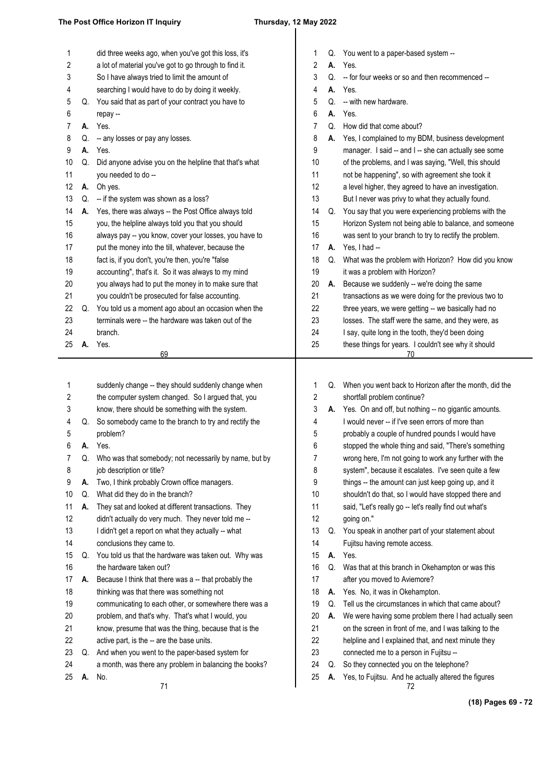| 1        |    | did three weeks ago, when you've got this loss, it's                             | 1        |    | Q. You went to a paper-based system --                                                                         |
|----------|----|----------------------------------------------------------------------------------|----------|----|----------------------------------------------------------------------------------------------------------------|
| 2        |    | a lot of material you've got to go through to find it.                           | 2        | А. | Yes.                                                                                                           |
| 3        |    | So I have always tried to limit the amount of                                    | 3        | Q. | -- for four weeks or so and then recommenced --                                                                |
| 4        |    | searching I would have to do by doing it weekly.                                 | 4        |    | A. Yes.                                                                                                        |
| 5        | Q. | You said that as part of your contract you have to                               | 5        | Q. | -- with new hardware.                                                                                          |
| 6        |    | repay --                                                                         | 6        | А. | Yes.                                                                                                           |
| 7        | А. | Yes.                                                                             | 7        | Q. | How did that come about?                                                                                       |
| 8        | Q. | -- any losses or pay any losses.                                                 | 8        | А. | Yes, I complained to my BDM, business development                                                              |
| 9        | А. | Yes.                                                                             | 9        |    | manager. I said -- and I -- she can actually see some                                                          |
| 10       | Q. | Did anyone advise you on the helpline that that's what                           | 10       |    | of the problems, and I was saying, "Well, this should                                                          |
| 11       |    | you needed to do --                                                              | 11       |    | not be happening", so with agreement she took it                                                               |
| 12       | А. | Oh yes.                                                                          | 12       |    | a level higher, they agreed to have an investigation.                                                          |
| 13       | Q. | -- if the system was shown as a loss?                                            | 13       |    | But I never was privy to what they actually found.                                                             |
| 14       | А. | Yes, there was always -- the Post Office always told                             | 14       | Q. | You say that you were experiencing problems with the                                                           |
| 15       |    | you, the helpline always told you that you should                                | 15       |    | Horizon System not being able to balance, and someone                                                          |
| 16       |    | always pay -- you know, cover your losses, you have to                           | 16       |    | was sent to your branch to try to rectify the problem.                                                         |
| 17       |    | put the money into the till, whatever, because the                               | 17       | А. | Yes, I had --                                                                                                  |
| 18       |    | fact is, if you don't, you're then, you're "false                                | 18       | Q. | What was the problem with Horizon? How did you know                                                            |
| 19       |    | accounting", that's it. So it was always to my mind                              | 19       |    | it was a problem with Horizon?                                                                                 |
| 20       |    | you always had to put the money in to make sure that                             | 20       | А. | Because we suddenly -- we're doing the same                                                                    |
| 21       |    | you couldn't be prosecuted for false accounting.                                 | 21       |    | transactions as we were doing for the previous two to                                                          |
| 22       | Q. | You told us a moment ago about an occasion when the                              | 22       |    | three years, we were getting -- we basically had no                                                            |
| 23       |    | terminals were -- the hardware was taken out of the                              | 23       |    | losses. The staff were the same, and they were, as                                                             |
| 24       |    | branch.                                                                          | 24       |    | I say, quite long in the tooth, they'd been doing                                                              |
| 25       | А. | Yes.                                                                             | 25       |    | these things for years. I couldn't see why it should                                                           |
|          |    | 69                                                                               |          |    | 70                                                                                                             |
|          |    |                                                                                  |          |    |                                                                                                                |
|          |    |                                                                                  |          |    |                                                                                                                |
|          |    |                                                                                  |          |    |                                                                                                                |
| 1        |    | suddenly change -- they should suddenly change when                              | 1        | Q. | When you went back to Horizon after the month, did the                                                         |
| 2        |    | the computer system changed. So I argued that, you                               | 2        |    | shortfall problem continue?                                                                                    |
| 3        |    | know, there should be something with the system.                                 | 3        |    | A. Yes. On and off, but nothing -- no gigantic amounts.                                                        |
| 4        | Q. | So somebody came to the branch to try and rectify the                            | 4        |    | I would never -- if I've seen errors of more than                                                              |
| 5<br>6   | А. | problem?                                                                         | 5<br>6   |    | probably a couple of hundred pounds I would have                                                               |
|          | Q. | Yes.                                                                             | 7        |    | stopped the whole thing and said, "There's something<br>wrong here, I'm not going to work any further with the |
|          |    | Who was that somebody; not necessarily by name, but by                           |          |    |                                                                                                                |
| 8<br>9   | А. | job description or title?                                                        | 8        |    | system", because it escalates. I've seen quite a few                                                           |
|          | Q. | Two, I think probably Crown office managers.                                     | 9<br>10  |    | things -- the amount can just keep going up, and it                                                            |
| 10<br>11 | А. | What did they do in the branch?                                                  |          |    | shouldn't do that, so I would have stopped there and                                                           |
| 12       |    | They sat and looked at different transactions. They                              | 11<br>12 |    | said, "Let's really go -- let's really find out what's                                                         |
|          |    | didn't actually do very much. They never told me --                              | 13       | Q. | going on."                                                                                                     |
| 13<br>14 |    | I didn't get a report on what they actually -- what<br>conclusions they came to. | 14       |    | You speak in another part of your statement about<br>Fujitsu having remote access.                             |
| 15       | Q. | You told us that the hardware was taken out. Why was                             | 15       | А. | Yes.                                                                                                           |
| 16       |    | the hardware taken out?                                                          | 16       | Q. | Was that at this branch in Okehampton or was this                                                              |
| 17       | А. | Because I think that there was a -- that probably the                            | 17       |    | after you moved to Aviemore?                                                                                   |
| 18       |    | thinking was that there was something not                                        | 18       | А. | Yes. No, it was in Okehampton.                                                                                 |
| 19       |    | communicating to each other, or somewhere there was a                            | 19       | Q. | Tell us the circumstances in which that came about?                                                            |
| 20       |    | problem, and that's why. That's what I would, you                                | 20       | А. | We were having some problem there I had actually seen                                                          |
| 21       |    | know, presume that was the thing, because that is the                            | 21       |    | on the screen in front of me, and I was talking to the                                                         |
| 22       |    | active part, is the -- are the base units.                                       | 22       |    | helpline and I explained that, and next minute they                                                            |
| 23       | Q. | And when you went to the paper-based system for                                  | 23       |    | connected me to a person in Fujitsu --                                                                         |
| 24       |    | a month, was there any problem in balancing the books?                           | 24       | Q. | So they connected you on the telephone?                                                                        |
| 25       | А. | No.<br>71                                                                        | 25       | А. | Yes, to Fujitsu. And he actually altered the figures                                                           |

**(18) Pages 69 - 72**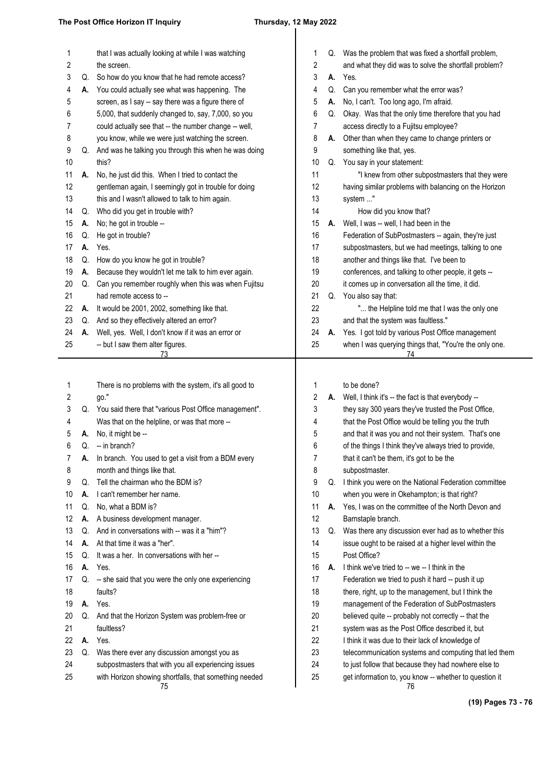## 

| Q. Was the problem that was fixed a shortfall problem,<br>and what they did was to solve the shortfall problem?<br>Can you remember what the error was?<br>No, I can't. Too long ago, I'm afraid.<br>Okay. Was that the only time therefore that you had<br>access directly to a Fujitsu employee?<br>Other than when they came to change printers or<br>something like that, yes.<br>Q. You say in your statement:<br>"I knew from other subpostmasters that they were<br>having similar problems with balancing on the Horizon<br>system "<br>How did you know that?<br>Well, I was -- well, I had been in the<br>Federation of SubPostmasters -- again, they're just<br>subpostmasters, but we had meetings, talking to one<br>another and things like that. I've been to |
|------------------------------------------------------------------------------------------------------------------------------------------------------------------------------------------------------------------------------------------------------------------------------------------------------------------------------------------------------------------------------------------------------------------------------------------------------------------------------------------------------------------------------------------------------------------------------------------------------------------------------------------------------------------------------------------------------------------------------------------------------------------------------|
|                                                                                                                                                                                                                                                                                                                                                                                                                                                                                                                                                                                                                                                                                                                                                                              |
|                                                                                                                                                                                                                                                                                                                                                                                                                                                                                                                                                                                                                                                                                                                                                                              |
|                                                                                                                                                                                                                                                                                                                                                                                                                                                                                                                                                                                                                                                                                                                                                                              |
|                                                                                                                                                                                                                                                                                                                                                                                                                                                                                                                                                                                                                                                                                                                                                                              |
|                                                                                                                                                                                                                                                                                                                                                                                                                                                                                                                                                                                                                                                                                                                                                                              |
|                                                                                                                                                                                                                                                                                                                                                                                                                                                                                                                                                                                                                                                                                                                                                                              |
|                                                                                                                                                                                                                                                                                                                                                                                                                                                                                                                                                                                                                                                                                                                                                                              |
|                                                                                                                                                                                                                                                                                                                                                                                                                                                                                                                                                                                                                                                                                                                                                                              |
|                                                                                                                                                                                                                                                                                                                                                                                                                                                                                                                                                                                                                                                                                                                                                                              |
|                                                                                                                                                                                                                                                                                                                                                                                                                                                                                                                                                                                                                                                                                                                                                                              |
|                                                                                                                                                                                                                                                                                                                                                                                                                                                                                                                                                                                                                                                                                                                                                                              |
|                                                                                                                                                                                                                                                                                                                                                                                                                                                                                                                                                                                                                                                                                                                                                                              |
|                                                                                                                                                                                                                                                                                                                                                                                                                                                                                                                                                                                                                                                                                                                                                                              |
|                                                                                                                                                                                                                                                                                                                                                                                                                                                                                                                                                                                                                                                                                                                                                                              |
|                                                                                                                                                                                                                                                                                                                                                                                                                                                                                                                                                                                                                                                                                                                                                                              |
|                                                                                                                                                                                                                                                                                                                                                                                                                                                                                                                                                                                                                                                                                                                                                                              |
|                                                                                                                                                                                                                                                                                                                                                                                                                                                                                                                                                                                                                                                                                                                                                                              |
|                                                                                                                                                                                                                                                                                                                                                                                                                                                                                                                                                                                                                                                                                                                                                                              |
| conferences, and talking to other people, it gets --                                                                                                                                                                                                                                                                                                                                                                                                                                                                                                                                                                                                                                                                                                                         |
| it comes up in conversation all the time, it did.                                                                                                                                                                                                                                                                                                                                                                                                                                                                                                                                                                                                                                                                                                                            |
| Q. You also say that:                                                                                                                                                                                                                                                                                                                                                                                                                                                                                                                                                                                                                                                                                                                                                        |
| " the Helpline told me that I was the only one                                                                                                                                                                                                                                                                                                                                                                                                                                                                                                                                                                                                                                                                                                                               |
| and that the system was faultless."                                                                                                                                                                                                                                                                                                                                                                                                                                                                                                                                                                                                                                                                                                                                          |
| Yes. I got told by various Post Office management                                                                                                                                                                                                                                                                                                                                                                                                                                                                                                                                                                                                                                                                                                                            |
| when I was querying things that, "You're the only one.<br>74                                                                                                                                                                                                                                                                                                                                                                                                                                                                                                                                                                                                                                                                                                                 |
|                                                                                                                                                                                                                                                                                                                                                                                                                                                                                                                                                                                                                                                                                                                                                                              |
| to be done?                                                                                                                                                                                                                                                                                                                                                                                                                                                                                                                                                                                                                                                                                                                                                                  |
| Well, I think it's -- the fact is that everybody --                                                                                                                                                                                                                                                                                                                                                                                                                                                                                                                                                                                                                                                                                                                          |
| they say 300 years they've trusted the Post Office,                                                                                                                                                                                                                                                                                                                                                                                                                                                                                                                                                                                                                                                                                                                          |
| that the Post Office would be telling you the truth                                                                                                                                                                                                                                                                                                                                                                                                                                                                                                                                                                                                                                                                                                                          |
| and that it was you and not their system. That's one                                                                                                                                                                                                                                                                                                                                                                                                                                                                                                                                                                                                                                                                                                                         |
| of the things I think they've always tried to provide,                                                                                                                                                                                                                                                                                                                                                                                                                                                                                                                                                                                                                                                                                                                       |
| that it can't be them, it's got to be the                                                                                                                                                                                                                                                                                                                                                                                                                                                                                                                                                                                                                                                                                                                                    |
| subpostmaster.                                                                                                                                                                                                                                                                                                                                                                                                                                                                                                                                                                                                                                                                                                                                                               |
| Q. I think you were on the National Federation committee                                                                                                                                                                                                                                                                                                                                                                                                                                                                                                                                                                                                                                                                                                                     |
| when you were in Okehampton; is that right?                                                                                                                                                                                                                                                                                                                                                                                                                                                                                                                                                                                                                                                                                                                                  |
| Yes, I was on the committee of the North Devon and                                                                                                                                                                                                                                                                                                                                                                                                                                                                                                                                                                                                                                                                                                                           |
| Barnstaple branch.                                                                                                                                                                                                                                                                                                                                                                                                                                                                                                                                                                                                                                                                                                                                                           |
| Was there any discussion ever had as to whether this                                                                                                                                                                                                                                                                                                                                                                                                                                                                                                                                                                                                                                                                                                                         |
| issue ought to be raised at a higher level within the                                                                                                                                                                                                                                                                                                                                                                                                                                                                                                                                                                                                                                                                                                                        |
|                                                                                                                                                                                                                                                                                                                                                                                                                                                                                                                                                                                                                                                                                                                                                                              |
|                                                                                                                                                                                                                                                                                                                                                                                                                                                                                                                                                                                                                                                                                                                                                                              |
| Post Office?                                                                                                                                                                                                                                                                                                                                                                                                                                                                                                                                                                                                                                                                                                                                                                 |
| I think we've tried to -- we -- I think in the                                                                                                                                                                                                                                                                                                                                                                                                                                                                                                                                                                                                                                                                                                                               |
| Federation we tried to push it hard -- push it up                                                                                                                                                                                                                                                                                                                                                                                                                                                                                                                                                                                                                                                                                                                            |
| there, right, up to the management, but I think the                                                                                                                                                                                                                                                                                                                                                                                                                                                                                                                                                                                                                                                                                                                          |
| management of the Federation of SubPostmasters                                                                                                                                                                                                                                                                                                                                                                                                                                                                                                                                                                                                                                                                                                                               |
| believed quite -- probably not correctly -- that the                                                                                                                                                                                                                                                                                                                                                                                                                                                                                                                                                                                                                                                                                                                         |
| system was as the Post Office described it, but                                                                                                                                                                                                                                                                                                                                                                                                                                                                                                                                                                                                                                                                                                                              |
| I think it was due to their lack of knowledge of                                                                                                                                                                                                                                                                                                                                                                                                                                                                                                                                                                                                                                                                                                                             |
| telecommunication systems and computing that led them                                                                                                                                                                                                                                                                                                                                                                                                                                                                                                                                                                                                                                                                                                                        |
| to just follow that because they had nowhere else to<br>get information to, you know -- whether to question it                                                                                                                                                                                                                                                                                                                                                                                                                                                                                                                                                                                                                                                               |
|                                                                                                                                                                                                                                                                                                                                                                                                                                                                                                                                                                                                                                                                                                                                                                              |

 $5$ 

**(19) Pages 73 - 76**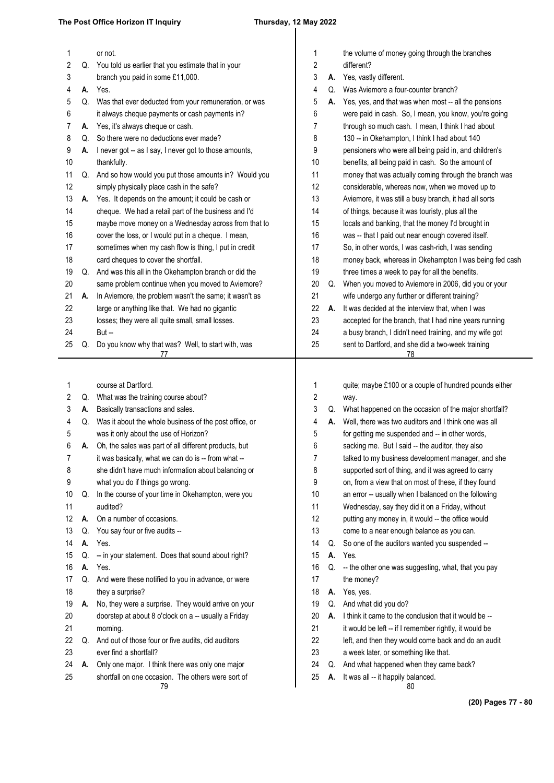### **The Post Office Horizon IT Inquiry Thursday, 12 May 2022**

| 1  |    | or not.                                                                                                      | 1                |    | the volume of money going through the branches                                                         |
|----|----|--------------------------------------------------------------------------------------------------------------|------------------|----|--------------------------------------------------------------------------------------------------------|
| 2  | Q. | You told us earlier that you estimate that in your                                                           | $\boldsymbol{2}$ |    | different?                                                                                             |
| 3  |    | branch you paid in some £11,000.                                                                             | 3                | А. | Yes, vastly different.                                                                                 |
| 4  | А. | Yes.                                                                                                         | 4                | Q. | Was Aviemore a four-counter branch?                                                                    |
| 5  | Q. | Was that ever deducted from your remuneration, or was                                                        | 5                | А. | Yes, yes, and that was when most -- all the pensions                                                   |
| 6  |    | it always cheque payments or cash payments in?                                                               | 6                |    | were paid in cash. So, I mean, you know, you're going                                                  |
| 7  | А. | Yes, it's always cheque or cash.                                                                             | 7                |    | through so much cash. I mean, I think I had about                                                      |
| 8  | Q. | So there were no deductions ever made?                                                                       | 8                |    | 130 -- in Okehampton, I think I had about 140                                                          |
| 9  | А. | I never got -- as I say, I never got to those amounts,                                                       | 9                |    | pensioners who were all being paid in, and children's                                                  |
| 10 |    | thankfully.                                                                                                  | 10               |    | benefits, all being paid in cash. So the amount of                                                     |
| 11 | Q. | And so how would you put those amounts in? Would you                                                         | 11               |    | money that was actually coming through the branch was                                                  |
| 12 |    | simply physically place cash in the safe?                                                                    | 12               |    | considerable, whereas now, when we moved up to                                                         |
| 13 | А. | Yes. It depends on the amount; it could be cash or                                                           | 13               |    | Aviemore, it was still a busy branch, it had all sorts                                                 |
| 14 |    | cheque. We had a retail part of the business and I'd                                                         | 14               |    | of things, because it was touristy, plus all the                                                       |
| 15 |    | maybe move money on a Wednesday across from that to                                                          | 15               |    | locals and banking, that the money I'd brought in                                                      |
| 16 |    | cover the loss, or I would put in a cheque. I mean,                                                          | 16               |    | was -- that I paid out near enough covered itself.                                                     |
| 17 |    | sometimes when my cash flow is thing, I put in credit                                                        | 17               |    | So, in other words, I was cash-rich, I was sending                                                     |
| 18 |    | card cheques to cover the shortfall.                                                                         | 18               |    | money back, whereas in Okehampton I was being fed cash                                                 |
| 19 | Q. | And was this all in the Okehampton branch or did the                                                         | 19               |    | three times a week to pay for all the benefits.                                                        |
| 20 |    | same problem continue when you moved to Aviemore?                                                            | 20               | Q. | When you moved to Aviemore in 2006, did you or your                                                    |
| 21 | А. | In Aviemore, the problem wasn't the same; it wasn't as                                                       | 21               |    | wife undergo any further or different training?                                                        |
| 22 |    | large or anything like that. We had no gigantic                                                              | 22               | А. | It was decided at the interview that, when I was                                                       |
| 23 |    | losses; they were all quite small, small losses.                                                             | 23               |    | accepted for the branch, that I had nine years running                                                 |
| 24 |    | $But -$                                                                                                      | 24               |    | a busy branch, I didn't need training, and my wife got                                                 |
| 25 | Q. | Do you know why that was? Well, to start with, was                                                           | 25               |    | sent to Dartford, and she did a two-week training                                                      |
|    |    |                                                                                                              |                  |    | 78                                                                                                     |
|    |    |                                                                                                              |                  |    |                                                                                                        |
|    |    |                                                                                                              |                  |    |                                                                                                        |
| 1  |    | course at Dartford.                                                                                          | 1                |    | quite; maybe £100 or a couple of hundred pounds either                                                 |
| 2  | Q. | What was the training course about?                                                                          | 2                |    | way.                                                                                                   |
| 3  | А. | Basically transactions and sales.                                                                            | 3                |    | Q. What happened on the occasion of the major shortfall?                                               |
| 4  | Q. | Was it about the whole business of the post office, or                                                       | 4                | А. | Well, there was two auditors and I think one was all                                                   |
| 5  |    | was it only about the use of Horizon?                                                                        | 5                |    | for getting me suspended and -- in other words,                                                        |
| 6  | А. |                                                                                                              | 6                |    |                                                                                                        |
|    |    | Oh, the sales was part of all different products, but<br>it was basically, what we can do is -- from what -- | 7                |    | sacking me. But I said -- the auditor, they also<br>talked to my business development manager, and she |
| 8  |    |                                                                                                              | 8                |    |                                                                                                        |
| 9  |    | she didn't have much information about balancing or                                                          | 9                |    | supported sort of thing, and it was agreed to carry                                                    |
| 10 | Q. | what you do if things go wrong.                                                                              |                  |    | on, from a view that on most of these, if they found                                                   |
| 11 |    | In the course of your time in Okehampton, were you<br>audited?                                               | 10<br>11         |    | an error -- usually when I balanced on the following                                                   |
| 12 | А. | On a number of occasions.                                                                                    | 12               |    | Wednesday, say they did it on a Friday, without                                                        |
|    |    |                                                                                                              |                  |    | putting any money in, it would -- the office would                                                     |
| 13 | Q. | You say four or five audits --                                                                               | 13               |    | come to a near enough balance as you can.                                                              |
| 14 | А. | Yes.                                                                                                         | 14               | Q. | So one of the auditors wanted you suspended --                                                         |
| 15 | Q. | -- in your statement. Does that sound about right?                                                           | 15               | А. | Yes.                                                                                                   |
| 16 | А. | Yes.                                                                                                         | 16               | Q. | -- the other one was suggesting, what, that you pay                                                    |
| 17 | Q. | And were these notified to you in advance, or were                                                           | 17               |    | the money?                                                                                             |
| 18 |    | they a surprise?                                                                                             | 18               |    | A. Yes, yes.                                                                                           |
| 19 | А. | No, they were a surprise. They would arrive on your                                                          | 19               |    | Q. And what did you do?                                                                                |
| 20 |    | doorstep at about 8 o'clock on a -- usually a Friday                                                         | 20               | А. | I think it came to the conclusion that it would be --                                                  |
| 21 |    | morning.                                                                                                     | 21               |    | it would be left -- if I remember rightly, it would be                                                 |
| 22 | Q. | And out of those four or five audits, did auditors                                                           | 22               |    | left, and then they would come back and do an audit                                                    |
| 23 |    | ever find a shortfall?                                                                                       | 23               |    | a week later, or something like that.                                                                  |
| 24 | А. | Only one major. I think there was only one major                                                             | 24               |    | Q. And what happened when they came back?                                                              |
| 25 |    | shortfall on one occasion. The others were sort of<br>79                                                     | 25               | А. | It was all -- it happily balanced.<br>80                                                               |

**(20) Pages 77 - 80**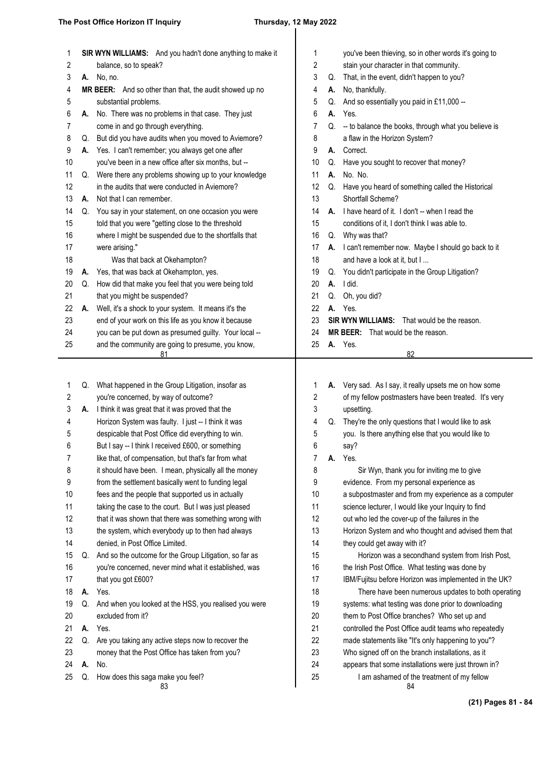| 1  |    | SIR WYN WILLIAMS:<br>And you hadn't done anything to make it      |
|----|----|-------------------------------------------------------------------|
| 2  |    | balance, so to speak?                                             |
| 3  | А. | No, no.                                                           |
| 4  |    | <b>MR BEER:</b><br>And so other than that, the audit showed up no |
| 5  |    | substantial problems.                                             |
| 6  | А. | No. There was no problems in that case. They just                 |
| 7  |    | come in and go through everything.                                |
| 8  | Q. | But did you have audits when you moved to Aviemore?               |
| 9  | А. | Yes. I can't remember; you always get one after                   |
| 10 |    | you've been in a new office after six months, but --              |
| 11 | Q. | Were there any problems showing up to your knowledge              |
| 12 |    | in the audits that were conducted in Aviemore?                    |
| 13 | А. | Not that I can remember.                                          |
| 14 | Q. | You say in your statement, on one occasion you were               |
| 15 |    | told that you were "getting close to the threshold                |
| 16 |    | where I might be suspended due to the shortfalls that             |
| 17 |    | were arising."                                                    |
| 18 |    | Was that back at Okehampton?                                      |
| 19 | А. | Yes, that was back at Okehampton, yes.                            |
| 20 | Q. | How did that make you feel that you were being told               |
| 21 |    | that you might be suspended?                                      |
| 22 | А. | Well, it's a shock to your system. It means it's the              |
| 23 |    | end of your work on this life as you know it because              |
| 24 |    | you can be put down as presumed guilty. Your local --             |
| 25 |    | and the community are going to presume, you know,<br>81           |
|    |    |                                                                   |
| 1  | Q. | What happened in the Group Litigation, insofar as                 |
| 2  |    | you're concerned, by way of outcome?                              |
| 3  | A. | I think it was great that it was proved that the                  |
| 4  |    | Horizon System was faulty. I just -- I think it was               |
| 5  |    | despicable that Post Office did everything to win.                |
| 6  |    | But I say -- I think I received £600, or something                |

like that, of compensation, but that's far from what 7

it should have been. I mean, physically all the money 8

from the settlement basically went to funding legal fees and the people that supported us in actually 9 10

taking the case to the court. But I was just pleased 11

that it was shown that there was something wrong with 12

the system, which everybody up to then had always 13

denied, in Post Office Limited. 14

Q. And so the outcome for the Group Litigation, so far as you're concerned, never mind what it established, was 15 16

that you got £600? 17

**A.** Yes. 18

Q. And when you looked at the HSS, you realised you were excluded from it? 19 20

**A.** Yes. 21

Q. Are you taking any active steps now to recover the 22

money that the Post Office has taken from you? 23

**A.** No. 24

Q. How does this saga make you feel? 25

83

| 1  |    | you've been thieving, so in other words it's going to |
|----|----|-------------------------------------------------------|
| 2  |    | stain your character in that community.               |
| 3  | Q. | That, in the event, didn't happen to you?             |
| 4  | А. | No, thankfully.                                       |
| 5  | Q. | And so essentially you paid in £11,000 --             |
| 6  | А. | Yes.                                                  |
| 7  | Q. | -- to balance the books, through what you believe is  |
| 8  |    | a flaw in the Horizon System?                         |
| 9  | A. | Correct.                                              |
| 10 | Q. | Have you sought to recover that money?                |
| 11 | А. | No. No.                                               |
| 12 | Q. | Have you heard of something called the Historical     |
| 13 |    | Shortfall Scheme?                                     |
| 14 | А. | I have heard of it. I don't -- when I read the        |
| 15 |    | conditions of it, I don't think I was able to.        |
| 16 | Q. | Why was that?                                         |
| 17 | А. | I can't remember now. Maybe I should go back to it    |
| 18 |    | and have a look at it, but I                          |
| 19 | Q. | You didn't participate in the Group Litigation?       |
| 20 | А. | I did.                                                |
| 21 | Q. | Oh, you did?                                          |
| 22 | А. | Yes.                                                  |
| 23 |    | <b>SIR WYN WILLIAMS:</b><br>That would be the reason. |
| 24 |    | <b>MR BEER:</b> That would be the reason.             |
| 25 | А. | Yes.                                                  |
|    |    | 82                                                    |
|    |    |                                                       |
| 1  | А. | Very sad. As I say, it really upsets me on how some   |
| 2  |    | of my fellow postmasters have been treated. It's very |
| 3  |    | upsetting.                                            |
| 4  | Q. | They're the only questions that I would like to ask   |
| 5  |    | you. Is there anything else that you would like to    |
| 6  |    | say?                                                  |
| 7  | A. | Yes.                                                  |
| 8  |    | Sir Wyn, thank you for inviting me to give            |
| 9  |    | evidence. From my personal experience as              |

| 2  |    | of my fellow postmasters have been treated. It's very |
|----|----|-------------------------------------------------------|
| 3  |    | upsetting.                                            |
| 4  | Q. | They're the only questions that I would like to ask   |
| 5  |    | you. Is there anything else that you would like to    |
| 6  |    | say?                                                  |
| 7  | А. | Yes.                                                  |
| 8  |    | Sir Wyn, thank you for inviting me to give            |
| 9  |    | evidence. From my personal experience as              |
| 10 |    | a subpostmaster and from my experience as a computer  |
| 11 |    | science lecturer. I would like your Inquiry to find   |
| 12 |    | out who led the cover-up of the failures in the       |
| 13 |    | Horizon System and who thought and advised them that  |
| 14 |    | they could get away with it?                          |
| 15 |    | Horizon was a secondhand system from Irish Post,      |
| 16 |    | the Irish Post Office. What testing was done by       |
| 17 |    | IBM/Fujitsu before Horizon was implemented in the UK? |
| 18 |    | There have been numerous updates to both operating    |
| 19 |    | systems: what testing was done prior to downloading   |
| 20 |    | them to Post Office branches? Who set up and          |
| 21 |    | controlled the Post Office audit teams who repeatedly |
| 22 |    | made statements like "It's only happening to you"?    |
| 23 |    | Who signed off on the branch installations, as it     |
| 24 |    | appears that some installations were just thrown in?  |
| 25 |    | I am ashamed of the treatment of my fellow<br>84      |

**(21) Pages 81 - 84**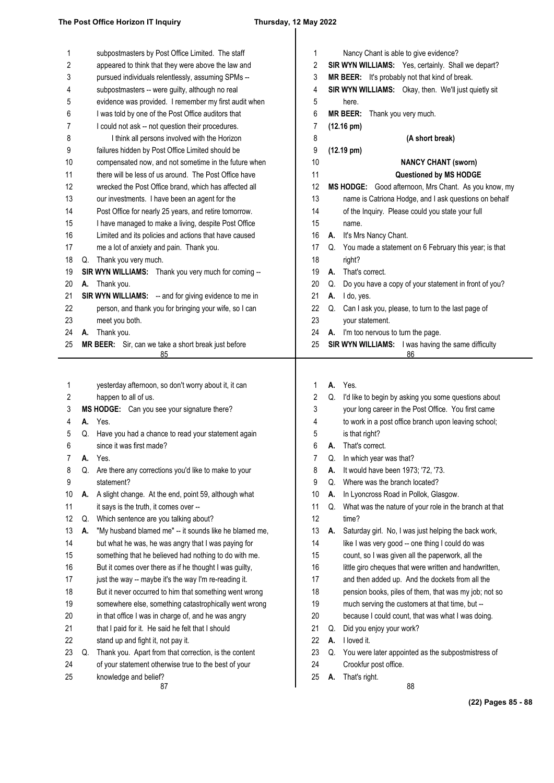| 1  |    | subpostmasters by Post Office Limited. The staff             | 1  |    | Nancy Chant is able to give evidence?                    |
|----|----|--------------------------------------------------------------|----|----|----------------------------------------------------------|
| 2  |    | appeared to think that they were above the law and           | 2  |    | SIR WYN WILLIAMS: Yes, certainly. Shall we depart?       |
| 3  |    | pursued individuals relentlessly, assuming SPMs --           | 3  |    | MR BEER: It's probably not that kind of break.           |
|    |    |                                                              |    |    |                                                          |
| 4  |    | subpostmasters -- were guilty, although no real              | 4  |    | SIR WYN WILLIAMS: Okay, then. We'll just quietly sit     |
| 5  |    | evidence was provided. I remember my first audit when        | 5  |    | here.                                                    |
| 6  |    | I was told by one of the Post Office auditors that           | 6  |    | <b>MR BEER:</b><br>Thank you very much.                  |
| 7  |    | I could not ask -- not question their procedures.            | 7  |    | $(12.16 \text{ pm})$                                     |
| 8  |    | I think all persons involved with the Horizon                | 8  |    | (A short break)                                          |
| 9  |    | failures hidden by Post Office Limited should be             | 9  |    | $(12.19 \text{ pm})$                                     |
| 10 |    | compensated now, and not sometime in the future when         | 10 |    | <b>NANCY CHANT (sworn)</b>                               |
| 11 |    | there will be less of us around. The Post Office have        | 11 |    | Questioned by MS HODGE                                   |
| 12 |    | wrecked the Post Office brand, which has affected all        | 12 |    | MS HODGE: Good afternoon, Mrs Chant. As you know, my     |
| 13 |    | our investments. I have been an agent for the                | 13 |    | name is Catriona Hodge, and I ask questions on behalf    |
| 14 |    | Post Office for nearly 25 years, and retire tomorrow.        | 14 |    | of the Inquiry. Please could you state your full         |
| 15 |    | I have managed to make a living, despite Post Office         | 15 |    | name.                                                    |
| 16 |    | Limited and its policies and actions that have caused        | 16 | А. | It's Mrs Nancy Chant.                                    |
| 17 |    | me a lot of anxiety and pain. Thank you.                     | 17 |    | Q. You made a statement on 6 February this year; is that |
| 18 | Q. | Thank you very much.                                         | 18 |    | right?                                                   |
| 19 |    | SIR WYN WILLIAMS: Thank you very much for coming --          | 19 | А. | That's correct.                                          |
| 20 | А. | Thank you.                                                   | 20 | Q. | Do you have a copy of your statement in front of you?    |
| 21 |    | <b>SIR WYN WILLIAMS:</b> -- and for giving evidence to me in | 21 | А. | I do, yes.                                               |
| 22 |    | person, and thank you for bringing your wife, so I can       | 22 | Q. | Can I ask you, please, to turn to the last page of       |
| 23 |    | meet you both.                                               | 23 |    | your statement.                                          |
| 24 | А. | Thank you.                                                   | 24 |    | A. I'm too nervous to turn the page.                     |
| 25 |    | MR BEER: Sir, can we take a short break just before          | 25 |    | SIR WYN WILLIAMS: I was having the same difficulty       |
|    |    | 85                                                           |    |    | 86                                                       |
|    |    |                                                              |    |    |                                                          |
|    |    |                                                              |    |    |                                                          |
| 1  |    | yesterday afternoon, so don't worry about it, it can         | 1  | А. | Yes.                                                     |
| 2  |    | happen to all of us.                                         | 2  | Q. | I'd like to begin by asking you some questions about     |
| 3  |    | MS HODGE: Can you see your signature there?                  | 3  |    | your long career in the Post Office. You first came      |
| 4  |    | A. Yes.                                                      | 4  |    | to work in a post office branch upon leaving school;     |
| 5  | Q. | Have you had a chance to read your statement again           | 5  |    | is that right?                                           |
| 6  |    | since it was first made?                                     | 6  | А. | That's correct.                                          |
| 7  | А. | Yes.                                                         | 7  | Q. | In which year was that?                                  |
| 8  | Q. | Are there any corrections you'd like to make to your         | 8  | А. | It would have been 1973; '72, '73.                       |
| 9  |    | statement?                                                   | 9  | Q. | Where was the branch located?                            |
| 10 | А. | A slight change. At the end, point 59, although what         | 10 | А. | In Lyoncross Road in Pollok, Glasgow.                    |
| 11 |    | it says is the truth, it comes over --                       | 11 | Q. | What was the nature of your role in the branch at that   |
| 12 | Q. | Which sentence are you talking about?                        | 12 |    | time?                                                    |
| 13 | А. | "My husband blamed me" -- it sounds like he blamed me,       | 13 | А. | Saturday girl. No, I was just helping the back work,     |
| 14 |    | but what he was, he was angry that I was paying for          | 14 |    | like I was very good -- one thing I could do was         |
| 15 |    | something that he believed had nothing to do with me.        | 15 |    | count, so I was given all the paperwork, all the         |
| 16 |    | But it comes over there as if he thought I was guilty,       | 16 |    | little giro cheques that were written and handwritten,   |
| 17 |    | just the way -- maybe it's the way I'm re-reading it.        | 17 |    | and then added up. And the dockets from all the          |
| 18 |    | But it never occurred to him that something went wrong       | 18 |    | pension books, piles of them, that was my job; not so    |
| 19 |    | somewhere else, something catastrophically went wrong        | 19 |    | much serving the customers at that time, but --          |
| 20 |    | in that office I was in charge of, and he was angry          | 20 |    | because I could count, that was what I was doing.        |
| 21 |    | that I paid for it. He said he felt that I should            | 21 | Q. | Did you enjoy your work?                                 |
| 22 |    | stand up and fight it, not pay it.                           | 22 | А. | I loved it.                                              |
| 23 | Q. | Thank you. Apart from that correction, is the content        | 23 | Q. | You were later appointed as the subpostmistress of       |
| 24 |    | of your statement otherwise true to the best of your         | 24 |    | Crookfur post office.                                    |
| 25 |    | knowledge and belief?                                        | 25 | А. | That's right.                                            |
|    |    | 87                                                           |    |    | 88                                                       |

**(22) Pages 85 - 88**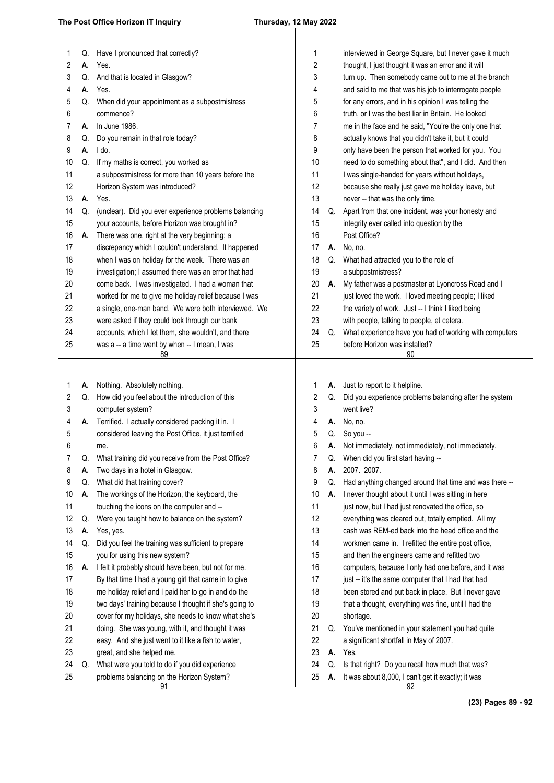### **The Post Office Horizon IT Inquiry Thursday, 12 May 2022**

| 1  | Q. | Have I pronounced that correctly?                      | 1  |    | interviewed in George Square, but I never gave it much   |
|----|----|--------------------------------------------------------|----|----|----------------------------------------------------------|
| 2  | А. | Yes.                                                   | 2  |    | thought, I just thought it was an error and it will      |
| 3  | Q. | And that is located in Glasgow?                        | 3  |    | turn up. Then somebody came out to me at the branch      |
| 4  | А. | Yes.                                                   | 4  |    | and said to me that was his job to interrogate people    |
| 5  | Q. | When did your appointment as a subpostmistress         | 5  |    | for any errors, and in his opinion I was telling the     |
| 6  |    | commence?                                              | 6  |    | truth, or I was the best liar in Britain. He looked      |
| 7  | А. | In June 1986.                                          | 7  |    | me in the face and he said, "You're the only one that    |
| 8  | Q. | Do you remain in that role today?                      | 8  |    | actually knows that you didn't take it, but it could     |
| 9  | А. | I do.                                                  | 9  |    | only have been the person that worked for you. You       |
| 10 | Q. | If my maths is correct, you worked as                  | 10 |    | need to do something about that", and I did. And then    |
| 11 |    | a subpostmistress for more than 10 years before the    | 11 |    | I was single-handed for years without holidays,          |
| 12 |    | Horizon System was introduced?                         | 12 |    | because she really just gave me holiday leave, but       |
| 13 | А. | Yes.                                                   | 13 |    | never -- that was the only time.                         |
| 14 | Q. | (unclear). Did you ever experience problems balancing  | 14 | Q. | Apart from that one incident, was your honesty and       |
| 15 |    | your accounts, before Horizon was brought in?          | 15 |    | integrity ever called into question by the               |
| 16 | А. | There was one, right at the very beginning; a          | 16 |    | Post Office?                                             |
| 17 |    | discrepancy which I couldn't understand. It happened   | 17 | А. | No, no.                                                  |
| 18 |    | when I was on holiday for the week. There was an       | 18 | Q. | What had attracted you to the role of                    |
| 19 |    | investigation; I assumed there was an error that had   | 19 |    | a subpostmistress?                                       |
| 20 |    | come back. I was investigated. I had a woman that      | 20 | А. | My father was a postmaster at Lyoncross Road and I       |
| 21 |    | worked for me to give me holiday relief because I was  | 21 |    | just loved the work. I loved meeting people; I liked     |
| 22 |    | a single, one-man band. We were both interviewed. We   | 22 |    | the variety of work. Just -- I think I liked being       |
| 23 |    | were asked if they could look through our bank         | 23 |    | with people, talking to people, et cetera.               |
| 24 |    | accounts, which I let them, she wouldn't, and there    | 24 | Q. | What experience have you had of working with computers   |
| 25 |    | was a -- a time went by when -- I mean, I was<br>89    | 25 |    | before Horizon was installed?<br>90                      |
|    |    |                                                        |    |    |                                                          |
| 1  | А. | Nothing. Absolutely nothing.                           | 1  | А. | Just to report to it helpline.                           |
| 2  | Q. | How did you feel about the introduction of this        | 2  | Q. | Did you experience problems balancing after the system   |
| 3  |    | computer system?                                       | 3  |    | went live?                                               |
| 4  | А. | Terrified. I actually considered packing it in. I      | 4  | А. | No, no.                                                  |
| 5  |    | considered leaving the Post Office, it just terrified  | 5  | Q. | So you --                                                |
| 6  |    | me.                                                    | 6  | А. | Not immediately, not immediately, not immediately.       |
| 7  | Q. | What training did you receive from the Post Office?    | 7  | Q. | When did you first start having --                       |
| 8  | А. | Two days in a hotel in Glasgow.                        | 8  | А. | 2007. 2007.                                              |
| 9  | Q. | What did that training cover?                          | 9  | Q. | Had anything changed around that time and was there --   |
| 10 | А. | The workings of the Horizon, the keyboard, the         | 10 | А. | I never thought about it until I was sitting in here     |
| 11 |    | touching the icons on the computer and --              | 11 |    | just now, but I had just renovated the office, so        |
| 12 | Q. | Were you taught how to balance on the system?          |    |    |                                                          |
| 13 |    |                                                        | 12 |    | everything was cleared out, totally emptied. All my      |
| 14 | А. | Yes, yes.                                              | 13 |    | cash was REM-ed back into the head office and the        |
|    | Q. | Did you feel the training was sufficient to prepare    | 14 |    | workmen came in. I refitted the entire post office,      |
| 15 |    | you for using this new system?                         | 15 |    | and then the engineers came and refitted two             |
| 16 | А. | I felt it probably should have been, but not for me.   | 16 |    | computers, because I only had one before, and it was     |
| 17 |    | By that time I had a young girl that came in to give   | 17 |    | just -- it's the same computer that I had that had       |
| 18 |    | me holiday relief and I paid her to go in and do the   | 18 |    | been stored and put back in place. But I never gave      |
| 19 |    | two days' training because I thought if she's going to | 19 |    | that a thought, everything was fine, until I had the     |
| 20 |    | cover for my holidays, she needs to know what she's    | 20 |    | shortage.                                                |
| 21 |    | doing. She was young, with it, and thought it was      | 21 | Q. | You've mentioned in your statement you had quite         |
| 22 |    | easy. And she just went to it like a fish to water,    | 22 |    | a significant shortfall in May of 2007.                  |
| 23 |    | great, and she helped me.                              | 23 | А. | Yes.                                                     |
| 24 | Q. | What were you told to do if you did experience         | 24 | Q. | Is that right? Do you recall how much that was?          |
| 25 |    | problems balancing on the Horizon System?<br>91        | 25 | А. | It was about 8,000, I can't get it exactly; it was<br>92 |

**(23) Pages 89 - 92**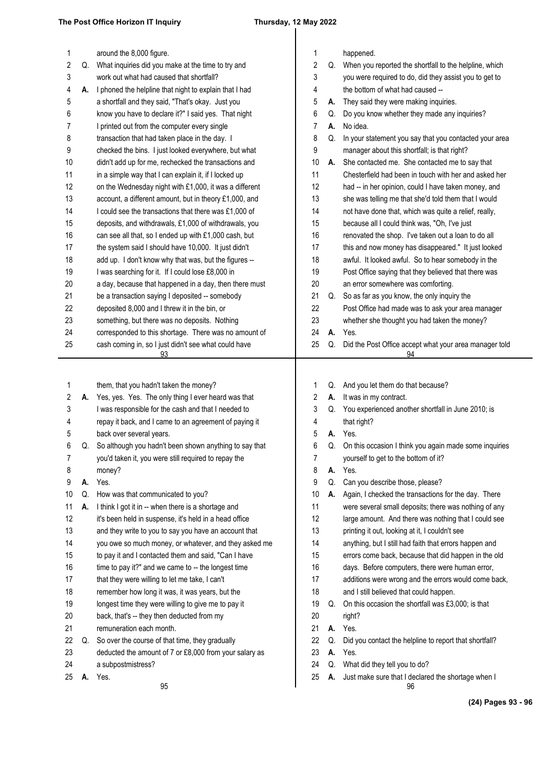## $\overline{\phantom{a}}$

| 2<br>2<br>What inquiries did you make at the time to try and<br>When you reported the shortfall to the helpline, which<br>Q.<br>Q.<br>3<br>work out what had caused that shortfall?<br>3<br>you were required to do, did they assist you to get to<br>4<br>the bottom of what had caused --<br>4<br>I phoned the helpline that night to explain that I had<br>А.<br>5<br>5<br>a shortfall and they said, "That's okay. Just you<br>They said they were making inquiries.<br>А.<br>know you have to declare it?" I said yes. That night<br>6<br>Do you know whether they made any inquiries?<br>6<br>Q.<br>7<br>I printed out from the computer every single<br>7<br>No idea.<br>А.<br>8<br>transaction that had taken place in the day. I<br>8<br>Q.<br>In your statement you say that you contacted your area<br>9<br>9<br>checked the bins. I just looked everywhere, but what<br>manager about this shortfall; is that right?<br>10<br>didn't add up for me, rechecked the transactions and<br>10<br>She contacted me. She contacted me to say that<br>А.<br>11<br>Chesterfield had been in touch with her and asked her<br>in a simple way that I can explain it, if I locked up<br>11<br>12<br>12<br>had -- in her opinion, could I have taken money, and<br>on the Wednesday night with £1,000, it was a different<br>13<br>account, a different amount, but in theory £1,000, and<br>13<br>she was telling me that she'd told them that I would<br>14<br>I could see the transactions that there was £1,000 of<br>14<br>not have done that, which was quite a relief, really,<br>15<br>deposits, and withdrawals, £1,000 of withdrawals, you<br>15<br>because all I could think was, "Oh, I've just<br>16<br>16<br>can see all that, so I ended up with £1,000 cash, but<br>renovated the shop. I've taken out a loan to do all<br>17<br>the system said I should have 10,000. It just didn't<br>this and now money has disappeared." It just looked<br>17<br>18<br>awful. It looked awful. So to hear somebody in the<br>add up. I don't know why that was, but the figures --<br>18<br>19<br>I was searching for it. If I could lose £8,000 in<br>19<br>Post Office saying that they believed that there was<br>20<br>a day, because that happened in a day, then there must<br>20<br>an error somewhere was comforting.<br>21<br>be a transaction saying I deposited -- somebody<br>21<br>So as far as you know, the only inquiry the<br>Q.<br>22<br>22<br>deposited 8,000 and I threw it in the bin, or<br>Post Office had made was to ask your area manager<br>23<br>23<br>something, but there was no deposits. Nothing<br>whether she thought you had taken the money?<br>24<br>corresponded to this shortage. There was no amount of<br>24<br>Yes.<br>А.<br>25<br>cash coming in, so I just didn't see what could have<br>Did the Post Office accept what your area manager told<br>25<br>Q.<br>93<br>94<br>them, that you hadn't taken the money?<br>And you let them do that because?<br>1<br>1<br>Q.<br>$\boldsymbol{2}$<br>2<br>It was in my contract.<br>Yes, yes. Yes. The only thing I ever heard was that<br>А.<br>А.<br>3<br>I was responsible for the cash and that I needed to<br>3<br>You experienced another shortfall in June 2010; is<br>Q.<br>repay it back, and I came to an agreement of paying it<br>4<br>4<br>that right?<br>back over several years.<br>Yes.<br>5<br>5<br>А.<br>6<br>So although you hadn't been shown anything to say that<br>6<br>Q. On this occasion I think you again made some inquiries<br>Q.<br>you'd taken it, you were still required to repay the<br>7<br>yourself to get to the bottom of it?<br>T<br>8<br>8<br>Yes.<br>money?<br>А.<br>9<br>9<br>Yes.<br>Can you describe those, please?<br>А.<br>Q.<br>Again, I checked the transactions for the day. There<br>10<br>How was that communicated to you?<br>10<br>Q.<br>А.<br>11<br>I think I got it in -- when there is a shortage and<br>11<br>were several small deposits; there was nothing of any<br>А.<br>12<br>12<br>it's been held in suspense, it's held in a head office<br>large amount. And there was nothing that I could see<br>13<br>and they write to you to say you have an account that<br>13<br>printing it out, looking at it, I couldn't see<br>14<br>you owe so much money, or whatever, and they asked me<br>14<br>anything, but I still had faith that errors happen and<br>15<br>errors come back, because that did happen in the old<br>to pay it and I contacted them and said, "Can I have<br>15<br>16<br>time to pay it?" and we came to -- the longest time<br>16<br>days. Before computers, there were human error,<br>17<br>that they were willing to let me take, I can't<br>17<br>additions were wrong and the errors would come back,<br>18<br>remember how long it was, it was years, but the<br>18<br>and I still believed that could happen.<br>19<br>longest time they were willing to give me to pay it<br>19<br>On this occasion the shortfall was £3,000; is that<br>Q.<br>20<br>20<br>back, that's -- they then deducted from my<br>right?<br>21<br>remuneration each month.<br>21<br>А.<br>Yes.<br>22<br>22<br>So over the course of that time, they gradually<br>Did you contact the helpline to report that shortfall?<br>Q.<br>Q.<br>23<br>23<br>А.<br>Yes.<br>deducted the amount of 7 or £8,000 from your salary as<br>24<br>a subpostmistress?<br>24<br>Q.<br>What did they tell you to do?<br>25<br>Yes.<br>25<br>Just make sure that I declared the shortage when I<br>А.<br>А.<br>95<br>96 | 1 | around the 8,000 figure. | 1 | happened. |
|----------------------------------------------------------------------------------------------------------------------------------------------------------------------------------------------------------------------------------------------------------------------------------------------------------------------------------------------------------------------------------------------------------------------------------------------------------------------------------------------------------------------------------------------------------------------------------------------------------------------------------------------------------------------------------------------------------------------------------------------------------------------------------------------------------------------------------------------------------------------------------------------------------------------------------------------------------------------------------------------------------------------------------------------------------------------------------------------------------------------------------------------------------------------------------------------------------------------------------------------------------------------------------------------------------------------------------------------------------------------------------------------------------------------------------------------------------------------------------------------------------------------------------------------------------------------------------------------------------------------------------------------------------------------------------------------------------------------------------------------------------------------------------------------------------------------------------------------------------------------------------------------------------------------------------------------------------------------------------------------------------------------------------------------------------------------------------------------------------------------------------------------------------------------------------------------------------------------------------------------------------------------------------------------------------------------------------------------------------------------------------------------------------------------------------------------------------------------------------------------------------------------------------------------------------------------------------------------------------------------------------------------------------------------------------------------------------------------------------------------------------------------------------------------------------------------------------------------------------------------------------------------------------------------------------------------------------------------------------------------------------------------------------------------------------------------------------------------------------------------------------------------------------------------------------------------------------------------------------------------------------------------------------------------------------------------------------------------------------------------------------------------------------------------------------------------------------------------------------------------------------------------------------------------------------------------------------------------------------------------------------------------------------------------------------------------------------------------------------------------------------------------------------------------------------------------------------------------------------------------------------------------------------------------------------------------------------------------------------------------------------------------------------------------------------------------------------------------------------------------------------------------------------------------------------------------------------------------------------------------------------------------------------------------------------------------------------------------------------------------------------------------------------------------------------------------------------------------------------------------------------------------------------------------------------------------------------------------------------------------------------------------------------------------------------------------------------------------------------------------------------------------------------------------------------------------------------------------------------------------------------------------------------------------------------------------------------------------------------------------------------------------------------------------------------------------------------------------------------------------------------------------------------------------------------------------------------------------------------------------------------------------------------------------------------------------------------------------------------------------------------------------------------------------------------------------------------------------------------------------------------------------------------------------------------------|---|--------------------------|---|-----------|
|                                                                                                                                                                                                                                                                                                                                                                                                                                                                                                                                                                                                                                                                                                                                                                                                                                                                                                                                                                                                                                                                                                                                                                                                                                                                                                                                                                                                                                                                                                                                                                                                                                                                                                                                                                                                                                                                                                                                                                                                                                                                                                                                                                                                                                                                                                                                                                                                                                                                                                                                                                                                                                                                                                                                                                                                                                                                                                                                                                                                                                                                                                                                                                                                                                                                                                                                                                                                                                                                                                                                                                                                                                                                                                                                                                                                                                                                                                                                                                                                                                                                                                                                                                                                                                                                                                                                                                                                                                                                                                                                                                                                                                                                                                                                                                                                                                                                                                                                                                                                                                                                                                                                                                                                                                                                                                                                                                                                                                                                                                                                                                |   |                          |   |           |
|                                                                                                                                                                                                                                                                                                                                                                                                                                                                                                                                                                                                                                                                                                                                                                                                                                                                                                                                                                                                                                                                                                                                                                                                                                                                                                                                                                                                                                                                                                                                                                                                                                                                                                                                                                                                                                                                                                                                                                                                                                                                                                                                                                                                                                                                                                                                                                                                                                                                                                                                                                                                                                                                                                                                                                                                                                                                                                                                                                                                                                                                                                                                                                                                                                                                                                                                                                                                                                                                                                                                                                                                                                                                                                                                                                                                                                                                                                                                                                                                                                                                                                                                                                                                                                                                                                                                                                                                                                                                                                                                                                                                                                                                                                                                                                                                                                                                                                                                                                                                                                                                                                                                                                                                                                                                                                                                                                                                                                                                                                                                                                |   |                          |   |           |
|                                                                                                                                                                                                                                                                                                                                                                                                                                                                                                                                                                                                                                                                                                                                                                                                                                                                                                                                                                                                                                                                                                                                                                                                                                                                                                                                                                                                                                                                                                                                                                                                                                                                                                                                                                                                                                                                                                                                                                                                                                                                                                                                                                                                                                                                                                                                                                                                                                                                                                                                                                                                                                                                                                                                                                                                                                                                                                                                                                                                                                                                                                                                                                                                                                                                                                                                                                                                                                                                                                                                                                                                                                                                                                                                                                                                                                                                                                                                                                                                                                                                                                                                                                                                                                                                                                                                                                                                                                                                                                                                                                                                                                                                                                                                                                                                                                                                                                                                                                                                                                                                                                                                                                                                                                                                                                                                                                                                                                                                                                                                                                |   |                          |   |           |
|                                                                                                                                                                                                                                                                                                                                                                                                                                                                                                                                                                                                                                                                                                                                                                                                                                                                                                                                                                                                                                                                                                                                                                                                                                                                                                                                                                                                                                                                                                                                                                                                                                                                                                                                                                                                                                                                                                                                                                                                                                                                                                                                                                                                                                                                                                                                                                                                                                                                                                                                                                                                                                                                                                                                                                                                                                                                                                                                                                                                                                                                                                                                                                                                                                                                                                                                                                                                                                                                                                                                                                                                                                                                                                                                                                                                                                                                                                                                                                                                                                                                                                                                                                                                                                                                                                                                                                                                                                                                                                                                                                                                                                                                                                                                                                                                                                                                                                                                                                                                                                                                                                                                                                                                                                                                                                                                                                                                                                                                                                                                                                |   |                          |   |           |
|                                                                                                                                                                                                                                                                                                                                                                                                                                                                                                                                                                                                                                                                                                                                                                                                                                                                                                                                                                                                                                                                                                                                                                                                                                                                                                                                                                                                                                                                                                                                                                                                                                                                                                                                                                                                                                                                                                                                                                                                                                                                                                                                                                                                                                                                                                                                                                                                                                                                                                                                                                                                                                                                                                                                                                                                                                                                                                                                                                                                                                                                                                                                                                                                                                                                                                                                                                                                                                                                                                                                                                                                                                                                                                                                                                                                                                                                                                                                                                                                                                                                                                                                                                                                                                                                                                                                                                                                                                                                                                                                                                                                                                                                                                                                                                                                                                                                                                                                                                                                                                                                                                                                                                                                                                                                                                                                                                                                                                                                                                                                                                |   |                          |   |           |
|                                                                                                                                                                                                                                                                                                                                                                                                                                                                                                                                                                                                                                                                                                                                                                                                                                                                                                                                                                                                                                                                                                                                                                                                                                                                                                                                                                                                                                                                                                                                                                                                                                                                                                                                                                                                                                                                                                                                                                                                                                                                                                                                                                                                                                                                                                                                                                                                                                                                                                                                                                                                                                                                                                                                                                                                                                                                                                                                                                                                                                                                                                                                                                                                                                                                                                                                                                                                                                                                                                                                                                                                                                                                                                                                                                                                                                                                                                                                                                                                                                                                                                                                                                                                                                                                                                                                                                                                                                                                                                                                                                                                                                                                                                                                                                                                                                                                                                                                                                                                                                                                                                                                                                                                                                                                                                                                                                                                                                                                                                                                                                |   |                          |   |           |
|                                                                                                                                                                                                                                                                                                                                                                                                                                                                                                                                                                                                                                                                                                                                                                                                                                                                                                                                                                                                                                                                                                                                                                                                                                                                                                                                                                                                                                                                                                                                                                                                                                                                                                                                                                                                                                                                                                                                                                                                                                                                                                                                                                                                                                                                                                                                                                                                                                                                                                                                                                                                                                                                                                                                                                                                                                                                                                                                                                                                                                                                                                                                                                                                                                                                                                                                                                                                                                                                                                                                                                                                                                                                                                                                                                                                                                                                                                                                                                                                                                                                                                                                                                                                                                                                                                                                                                                                                                                                                                                                                                                                                                                                                                                                                                                                                                                                                                                                                                                                                                                                                                                                                                                                                                                                                                                                                                                                                                                                                                                                                                |   |                          |   |           |
|                                                                                                                                                                                                                                                                                                                                                                                                                                                                                                                                                                                                                                                                                                                                                                                                                                                                                                                                                                                                                                                                                                                                                                                                                                                                                                                                                                                                                                                                                                                                                                                                                                                                                                                                                                                                                                                                                                                                                                                                                                                                                                                                                                                                                                                                                                                                                                                                                                                                                                                                                                                                                                                                                                                                                                                                                                                                                                                                                                                                                                                                                                                                                                                                                                                                                                                                                                                                                                                                                                                                                                                                                                                                                                                                                                                                                                                                                                                                                                                                                                                                                                                                                                                                                                                                                                                                                                                                                                                                                                                                                                                                                                                                                                                                                                                                                                                                                                                                                                                                                                                                                                                                                                                                                                                                                                                                                                                                                                                                                                                                                                |   |                          |   |           |
|                                                                                                                                                                                                                                                                                                                                                                                                                                                                                                                                                                                                                                                                                                                                                                                                                                                                                                                                                                                                                                                                                                                                                                                                                                                                                                                                                                                                                                                                                                                                                                                                                                                                                                                                                                                                                                                                                                                                                                                                                                                                                                                                                                                                                                                                                                                                                                                                                                                                                                                                                                                                                                                                                                                                                                                                                                                                                                                                                                                                                                                                                                                                                                                                                                                                                                                                                                                                                                                                                                                                                                                                                                                                                                                                                                                                                                                                                                                                                                                                                                                                                                                                                                                                                                                                                                                                                                                                                                                                                                                                                                                                                                                                                                                                                                                                                                                                                                                                                                                                                                                                                                                                                                                                                                                                                                                                                                                                                                                                                                                                                                |   |                          |   |           |
|                                                                                                                                                                                                                                                                                                                                                                                                                                                                                                                                                                                                                                                                                                                                                                                                                                                                                                                                                                                                                                                                                                                                                                                                                                                                                                                                                                                                                                                                                                                                                                                                                                                                                                                                                                                                                                                                                                                                                                                                                                                                                                                                                                                                                                                                                                                                                                                                                                                                                                                                                                                                                                                                                                                                                                                                                                                                                                                                                                                                                                                                                                                                                                                                                                                                                                                                                                                                                                                                                                                                                                                                                                                                                                                                                                                                                                                                                                                                                                                                                                                                                                                                                                                                                                                                                                                                                                                                                                                                                                                                                                                                                                                                                                                                                                                                                                                                                                                                                                                                                                                                                                                                                                                                                                                                                                                                                                                                                                                                                                                                                                |   |                          |   |           |
|                                                                                                                                                                                                                                                                                                                                                                                                                                                                                                                                                                                                                                                                                                                                                                                                                                                                                                                                                                                                                                                                                                                                                                                                                                                                                                                                                                                                                                                                                                                                                                                                                                                                                                                                                                                                                                                                                                                                                                                                                                                                                                                                                                                                                                                                                                                                                                                                                                                                                                                                                                                                                                                                                                                                                                                                                                                                                                                                                                                                                                                                                                                                                                                                                                                                                                                                                                                                                                                                                                                                                                                                                                                                                                                                                                                                                                                                                                                                                                                                                                                                                                                                                                                                                                                                                                                                                                                                                                                                                                                                                                                                                                                                                                                                                                                                                                                                                                                                                                                                                                                                                                                                                                                                                                                                                                                                                                                                                                                                                                                                                                |   |                          |   |           |
|                                                                                                                                                                                                                                                                                                                                                                                                                                                                                                                                                                                                                                                                                                                                                                                                                                                                                                                                                                                                                                                                                                                                                                                                                                                                                                                                                                                                                                                                                                                                                                                                                                                                                                                                                                                                                                                                                                                                                                                                                                                                                                                                                                                                                                                                                                                                                                                                                                                                                                                                                                                                                                                                                                                                                                                                                                                                                                                                                                                                                                                                                                                                                                                                                                                                                                                                                                                                                                                                                                                                                                                                                                                                                                                                                                                                                                                                                                                                                                                                                                                                                                                                                                                                                                                                                                                                                                                                                                                                                                                                                                                                                                                                                                                                                                                                                                                                                                                                                                                                                                                                                                                                                                                                                                                                                                                                                                                                                                                                                                                                                                |   |                          |   |           |
|                                                                                                                                                                                                                                                                                                                                                                                                                                                                                                                                                                                                                                                                                                                                                                                                                                                                                                                                                                                                                                                                                                                                                                                                                                                                                                                                                                                                                                                                                                                                                                                                                                                                                                                                                                                                                                                                                                                                                                                                                                                                                                                                                                                                                                                                                                                                                                                                                                                                                                                                                                                                                                                                                                                                                                                                                                                                                                                                                                                                                                                                                                                                                                                                                                                                                                                                                                                                                                                                                                                                                                                                                                                                                                                                                                                                                                                                                                                                                                                                                                                                                                                                                                                                                                                                                                                                                                                                                                                                                                                                                                                                                                                                                                                                                                                                                                                                                                                                                                                                                                                                                                                                                                                                                                                                                                                                                                                                                                                                                                                                                                |   |                          |   |           |
|                                                                                                                                                                                                                                                                                                                                                                                                                                                                                                                                                                                                                                                                                                                                                                                                                                                                                                                                                                                                                                                                                                                                                                                                                                                                                                                                                                                                                                                                                                                                                                                                                                                                                                                                                                                                                                                                                                                                                                                                                                                                                                                                                                                                                                                                                                                                                                                                                                                                                                                                                                                                                                                                                                                                                                                                                                                                                                                                                                                                                                                                                                                                                                                                                                                                                                                                                                                                                                                                                                                                                                                                                                                                                                                                                                                                                                                                                                                                                                                                                                                                                                                                                                                                                                                                                                                                                                                                                                                                                                                                                                                                                                                                                                                                                                                                                                                                                                                                                                                                                                                                                                                                                                                                                                                                                                                                                                                                                                                                                                                                                                |   |                          |   |           |
|                                                                                                                                                                                                                                                                                                                                                                                                                                                                                                                                                                                                                                                                                                                                                                                                                                                                                                                                                                                                                                                                                                                                                                                                                                                                                                                                                                                                                                                                                                                                                                                                                                                                                                                                                                                                                                                                                                                                                                                                                                                                                                                                                                                                                                                                                                                                                                                                                                                                                                                                                                                                                                                                                                                                                                                                                                                                                                                                                                                                                                                                                                                                                                                                                                                                                                                                                                                                                                                                                                                                                                                                                                                                                                                                                                                                                                                                                                                                                                                                                                                                                                                                                                                                                                                                                                                                                                                                                                                                                                                                                                                                                                                                                                                                                                                                                                                                                                                                                                                                                                                                                                                                                                                                                                                                                                                                                                                                                                                                                                                                                                |   |                          |   |           |
|                                                                                                                                                                                                                                                                                                                                                                                                                                                                                                                                                                                                                                                                                                                                                                                                                                                                                                                                                                                                                                                                                                                                                                                                                                                                                                                                                                                                                                                                                                                                                                                                                                                                                                                                                                                                                                                                                                                                                                                                                                                                                                                                                                                                                                                                                                                                                                                                                                                                                                                                                                                                                                                                                                                                                                                                                                                                                                                                                                                                                                                                                                                                                                                                                                                                                                                                                                                                                                                                                                                                                                                                                                                                                                                                                                                                                                                                                                                                                                                                                                                                                                                                                                                                                                                                                                                                                                                                                                                                                                                                                                                                                                                                                                                                                                                                                                                                                                                                                                                                                                                                                                                                                                                                                                                                                                                                                                                                                                                                                                                                                                |   |                          |   |           |
|                                                                                                                                                                                                                                                                                                                                                                                                                                                                                                                                                                                                                                                                                                                                                                                                                                                                                                                                                                                                                                                                                                                                                                                                                                                                                                                                                                                                                                                                                                                                                                                                                                                                                                                                                                                                                                                                                                                                                                                                                                                                                                                                                                                                                                                                                                                                                                                                                                                                                                                                                                                                                                                                                                                                                                                                                                                                                                                                                                                                                                                                                                                                                                                                                                                                                                                                                                                                                                                                                                                                                                                                                                                                                                                                                                                                                                                                                                                                                                                                                                                                                                                                                                                                                                                                                                                                                                                                                                                                                                                                                                                                                                                                                                                                                                                                                                                                                                                                                                                                                                                                                                                                                                                                                                                                                                                                                                                                                                                                                                                                                                |   |                          |   |           |
|                                                                                                                                                                                                                                                                                                                                                                                                                                                                                                                                                                                                                                                                                                                                                                                                                                                                                                                                                                                                                                                                                                                                                                                                                                                                                                                                                                                                                                                                                                                                                                                                                                                                                                                                                                                                                                                                                                                                                                                                                                                                                                                                                                                                                                                                                                                                                                                                                                                                                                                                                                                                                                                                                                                                                                                                                                                                                                                                                                                                                                                                                                                                                                                                                                                                                                                                                                                                                                                                                                                                                                                                                                                                                                                                                                                                                                                                                                                                                                                                                                                                                                                                                                                                                                                                                                                                                                                                                                                                                                                                                                                                                                                                                                                                                                                                                                                                                                                                                                                                                                                                                                                                                                                                                                                                                                                                                                                                                                                                                                                                                                |   |                          |   |           |
|                                                                                                                                                                                                                                                                                                                                                                                                                                                                                                                                                                                                                                                                                                                                                                                                                                                                                                                                                                                                                                                                                                                                                                                                                                                                                                                                                                                                                                                                                                                                                                                                                                                                                                                                                                                                                                                                                                                                                                                                                                                                                                                                                                                                                                                                                                                                                                                                                                                                                                                                                                                                                                                                                                                                                                                                                                                                                                                                                                                                                                                                                                                                                                                                                                                                                                                                                                                                                                                                                                                                                                                                                                                                                                                                                                                                                                                                                                                                                                                                                                                                                                                                                                                                                                                                                                                                                                                                                                                                                                                                                                                                                                                                                                                                                                                                                                                                                                                                                                                                                                                                                                                                                                                                                                                                                                                                                                                                                                                                                                                                                                |   |                          |   |           |
|                                                                                                                                                                                                                                                                                                                                                                                                                                                                                                                                                                                                                                                                                                                                                                                                                                                                                                                                                                                                                                                                                                                                                                                                                                                                                                                                                                                                                                                                                                                                                                                                                                                                                                                                                                                                                                                                                                                                                                                                                                                                                                                                                                                                                                                                                                                                                                                                                                                                                                                                                                                                                                                                                                                                                                                                                                                                                                                                                                                                                                                                                                                                                                                                                                                                                                                                                                                                                                                                                                                                                                                                                                                                                                                                                                                                                                                                                                                                                                                                                                                                                                                                                                                                                                                                                                                                                                                                                                                                                                                                                                                                                                                                                                                                                                                                                                                                                                                                                                                                                                                                                                                                                                                                                                                                                                                                                                                                                                                                                                                                                                |   |                          |   |           |
|                                                                                                                                                                                                                                                                                                                                                                                                                                                                                                                                                                                                                                                                                                                                                                                                                                                                                                                                                                                                                                                                                                                                                                                                                                                                                                                                                                                                                                                                                                                                                                                                                                                                                                                                                                                                                                                                                                                                                                                                                                                                                                                                                                                                                                                                                                                                                                                                                                                                                                                                                                                                                                                                                                                                                                                                                                                                                                                                                                                                                                                                                                                                                                                                                                                                                                                                                                                                                                                                                                                                                                                                                                                                                                                                                                                                                                                                                                                                                                                                                                                                                                                                                                                                                                                                                                                                                                                                                                                                                                                                                                                                                                                                                                                                                                                                                                                                                                                                                                                                                                                                                                                                                                                                                                                                                                                                                                                                                                                                                                                                                                |   |                          |   |           |
|                                                                                                                                                                                                                                                                                                                                                                                                                                                                                                                                                                                                                                                                                                                                                                                                                                                                                                                                                                                                                                                                                                                                                                                                                                                                                                                                                                                                                                                                                                                                                                                                                                                                                                                                                                                                                                                                                                                                                                                                                                                                                                                                                                                                                                                                                                                                                                                                                                                                                                                                                                                                                                                                                                                                                                                                                                                                                                                                                                                                                                                                                                                                                                                                                                                                                                                                                                                                                                                                                                                                                                                                                                                                                                                                                                                                                                                                                                                                                                                                                                                                                                                                                                                                                                                                                                                                                                                                                                                                                                                                                                                                                                                                                                                                                                                                                                                                                                                                                                                                                                                                                                                                                                                                                                                                                                                                                                                                                                                                                                                                                                |   |                          |   |           |
|                                                                                                                                                                                                                                                                                                                                                                                                                                                                                                                                                                                                                                                                                                                                                                                                                                                                                                                                                                                                                                                                                                                                                                                                                                                                                                                                                                                                                                                                                                                                                                                                                                                                                                                                                                                                                                                                                                                                                                                                                                                                                                                                                                                                                                                                                                                                                                                                                                                                                                                                                                                                                                                                                                                                                                                                                                                                                                                                                                                                                                                                                                                                                                                                                                                                                                                                                                                                                                                                                                                                                                                                                                                                                                                                                                                                                                                                                                                                                                                                                                                                                                                                                                                                                                                                                                                                                                                                                                                                                                                                                                                                                                                                                                                                                                                                                                                                                                                                                                                                                                                                                                                                                                                                                                                                                                                                                                                                                                                                                                                                                                |   |                          |   |           |
|                                                                                                                                                                                                                                                                                                                                                                                                                                                                                                                                                                                                                                                                                                                                                                                                                                                                                                                                                                                                                                                                                                                                                                                                                                                                                                                                                                                                                                                                                                                                                                                                                                                                                                                                                                                                                                                                                                                                                                                                                                                                                                                                                                                                                                                                                                                                                                                                                                                                                                                                                                                                                                                                                                                                                                                                                                                                                                                                                                                                                                                                                                                                                                                                                                                                                                                                                                                                                                                                                                                                                                                                                                                                                                                                                                                                                                                                                                                                                                                                                                                                                                                                                                                                                                                                                                                                                                                                                                                                                                                                                                                                                                                                                                                                                                                                                                                                                                                                                                                                                                                                                                                                                                                                                                                                                                                                                                                                                                                                                                                                                                |   |                          |   |           |
|                                                                                                                                                                                                                                                                                                                                                                                                                                                                                                                                                                                                                                                                                                                                                                                                                                                                                                                                                                                                                                                                                                                                                                                                                                                                                                                                                                                                                                                                                                                                                                                                                                                                                                                                                                                                                                                                                                                                                                                                                                                                                                                                                                                                                                                                                                                                                                                                                                                                                                                                                                                                                                                                                                                                                                                                                                                                                                                                                                                                                                                                                                                                                                                                                                                                                                                                                                                                                                                                                                                                                                                                                                                                                                                                                                                                                                                                                                                                                                                                                                                                                                                                                                                                                                                                                                                                                                                                                                                                                                                                                                                                                                                                                                                                                                                                                                                                                                                                                                                                                                                                                                                                                                                                                                                                                                                                                                                                                                                                                                                                                                |   |                          |   |           |
|                                                                                                                                                                                                                                                                                                                                                                                                                                                                                                                                                                                                                                                                                                                                                                                                                                                                                                                                                                                                                                                                                                                                                                                                                                                                                                                                                                                                                                                                                                                                                                                                                                                                                                                                                                                                                                                                                                                                                                                                                                                                                                                                                                                                                                                                                                                                                                                                                                                                                                                                                                                                                                                                                                                                                                                                                                                                                                                                                                                                                                                                                                                                                                                                                                                                                                                                                                                                                                                                                                                                                                                                                                                                                                                                                                                                                                                                                                                                                                                                                                                                                                                                                                                                                                                                                                                                                                                                                                                                                                                                                                                                                                                                                                                                                                                                                                                                                                                                                                                                                                                                                                                                                                                                                                                                                                                                                                                                                                                                                                                                                                |   |                          |   |           |
|                                                                                                                                                                                                                                                                                                                                                                                                                                                                                                                                                                                                                                                                                                                                                                                                                                                                                                                                                                                                                                                                                                                                                                                                                                                                                                                                                                                                                                                                                                                                                                                                                                                                                                                                                                                                                                                                                                                                                                                                                                                                                                                                                                                                                                                                                                                                                                                                                                                                                                                                                                                                                                                                                                                                                                                                                                                                                                                                                                                                                                                                                                                                                                                                                                                                                                                                                                                                                                                                                                                                                                                                                                                                                                                                                                                                                                                                                                                                                                                                                                                                                                                                                                                                                                                                                                                                                                                                                                                                                                                                                                                                                                                                                                                                                                                                                                                                                                                                                                                                                                                                                                                                                                                                                                                                                                                                                                                                                                                                                                                                                                |   |                          |   |           |
|                                                                                                                                                                                                                                                                                                                                                                                                                                                                                                                                                                                                                                                                                                                                                                                                                                                                                                                                                                                                                                                                                                                                                                                                                                                                                                                                                                                                                                                                                                                                                                                                                                                                                                                                                                                                                                                                                                                                                                                                                                                                                                                                                                                                                                                                                                                                                                                                                                                                                                                                                                                                                                                                                                                                                                                                                                                                                                                                                                                                                                                                                                                                                                                                                                                                                                                                                                                                                                                                                                                                                                                                                                                                                                                                                                                                                                                                                                                                                                                                                                                                                                                                                                                                                                                                                                                                                                                                                                                                                                                                                                                                                                                                                                                                                                                                                                                                                                                                                                                                                                                                                                                                                                                                                                                                                                                                                                                                                                                                                                                                                                |   |                          |   |           |
|                                                                                                                                                                                                                                                                                                                                                                                                                                                                                                                                                                                                                                                                                                                                                                                                                                                                                                                                                                                                                                                                                                                                                                                                                                                                                                                                                                                                                                                                                                                                                                                                                                                                                                                                                                                                                                                                                                                                                                                                                                                                                                                                                                                                                                                                                                                                                                                                                                                                                                                                                                                                                                                                                                                                                                                                                                                                                                                                                                                                                                                                                                                                                                                                                                                                                                                                                                                                                                                                                                                                                                                                                                                                                                                                                                                                                                                                                                                                                                                                                                                                                                                                                                                                                                                                                                                                                                                                                                                                                                                                                                                                                                                                                                                                                                                                                                                                                                                                                                                                                                                                                                                                                                                                                                                                                                                                                                                                                                                                                                                                                                |   |                          |   |           |
|                                                                                                                                                                                                                                                                                                                                                                                                                                                                                                                                                                                                                                                                                                                                                                                                                                                                                                                                                                                                                                                                                                                                                                                                                                                                                                                                                                                                                                                                                                                                                                                                                                                                                                                                                                                                                                                                                                                                                                                                                                                                                                                                                                                                                                                                                                                                                                                                                                                                                                                                                                                                                                                                                                                                                                                                                                                                                                                                                                                                                                                                                                                                                                                                                                                                                                                                                                                                                                                                                                                                                                                                                                                                                                                                                                                                                                                                                                                                                                                                                                                                                                                                                                                                                                                                                                                                                                                                                                                                                                                                                                                                                                                                                                                                                                                                                                                                                                                                                                                                                                                                                                                                                                                                                                                                                                                                                                                                                                                                                                                                                                |   |                          |   |           |
|                                                                                                                                                                                                                                                                                                                                                                                                                                                                                                                                                                                                                                                                                                                                                                                                                                                                                                                                                                                                                                                                                                                                                                                                                                                                                                                                                                                                                                                                                                                                                                                                                                                                                                                                                                                                                                                                                                                                                                                                                                                                                                                                                                                                                                                                                                                                                                                                                                                                                                                                                                                                                                                                                                                                                                                                                                                                                                                                                                                                                                                                                                                                                                                                                                                                                                                                                                                                                                                                                                                                                                                                                                                                                                                                                                                                                                                                                                                                                                                                                                                                                                                                                                                                                                                                                                                                                                                                                                                                                                                                                                                                                                                                                                                                                                                                                                                                                                                                                                                                                                                                                                                                                                                                                                                                                                                                                                                                                                                                                                                                                                |   |                          |   |           |
|                                                                                                                                                                                                                                                                                                                                                                                                                                                                                                                                                                                                                                                                                                                                                                                                                                                                                                                                                                                                                                                                                                                                                                                                                                                                                                                                                                                                                                                                                                                                                                                                                                                                                                                                                                                                                                                                                                                                                                                                                                                                                                                                                                                                                                                                                                                                                                                                                                                                                                                                                                                                                                                                                                                                                                                                                                                                                                                                                                                                                                                                                                                                                                                                                                                                                                                                                                                                                                                                                                                                                                                                                                                                                                                                                                                                                                                                                                                                                                                                                                                                                                                                                                                                                                                                                                                                                                                                                                                                                                                                                                                                                                                                                                                                                                                                                                                                                                                                                                                                                                                                                                                                                                                                                                                                                                                                                                                                                                                                                                                                                                |   |                          |   |           |
|                                                                                                                                                                                                                                                                                                                                                                                                                                                                                                                                                                                                                                                                                                                                                                                                                                                                                                                                                                                                                                                                                                                                                                                                                                                                                                                                                                                                                                                                                                                                                                                                                                                                                                                                                                                                                                                                                                                                                                                                                                                                                                                                                                                                                                                                                                                                                                                                                                                                                                                                                                                                                                                                                                                                                                                                                                                                                                                                                                                                                                                                                                                                                                                                                                                                                                                                                                                                                                                                                                                                                                                                                                                                                                                                                                                                                                                                                                                                                                                                                                                                                                                                                                                                                                                                                                                                                                                                                                                                                                                                                                                                                                                                                                                                                                                                                                                                                                                                                                                                                                                                                                                                                                                                                                                                                                                                                                                                                                                                                                                                                                |   |                          |   |           |
|                                                                                                                                                                                                                                                                                                                                                                                                                                                                                                                                                                                                                                                                                                                                                                                                                                                                                                                                                                                                                                                                                                                                                                                                                                                                                                                                                                                                                                                                                                                                                                                                                                                                                                                                                                                                                                                                                                                                                                                                                                                                                                                                                                                                                                                                                                                                                                                                                                                                                                                                                                                                                                                                                                                                                                                                                                                                                                                                                                                                                                                                                                                                                                                                                                                                                                                                                                                                                                                                                                                                                                                                                                                                                                                                                                                                                                                                                                                                                                                                                                                                                                                                                                                                                                                                                                                                                                                                                                                                                                                                                                                                                                                                                                                                                                                                                                                                                                                                                                                                                                                                                                                                                                                                                                                                                                                                                                                                                                                                                                                                                                |   |                          |   |           |
|                                                                                                                                                                                                                                                                                                                                                                                                                                                                                                                                                                                                                                                                                                                                                                                                                                                                                                                                                                                                                                                                                                                                                                                                                                                                                                                                                                                                                                                                                                                                                                                                                                                                                                                                                                                                                                                                                                                                                                                                                                                                                                                                                                                                                                                                                                                                                                                                                                                                                                                                                                                                                                                                                                                                                                                                                                                                                                                                                                                                                                                                                                                                                                                                                                                                                                                                                                                                                                                                                                                                                                                                                                                                                                                                                                                                                                                                                                                                                                                                                                                                                                                                                                                                                                                                                                                                                                                                                                                                                                                                                                                                                                                                                                                                                                                                                                                                                                                                                                                                                                                                                                                                                                                                                                                                                                                                                                                                                                                                                                                                                                |   |                          |   |           |
|                                                                                                                                                                                                                                                                                                                                                                                                                                                                                                                                                                                                                                                                                                                                                                                                                                                                                                                                                                                                                                                                                                                                                                                                                                                                                                                                                                                                                                                                                                                                                                                                                                                                                                                                                                                                                                                                                                                                                                                                                                                                                                                                                                                                                                                                                                                                                                                                                                                                                                                                                                                                                                                                                                                                                                                                                                                                                                                                                                                                                                                                                                                                                                                                                                                                                                                                                                                                                                                                                                                                                                                                                                                                                                                                                                                                                                                                                                                                                                                                                                                                                                                                                                                                                                                                                                                                                                                                                                                                                                                                                                                                                                                                                                                                                                                                                                                                                                                                                                                                                                                                                                                                                                                                                                                                                                                                                                                                                                                                                                                                                                |   |                          |   |           |
|                                                                                                                                                                                                                                                                                                                                                                                                                                                                                                                                                                                                                                                                                                                                                                                                                                                                                                                                                                                                                                                                                                                                                                                                                                                                                                                                                                                                                                                                                                                                                                                                                                                                                                                                                                                                                                                                                                                                                                                                                                                                                                                                                                                                                                                                                                                                                                                                                                                                                                                                                                                                                                                                                                                                                                                                                                                                                                                                                                                                                                                                                                                                                                                                                                                                                                                                                                                                                                                                                                                                                                                                                                                                                                                                                                                                                                                                                                                                                                                                                                                                                                                                                                                                                                                                                                                                                                                                                                                                                                                                                                                                                                                                                                                                                                                                                                                                                                                                                                                                                                                                                                                                                                                                                                                                                                                                                                                                                                                                                                                                                                |   |                          |   |           |
|                                                                                                                                                                                                                                                                                                                                                                                                                                                                                                                                                                                                                                                                                                                                                                                                                                                                                                                                                                                                                                                                                                                                                                                                                                                                                                                                                                                                                                                                                                                                                                                                                                                                                                                                                                                                                                                                                                                                                                                                                                                                                                                                                                                                                                                                                                                                                                                                                                                                                                                                                                                                                                                                                                                                                                                                                                                                                                                                                                                                                                                                                                                                                                                                                                                                                                                                                                                                                                                                                                                                                                                                                                                                                                                                                                                                                                                                                                                                                                                                                                                                                                                                                                                                                                                                                                                                                                                                                                                                                                                                                                                                                                                                                                                                                                                                                                                                                                                                                                                                                                                                                                                                                                                                                                                                                                                                                                                                                                                                                                                                                                |   |                          |   |           |
|                                                                                                                                                                                                                                                                                                                                                                                                                                                                                                                                                                                                                                                                                                                                                                                                                                                                                                                                                                                                                                                                                                                                                                                                                                                                                                                                                                                                                                                                                                                                                                                                                                                                                                                                                                                                                                                                                                                                                                                                                                                                                                                                                                                                                                                                                                                                                                                                                                                                                                                                                                                                                                                                                                                                                                                                                                                                                                                                                                                                                                                                                                                                                                                                                                                                                                                                                                                                                                                                                                                                                                                                                                                                                                                                                                                                                                                                                                                                                                                                                                                                                                                                                                                                                                                                                                                                                                                                                                                                                                                                                                                                                                                                                                                                                                                                                                                                                                                                                                                                                                                                                                                                                                                                                                                                                                                                                                                                                                                                                                                                                                |   |                          |   |           |
|                                                                                                                                                                                                                                                                                                                                                                                                                                                                                                                                                                                                                                                                                                                                                                                                                                                                                                                                                                                                                                                                                                                                                                                                                                                                                                                                                                                                                                                                                                                                                                                                                                                                                                                                                                                                                                                                                                                                                                                                                                                                                                                                                                                                                                                                                                                                                                                                                                                                                                                                                                                                                                                                                                                                                                                                                                                                                                                                                                                                                                                                                                                                                                                                                                                                                                                                                                                                                                                                                                                                                                                                                                                                                                                                                                                                                                                                                                                                                                                                                                                                                                                                                                                                                                                                                                                                                                                                                                                                                                                                                                                                                                                                                                                                                                                                                                                                                                                                                                                                                                                                                                                                                                                                                                                                                                                                                                                                                                                                                                                                                                |   |                          |   |           |
|                                                                                                                                                                                                                                                                                                                                                                                                                                                                                                                                                                                                                                                                                                                                                                                                                                                                                                                                                                                                                                                                                                                                                                                                                                                                                                                                                                                                                                                                                                                                                                                                                                                                                                                                                                                                                                                                                                                                                                                                                                                                                                                                                                                                                                                                                                                                                                                                                                                                                                                                                                                                                                                                                                                                                                                                                                                                                                                                                                                                                                                                                                                                                                                                                                                                                                                                                                                                                                                                                                                                                                                                                                                                                                                                                                                                                                                                                                                                                                                                                                                                                                                                                                                                                                                                                                                                                                                                                                                                                                                                                                                                                                                                                                                                                                                                                                                                                                                                                                                                                                                                                                                                                                                                                                                                                                                                                                                                                                                                                                                                                                |   |                          |   |           |
|                                                                                                                                                                                                                                                                                                                                                                                                                                                                                                                                                                                                                                                                                                                                                                                                                                                                                                                                                                                                                                                                                                                                                                                                                                                                                                                                                                                                                                                                                                                                                                                                                                                                                                                                                                                                                                                                                                                                                                                                                                                                                                                                                                                                                                                                                                                                                                                                                                                                                                                                                                                                                                                                                                                                                                                                                                                                                                                                                                                                                                                                                                                                                                                                                                                                                                                                                                                                                                                                                                                                                                                                                                                                                                                                                                                                                                                                                                                                                                                                                                                                                                                                                                                                                                                                                                                                                                                                                                                                                                                                                                                                                                                                                                                                                                                                                                                                                                                                                                                                                                                                                                                                                                                                                                                                                                                                                                                                                                                                                                                                                                |   |                          |   |           |
|                                                                                                                                                                                                                                                                                                                                                                                                                                                                                                                                                                                                                                                                                                                                                                                                                                                                                                                                                                                                                                                                                                                                                                                                                                                                                                                                                                                                                                                                                                                                                                                                                                                                                                                                                                                                                                                                                                                                                                                                                                                                                                                                                                                                                                                                                                                                                                                                                                                                                                                                                                                                                                                                                                                                                                                                                                                                                                                                                                                                                                                                                                                                                                                                                                                                                                                                                                                                                                                                                                                                                                                                                                                                                                                                                                                                                                                                                                                                                                                                                                                                                                                                                                                                                                                                                                                                                                                                                                                                                                                                                                                                                                                                                                                                                                                                                                                                                                                                                                                                                                                                                                                                                                                                                                                                                                                                                                                                                                                                                                                                                                |   |                          |   |           |
|                                                                                                                                                                                                                                                                                                                                                                                                                                                                                                                                                                                                                                                                                                                                                                                                                                                                                                                                                                                                                                                                                                                                                                                                                                                                                                                                                                                                                                                                                                                                                                                                                                                                                                                                                                                                                                                                                                                                                                                                                                                                                                                                                                                                                                                                                                                                                                                                                                                                                                                                                                                                                                                                                                                                                                                                                                                                                                                                                                                                                                                                                                                                                                                                                                                                                                                                                                                                                                                                                                                                                                                                                                                                                                                                                                                                                                                                                                                                                                                                                                                                                                                                                                                                                                                                                                                                                                                                                                                                                                                                                                                                                                                                                                                                                                                                                                                                                                                                                                                                                                                                                                                                                                                                                                                                                                                                                                                                                                                                                                                                                                |   |                          |   |           |
|                                                                                                                                                                                                                                                                                                                                                                                                                                                                                                                                                                                                                                                                                                                                                                                                                                                                                                                                                                                                                                                                                                                                                                                                                                                                                                                                                                                                                                                                                                                                                                                                                                                                                                                                                                                                                                                                                                                                                                                                                                                                                                                                                                                                                                                                                                                                                                                                                                                                                                                                                                                                                                                                                                                                                                                                                                                                                                                                                                                                                                                                                                                                                                                                                                                                                                                                                                                                                                                                                                                                                                                                                                                                                                                                                                                                                                                                                                                                                                                                                                                                                                                                                                                                                                                                                                                                                                                                                                                                                                                                                                                                                                                                                                                                                                                                                                                                                                                                                                                                                                                                                                                                                                                                                                                                                                                                                                                                                                                                                                                                                                |   |                          |   |           |
|                                                                                                                                                                                                                                                                                                                                                                                                                                                                                                                                                                                                                                                                                                                                                                                                                                                                                                                                                                                                                                                                                                                                                                                                                                                                                                                                                                                                                                                                                                                                                                                                                                                                                                                                                                                                                                                                                                                                                                                                                                                                                                                                                                                                                                                                                                                                                                                                                                                                                                                                                                                                                                                                                                                                                                                                                                                                                                                                                                                                                                                                                                                                                                                                                                                                                                                                                                                                                                                                                                                                                                                                                                                                                                                                                                                                                                                                                                                                                                                                                                                                                                                                                                                                                                                                                                                                                                                                                                                                                                                                                                                                                                                                                                                                                                                                                                                                                                                                                                                                                                                                                                                                                                                                                                                                                                                                                                                                                                                                                                                                                                |   |                          |   |           |
|                                                                                                                                                                                                                                                                                                                                                                                                                                                                                                                                                                                                                                                                                                                                                                                                                                                                                                                                                                                                                                                                                                                                                                                                                                                                                                                                                                                                                                                                                                                                                                                                                                                                                                                                                                                                                                                                                                                                                                                                                                                                                                                                                                                                                                                                                                                                                                                                                                                                                                                                                                                                                                                                                                                                                                                                                                                                                                                                                                                                                                                                                                                                                                                                                                                                                                                                                                                                                                                                                                                                                                                                                                                                                                                                                                                                                                                                                                                                                                                                                                                                                                                                                                                                                                                                                                                                                                                                                                                                                                                                                                                                                                                                                                                                                                                                                                                                                                                                                                                                                                                                                                                                                                                                                                                                                                                                                                                                                                                                                                                                                                |   |                          |   |           |
|                                                                                                                                                                                                                                                                                                                                                                                                                                                                                                                                                                                                                                                                                                                                                                                                                                                                                                                                                                                                                                                                                                                                                                                                                                                                                                                                                                                                                                                                                                                                                                                                                                                                                                                                                                                                                                                                                                                                                                                                                                                                                                                                                                                                                                                                                                                                                                                                                                                                                                                                                                                                                                                                                                                                                                                                                                                                                                                                                                                                                                                                                                                                                                                                                                                                                                                                                                                                                                                                                                                                                                                                                                                                                                                                                                                                                                                                                                                                                                                                                                                                                                                                                                                                                                                                                                                                                                                                                                                                                                                                                                                                                                                                                                                                                                                                                                                                                                                                                                                                                                                                                                                                                                                                                                                                                                                                                                                                                                                                                                                                                                |   |                          |   |           |
|                                                                                                                                                                                                                                                                                                                                                                                                                                                                                                                                                                                                                                                                                                                                                                                                                                                                                                                                                                                                                                                                                                                                                                                                                                                                                                                                                                                                                                                                                                                                                                                                                                                                                                                                                                                                                                                                                                                                                                                                                                                                                                                                                                                                                                                                                                                                                                                                                                                                                                                                                                                                                                                                                                                                                                                                                                                                                                                                                                                                                                                                                                                                                                                                                                                                                                                                                                                                                                                                                                                                                                                                                                                                                                                                                                                                                                                                                                                                                                                                                                                                                                                                                                                                                                                                                                                                                                                                                                                                                                                                                                                                                                                                                                                                                                                                                                                                                                                                                                                                                                                                                                                                                                                                                                                                                                                                                                                                                                                                                                                                                                |   |                          |   |           |
|                                                                                                                                                                                                                                                                                                                                                                                                                                                                                                                                                                                                                                                                                                                                                                                                                                                                                                                                                                                                                                                                                                                                                                                                                                                                                                                                                                                                                                                                                                                                                                                                                                                                                                                                                                                                                                                                                                                                                                                                                                                                                                                                                                                                                                                                                                                                                                                                                                                                                                                                                                                                                                                                                                                                                                                                                                                                                                                                                                                                                                                                                                                                                                                                                                                                                                                                                                                                                                                                                                                                                                                                                                                                                                                                                                                                                                                                                                                                                                                                                                                                                                                                                                                                                                                                                                                                                                                                                                                                                                                                                                                                                                                                                                                                                                                                                                                                                                                                                                                                                                                                                                                                                                                                                                                                                                                                                                                                                                                                                                                                                                |   |                          |   |           |
|                                                                                                                                                                                                                                                                                                                                                                                                                                                                                                                                                                                                                                                                                                                                                                                                                                                                                                                                                                                                                                                                                                                                                                                                                                                                                                                                                                                                                                                                                                                                                                                                                                                                                                                                                                                                                                                                                                                                                                                                                                                                                                                                                                                                                                                                                                                                                                                                                                                                                                                                                                                                                                                                                                                                                                                                                                                                                                                                                                                                                                                                                                                                                                                                                                                                                                                                                                                                                                                                                                                                                                                                                                                                                                                                                                                                                                                                                                                                                                                                                                                                                                                                                                                                                                                                                                                                                                                                                                                                                                                                                                                                                                                                                                                                                                                                                                                                                                                                                                                                                                                                                                                                                                                                                                                                                                                                                                                                                                                                                                                                                                |   |                          |   |           |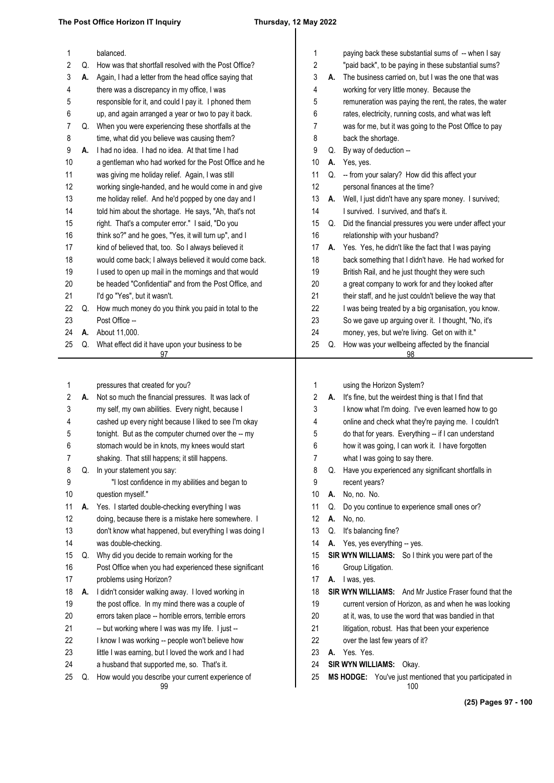| 1        |    | balanced.                                                                                        | 1        |    | paying back these substantial sums of -- when I say                                        |
|----------|----|--------------------------------------------------------------------------------------------------|----------|----|--------------------------------------------------------------------------------------------|
| 2        | Q. | How was that shortfall resolved with the Post Office?                                            | 2        |    | "paid back", to be paying in these substantial sums?                                       |
| 3        | А. | Again, I had a letter from the head office saying that                                           | 3        | А. | The business carried on, but I was the one that was                                        |
| 4        |    | there was a discrepancy in my office, I was                                                      | 4        |    | working for very little money. Because the                                                 |
| 5        |    | responsible for it, and could I pay it. I phoned them                                            | 5        |    | remuneration was paying the rent, the rates, the water                                     |
| 6        |    | up, and again arranged a year or two to pay it back.                                             | 6        |    | rates, electricity, running costs, and what was left                                       |
| 7        | Q. | When you were experiencing these shortfalls at the                                               | 7        |    | was for me, but it was going to the Post Office to pay                                     |
| 8        |    | time, what did you believe was causing them?                                                     | 8        |    | back the shortage.                                                                         |
| 9        | А. | I had no idea. I had no idea. At that time I had                                                 | 9        | Q. | By way of deduction --                                                                     |
| 10       |    | a gentleman who had worked for the Post Office and he                                            | 10       | А. | Yes, yes.                                                                                  |
| 11       |    | was giving me holiday relief. Again, I was still                                                 | 11       | Q. | -- from your salary? How did this affect your                                              |
| 12       |    | working single-handed, and he would come in and give                                             | 12       |    | personal finances at the time?                                                             |
| 13       |    | me holiday relief. And he'd popped by one day and I                                              | 13       | А. | Well, I just didn't have any spare money. I survived;                                      |
| 14       |    | told him about the shortage. He says, "Ah, that's not                                            | 14       |    | I survived. I survived, and that's it.                                                     |
| 15       |    | right. That's a computer error." I said, "Do you                                                 | 15       |    | Q. Did the financial pressures you were under affect your                                  |
| 16       |    | think so?" and he goes, "Yes, it will turn up", and I                                            | 16       |    | relationship with your husband?                                                            |
| 17       |    | kind of believed that, too. So I always believed it                                              | 17       | А. | Yes. Yes, he didn't like the fact that I was paying                                        |
| 18       |    | would come back; I always believed it would come back.                                           | 18       |    | back something that I didn't have. He had worked for                                       |
| 19       |    | I used to open up mail in the mornings and that would                                            | 19       |    | British Rail, and he just thought they were such                                           |
| 20       |    | be headed "Confidential" and from the Post Office, and                                           | 20       |    | a great company to work for and they looked after                                          |
| 21       |    | I'd go "Yes", but it wasn't.                                                                     | 21       |    | their staff, and he just couldn't believe the way that                                     |
| 22       | Q. | How much money do you think you paid in total to the                                             | 22       |    | I was being treated by a big organisation, you know.                                       |
| 23       |    | Post Office --                                                                                   | 23       |    | So we gave up arguing over it. I thought, "No, it's                                        |
| 24       | А. | About 11,000.                                                                                    | 24       |    | money, yes, but we're living. Get on with it."                                             |
| 25       | Q. | What effect did it have upon your business to be                                                 | 25       | Q. | How was your wellbeing affected by the financial                                           |
|          |    | 97                                                                                               |          |    | 98                                                                                         |
|          |    |                                                                                                  |          |    |                                                                                            |
|          |    |                                                                                                  |          |    |                                                                                            |
|          |    |                                                                                                  |          |    |                                                                                            |
| 1        |    | pressures that created for you?                                                                  | 1        |    | using the Horizon System?                                                                  |
| 2<br>3   | А. | Not so much the financial pressures. It was lack of                                              | 2<br>3   | А. | It's fine, but the weirdest thing is that I find that                                      |
|          |    | my self, my own abilities. Every night, because I                                                |          |    | I know what I'm doing. I've even learned how to go                                         |
| 4        |    | cashed up every night because I liked to see I'm okay                                            | 4        |    | online and check what they're paying me. I couldn't                                        |
| 5        |    | tonight. But as the computer churned over the -- my                                              | 5        |    | do that for years. Everything -- if I can understand                                       |
| 6        |    | stomach would be in knots, my knees would start                                                  | 6        |    | how it was going, I can work it. I have forgotten                                          |
|          |    | shaking. That still happens; it still happens.                                                   |          |    | what I was going to say there.                                                             |
| 8        | Q. | In your statement you say:                                                                       | 8        |    | Q. Have you experienced any significant shortfalls in                                      |
| 9        |    | "I lost confidence in my abilities and began to                                                  | 9        |    | recent years?                                                                              |
| 10       |    | question myself."                                                                                | 10       | А. | No, no. No.                                                                                |
| 11       | А. | Yes. I started double-checking everything I was                                                  | 11       | Q. | Do you continue to experience small ones or?                                               |
| 12       |    | doing, because there is a mistake here somewhere. I                                              | 12       | А. | No, no.                                                                                    |
| 13       |    | don't know what happened, but everything I was doing I                                           | 13       | Q. | It's balancing fine?                                                                       |
| 14       |    | was double-checking.                                                                             | 14       |    | A. Yes, yes everything -- yes.                                                             |
| 15       | Q. | Why did you decide to remain working for the                                                     | 15       |    | SIR WYN WILLIAMS: So I think you were part of the                                          |
| 16       |    | Post Office when you had experienced these significant                                           | 16       |    | Group Litigation.                                                                          |
| 17       |    | problems using Horizon?                                                                          | 17       |    | A. I was, yes.                                                                             |
| 18       | А. | I didn't consider walking away. I loved working in                                               | 18       |    | <b>SIR WYN WILLIAMS:</b> And Mr Justice Fraser found that the                              |
| 19       |    | the post office. In my mind there was a couple of                                                | 19       |    | current version of Horizon, as and when he was looking                                     |
| 20       |    | errors taken place -- horrible errors, terrible errors                                           | 20       |    | at it, was, to use the word that was bandied in that                                       |
| 21       |    | -- but working where I was was my life. I just --                                                | 21       |    | litigation, robust. Has that been your experience                                          |
| 22       |    | I know I was working -- people won't believe how                                                 | 22       |    | over the last few years of it?                                                             |
| 23       |    | little I was earning, but I loved the work and I had                                             | 23       |    | A. Yes. Yes.                                                                               |
| 24<br>25 | Q. | a husband that supported me, so. That's it.<br>How would you describe your current experience of | 24<br>25 |    | <b>SIR WYN WILLIAMS: Okay.</b><br>MS HODGE: You've just mentioned that you participated in |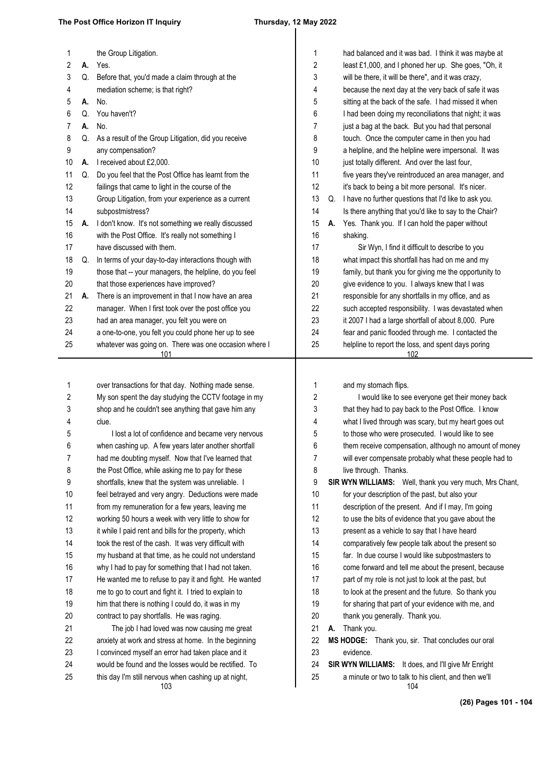### **The Post Office Horizon IT Inquiry Thursday, 12 May 2022**

| 1  |    | the Group Litigation.                                                                                        | 1          |    | had balanced and it was bad. I think it was maybe at    |
|----|----|--------------------------------------------------------------------------------------------------------------|------------|----|---------------------------------------------------------|
| 2  | А. | Yes.                                                                                                         | $\sqrt{2}$ |    | least £1,000, and I phoned her up. She goes, "Oh, it    |
| 3  | Q. | Before that, you'd made a claim through at the                                                               | 3          |    | will be there, it will be there", and it was crazy,     |
| 4  |    | mediation scheme; is that right?                                                                             | 4          |    | because the next day at the very back of safe it was    |
| 5  | А. | No.                                                                                                          | 5          |    | sitting at the back of the safe. I had missed it when   |
| 6  | Q. | You haven't?                                                                                                 | 6          |    | I had been doing my reconciliations that night; it was  |
| 7  | А. | No.                                                                                                          | 7          |    | just a bag at the back. But you had that personal       |
| 8  | Q. | As a result of the Group Litigation, did you receive                                                         | 8          |    | touch. Once the computer came in then you had           |
| 9  |    | any compensation?                                                                                            | 9          |    | a helpline, and the helpline were impersonal. It was    |
| 10 | А. | I received about £2,000.                                                                                     | 10         |    | just totally different. And over the last four,         |
| 11 | Q. | Do you feel that the Post Office has learnt from the                                                         | 11         |    | five years they've reintroduced an area manager, and    |
| 12 |    | failings that came to light in the course of the                                                             | 12         |    | it's back to being a bit more personal. It's nicer.     |
| 13 |    | Group Litigation, from your experience as a current                                                          | 13         | Q. | I have no further questions that I'd like to ask you.   |
| 14 |    | subpostmistress?                                                                                             | 14         |    | Is there anything that you'd like to say to the Chair?  |
| 15 | А. | I don't know. It's not something we really discussed                                                         | 15         | А. | Yes. Thank you. If I can hold the paper without         |
| 16 |    | with the Post Office. It's really not something I                                                            | 16         |    | shaking.                                                |
| 17 |    | have discussed with them.                                                                                    | 17         |    | Sir Wyn, I find it difficult to describe to you         |
| 18 | Q. | In terms of your day-to-day interactions though with                                                         | 18         |    | what impact this shortfall has had on me and my         |
| 19 |    | those that -- your managers, the helpline, do you feel                                                       | 19         |    | family, but thank you for giving me the opportunity to  |
| 20 |    | that those experiences have improved?                                                                        | 20         |    | give evidence to you. I always knew that I was          |
| 21 | А. | There is an improvement in that I now have an area                                                           | 21         |    | responsible for any shortfalls in my office, and as     |
| 22 |    | manager. When I first took over the post office you                                                          | 22         |    | such accepted responsibility. I was devastated when     |
| 23 |    | had an area manager, you felt you were on                                                                    | 23         |    | it 2007 I had a large shortfall of about 8,000. Pure    |
| 24 |    | a one-to-one, you felt you could phone her up to see                                                         | 24         |    | fear and panic flooded through me. I contacted the      |
| 25 |    | whatever was going on. There was one occasion where I                                                        | 25         |    | helpline to report the loss, and spent days poring      |
|    |    | 101                                                                                                          |            |    | 102                                                     |
|    |    |                                                                                                              |            |    |                                                         |
|    |    |                                                                                                              |            |    |                                                         |
| 1  |    | over transactions for that day. Nothing made sense.                                                          | 1          |    | and my stomach flips.                                   |
| 2  |    | My son spent the day studying the CCTV footage in my                                                         | 2          |    | I would like to see everyone get their money back       |
| 3  |    | shop and he couldn't see anything that gave him any                                                          | 3          |    | that they had to pay back to the Post Office. I know    |
| 4  |    | clue.                                                                                                        | 4          |    | what I lived through was scary, but my heart goes out   |
| 5  |    | I lost a lot of confidence and became very nervous                                                           | 5          |    | to those who were prosecuted. I would like to see       |
| 6  |    | when cashing up. A few years later another shortfall                                                         | 6          |    | them receive compensation, although no amount of money  |
| 7  |    | had me doubting myself. Now that I've learned that                                                           | 7          |    | will ever compensate probably what these people had to  |
| 8  |    | the Post Office, while asking me to pay for these                                                            | 8          |    | live through. Thanks.                                   |
| 9  |    | shortfalls, knew that the system was unreliable. I                                                           | 9          |    | SIR WYN WILLIAMS: Well, thank you very much, Mrs Chant, |
| 10 |    | feel betrayed and very angry. Deductions were made                                                           | 10         |    | for your description of the past, but also your         |
| 11 |    | from my remuneration for a few years, leaving me                                                             | 11         |    | description of the present. And if I may, I'm going     |
| 12 |    | working 50 hours a week with very little to show for                                                         | 12         |    | to use the bits of evidence that you gave about the     |
| 13 |    | it while I paid rent and bills for the property, which                                                       | 13         |    | present as a vehicle to say that I have heard           |
| 14 |    | took the rest of the cash. It was very difficult with                                                        | 14         |    | comparatively few people talk about the present so      |
| 15 |    | my husband at that time, as he could not understand                                                          | 15         |    | far. In due course I would like subpostmasters to       |
| 16 |    | why I had to pay for something that I had not taken.                                                         | 16         |    | come forward and tell me about the present, because     |
| 17 |    | He wanted me to refuse to pay it and fight. He wanted                                                        | 17         |    | part of my role is not just to look at the past, but    |
| 18 |    | me to go to court and fight it. I tried to explain to                                                        | 18         |    | to look at the present and the future. So thank you     |
| 19 |    | him that there is nothing I could do, it was in my                                                           | 19         |    | for sharing that part of your evidence with me, and     |
| 20 |    | contract to pay shortfalls. He was raging.                                                                   | 20         |    | thank you generally. Thank you.                         |
| 21 |    | The job I had loved was now causing me great                                                                 | 21         | А. | Thank you.                                              |
| 22 |    | anxiety at work and stress at home. In the beginning                                                         | 22         |    | MS HODGE: Thank you, sir. That concludes our oral       |
| 23 |    | I convinced myself an error had taken place and it                                                           | 23         |    | evidence.                                               |
| 24 |    | would be found and the losses would be rectified. To<br>this day I'm still nervous when cashing up at night, | 24         |    | SIR WYN WILLIAMS: It does, and I'll give Mr Enright     |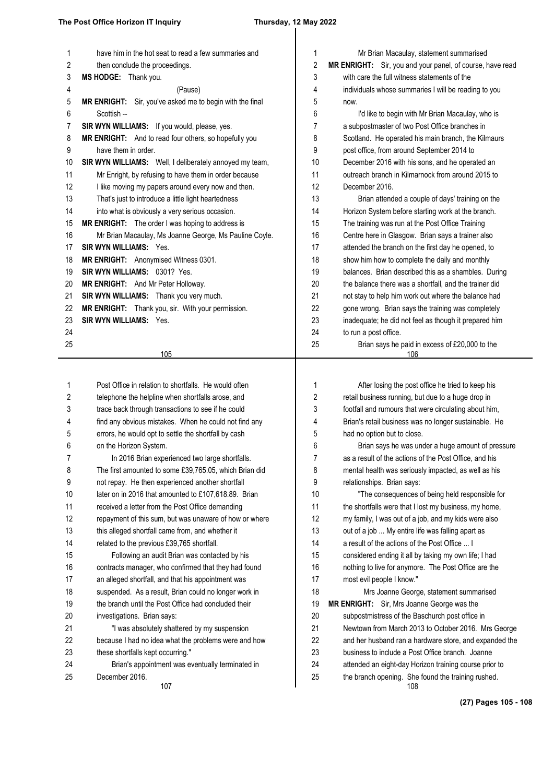| 1  | have him in the hot seat to read a few summaries and     | 1  | Mr Brian Macaulay, statement summarised                   |
|----|----------------------------------------------------------|----|-----------------------------------------------------------|
| 2  | then conclude the proceedings.                           | 2  | MR ENRIGHT: Sir, you and your panel, of course, have read |
| 3  | MS HODGE: Thank you.                                     | 3  | with care the full witness statements of the              |
| 4  | (Pause)                                                  | 4  | individuals whose summaries I will be reading to you      |
| 5  | MR ENRIGHT: Sir, you've asked me to begin with the final | 5  | now.                                                      |
| 6  | Scottish --                                              | 6  | I'd like to begin with Mr Brian Macaulay, who is          |
| 7  | SIR WYN WILLIAMS: If you would, please, yes.             | 7  | a subpostmaster of two Post Office branches in            |
| 8  | MR ENRIGHT: And to read four others, so hopefully you    | 8  | Scotland. He operated his main branch, the Kilmaurs       |
| 9  | have them in order.                                      | 9  | post office, from around September 2014 to                |
| 10 | SIR WYN WILLIAMS: Well, I deliberately annoyed my team,  | 10 | December 2016 with his sons, and he operated an           |
| 11 | Mr Enright, by refusing to have them in order because    | 11 | outreach branch in Kilmarnock from around 2015 to         |
| 12 | I like moving my papers around every now and then.       | 12 | December 2016.                                            |
| 13 | That's just to introduce a little light heartedness      | 13 | Brian attended a couple of days' training on the          |
| 14 | into what is obviously a very serious occasion.          | 14 | Horizon System before starting work at the branch.        |
| 15 | MR ENRIGHT: The order I was hoping to address is         | 15 | The training was run at the Post Office Training          |
| 16 | Mr Brian Macaulay, Ms Joanne George, Ms Pauline Coyle.   | 16 | Centre here in Glasgow. Brian says a trainer also         |
| 17 | <b>SIR WYN WILLIAMS: Yes.</b>                            | 17 | attended the branch on the first day he opened, to        |
| 18 | MR ENRIGHT: Anonymised Witness 0301.                     | 18 | show him how to complete the daily and monthly            |
| 19 | SIR WYN WILLIAMS: 0301? Yes.                             | 19 | balances. Brian described this as a shambles. During      |
| 20 | MR ENRIGHT: And Mr Peter Holloway.                       | 20 | the balance there was a shortfall, and the trainer did    |
| 21 | SIR WYN WILLIAMS: Thank you very much.                   | 21 | not stay to help him work out where the balance had       |
| 22 | MR ENRIGHT: Thank you, sir. With your permission.        | 22 | gone wrong. Brian says the training was completely        |
| 23 | <b>SIR WYN WILLIAMS: Yes.</b>                            | 23 | inadequate; he did not feel as though it prepared him     |
| 24 |                                                          | 24 | to run a post office.                                     |
| 25 |                                                          | 25 | Brian says he paid in excess of £20,000 to the            |
|    | 105                                                      |    | 106                                                       |
|    |                                                          |    |                                                           |
| 1  | Post Office in relation to shortfalls. He would often    | 1  | After losing the post office he tried to keep his         |
| 2  | telephone the helpline when shortfalls arose, and        | 2  | retail business running, but due to a huge drop in        |
| 3  | trace back through transactions to see if he could       | 3  | footfall and rumours that were circulating about him,     |
| 4  | find any obvious mistakes. When he could not find any    | 4  | Brian's retail business was no longer sustainable. He     |
| 5  | errors, he would opt to settle the shortfall by cash     | 5  | had no option but to close.                               |
| 6  | on the Horizon System.                                   | 6  | Brian says he was under a huge amount of pressure         |
| 7  | In 2016 Brian experienced two large shortfalls.          | 7  | as a result of the actions of the Post Office, and his    |
| 8  | The first amounted to some £39,765.05, which Brian did   | 8  | mental health was seriously impacted, as well as his      |
| 9  | not repay. He then experienced another shortfall         | 9  | relationships. Brian says:                                |
| 10 | later on in 2016 that amounted to £107,618.89. Brian     | 10 | "The consequences of being held responsible for           |
| 11 | received a letter from the Post Office demanding         | 11 | the shortfalls were that I lost my business, my home,     |
| 12 | repayment of this sum, but was unaware of how or where   | 12 | my family, I was out of a job, and my kids were also      |
| 13 | this alleged shortfall came from, and whether it         | 13 | out of a job  My entire life was falling apart as         |
| 14 | related to the previous £39,765 shortfall.               | 14 | a result of the actions of the Post Office  I             |
| 15 | Following an audit Brian was contacted by his            | 15 | considered ending it all by taking my own life; I had     |
| 16 | contracts manager, who confirmed that they had found     | 16 | nothing to live for anymore. The Post Office are the      |
| 17 | an alleged shortfall, and that his appointment was       | 17 | most evil people I know."                                 |
| 18 | suspended. As a result, Brian could no longer work in    | 18 | Mrs Joanne George, statement summarised                   |
| 19 | the branch until the Post Office had concluded their     | 19 | <b>MR ENRIGHT:</b> Sir, Mrs Joanne George was the         |
| 20 | investigations. Brian says:                              | 20 | subpostmistress of the Baschurch post office in           |
| 21 | "I was absolutely shattered by my suspension             | 21 | Newtown from March 2013 to October 2016. Mrs George       |
| 22 | because I had no idea what the problems were and how     | 22 | and her husband ran a hardware store, and expanded the    |
| 23 | these shortfalls kept occurring."                        | 23 | business to include a Post Office branch. Joanne          |
| 24 | Brian's appointment was eventually terminated in         | 24 | attended an eight-day Horizon training course prior to    |
| 25 | December 2016.                                           | 25 | the branch opening. She found the training rushed.        |
|    | 107                                                      |    | 108                                                       |

**(27) Pages 105 - 108**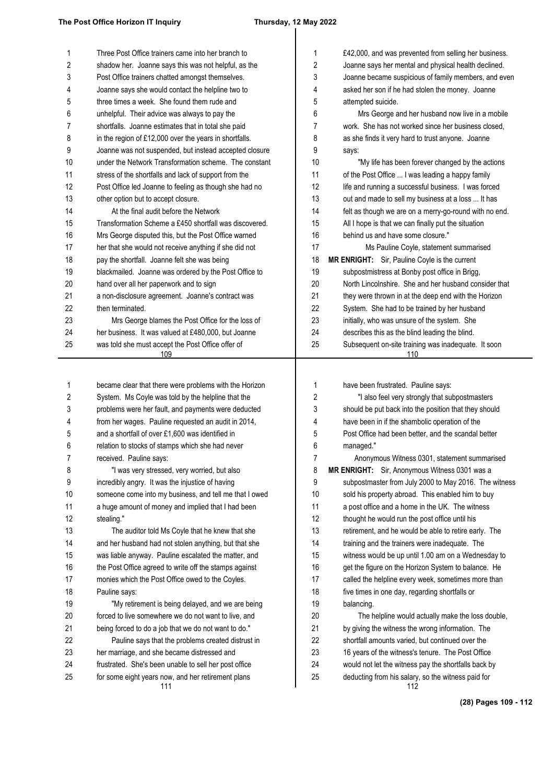| 1  | Three Post Office trainers came into her branch to        | 1  | £42,000, and was prevented from selling her business.      |
|----|-----------------------------------------------------------|----|------------------------------------------------------------|
| 2  | shadow her. Joanne says this was not helpful, as the      | 2  | Joanne says her mental and physical health declined.       |
| 3  | Post Office trainers chatted amongst themselves.          | 3  | Joanne became suspicious of family members, and ev         |
| 4  | Joanne says she would contact the helpline two to         | 4  | asked her son if he had stolen the money. Joanne           |
| 5  | three times a week. She found them rude and               | 5  | attempted suicide.                                         |
| 6  | unhelpful. Their advice was always to pay the             | 6  | Mrs George and her husband now live in a mobile            |
| 7  | shortfalls. Joanne estimates that in total she paid       | 7  | work. She has not worked since her business closed.        |
| 8  | in the region of £12,000 over the years in shortfalls.    | 8  | as she finds it very hard to trust anyone. Joanne          |
| 9  | Joanne was not suspended, but instead accepted closure    | 9  | says:                                                      |
| 10 | under the Network Transformation scheme. The constant     | 10 | "My life has been forever changed by the actions           |
| 11 | stress of the shortfalls and lack of support from the     | 11 | of the Post Office  I was leading a happy family           |
| 12 | Post Office led Joanne to feeling as though she had no    | 12 | life and running a successful business. I was forced       |
| 13 | other option but to accept closure.                       | 13 | out and made to sell my business at a loss  It has         |
| 14 | At the final audit before the Network                     | 14 | felt as though we are on a merry-go-round with no end      |
| 15 | Transformation Scheme a £450 shortfall was discovered.    | 15 | All I hope is that we can finally put the situation        |
| 16 | Mrs George disputed this, but the Post Office warned      | 16 | behind us and have some closure."                          |
| 17 | her that she would not receive anything if she did not    | 17 | Ms Pauline Coyle, statement summarised                     |
| 18 | pay the shortfall. Joanne felt she was being              | 18 | MR ENRIGHT: Sir, Pauline Coyle is the current              |
| 19 | blackmailed. Joanne was ordered by the Post Office to     | 19 | subpostmistress at Bonby post office in Brigg,             |
| 20 | hand over all her paperwork and to sign                   | 20 | North Lincolnshire. She and her husband consider tha       |
| 21 | a non-disclosure agreement. Joanne's contract was         | 21 | they were thrown in at the deep end with the Horizon       |
| 22 | then terminated.                                          | 22 | System. She had to be trained by her husband               |
| 23 | Mrs George blames the Post Office for the loss of         | 23 | initially, who was unsure of the system. She               |
| 24 | her business. It was valued at £480,000, but Joanne       | 24 | describes this as the blind leading the blind.             |
| 25 | was told she must accept the Post Office offer of<br>109  | 25 | Subsequent on-site training was inadequate. It soon<br>110 |
|    |                                                           |    |                                                            |
| 1  | became clear that there were problems with the Horizon    | 1  | have been frustrated. Pauline says:                        |
| 2  | System. Ms Coyle was told by the helpline that the        | 2  | "I also feel very strongly that subpostmasters             |
| 3  | problems were her fault, and payments were deducted       | 3  | should be put back into the position that they should      |
| 4  | from her wages. Pauline requested an audit in 2014,       | 4  | have been in if the shambolic operation of the             |
| 5  | and a shortfall of over £1,600 was identified in          | 5  | Post Office had been better, and the scandal better        |
| 6  | relation to stocks of stamps which she had never          | 6  | managed."                                                  |
| 7  | received. Pauline says:                                   | 7  | Anonymous Witness 0301, statement summarised               |
| 8  | "I was very stressed, very worried, but also              | 8  | MR ENRIGHT: Sir, Anonymous Witness 0301 was a              |
| 9  | incredibly angry. It was the injustice of having          | 9  | subpostmaster from July 2000 to May 2016. The witne        |
| 10 | someone come into my business, and tell me that I owed    | 10 | sold his property abroad. This enabled him to buy          |
| 11 | a huge amount of money and implied that I had been        | 11 | a post office and a home in the UK. The witness            |
| 12 | stealing."                                                | 12 | thought he would run the post office until his             |
| 13 | The auditor told Ms Coyle that he knew that she           | 13 | retirement, and he would be able to retire early. The      |
| 14 | and her husband had not stolen anything, but that she     | 14 | training and the trainers were inadequate. The             |
| 15 | was liable anyway. Pauline escalated the matter, and      | 15 | witness would be up until 1.00 am on a Wednesday to        |
| 16 | the Post Office agreed to write off the stamps against    | 16 | get the figure on the Horizon System to balance. He        |
| 17 | monies which the Post Office owed to the Coyles.          | 17 | called the helpline every week, sometimes more than        |
| 18 | Pauline says:                                             | 18 | five times in one day, regarding shortfalls or             |
| 19 | "My retirement is being delayed, and we are being         | 19 | balancing.                                                 |
| 20 | forced to live somewhere we do not want to live, and      | 20 | The helpline would actually make the loss double,          |
| 21 | being forced to do a job that we do not want to do."      | 21 | by giving the witness the wrong information. The           |
| 22 | Pauline says that the problems created distrust in        | 22 | shortfall amounts varied, but continued over the           |
| 23 | her marriage, and she became distressed and               | 23 | 16 years of the witness's tenure. The Post Office          |
| 24 | frustrated. She's been unable to sell her post office     | 24 | would not let the witness pay the shortfalls back by       |
| 25 | for some eight years now, and her retirement plans<br>111 | 25 | deducting from his salary, so the witness paid for<br>112  |

110 Joanne says her mental and physical health declined. Joanne became suspicious of family members, and even asked her son if he had stolen the money. Joanne attempted suicide. Mrs George and her husband now live in a mobile work. She has not worked since her business closed, as she finds it very hard to trust anyone. Joanne says: "My life has been forever changed by the actions of the Post Office ... I was leading a happy family life and running a successful business. I was forced out and made to sell my business at a loss ... It has felt as though we are on a merry-go-round with no end. All I hope is that we can finally put the situation behind us and have some closure." Ms Pauline Coyle, statement summarised **ENRIGHT:** Sir, Pauline Coyle is the current subpostmistress at Bonby post office in Brigg, North Lincolnshire. She and her husband consider that they were thrown in at the deep end with the Horizon System. She had to be trained by her husband initially, who was unsure of the system. She describes this as the blind leading the blind. Subsequent on-site training was inadequate. It soon 112 have been frustrated. Pauline says: "I also feel very strongly that subpostmasters should be put back into the position that they should have been in if the shambolic operation of the Post Office had been better, and the scandal better managed." Anonymous Witness 0301, statement summarised **ENRIGHT:** Sir, Anonymous Witness 0301 was a subpostmaster from July 2000 to May 2016. The witness sold his property abroad. This enabled him to buy a post office and a home in the UK. The witness thought he would run the post office until his retirement, and he would be able to retire early. The training and the trainers were inadequate. The witness would be up until 1.00 am on a Wednesday to get the figure on the Horizon System to balance. He called the helpline every week, sometimes more than five times in one day, regarding shortfalls or balancing. The helpline would actually make the loss double, by giving the witness the wrong information. The shortfall amounts varied, but continued over the 16 years of the witness's tenure. The Post Office would not let the witness pay the shortfalls back by deducting from his salary, so the witness paid for

**(28) Pages 109 - 112**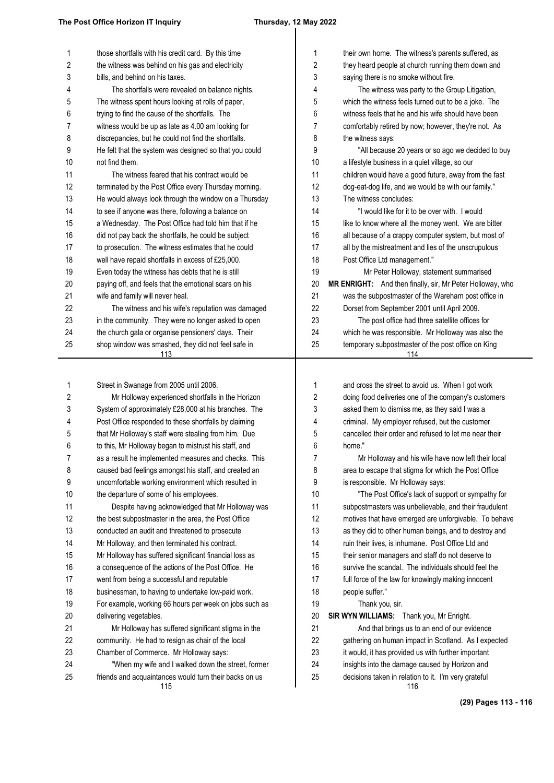### $\mathcal{L}$

| 1          | those shortfalls with his credit card. By this time                      | 1      | their own home. The witness's parents suffered, as                                                       |
|------------|--------------------------------------------------------------------------|--------|----------------------------------------------------------------------------------------------------------|
| $\sqrt{2}$ | the witness was behind on his gas and electricity                        | 2      | they heard people at church running them down and                                                        |
| 3          | bills, and behind on his taxes.                                          | 3      | saying there is no smoke without fire.                                                                   |
| 4          | The shortfalls were revealed on balance nights.                          | 4      | The witness was party to the Group Litigation,                                                           |
| 5          | The witness spent hours looking at rolls of paper,                       | 5      | which the witness feels turned out to be a joke. The                                                     |
| 6          | trying to find the cause of the shortfalls. The                          | 6      | witness feels that he and his wife should have been                                                      |
| 7          | witness would be up as late as 4.00 am looking for                       | 7      | comfortably retired by now; however, they're not. As                                                     |
| 8          | discrepancies, but he could not find the shortfalls.                     | 8<br>9 | the witness says:                                                                                        |
| 9<br>10    | He felt that the system was designed so that you could<br>not find them. | 10     | "All because 20 years or so ago we decided to buy                                                        |
| 11         | The witness feared that his contract would be                            | 11     | a lifestyle business in a quiet village, so our<br>children would have a good future, away from the fast |
| 12         | terminated by the Post Office every Thursday morning.                    | 12     | dog-eat-dog life, and we would be with our family."                                                      |
| 13         | He would always look through the window on a Thursday                    | 13     | The witness concludes:                                                                                   |
| 14         | to see if anyone was there, following a balance on                       | 14     | "I would like for it to be over with. I would                                                            |
| 15         | a Wednesday. The Post Office had told him that if he                     | 15     | like to know where all the money went. We are bitter                                                     |
| 16         | did not pay back the shortfalls, he could be subject                     | 16     | all because of a crappy computer system, but most of                                                     |
| 17         | to prosecution. The witness estimates that he could                      | 17     | all by the mistreatment and lies of the unscrupulous                                                     |
| 18         | well have repaid shortfalls in excess of £25,000.                        | 18     | Post Office Ltd management."                                                                             |
| 19         | Even today the witness has debts that he is still                        | 19     | Mr Peter Holloway, statement summarised                                                                  |
| 20         | paying off, and feels that the emotional scars on his                    | 20     | MR ENRIGHT: And then finally, sir, Mr Peter Holloway, who                                                |
| 21         | wife and family will never heal.                                         | 21     | was the subpostmaster of the Wareham post office in                                                      |
| 22         | The witness and his wife's reputation was damaged                        | 22     | Dorset from September 2001 until April 2009.                                                             |
| 23         | in the community. They were no longer asked to open                      | 23     | The post office had three satellite offices for                                                          |
| 24         | the church gala or organise pensioners' days. Their                      | 24     | which he was responsible. Mr Holloway was also the                                                       |
| 25         | shop window was smashed, they did not feel safe in                       | 25     | temporary subpostmaster of the post office on King                                                       |
|            | 113                                                                      |        | 114                                                                                                      |
|            |                                                                          |        |                                                                                                          |
| 1          | Street in Swanage from 2005 until 2006.                                  | 1      | and cross the street to avoid us. When I got work                                                        |
| 2          | Mr Holloway experienced shortfalls in the Horizon                        | 2      | doing food deliveries one of the company's customers                                                     |
| 3          | System of approximately £28,000 at his branches. The                     | 3      | asked them to dismiss me, as they said I was a                                                           |
| 4          | Post Office responded to these shortfalls by claiming                    | 4      | criminal. My employer refused, but the customer                                                          |
| 5          | that Mr Holloway's staff were stealing from him. Due                     | 5      | cancelled their order and refused to let me near their                                                   |
| 6          | to this, Mr Holloway began to mistrust his staff, and                    | 6      | home."                                                                                                   |
| 7          | as a result he implemented measures and checks. This                     | 7      | Mr Holloway and his wife have now left their local                                                       |
| 8          | caused bad feelings amongst his staff, and created an                    | 8      | area to escape that stigma for which the Post Office                                                     |
| 9          | uncomfortable working environment which resulted in                      | 9      | is responsible. Mr Holloway says:                                                                        |
| 10         | the departure of some of his employees.                                  | 10     | "The Post Office's lack of support or sympathy for                                                       |
| 11         | Despite having acknowledged that Mr Holloway was                         | 11     | subpostmasters was unbelievable, and their fraudulent                                                    |
| 12         | the best subpostmaster in the area, the Post Office                      | 12     | motives that have emerged are unforgivable. To behave                                                    |
| 13         | conducted an audit and threatened to prosecute                           | 13     | as they did to other human beings, and to destroy and                                                    |
| 14         | Mr Holloway, and then terminated his contract.                           | 14     | ruin their lives, is inhumane. Post Office Ltd and                                                       |
| 15         | Mr Holloway has suffered significant financial loss as                   | 15     | their senior managers and staff do not deserve to                                                        |
| 16         | a consequence of the actions of the Post Office. He                      | 16     | survive the scandal. The individuals should feel the                                                     |
| 17         | went from being a successful and reputable                               | 17     | full force of the law for knowingly making innocent                                                      |
| 18         | businessman, to having to undertake low-paid work.                       | 18     | people suffer."                                                                                          |
| 19         | For example, working 66 hours per week on jobs such as                   | 19     | Thank you, sir.                                                                                          |
| 20         | delivering vegetables.                                                   | 20     | SIR WYN WILLIAMS: Thank you, Mr Enright.                                                                 |
| 21         | Mr Holloway has suffered significant stigma in the                       | 21     | And that brings us to an end of our evidence                                                             |
| 22         | community. He had to resign as chair of the local                        | 22     | gathering on human impact in Scotland. As I expected                                                     |
| 23         | Chamber of Commerce. Mr Holloway says:                                   | 23     | it would, it has provided us with further important                                                      |
| 24         | "When my wife and I walked down the street, former                       | 24     | insights into the damage caused by Horizon and                                                           |
| 25         | friends and acquaintances would turn their backs on us<br>115            | 25     | decisions taken in relation to it. I'm very grateful<br>116                                              |

**(29) Pages 113 - 116**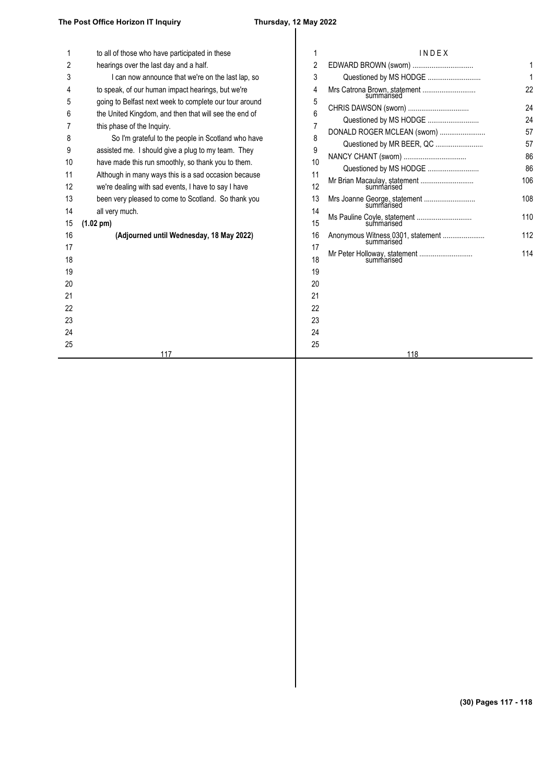|          | to all of those who have participated in these                        |          | INDEX                                      |     |
|----------|-----------------------------------------------------------------------|----------|--------------------------------------------|-----|
| 2        | hearings over the last day and a half.                                | 2        | EDWARD BROWN (sworn)                       |     |
| 3        | I can now announce that we're on the last lap, so                     | 3        |                                            |     |
|          | to speak, of our human impact hearings, but we're                     | 4        | Mrs Catrona Brown, statement<br>summarised | 22  |
|          | going to Belfast next week to complete our tour around                | 5        |                                            | 24  |
|          | the United Kingdom, and then that will see the end of                 | 6        |                                            | 24  |
|          | this phase of the Inquiry.                                            |          | DONALD ROGER MCLEAN (sworn)                | 57  |
| 8        | So I'm grateful to the people in Scotland who have                    | 8        | Questioned by MR BEER, QC                  | 57  |
| 9        | assisted me. I should give a plug to my team. They                    | 9        |                                            | 86  |
| 10       | have made this run smoothly, so thank you to them.                    | 10       | Questioned by MS HODGE                     | 86  |
| 11       | Although in many ways this is a sad occasion because                  | 11       |                                            | 106 |
| 12       | we're dealing with sad events, I have to say I have                   | 12       |                                            |     |
| 13<br>14 | been very pleased to come to Scotland. So thank you<br>all very much. | 13<br>14 | Mrs Joanne George, statement<br>summarised | 108 |
| 15       | $(1.02 \text{ pm})$                                                   | 15       | summarised                                 | 110 |
| 16       | (Adjourned until Wednesday, 18 May 2022)                              | 16       |                                            | 112 |
| 17       |                                                                       | 17       |                                            |     |
| 18       |                                                                       | 18       |                                            | 114 |
| 19       |                                                                       | 19       |                                            |     |
| 20       |                                                                       | 20       |                                            |     |
| 21       |                                                                       | 21       |                                            |     |
| 22       |                                                                       | 22       |                                            |     |
| 23       |                                                                       | 23       |                                            |     |
| 24       |                                                                       | 24       |                                            |     |
| 25       | 117                                                                   | 25       | 118                                        |     |
|          |                                                                       |          |                                            |     |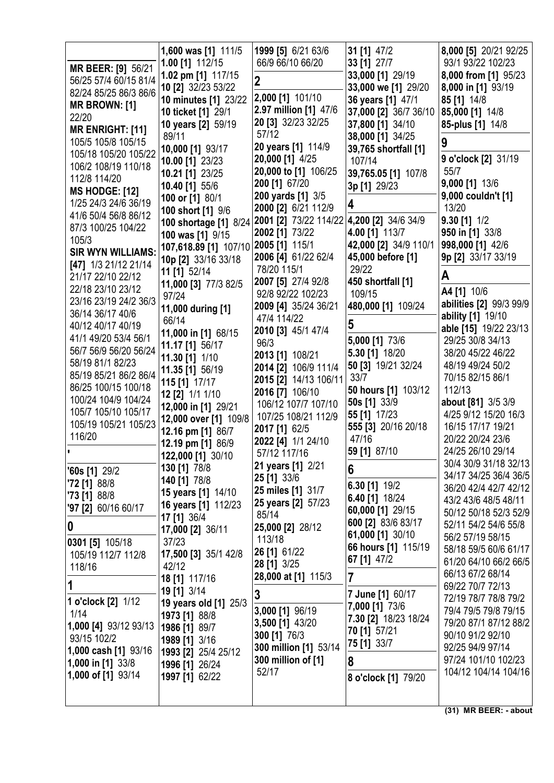|                                             | 1,600 was [1] 111/5                   | 1999 [5] 6/21 63/6                        | 31 [1] 47/2                     | 8,000 [5] 20/21 92/25                          |
|---------------------------------------------|---------------------------------------|-------------------------------------------|---------------------------------|------------------------------------------------|
| MR BEER: [9] 56/21                          | 1.00 [1] 112/15<br>1.02 pm [1] 117/15 | 66/9 66/10 66/20                          | 33 [1] 27/7<br>33,000 [1] 29/19 | 93/1 93/22 102/23<br>8,000 from [1] 95/23      |
| 56/25 57/4 60/15 81/4                       | 10 [2] 32/23 53/22                    | $\boldsymbol{2}$                          | 33,000 we [1] 29/20             | 8,000 in [1] 93/19                             |
| 82/24 85/25 86/3 86/6                       | 10 minutes [1] 23/22                  | 2,000 [1] 101/10                          | 36 years [1] 47/1               | 85 [1] 14/8                                    |
| <b>MR BROWN: [1]</b>                        | 10 ticket [1] 29/1                    | 2.97 million [1] 47/6                     | 37,000 [2] 36/7 36/10           | 85,000 [1] 14/8                                |
| 22/20                                       | 10 years [2] 59/19                    | 20 [3] 32/23 32/25                        | 37,800 [1] 34/10                | 85-plus [1] 14/8                               |
| <b>MR ENRIGHT: [11]</b>                     | 89/11                                 | 57/12                                     | 38,000 [1] 34/25                |                                                |
| 105/5 105/8 105/15                          | 10,000 [1] 93/17                      | 20 years [1] 114/9                        | 39,765 shortfall [1]            | 9                                              |
| 105/18 105/20 105/22<br>106/2 108/19 110/18 | 10.00 [1] 23/23                       | 20,000 [1] 4/25                           | 107/14                          | 9 o'clock [2] 31/19                            |
| 112/8 114/20                                | 10.21 [1] 23/25                       | 20,000 to [1] 106/25                      | 39,765.05 [1] 107/8             | 55/7                                           |
| <b>MS HODGE: [12]</b>                       | 10.40 [1] 55/6                        | 200 [1] 67/20                             | 3p [1] 29/23                    | 9,000 [1] 13/6                                 |
| 1/25 24/3 24/6 36/19                        | 100 or [1] 80/1                       | 200 yards [1] 3/5                         | 4                               | 9,000 couldn't [1]                             |
| 41/6 50/4 56/8 86/12                        | 100 short [1] 9/6                     | 2000 [2] 6/21 112/9                       |                                 | 13/20                                          |
| 87/3 100/25 104/22                          | 100 shortage [1] 8/24                 | 2001 [2] 73/22 114/22 4,200 [2] 34/6 34/9 |                                 | $9.30$ [1] $1/2$                               |
| 105/3                                       | 100 was [1] 9/15                      | 2002 [1] 73/22                            | 4.00 [1] 113/7                  | 950 in [1] 33/8                                |
| <b>SIR WYN WILLIAMS:</b>                    | 107,618.89 [1] 107/10                 | 2005 [1] 115/1                            | 42,000 [2] 34/9 110/1           | 998,000 [1] 42/6                               |
| [47] 1/3 21/12 21/14                        | 10p [2] 33/16 33/18                   | 2006 [4] 61/22 62/4                       | 45,000 before [1]<br>29/22      | 9p [2] 33/17 33/19                             |
| 21/17 22/10 22/12                           | 11 [1] 52/14                          | 78/20 115/1<br>2007 [5] 27/4 92/8         | 450 shortfall [1]               | A                                              |
| 22/18 23/10 23/12                           | 11,000 [3] 77/3 82/5                  | 92/8 92/22 102/23                         | 109/15                          | A4 [1] 10/6                                    |
| 23/16 23/19 24/2 36/3                       | 97/24                                 | 2009 [4] 35/24 36/21                      | 480,000 [1] 109/24              | abilities [2] 99/3 99/9                        |
| 36/14 36/17 40/6                            | 11,000 during [1]<br>66/14            | 47/4 114/22                               |                                 | ability [1] 19/10                              |
| 40/12 40/17 40/19                           | 11,000 in [1] 68/15                   | 2010 [3] 45/1 47/4                        | 5                               | able [15] 19/22 23/13                          |
| 41/1 49/20 53/4 56/1                        | 11.17 [1] 56/17                       | 96/3                                      | 5,000 [1] 73/6                  | 29/25 30/8 34/13                               |
| 56/7 56/9 56/20 56/24                       | 11.30 [1] 1/10                        | 2013 [1] 108/21                           | 5.30 [1] 18/20                  | 38/20 45/22 46/22                              |
| 58/19 81/1 82/23                            | 11.35 [1] 56/19                       | 2014 [2] 106/9 111/4                      | 50 [3] 19/21 32/24              | 48/19 49/24 50/2                               |
| 85/19 85/21 86/2 86/4                       | 115 [1] 17/17                         | 2015 [2] 14/13 106/11                     | 33/7                            | 70/15 82/15 86/1                               |
| 86/25 100/15 100/18                         | 12 [2] 1/1 1/10                       | 2016 [7] 106/10                           | 50 hours [1] 103/12             | 112/13                                         |
| 100/24 104/9 104/24                         | 12,000 in [1] 29/21                   | 106/12 107/7 107/10                       | 50s [1] 33/9                    | about [81] 3/5 3/9                             |
| 105/7 105/10 105/17                         | 12,000 over [1] 109/8                 | 107/25 108/21 112/9                       | 55 [1] 17/23                    | 4/25 9/12 15/20 16/3                           |
| 105/19 105/21 105/23<br>116/20              | 12.16 pm [1] 86/7                     | 2017 [1] 62/5                             | 555 [3] 20/16 20/18             | 16/15 17/17 19/21                              |
|                                             | 12.19 pm [1] 86/9                     | 2022 [4] 1/1 24/10                        | 47/16                           | 20/22 20/24 23/6                               |
|                                             | 122,000 [1] 30/10                     | 57/12 117/16                              | 59 [1] 87/10                    | 24/25 26/10 29/14                              |
| $'60s$ [1] 29/2                             | 130 [1] 78/8                          | <b>21 years [1] 2/21</b>                  | 6                               | 30/4 30/9 31/18 32/13<br>34/17 34/25 36/4 36/5 |
| $72$ [1] 88/8                               | 140 [1] 78/8                          | 25 [1] 33/6                               | 6.30 $[1]$ 19/2                 | 36/20 42/4 42/7 42/12                          |
| $73$ [1] 88/8                               | 15 years [1] 14/10                    | 25 miles [1] 31/7                         | 6.40 [1] 18/24                  | 43/2 43/6 48/5 48/11                           |
| '97 [2] 60/16 60/17                         | <b>16 years [1] 112/23</b>            | 25 years [2] 57/23<br>85/14               | 60,000 [1] 29/15                | 50/12 50/18 52/3 52/9                          |
| $\boldsymbol{0}$                            | 17 [1] 36/4                           | 25,000 [2] 28/12                          | 600 [2] 83/6 83/17              | 52/11 54/2 54/6 55/8                           |
|                                             | 17,000 [2] 36/11                      | 113/18                                    | 61,000 [1] 30/10                | 56/2 57/19 58/15                               |
| 0301 [5] 105/18                             | 37/23                                 | 26 [1] 61/22                              | 66 hours [1] 115/19             | 58/18 59/5 60/6 61/17                          |
| 105/19 112/7 112/8                          | 17,500 [3] 35/1 42/8<br>42/12         | 28 [1] 3/25                               | 67 [1] 47/2                     | 61/20 64/10 66/2 66/5                          |
| 118/16                                      | 18 [1] 117/16                         | 28,000 at [1] 115/3                       | 7                               | 66/13 67/2 68/14                               |
|                                             | 19 [1] 3/14                           |                                           |                                 | 69/22 70/7 72/13                               |
| 1 o'clock [2] 1/12                          | 19 years old [1] 25/3                 | 3                                         | 7 June [1] 60/17                | 72/19 78/7 78/8 79/2                           |
| 1/14                                        | 1973 [1] 88/8                         | 3,000 [1] 96/19                           | 7,000 [1] 73/6                  | 79/4 79/5 79/8 79/15                           |
| 1,000 [4] 93/12 93/13                       | 1986 [1] 89/7                         | 3,500 [1] 43/20                           | 7.30 [2] 18/23 18/24            | 79/20 87/1 87/12 88/2                          |
| 93/15 102/2                                 | 1989 [1] 3/16                         | 300 [1] 76/3                              | 70 [1] 57/21                    | 90/10 91/2 92/10                               |
| 1,000 cash [1] 93/16                        | 1993 [2] 25/4 25/12                   | 300 million [1] 53/14                     | 75 [1] 33/7                     | 92/25 94/9 97/14                               |
| <b>1,000 in [1] 33/8</b>                    | 1996 [1] 26/24                        | 300 million of [1]                        | 8                               | 97/24 101/10 102/23                            |
| 1,000 of [1] 93/14                          | 1997 [1] 62/22                        | 52/17                                     | 8 o'clock [1] 79/20             | 104/12 104/14 104/16                           |
|                                             |                                       |                                           |                                 |                                                |
|                                             |                                       |                                           |                                 |                                                |
|                                             |                                       |                                           |                                 | (31) MR BEER: - about                          |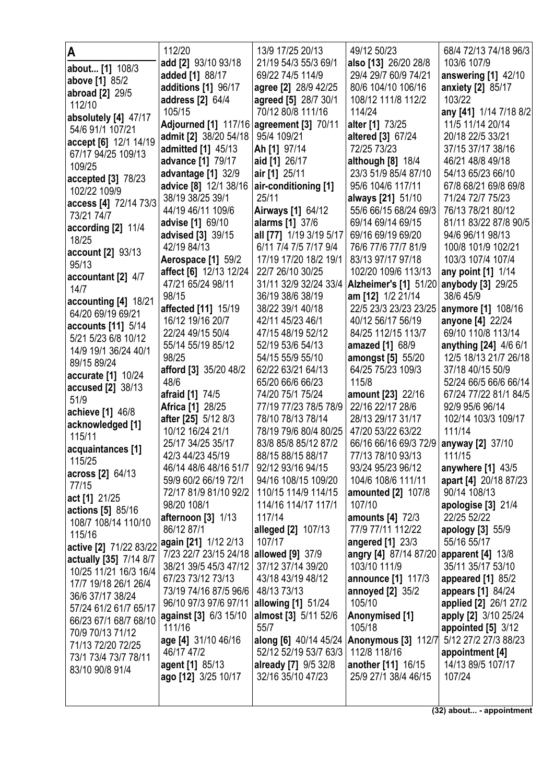| A                                        | 112/20                                   | 13/9 17/25 20/13         | 49/12 50/23                               | 68/4 72/13 74/18 96/3  |
|------------------------------------------|------------------------------------------|--------------------------|-------------------------------------------|------------------------|
| about [1] 108/3                          | add [2] 93/10 93/18                      | 21/19 54/3 55/3 69/1     | also [13] 26/20 28/8                      | 103/6 107/9            |
| above [1] 85/2                           | added [1] 88/17                          | 69/22 74/5 114/9         | 29/4 29/7 60/9 74/21                      | answering [1] 42/10    |
|                                          | additions [1] 96/17                      | agree [2] 28/9 42/25     | 80/6 104/10 106/16                        | anxiety [2] 85/17      |
| abroad [2] 29/5<br>112/10                | address [2] 64/4                         | agreed [5] 28/7 30/1     | 108/12 111/8 112/2                        | 103/22                 |
|                                          | 105/15                                   | 70/12 80/8 111/16        | 114/24                                    | any [41] 1/14 7/18 8/2 |
| absolutely [4] 47/17                     | Adjourned [1] 117/16 agreement [3] 70/11 |                          | alter [1] 73/25                           | 11/5 11/14 20/14       |
| 54/6 91/1 107/21                         | admit [2] 38/20 54/18                    | 95/4 109/21              | altered [3] 67/24                         | 20/18 22/5 33/21       |
| accept [6] 12/1 14/19                    | admitted [1] 45/13                       | Ah [1] 97/14             | 72/25 73/23                               | 37/15 37/17 38/16      |
| 67/17 94/25 109/13                       | advance [1] 79/17                        | aid [1] 26/17            | although [8] 18/4                         | 46/21 48/8 49/18       |
| 109/25                                   | advantage [1] 32/9                       | air [1] 25/11            | 23/3 51/9 85/4 87/10                      | 54/13 65/23 66/10      |
| accepted [3] 78/23                       | advice [8] 12/1 38/16                    | air-conditioning [1]     | 95/6 104/6 117/11                         | 67/8 68/21 69/8 69/8   |
| 102/22 109/9                             | 38/19 38/25 39/1                         | 25/11                    | always [21] 51/10                         | 71/24 72/7 75/23       |
| access [4] 72/14 73/3                    | 44/19 46/11 109/6                        | <b>Airways [1] 64/12</b> | 55/6 66/15 68/24 69/3                     | 76/13 78/21 80/12      |
| 73/21 74/7                               | advise [1] 69/10                         | alarms [1] 37/6          | 69/14 69/14 69/15                         | 81/11 83/22 87/8 90/5  |
| according [2] 11/4                       | advised [3] 39/15                        | all [77] 1/19 3/19 5/17  | 69/16 69/19 69/20                         | 94/6 96/11 98/13       |
| 18/25                                    | 42/19 84/13                              | 6/11 7/4 7/5 7/17 9/4    | 76/6 77/6 77/7 81/9                       | 100/8 101/9 102/21     |
| account [2] 93/13                        | Aerospace [1] 59/2                       | 17/19 17/20 18/2 19/1    | 83/13 97/17 97/18                         | 103/3 107/4 107/4      |
| 95/13                                    | affect [6] 12/13 12/24                   | 22/7 26/10 30/25         | 102/20 109/6 113/13                       | any point [1] 1/14     |
| accountant $[2]$ 4/7                     | 47/21 65/24 98/11                        | 31/11 32/9 32/24 33/4    | Alzheimer's [1] 51/20 anybody [3] 29/25   |                        |
| 14/7                                     | 98/15                                    | 36/19 38/6 38/19         | am [12] 1/2 21/14                         | 38/6 45/9              |
| accounting [4] 18/21                     | affected [11] 15/19                      | 38/22 39/1 40/18         | 22/5 23/3 23/23 23/25                     | anymore [1] 108/16     |
| 64/20 69/19 69/21                        | 16/12 19/16 20/7                         | 42/11 45/23 46/1         | 40/12 56/17 56/19                         | anyone [4] 22/24       |
| accounts [11] 5/14                       | 22/24 49/15 50/4                         | 47/15 48/19 52/12        | 84/25 112/15 113/7                        | 69/10 110/8 113/14     |
| 5/21 5/23 6/8 10/12                      | 55/14 55/19 85/12                        | 52/19 53/6 54/13         | amazed [1] 68/9                           | anything [24] 4/6 6/1  |
| 14/9 19/1 36/24 40/1                     | 98/25                                    | 54/15 55/9 55/10         | amongst [5] 55/20                         | 12/5 18/13 21/7 26/18  |
| 89/15 89/24                              | afford [3] 35/20 48/2                    | 62/22 63/21 64/13        | 64/25 75/23 109/3                         | 37/18 40/15 50/9       |
| accurate [1] 10/24                       | 48/6                                     | 65/20 66/6 66/23         | 115/8                                     | 52/24 66/5 66/6 66/14  |
| <b>accused [2] 38/13</b>                 | afraid [1] 74/5                          | 74/20 75/1 75/24         | amount [23] 22/16                         | 67/24 77/22 81/1 84/5  |
| 51/9                                     | <b>Africa [1] 28/25</b>                  | 77/19 77/23 78/5 78/9    | 22/16 22/17 28/6                          | 92/9 95/6 96/14        |
| achieve [1] 46/8                         | after [25] 5/12 8/3                      | 78/10 78/13 78/14        | 28/13 29/17 31/17                         | 102/14 103/3 109/17    |
| acknowledged [1]                         | 10/12 16/24 21/1                         | 78/19 79/6 80/4 80/25    | 47/20 53/22 63/22                         | 111/14                 |
| 115/11                                   | 25/17 34/25 35/17                        | 83/8 85/8 85/12 87/2     | 66/16 66/16 69/3 72/9                     | anyway [2] 37/10       |
| acquaintances [1]                        | 42/3 44/23 45/19                         | 88/15 88/15 88/17        | 77/13 78/10 93/13                         | 111/15                 |
| 115/25                                   | 46/14 48/6 48/16 51/7                    | 92/12 93/16 94/15        | 93/24 95/23 96/12                         | anywhere $[1]$ 43/5    |
| across [2] 64/13                         | 59/9 60/2 66/19 72/1                     | 94/16 108/15 109/20      | 104/6 108/6 111/11                        | apart [4] 20/18 87/23  |
| 77/15                                    | 72/17 81/9 81/10 92/2                    | 110/15 114/9 114/15      | amounted [2] 107/8                        | 90/14 108/13           |
| act [1] 21/25                            | 98/20 108/1                              | 114/16 114/17 117/1      | 107/10                                    | apologise [3] 21/4     |
| actions [5] 85/16<br>108/7 108/14 110/10 | afternoon $[3]$ $1/13$                   | 117/14                   | amounts [4] 72/3                          | 22/25 52/22            |
| 115/16                                   | 86/12 87/1                               | alleged [2] 107/13       | 77/9 77/11 112/22                         | apology [3] 55/9       |
| active [2] 71/22 83/22                   | again [21] 1/12 2/13                     | 107/17                   | angered [1] 23/3                          | 55/16 55/17            |
| actually [35] 7/14 8/7                   | 7/23 22/7 23/15 24/18                    | allowed [9] 37/9         | angry [4] 87/14 87/20   apparent [4] 13/8 |                        |
| 10/25 11/21 16/3 16/4                    | 38/21 39/5 45/3 47/12                    | 37/12 37/14 39/20        | 103/10 111/9                              | 35/11 35/17 53/10      |
| 17/7 19/18 26/1 26/4                     | 67/23 73/12 73/13                        | 43/18 43/19 48/12        | announce [1] 117/3                        | appeared $[1]$ 85/2    |
| 36/6 37/17 38/24                         | 73/19 74/16 87/5 96/6                    | 48/13 73/13              | annoyed [2] 35/2                          | appears [1] 84/24      |
| 57/24 61/2 61/7 65/17                    | 96/10 97/3 97/6 97/11 allowing [1] 51/24 |                          | 105/10                                    | applied [2] 26/1 27/2  |
| 66/23 67/1 68/7 68/10                    | against [3] 6/3 15/10                    | almost [3] 5/11 52/6     | Anonymised [1]                            | apply [2] 3/10 25/24   |
| 70/9 70/13 71/12                         | 111/16                                   | 55/7                     | 105/18                                    | appointed $[5]$ 3/12   |
| 71/13 72/20 72/25                        | age [4] 31/10 46/16                      | along [6] 40/14 45/24    | Anonymous [3] 112/7                       | 5/12 27/2 27/3 88/23   |
| 73/1 73/4 73/7 78/11                     | 46/17 47/2                               | 52/12 52/19 53/7 63/3    | 112/8 118/16                              | appointment [4]        |
| 83/10 90/8 91/4                          | agent [1] 85/13                          | already [7] 9/5 32/8     | another [11] 16/15                        | 14/13 89/5 107/17      |
|                                          | ago [12] 3/25 10/17                      | 32/16 35/10 47/23        | 25/9 27/1 38/4 46/15                      | 107/24                 |
|                                          |                                          |                          |                                           |                        |
|                                          |                                          |                          |                                           |                        |

**(32) about... - appointment**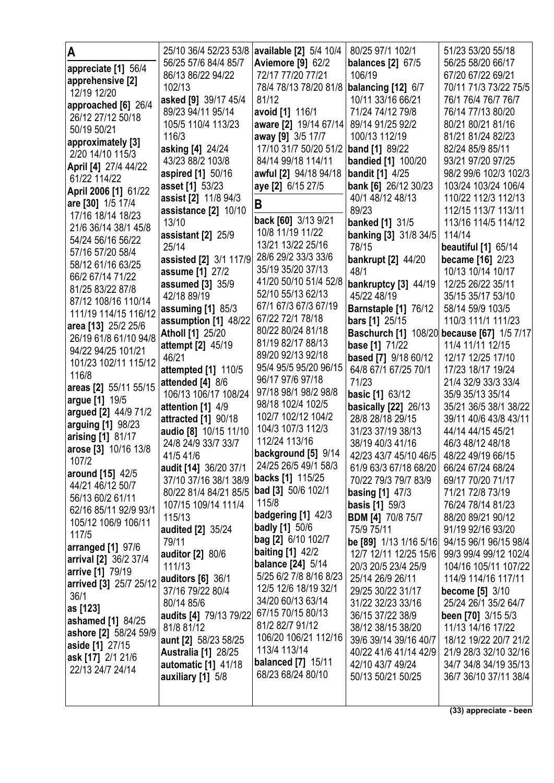| A                                     | 25/10 36/4 52/23 53/8 available [2] 5/4 10/4 |                           | 80/25 97/1 102/1                           | 51/23 53/20 55/18          |
|---------------------------------------|----------------------------------------------|---------------------------|--------------------------------------------|----------------------------|
| appreciate [1] 56/4                   | 56/25 57/6 84/4 85/7                         | <b>Aviemore [9] 62/2</b>  | <b>balances</b> [2] 67/5                   | 56/25 58/20 66/17          |
| apprehensive [2]                      | 86/13 86/22 94/22                            | 72/17 77/20 77/21         | 106/19                                     | 67/20 67/22 69/21          |
| 12/19 12/20                           | 102/13                                       | 78/4 78/13 78/20 81/8     | balancing [12] 6/7                         | 70/11 71/3 73/22 75/5      |
| approached [6] 26/4                   | asked [9] 39/17 45/4                         | 81/12                     | 10/11 33/16 66/21                          | 76/1 76/4 76/7 76/7        |
| 26/12 27/12 50/18                     | 89/23 94/11 95/14                            | avoid [1] 116/1           | 71/24 74/12 79/8                           | 76/14 77/13 80/20          |
| 50/19 50/21                           | 105/5 110/4 113/23                           | aware [2] 19/14 67/14     | 89/14 91/25 92/2                           | 80/21 80/21 81/16          |
|                                       | 116/3                                        | away [9] 3/5 17/7         | 100/13 112/19                              | 81/21 81/24 82/23          |
| approximately [3]<br>2/20 14/10 115/3 | asking [4] 24/24                             | 17/10 31/7 50/20 51/2     | <b>band</b> [1] 89/22                      | 82/24 85/9 85/11           |
|                                       | 43/23 88/2 103/8                             | 84/14 99/18 114/11        | <b>bandied</b> [1] 100/20                  | 93/21 97/20 97/25          |
| April [4] 27/4 44/22                  | aspired [1] 50/16                            | awful [2] 94/18 94/18     | <b>bandit</b> [1] 4/25                     | 98/2 99/6 102/3 102/3      |
| 61/22 114/22                          | asset [1] 53/23                              | aye [2] 6/15 27/5         | bank [6] 26/12 30/23                       | 103/24 103/24 106/4        |
| April 2006 [1] 61/22                  | assist [2] 11/8 94/3                         |                           | 40/1 48/12 48/13                           | 110/22 112/3 112/13        |
| are [30] 1/5 17/4                     | assistance [2] 10/10                         | B                         | 89/23                                      | 112/15 113/7 113/11        |
| 17/16 18/14 18/23                     | 13/10                                        | back [60] 3/13 9/21       | <b>banked</b> [1] 31/5                     | 113/16 114/5 114/12        |
| 21/6 36/14 38/1 45/8                  | assistant [2] 25/9                           | 10/8 11/19 11/22          | banking [3] 31/8 34/5                      | 114/14                     |
| 54/24 56/16 56/22                     | 25/14                                        | 13/21 13/22 25/16         | 78/15                                      | <b>beautiful</b> [1] 65/14 |
| 57/16 57/20 58/4                      | assisted [2] 3/1 117/9                       | 28/6 29/2 33/3 33/6       | <b>bankrupt</b> [2] 44/20                  | became [16] 2/23           |
| 58/12 61/16 63/25                     | assume [1] 27/2                              | 35/19 35/20 37/13         | 48/1                                       | 10/13 10/14 10/17          |
| 66/2 67/14 71/22                      | assumed [3] 35/9                             | 41/20 50/10 51/4 52/8     | bankruptcy [3] 44/19                       | 12/25 26/22 35/11          |
| 81/25 83/22 87/8                      | 42/18 89/19                                  | 52/10 55/13 62/13         | 45/22 48/19                                | 35/15 35/17 53/10          |
| 87/12 108/16 110/14                   | assuming [1] 85/3                            | 67/1 67/3 67/3 67/19      | Barnstaple [1] 76/12                       | 58/14 59/9 103/5           |
| 111/19 114/15 116/12                  | assumption [1] 48/22                         | 67/22 72/1 78/18          | <b>bars</b> [1] 25/15                      | 110/3 111/1 111/23         |
| area [13] 25/2 25/6                   | <b>Atholl [1] 25/20</b>                      | 80/22 80/24 81/18         | Baschurch [1] 108/20 because [67] 1/5 7/17 |                            |
| 26/19 61/8 61/10 94/8                 | attempt [2] 45/19                            | 81/19 82/17 88/13         | base [1] 71/22                             | 11/4 11/11 12/15           |
| 94/22 94/25 101/21                    | 46/21                                        | 89/20 92/13 92/18         | based [7] 9/18 60/12                       | 12/17 12/25 17/10          |
| 101/23 102/11 115/12                  | attempted [1] 110/5                          | 95/4 95/5 95/20 96/15     | 64/8 67/1 67/25 70/1                       | 17/23 18/17 19/24          |
| 116/8                                 | attended [4] 8/6                             | 96/17 97/6 97/18          | 71/23                                      | 21/4 32/9 33/3 33/4        |
| areas [2] 55/11 55/15                 | 106/13 106/17 108/24                         | 97/18 98/1 98/2 98/8      | <b>basic [1] 63/12</b>                     | 35/9 35/13 35/14           |
| argue [1] 19/5                        | attention [1] 4/9                            | 98/18 102/4 102/5         | <b>basically [22]</b> 26/13                | 35/21 36/5 38/1 38/22      |
| argued [2] 44/9 71/2                  | attracted [1] 90/18                          | 102/7 102/12 104/2        | 28/8 28/18 29/15                           | 39/11 40/6 43/8 43/11      |
| arguing [1] 98/23                     | audio [8] 10/15 11/10                        | 104/3 107/3 112/3         | 31/23 37/19 38/13                          | 44/14 44/15 45/21          |
| arising [1] 81/17                     | 24/8 24/9 33/7 33/7                          | 112/24 113/16             | 38/19 40/3 41/16                           | 46/3 48/12 48/18           |
| arose [3] 10/16 13/8                  | 41/5 41/6                                    | background [5] 9/14       | 42/23 43/7 45/10 46/5                      | 48/22 49/19 66/15          |
| 107/2                                 | audit [14] 36/20 37/1                        | 24/25 26/5 49/1 58/3      | 61/9 63/3 67/18 68/20                      | 66/24 67/24 68/24          |
| around [15] 42/5                      | 37/10 37/16 38/1 38/9                        | backs [1] 115/25          | 70/22 79/3 79/7 83/9                       | 69/17 70/20 71/17          |
| 44/21 46/12 50/7                      | 80/22 81/4 84/21 85/5   bad [3] 50/6 102/1   |                           | <b>basing [1] 47/3</b>                     | 71/21 72/8 73/19           |
| 56/13 60/2 61/11                      | 107/15 109/14 111/4                          | 115/8                     | <b>basis</b> [1] 59/3                      | 76/24 78/14 81/23          |
| 62/16 85/11 92/9 93/1                 | 115/13                                       | badgering [1] 42/3        | <b>BDM [4] 70/8 75/7</b>                   | 88/20 89/21 90/12          |
| 105/12 106/9 106/11                   | audited [2] 35/24                            | <b>badly</b> [1] 50/6     | 75/9 75/11                                 | 91/19 92/16 93/20          |
| 117/5                                 | 79/11                                        | bag [2] 6/10 102/7        | be [89] 1/13 1/16 5/16                     | 94/15 96/1 96/15 98/4      |
| arranged [1] 97/6                     | <b>auditor</b> [2] 80/6                      | <b>baiting [1] 42/2</b>   | 12/7 12/11 12/25 15/6                      | 99/3 99/4 99/12 102/4      |
| arrival [2] 36/2 37/4                 | 111/13                                       | <b>balance</b> [24] 5/14  | 20/3 20/5 23/4 25/9                        | 104/16 105/11 107/22       |
| arrive [1] 79/19                      | <b>auditors [6] 36/1</b>                     | 5/25 6/2 7/8 8/16 8/23    | 25/14 26/9 26/11                           | 114/9 114/16 117/11        |
| arrived [3] 25/7 25/12                | 37/16 79/22 80/4                             | 12/5 12/6 18/19 32/1      | 29/25 30/22 31/17                          | become [5] 3/10            |
| 36/1                                  | 80/14 85/6                                   | 34/20 60/13 63/14         | 31/22 32/23 33/16                          | 25/24 26/1 35/2 64/7       |
| as [123]                              | audits [4] 79/13 79/22                       | 67/15 70/15 80/13         | 36/15 37/22 38/9                           | been [70] 3/15 5/3         |
| ashamed [1] 84/25                     | 81/8 81/12                                   | 81/2 82/7 91/12           | 38/12 38/15 38/20                          | 11/13 14/16 17/22          |
| ashore [2] 58/24 59/9                 | aunt [2] 58/23 58/25                         | 106/20 106/21 112/16      | 39/6 39/14 39/16 40/7                      | 18/12 19/22 20/7 21/2      |
| aside [1] 27/15                       | <b>Australia [1] 28/25</b>                   | 113/4 113/14              | 40/22 41/6 41/14 42/9                      | 21/9 28/3 32/10 32/16      |
| ask [17] 2/1 21/6<br>22/13 24/7 24/14 | automatic [1] 41/18                          | <b>balanced</b> [7] 15/11 | 42/10 43/7 49/24                           | 34/7 34/8 34/19 35/13      |
|                                       | auxiliary [1] 5/8                            | 68/23 68/24 80/10         | 50/13 50/21 50/25                          | 36/7 36/10 37/11 38/4      |
|                                       |                                              |                           |                                            |                            |
|                                       |                                              |                           |                                            |                            |

**(33) appreciate - been**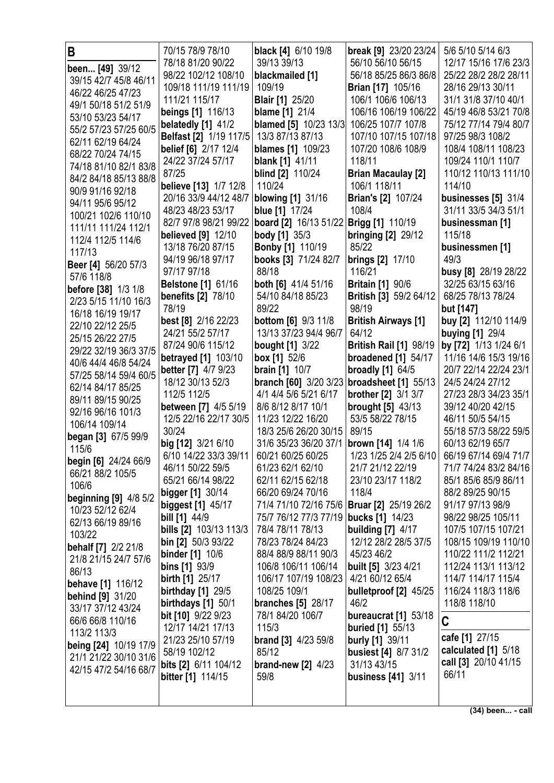| B                                              | 70/15 78/9 78/10                            | black [4] 6/10 19/8                            | break [9] 23/20 23/24                               | 5/6 5/10 5/14 6/3                          |
|------------------------------------------------|---------------------------------------------|------------------------------------------------|-----------------------------------------------------|--------------------------------------------|
| been [49] 39/12                                | 78/18 81/20 90/22                           | 39/13 39/13                                    | 56/10 56/10 56/15                                   | 12/17 15/16 17/6 23/3                      |
| 39/15 42/7 45/8 46/11                          | 98/22 102/12 108/10                         | blackmailed [1]                                | 56/18 85/25 86/3 86/8                               | 25/22 28/2 28/2 28/11                      |
| 46/22 46/25 47/23                              | 109/18 111/19 111/19                        | 109/19                                         | <b>Brian [17] 105/16</b>                            | 28/16 29/13 30/11                          |
| 49/1 50/18 51/2 51/9                           | 111/21 115/17                               | <b>Blair</b> [1] 25/20                         | 106/1 106/6 106/13                                  | 31/1 31/8 37/10 40/1                       |
| 53/10 53/23 54/17                              | beings [1] 116/13                           | blame [1] 21/4                                 | 106/16 106/19 106/22                                | 45/19 46/8 53/21 70/8                      |
| 55/2 57/23 57/25 60/5                          | belatedly [1] 41/2                          | <b>blamed</b> [5] 10/23 13/3                   | 106/25 107/7 107/8                                  | 75/12 77/14 79/4 80/7                      |
| 62/11 62/19 64/24                              | Belfast [2] 1/19 117/5                      | 13/3 87/13 87/13                               | 107/10 107/15 107/18                                | 97/25 98/3 108/2                           |
| 68/22 70/24 74/15                              | belief [6] 2/17 12/4                        | <b>blames</b> [1] 109/23                       | 107/20 108/6 108/9                                  | 108/4 108/11 108/23                        |
| 74/18 81/10 82/1 83/8                          | 24/22 37/24 57/17                           | blank [1] 41/11                                | 118/11                                              | 109/24 110/1 110/7                         |
| 84/2 84/18 85/13 88/8                          | 87/25                                       | blind [2] 110/24                               | <b>Brian Macaulay [2]</b>                           | 110/12 110/13 111/10                       |
| 90/9 91/16 92/18                               | believe [13] 1/7 12/8                       | 110/24                                         | 106/1 118/11                                        | 114/10                                     |
| 94/11 95/6 95/12                               | 20/16 33/9 44/12 48/7                       | <b>blowing [1] 31/16</b>                       | <b>Brian's [2] 107/24</b>                           | businesses [5] 31/4                        |
| 100/21 102/6 110/10                            | 48/23 48/23 53/17                           | blue [1] 17/24                                 | 108/4                                               | 31/11 33/5 34/3 51/1                       |
| 111/11 111/24 112/1                            | 82/7 97/8 98/21 99/22                       | board [2] 16/13 51/22 Brigg [1] 110/19         |                                                     | businessman [1]                            |
| 112/4 112/5 114/6                              | <b>believed [9] 12/10</b>                   | body [1] 35/3                                  | <b>bringing [2] 29/12</b>                           | 115/18                                     |
| 117/13                                         | 13/18 76/20 87/15                           | <b>Bonby [1] 110/19</b>                        | 85/22                                               | businessmen [1]                            |
| Beer [4] 56/20 57/3                            | 94/19 96/18 97/17                           | books [3] 71/24 82/7                           | <b>brings [2] 17/10</b>                             | 49/3                                       |
| 57/6 118/8                                     | 97/17 97/18                                 | 88/18                                          | 116/21                                              | busy [8] 28/19 28/22                       |
| before [38] 1/3 1/8                            | <b>Belstone [1] 61/16</b>                   | both [6] 41/4 51/16                            | <b>Britain [1] 90/6</b>                             | 32/25 63/15 63/16                          |
| 2/23 5/15 11/10 16/3                           | <b>benefits [2] 78/10</b>                   | 54/10 84/18 85/23                              | British [3] 59/2 64/12                              | 68/25 78/13 78/24                          |
| 16/18 16/19 19/17                              | 78/19                                       | 89/22                                          | 98/19                                               | but [147]                                  |
| 22/10 22/12 25/5                               | best [8] 2/16 22/23                         | <b>bottom [6] 9/3 11/8</b>                     | <b>British Airways [1]</b>                          | buy [2] 112/10 114/9                       |
| 25/15 26/22 27/5                               | 24/21 55/2 57/17                            | 13/13 37/23 94/4 96/7                          | 64/12                                               | <b>buying [1] 29/4</b>                     |
| 29/22 32/19 36/3 37/5                          | 87/24 90/6 115/12                           | <b>bought [1] 3/22</b>                         | <b>British Rail [1] 98/19</b>                       | by [72] 1/13 1/24 6/1                      |
| 40/6 44/4 46/8 54/24                           | <b>betrayed</b> [1] 103/10                  | box $[1]$ 52/6                                 | broadened [1] 54/17                                 | 11/16 14/6 15/3 19/16                      |
| 57/25 58/14 59/4 60/5                          | <b>better</b> [7] 4/7 9/23                  | <b>brain</b> [1] 10/7                          | broadly $[1]$ 64/5                                  | 20/7 22/14 22/24 23/1                      |
| 62/14 84/17 85/25                              | 18/12 30/13 52/3                            |                                                | branch [60] 3/20 3/23 broadsheet [1] 55/13          | 24/5 24/24 27/12                           |
| 89/11 89/15 90/25                              | 112/5 112/5                                 | 4/1 4/4 5/6 5/21 6/17                          | <b>brother</b> [2] 3/1 3/7                          | 27/23 28/3 34/23 35/1<br>39/12 40/20 42/15 |
| 92/16 96/16 101/3                              | between [7] 4/5 5/19                        | 8/6 8/12 8/17 10/1                             | <b>brought [5] 43/13</b>                            |                                            |
| 106/14 109/14                                  | 12/5 22/16 22/17 30/5<br>30/24              | 11/23 12/22 16/20                              | 53/5 58/22 78/15<br>89/15                           | 46/11 50/5 54/15                           |
| began [3] 67/5 99/9                            |                                             | 18/3 25/6 26/20 30/15<br>31/6 35/23 36/20 37/1 |                                                     | 55/18 57/3 58/22 59/5<br>60/13 62/19 65/7  |
| 115/6                                          | big [12] 3/21 6/10<br>6/10 14/22 33/3 39/11 | 60/21 60/25 60/25                              | <b>brown</b> [14] 1/4 1/6<br>1/23 1/25 2/4 2/5 6/10 | 66/19 67/14 69/4 71/7                      |
| begin [6] 24/24 66/9                           | 46/11 50/22 59/5                            | 61/23 62/1 62/10                               | 21/7 21/12 22/19                                    | 71/7 74/24 83/2 84/16                      |
| 66/21 88/2 105/5                               | 65/21 66/14 98/22                           | 62/11 62/15 62/18                              | 23/10 23/17 118/2                                   | 85/1 85/6 85/9 86/11                       |
| 106/6                                          | <b>bigger</b> [1] 30/14                     | 66/20 69/24 70/16                              | 118/4                                               | 88/2 89/25 90/15                           |
| <b>beginning [9] 4/8 5/2</b>                   | biggest [1] 45/17                           | 71/4 71/10 72/16 75/6   Bruar [2] 25/19 26/2   |                                                     | 91/17 97/13 98/9                           |
| 10/23 52/12 62/4                               | bill [1] 44/9                               | 75/7 76/12 77/3 77/19 <b>bucks</b> [1] 14/23   |                                                     | 98/22 98/25 105/11                         |
| 62/13 66/19 89/16                              | bills [2] 103/13 113/3                      | 78/4 78/11 78/13                               | <b>building [7] 4/17</b>                            | 107/5 107/15 107/21                        |
| 103/22                                         | bin [2] 50/3 93/22                          | 78/23 78/24 84/23                              | 12/12 28/2 28/5 37/5                                | 108/15 109/19 110/10                       |
| behalf [7] 2/2 21/8                            | <b>binder</b> [1] 10/6                      | 88/4 88/9 88/11 90/3                           | 45/23 46/2                                          | 110/22 111/2 112/21                        |
| 21/8 21/15 24/7 57/6                           | <b>bins [1] 93/9</b>                        | 106/8 106/11 106/14                            | built [5] 3/23 4/21                                 | 112/24 113/1 113/12                        |
| 86/13                                          | <b>birth [1] 25/17</b>                      | 106/17 107/19 108/23                           | 4/21 60/12 65/4                                     | 114/7 114/17 115/4                         |
| <b>behave [1] 116/12</b>                       | <b>birthday</b> [1] 29/5                    | 108/25 109/1                                   | bulletproof [2] 45/25                               | 116/24 118/3 118/6                         |
| <b>behind [9] 31/20</b>                        | birthdays $[1]$ 50/1                        | <b>branches</b> [5] 28/17                      | 46/2                                                | 118/8 118/10                               |
| 33/17 37/12 43/24                              | bit [10] 9/22 9/23                          | 78/1 84/20 106/7                               | bureaucrat [1] 53/18                                |                                            |
| 66/6 66/8 110/16                               | 12/17 14/21 17/13                           | 115/3                                          | <b>buried</b> [1] 55/13                             | C                                          |
| 113/2 113/3                                    | 21/23 25/10 57/19                           | <b>brand</b> [3] $4/23$ 59/8                   | burly [1] 39/11                                     | cafe [1] 27/15                             |
| being [24] 10/19 17/9<br>21/1 21/22 30/10 31/6 | 58/19 102/12                                | 85/12                                          | busiest [4] 8/7 31/2                                | calculated [1] 5/18                        |
| 42/15 47/2 54/16 68/7                          | bits [2] 6/11 104/12                        | brand-new $[2]$ 4/23                           | 31/13 43/15                                         | call [3] 20/10 41/15                       |
|                                                | <b>bitter</b> [1] 114/15                    | 59/8                                           | <b>business</b> [41] 3/11                           | 66/11                                      |
|                                                |                                             |                                                |                                                     |                                            |
|                                                |                                             |                                                |                                                     |                                            |

**(34) been... - call**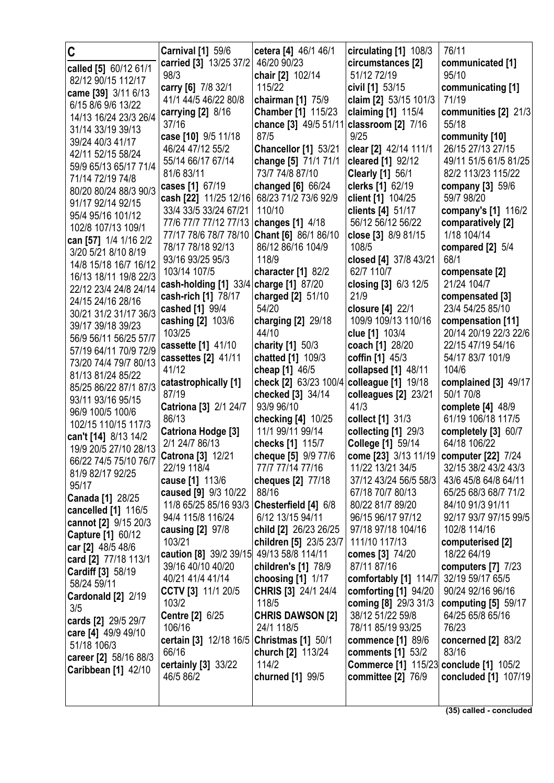| C                                          | <b>Carnival [1] 59/6</b>                 | cetera [4] 46/1 46/1                     | circulating [1] 108/3                         | 76/11                                     |
|--------------------------------------------|------------------------------------------|------------------------------------------|-----------------------------------------------|-------------------------------------------|
| called [5] 60/12 61/1                      | carried [3] 13/25 37/2                   | 46/20 90/23                              | circumstances [2]                             | communicated [1]                          |
| 82/12 90/15 112/17                         | 98/3                                     | chair [2] 102/14                         | 51/12 72/19                                   | 95/10                                     |
| came [39] 3/11 6/13                        | carry [6] 7/8 32/1                       | 115/22                                   | civil [1] 53/15                               | communicating [1]                         |
| 6/15 8/6 9/6 13/22                         | 41/1 44/5 46/22 80/8                     | chairman [1] 75/9                        | claim [2] 53/15 101/3                         | 71/19                                     |
| 14/13 16/24 23/3 26/4                      | carrying $[2]$ 8/16                      | <b>Chamber</b> [1] 115/23                | claiming [1] 115/4                            | communities [2] 21/3                      |
| 31/14 33/19 39/13                          | 37/16                                    | chance [3] 49/5 51/11 classroom [2] 7/16 |                                               | 55/18                                     |
| 39/24 40/3 41/17                           | case [10] 9/5 11/18                      | 87/5                                     | 9/25                                          | community [10]                            |
| 42/11 52/15 58/24                          | 46/24 47/12 55/2                         | <b>Chancellor [1] 53/21</b>              | clear [2] 42/14 111/1                         | 26/15 27/13 27/15                         |
| 59/9 65/13 65/17 71/4                      | 55/14 66/17 67/14                        | change [5] 71/1 71/1                     | cleared [1] 92/12                             | 49/11 51/5 61/5 81/25                     |
| 71/14 72/19 74/8                           | 81/6 83/11                               | 73/7 74/8 87/10                          | <b>Clearly [1] 56/1</b>                       | 82/2 113/23 115/22                        |
| 80/20 80/24 88/3 90/3                      | cases [1] 67/19                          | changed [6] 66/24                        | clerks [1] 62/19                              | company [3] 59/6                          |
| 91/17 92/14 92/15                          | cash [22] 11/25 12/16                    | 68/23 71/2 73/6 92/9                     | client [1] 104/25                             | 59/7 98/20                                |
| 95/4 95/16 101/12                          | 33/4 33/5 33/24 67/21                    | 110/10                                   | clients [4] 51/17                             | company's [1] 116/2                       |
| 102/8 107/13 109/1                         | 77/6 77/7 77/12 77/13                    | changes [1] 4/18                         | 56/12 56/12 56/22                             | comparatively [2]                         |
| can [57] 1/4 1/16 2/2                      | 77/17 78/6 78/7 78/10                    | Chant [6] 86/1 86/10                     | close [3] 8/9 81/15                           | 1/18 104/14                               |
| 3/20 5/21 8/10 8/19                        | 78/17 78/18 92/13                        | 86/12 86/16 104/9                        | 108/5                                         | compared $[2]$ 5/4                        |
| 14/8 15/18 16/7 16/12                      | 93/16 93/25 95/3                         | 118/9                                    | closed [4] 37/8 43/21                         | 68/1                                      |
| 16/13 18/11 19/8 22/3                      | 103/14 107/5                             | character [1] 82/2                       | 62/7 110/7                                    | compensate [2]                            |
| 22/12 23/4 24/8 24/14                      | cash-holding [1] 33/4                    | charge [1] 87/20                         | closing [3] 6/3 12/5                          | 21/24 104/7                               |
| 24/15 24/16 28/16                          | cash-rich [1] 78/17                      | charged [2] 51/10                        | 21/9                                          | compensated [3]                           |
| 30/21 31/2 31/17 36/3                      | cashed [1] 99/4                          | 54/20                                    | closure [4] 22/1                              | 23/4 54/25 85/10                          |
| 39/17 39/18 39/23                          | cashing [2] 103/6                        | charging [2] 29/18                       | 109/9 109/13 110/16                           | compensation [11]                         |
| 56/9 56/11 56/25 57/7                      | 103/25                                   | 44/10                                    | clue [1] 103/4                                | 20/14 20/19 22/3 22/6                     |
| 57/19 64/11 70/9 72/9                      | cassette [1] 41/10                       | charity [1] 50/3                         | coach [1] 28/20                               | 22/15 47/19 54/16                         |
| 73/20 74/4 79/7 80/13                      | cassettes [2] 41/11                      | chatted [1] 109/3                        | coffin [1] 45/3                               | 54/17 83/7 101/9                          |
| 81/13 81/24 85/22                          | 41/12                                    | cheap [1] 46/5                           | collapsed [1] 48/11                           | 104/6                                     |
| 85/25 86/22 87/1 87/3                      | catastrophically [1]                     | check [2] 63/23 100/4                    | colleague [1] 19/18                           | complained [3] 49/17                      |
| 93/11 93/16 95/15                          | 87/19                                    | checked [3] 34/14<br>93/9 96/10          | colleagues [2] 23/21<br>41/3                  | 50/1 70/8                                 |
| 96/9 100/5 100/6                           | Catriona [3] 2/1 24/7<br>86/13           |                                          |                                               | complete $[4]$ 48/9<br>61/19 106/18 117/5 |
| 102/15 110/15 117/3                        | Catriona Hodge [3]                       | checking [4] 10/25<br>11/1 99/11 99/14   | collect [1] 31/3<br>collecting [1] 29/3       | completely [3] 60/7                       |
| can't [14] 8/13 14/2                       | 2/1 24/7 86/13                           | checks [1] 115/7                         | College [1] 59/14                             | 64/18 106/22                              |
| 19/9 20/5 27/10 28/13                      | Catrona [3] 12/21                        |                                          | come [23] 3/13 11/19   computer [22] 7/24     |                                           |
| 66/22 74/5 75/10 76/7                      | 22/19 118/4                              | cheque [5] 9/9 77/6<br>77/7 77/14 77/16  | 11/22 13/21 34/5                              | 32/15 38/2 43/2 43/3                      |
| 81/9 82/17 92/25                           | cause [1] 113/6                          | cheques [2] 77/18                        | 37/12 43/24 56/5 58/3                         | 43/6 45/8 64/8 64/11                      |
| 95/17                                      | caused [9] 9/3 10/22                     | 88/16                                    | 67/18 70/7 80/13                              | 65/25 68/3 68/7 71/2                      |
| <b>Canada [1] 28/25</b>                    | 11/8 65/25 85/16 93/3                    | Chesterfield [4] 6/8                     | 80/22 81/7 89/20                              | 84/10 91/3 91/11                          |
| cancelled [1] 116/5                        | 94/4 115/8 116/24                        | 6/12 13/15 94/11                         | 96/15 96/17 97/12                             | 92/17 93/7 97/15 99/5                     |
| cannot [2] 9/15 20/3                       | causing [2] 97/8                         | child [2] 26/23 26/25                    | 97/18 97/18 104/16                            | 102/8 114/16                              |
| Capture [1] 60/12                          | 103/21                                   | children [5] 23/5 23/7                   | 111/10 117/13                                 | computerised [2]                          |
| car [2] 48/5 48/6                          | caution [8] 39/2 39/15 49/13 58/8 114/11 |                                          | comes [3] 74/20                               | 18/22 64/19                               |
| card [2] 77/18 113/1                       | 39/16 40/10 40/20                        | children's [1] 78/9                      | 87/11 87/16                                   | computers $[7]$ $7/23$                    |
| Cardiff [3] 58/19                          | 40/21 41/4 41/14                         | choosing $[1]$ $1/17$                    | comfortably [1] 114/7                         | 32/19 59/17 65/5                          |
| 58/24 59/11                                | CCTV [3] 11/1 20/5                       | CHRIS [3] 24/1 24/4                      | comforting $[1]$ 94/20                        | 90/24 92/16 96/16                         |
| Cardonald [2] 2/19<br>3/5                  | 103/2                                    | 118/5                                    | coming [8] 29/3 31/3                          | computing [5] 59/17                       |
|                                            | Centre [2] 6/25                          | <b>CHRIS DAWSON [2]</b>                  | 38/12 51/22 59/8                              | 64/25 65/8 65/16                          |
| cards [2] 29/5 29/7<br>care [4] 49/9 49/10 | 106/16                                   | 24/1 118/5                               | 78/11 85/19 93/25                             | 76/23                                     |
| 51/18 106/3                                | certain [3] 12/18 16/5                   | Christmas [1] 50/1                       | <b>commence</b> [1] 89/6                      | concerned $[2]$ 83/2                      |
| career [2] 58/16 88/3                      | 66/16                                    | church [2] 113/24                        | comments [1] 53/2                             | 83/16                                     |
| Caribbean [1] 42/10                        | certainly [3] 33/22                      | 114/2                                    | <b>Commerce [1] 115/23 conclude [1] 105/2</b> |                                           |
|                                            | 46/5 86/2                                | churned [1] 99/5                         | <b>committee [2] 76/9</b>                     | concluded [1] 107/19                      |
|                                            |                                          |                                          |                                               |                                           |
|                                            |                                          |                                          |                                               |                                           |

**(35) called - concluded**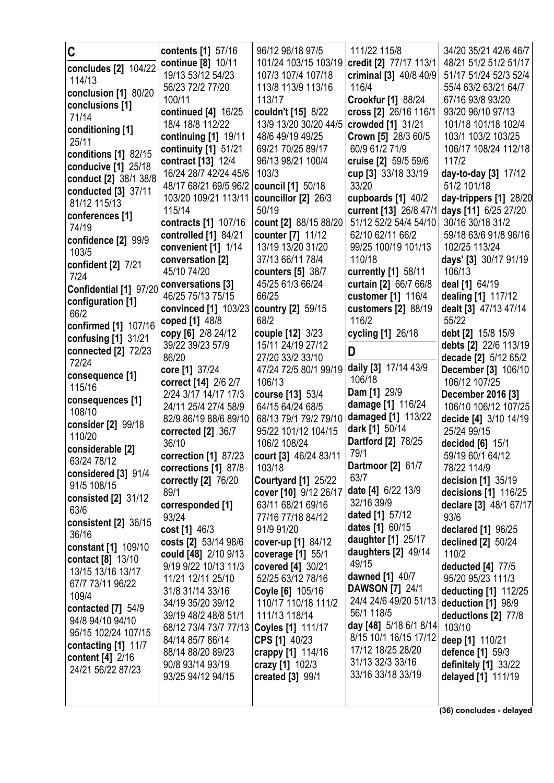| C                                           | contents [1] 57/16                                              | 96/12 96/18 97/5                          | 111/22 115/8                                | 34/20 35/21 42/6 46/7                     |
|---------------------------------------------|-----------------------------------------------------------------|-------------------------------------------|---------------------------------------------|-------------------------------------------|
| concludes [2] 104/22                        | continue [8] 10/11                                              | 101/24 103/15 103/19                      | credit [2] 77/17 113/1                      | 48/21 51/2 51/2 51/17                     |
| 114/13                                      | 19/13 53/12 54/23                                               | 107/3 107/4 107/18                        | criminal [3] 40/8 40/9                      | 51/17 51/24 52/3 52/4                     |
| conclusion [1] 80/20                        | 56/23 72/2 77/20                                                | 113/8 113/9 113/16                        | 116/4                                       | 55/4 63/2 63/21 64/7                      |
| conclusions [1]                             | 100/11                                                          | 113/17                                    | <b>Crookfur [1] 88/24</b>                   | 67/16 93/8 93/20                          |
| 71/14                                       | continued [4] 16/25                                             | couldn't [15] 8/22                        | cross [2] 26/16 116/1                       | 93/20 96/10 97/13                         |
| conditioning [1]                            | 18/4 18/8 112/22                                                | 13/9 13/20 30/20 44/5                     | crowded [1] 31/21                           | 101/18 101/18 102/4                       |
| 25/11                                       | continuing [1] 19/11                                            | 48/6 49/19 49/25                          | Crown [5] 28/3 60/5                         | 103/1 103/2 103/25                        |
| conditions [1] 82/15                        | continuity [1] 51/21                                            | 69/21 70/25 89/17                         | 60/9 61/2 71/9                              | 106/17 108/24 112/18                      |
| conducive [1] 25/18                         | contract [13] 12/4<br>16/24 28/7 42/24 45/6                     | 96/13 98/21 100/4<br>103/3                | cruise [2] 59/5 59/6<br>cup [3] 33/18 33/19 | 117/2<br>day-to-day [3] 17/12             |
| conduct [2] 38/1 38/8                       | 48/17 68/21 69/5 96/2                                           | council [1] 50/18                         | 33/20                                       | 51/2 101/18                               |
| conducted [3] 37/11                         | 103/20 109/21 113/11                                            | councillor [2] 26/3                       | cupboards [1] 40/2                          | day-trippers [1] 28/20                    |
| 81/12 115/13                                | 115/14                                                          | 50/19                                     | current [13] 26/8 47/                       | days [11] 6/25 27/20                      |
| conferences [1]                             | contracts [1] 107/16                                            | count [2] 88/15 88/20                     | 51/12 52/2 54/4 54/10                       | 30/16 30/18 31/2                          |
| 74/19                                       | controlled [1] 84/21                                            | counter [7] 11/12                         | 62/10 62/11 66/2                            | 59/18 63/6 91/8 96/16                     |
| confidence [2] 99/9                         | convenient [1] 1/14                                             | 13/19 13/20 31/20                         | 99/25 100/19 101/13                         | 102/25 113/24                             |
| 103/5                                       | conversation [2]                                                | 37/13 66/11 78/4                          | 110/18                                      | days' [3] 30/17 91/19                     |
| confident [2] 7/21                          | 45/10 74/20                                                     | counters [5] 38/7                         | currently [1] 58/11                         | 106/13                                    |
| 7/24                                        | conversations [3]                                               | 45/25 61/3 66/24                          | curtain [2] 66/7 66/8                       | deal [1] 64/19                            |
| Confidential [1] 97/20<br>configuration [1] | 46/25 75/13 75/15                                               | 66/25                                     | customer [1] 116/4                          | dealing [1] 117/12                        |
| 66/2                                        | convinced [1] 103/23                                            | country [2] 59/15                         | customers [2] 88/19                         | dealt [3] 47/13 47/14                     |
| confirmed [1] 107/16                        | coped [1] 48/8                                                  | 68/2                                      | 116/2                                       | 55/22                                     |
| confusing [1] 31/21                         | copy [6] 2/8 24/12                                              | couple [12] 3/23                          | cycling [1] 26/18                           | debt [2] 15/8 15/9                        |
| connected [2] 72/23                         | 39/22 39/23 57/9                                                | 15/11 24/19 27/12                         | D                                           | debts [2] 22/6 113/19                     |
| 72/24                                       | 86/20                                                           | 27/20 33/2 33/10                          |                                             | decade [2] 5/12 65/2                      |
| consequence [1]                             | core [1] 37/24                                                  | 47/24 72/5 80/1 99/19                     | daily [3] 17/14 43/9<br>106/18              | December [3] 106/10                       |
| 115/16                                      | correct [14] 2/6 2/7                                            | 106/13                                    | Dam [1] 29/9                                | 106/12 107/25                             |
| consequences [1]                            | 2/24 3/17 14/17 17/3<br>24/11 25/4 27/4 58/9                    | course [13] 53/4                          | damage [1] 116/24                           | December 2016 [3]<br>106/10 106/12 107/25 |
| 108/10                                      | 82/9 86/19 88/6 89/10                                           | 64/15 64/24 68/5<br>68/13 79/1 79/2 79/10 | damaged [1] 113/22                          | decide [4] 3/10 14/19                     |
| consider [2] 99/18                          | corrected [2] 36/7                                              | 95/22 101/12 104/15                       | dark [1] 50/14                              | 25/24 99/15                               |
| 110/20                                      | 36/10                                                           | 106/2 108/24                              | <b>Dartford [2] 78/25</b>                   | decided [6] 15/1                          |
| considerable [2]                            | correction $[1]$ 87/23                                          | court [3] 46/24 83/11                     | 79/1                                        | 59/19 60/1 64/12                          |
| 63/24 78/12                                 | corrections [1] 87/8                                            | 103/18                                    | <b>Dartmoor</b> [2] 61/7                    | 78/22 114/9                               |
| considered [3] 91/4                         | correctly [2] 76/20                                             | <b>Courtyard [1] 25/22</b>                | 63/7                                        | decision [1] 35/19                        |
| 91/5 108/15                                 | 89/1                                                            | cover [10] 9/12 26/17                     | date [4] 6/22 13/9                          | decisions [1] 116/25                      |
| consisted $[2]$ 31/12<br>63/6               | corresponded [1]                                                | 63/11 68/21 69/16                         | 32/16 39/9                                  | declare [3] 48/1 67/17                    |
| consistent [2] 36/15                        | 93/24                                                           | 77/16 77/18 84/12                         | dated [1] 57/12                             | 93/6                                      |
| 36/16                                       | cost [1] 46/3                                                   | 91/9 91/20                                | dates [1] 60/15                             | declared [1] 96/25                        |
| constant [1] 109/10                         | costs [2] 53/14 98/6                                            | cover-up [1] 84/12                        | daughter [1] 25/17                          | declined [2] 50/24                        |
| contact [8] 13/10                           | could [48] 2/10 9/13                                            | coverage [1] 55/1                         | daughters [2] 49/14                         | 110/2                                     |
| 13/15 13/16 13/17                           | 9/19 9/22 10/13 11/3                                            | covered [4] 30/21                         | 49/15<br>dawned [1] 40/7                    | deducted [4] 77/5                         |
| 67/7 73/11 96/22                            | 11/21 12/11 25/10                                               | 52/25 63/12 78/16                         | <b>DAWSON [7] 24/1</b>                      | 95/20 95/23 111/3                         |
| 109/4                                       | 31/8 31/14 33/16                                                | Coyle [6] 105/16                          | 24/4 24/6 49/20 51/13                       | deducting [1] 112/25                      |
| contacted $[7]$ 54/9                        | 34/19 35/20 39/12                                               | 110/17 110/18 111/2                       | 56/1 118/5                                  | deduction [1] 98/9                        |
| 94/8 94/10 94/10                            | 39/19 48/2 48/8 51/1<br>68/12 73/4 73/7 77/13 Coyles [1] 111/17 | 111/13 118/14                             | day [48] 5/18 6/1 8/14                      | deductions [2] 77/8<br>103/10             |
| 95/15 102/24 107/15                         | 84/14 85/7 86/14                                                | CPS [1] 40/23                             | 8/15 10/1 16/15 17/12                       | deep [1] 110/21                           |
| contacting $[1]$ 11/7                       | 88/14 88/20 89/23                                               | crappy [1] 114/16                         | 17/12 18/25 28/20                           | defence [1] 59/3                          |
| content [4] 2/16                            | 90/8 93/14 93/19                                                | crazy [1] 102/3                           | 31/13 32/3 33/16                            | definitely [1] 33/22                      |
| 24/21 56/22 87/23                           | 93/25 94/12 94/15                                               | created [3] 99/1                          | 33/16 33/18 33/19                           | delayed [1] 111/19                        |
|                                             |                                                                 |                                           |                                             |                                           |
|                                             |                                                                 |                                           |                                             |                                           |
|                                             |                                                                 |                                           |                                             | (36) concludes - delayed                  |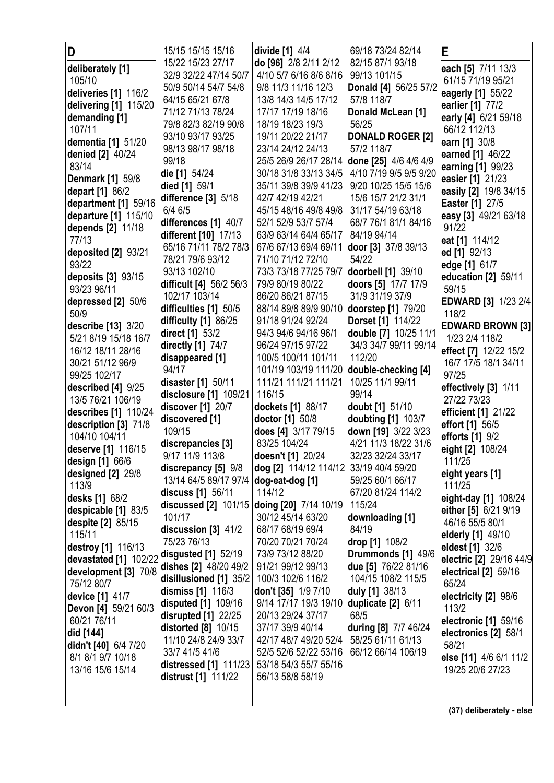| D                                  | 15/15 15/15 15/16                         | divide [1] 4/4                             | 69/18 73/24 82/14                           | E                             |
|------------------------------------|-------------------------------------------|--------------------------------------------|---------------------------------------------|-------------------------------|
| deliberately [1]                   | 15/22 15/23 27/17                         | do [96] 2/8 2/11 2/12                      | 82/15 87/1 93/18                            | each [5] 7/11 13/3            |
| 105/10                             | 32/9 32/22 47/14 50/7                     | 4/10 5/7 6/16 8/6 8/16                     | 99/13 101/15                                | 61/15 71/19 95/21             |
| deliveries [1] 116/2               | 50/9 50/14 54/7 54/8                      | 9/8 11/3 11/16 12/3                        | Donald [4] 56/25 57/2                       | eagerly [1] 55/22             |
| delivering [1] 115/20              | 64/15 65/21 67/8                          | 13/8 14/3 14/5 17/12                       | 57/8 118/7                                  | earlier [1] 77/2              |
| demanding [1]                      | 71/12 71/13 78/24                         | 17/17 17/19 18/16                          | Donald McLean [1]                           | early [4] 6/21 59/18          |
| 107/11                             | 79/8 82/3 82/19 90/8                      | 18/19 18/23 19/3                           | 56/25                                       | 66/12 112/13                  |
| dementia [1] 51/20                 | 93/10 93/17 93/25                         | 19/11 20/22 21/17                          | <b>DONALD ROGER [2]</b>                     | earn [1] 30/8                 |
| <b>denied [2] 40/24</b>            | 98/13 98/17 98/18                         | 23/14 24/12 24/13                          | 57/2 118/7                                  | earned [1] 46/22              |
| 83/14                              | 99/18                                     | 25/5 26/9 26/17 28/14                      | done [25] 4/6 4/6 4/9                       | earning [1] 99/23             |
| <b>Denmark [1] 59/8</b>            | die [1] 54/24                             | 30/18 31/8 33/13 34/5                      | 4/10 7/19 9/5 9/5 9/20                      | easier [1] 21/23              |
| depart [1] 86/2                    | died [1] 59/1                             | 35/11 39/8 39/9 41/23                      | 9/20 10/25 15/5 15/6                        | easily [2] 19/8 34/15         |
| department [1] 59/16               | difference [3] 5/18                       | 42/7 42/19 42/21                           | 15/6 15/7 21/2 31/1                         | <b>Easter</b> [1] 27/5        |
| departure [1] 115/10               | $6/4$ 6/5                                 | 45/15 48/16 49/8 49/8                      | 31/17 54/19 63/18                           | easy [3] 49/21 63/18          |
| depends [2] 11/18                  | differences [1] 40/7                      | 52/1 52/9 53/7 57/4                        | 68/7 76/1 81/1 84/16                        | 91/22                         |
| 77/13                              | different [10] 17/13                      | 63/9 63/14 64/4 65/17                      | 84/19 94/14                                 | eat [1] 114/12                |
| deposited [2] 93/21                | 65/16 71/11 78/2 78/3<br>78/21 79/6 93/12 | 67/6 67/13 69/4 69/11<br>71/10 71/12 72/10 | door [3] 37/8 39/13<br>54/22                | ed [1] 92/13                  |
| 93/22                              | 93/13 102/10                              | 73/3 73/18 77/25 79/7                      |                                             | edge [1] 61/7                 |
| deposits [3] 93/15                 | difficult [4] 56/2 56/3                   | 79/9 80/19 80/22                           | doorbell [1] 39/10<br>doors [5] 17/7 17/9   | education [2] 59/11           |
| 93/23 96/11                        | 102/17 103/14                             | 86/20 86/21 87/15                          | 31/9 31/19 37/9                             | 59/15                         |
| depressed [2] 50/6                 | difficulties [1] 50/5                     | 88/14 89/8 89/9 90/10 doorstep [1] 79/20   |                                             | EDWARD [3] 1/23 2/4           |
| 50/9                               | difficulty [1] 86/25                      | 91/18 91/24 92/24                          | <b>Dorset [1] 114/22</b>                    | 118/2                         |
| describe [13] 3/20                 | direct [1] 53/2                           | 94/3 94/6 94/16 96/1                       | double [7] 10/25 11/1                       | <b>EDWARD BROWN [3]</b>       |
| 5/21 8/19 15/18 16/7               | directly [1] 74/7                         | 96/24 97/15 97/22                          | 34/3 34/7 99/11 99/14                       | 1/23 2/4 118/2                |
| 16/12 18/11 28/16                  | disappeared [1]                           | 100/5 100/11 101/11                        | 112/20                                      | effect [7] 12/22 15/2         |
| 30/21 51/12 96/9                   | 94/17                                     | 101/19 103/19 111/20                       | double-checking [4]                         | 16/7 17/5 18/1 34/11          |
| 99/25 102/17                       |                                           |                                            |                                             | 97/25                         |
|                                    |                                           |                                            |                                             |                               |
| described [4] 9/25                 | disaster [1] 50/11                        | 111/21 111/21 111/21                       | 10/25 11/1 99/11                            | effectively [3] 1/11          |
| 13/5 76/21 106/19                  | disclosure [1] 109/21                     | 116/15                                     | 99/14                                       | 27/22 73/23                   |
| describes [1] 110/24               | discover [1] 20/7                         | dockets [1] 88/17<br>doctor [1] 50/8       | doubt [1] 51/10                             | efficient [1] 21/22           |
| description [3] 71/8               | discovered [1]<br>109/15                  |                                            | doubting [1] 103/7                          | effort [1] 56/5               |
| 104/10 104/11                      | discrepancies [3]                         | does [4] 3/17 79/15<br>83/25 104/24        | down [19] 3/22 3/23<br>4/21 11/3 18/22 31/6 | efforts [1] 9/2               |
| deserve [1] 116/15                 | 9/17 11/9 113/8                           | doesn't [1] 20/24                          | 32/23 32/24 33/17                           | eight [2] 108/24              |
| design [1] 66/6                    | discrepancy [5] 9/8                       | dog [2] 114/12 114/12                      | 33/19 40/4 59/20                            | 111/25                        |
| designed [2] 29/8                  | 13/14 64/5 89/17 97/4 dog-eat-dog [1]     |                                            | 59/25 60/1 66/17                            | eight years [1]               |
| 113/9                              | discuss [1] 56/11                         | 114/12                                     | 67/20 81/24 114/2                           | 111/25                        |
| desks [1] 68/2                     | discussed [2] 101/15                      | doing [20] 7/14 10/19                      | 115/24                                      | eight-day [1] 108/24          |
| despicable [1] 83/5                | 101/17                                    | 30/12 45/14 63/20                          | downloading [1]                             | either [5] 6/21 9/19          |
| despite [2] 85/15                  | discussion [3] 41/2                       | 68/17 68/19 69/4                           | 84/19                                       | 46/16 55/5 80/1               |
| 115/11                             | 75/23 76/13                               | 70/20 70/21 70/24                          | drop [1] 108/2                              | elderly [1] 49/10             |
| destroy [1] 116/13                 | disgusted [1] 52/19                       | 73/9 73/12 88/20                           | Drummonds [1] 49/6                          | eldest [1] 32/6               |
| devastated [1] 102/22              | dishes [2] 48/20 49/2                     | 91/21 99/12 99/13                          | due [5] 76/22 81/16                         | electric [2] 29/16 44/9       |
| development [3] 70/8<br>75/12 80/7 | disillusioned [1] 35/2                    | 100/3 102/6 116/2                          | 104/15 108/2 115/5                          | electrical [2] 59/16<br>65/24 |
| device [1] 41/7                    | dismiss [1] 116/3                         | don't [35] 1/9 7/10                        | duly [1] 38/13                              | electricity [2] 98/6          |
| Devon [4] 59/21 60/3               | disputed [1] 109/16                       | 9/14 17/17 19/3 19/10                      | duplicate [2] 6/11                          | 113/2                         |
| 60/21 76/11                        | disrupted [1] 22/25                       | 20/13 29/24 37/17                          | 68/5                                        | electronic [1] 59/16          |
| did [144]                          | distorted [8] 10/15                       | 37/17 39/9 40/14                           | <b>during [8] 7/7 46/24</b>                 | electronics [2] 58/1          |
| didn't [40] 6/4 7/20               | 11/10 24/8 24/9 33/7                      | 42/17 48/7 49/20 52/4                      | 58/25 61/11 61/13                           | 58/21                         |
| 8/1 8/1 9/7 10/18                  | 33/7 41/5 41/6                            | 52/5 52/6 52/22 53/16                      | 66/12 66/14 106/19                          | else [11] 4/6 6/1 11/2        |
| 13/16 15/6 15/14                   | distressed [1] 111/23                     | 53/18 54/3 55/7 55/16                      |                                             | 19/25 20/6 27/23              |
|                                    | distrust [1] 111/22                       | 56/13 58/8 58/19                           |                                             |                               |

**(37) deliberately - else**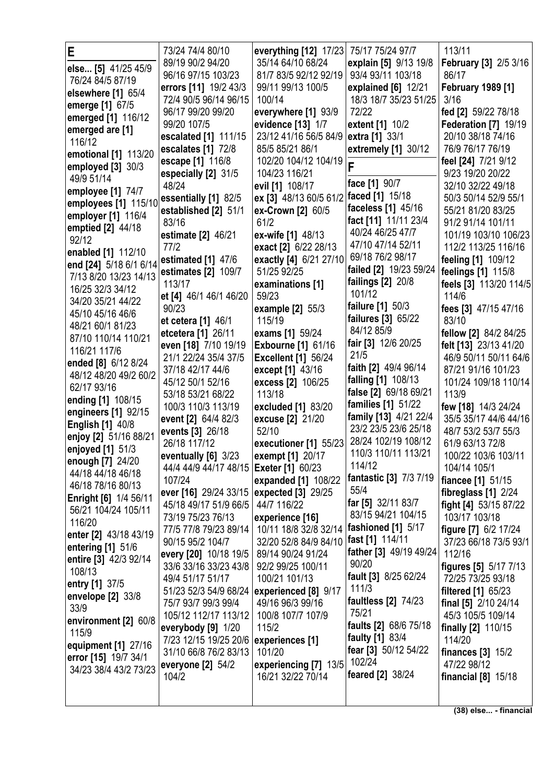|                              | 73/24 74/4 80/10                       |                                         | 75/17 75/24 97/7        | 113/11                       |
|------------------------------|----------------------------------------|-----------------------------------------|-------------------------|------------------------------|
| E                            |                                        | everything [12] 17/23                   |                         |                              |
| else [5] 41/25 45/9          | 89/19 90/2 94/20                       | 35/14 64/10 68/24                       | explain [5] 9/13 19/8   | February [3] 2/5 3/16        |
| 76/24 84/5 87/19             | 96/16 97/15 103/23                     | 81/7 83/5 92/12 92/19                   | 93/4 93/11 103/18       | 86/17                        |
| elsewhere [1] 65/4           | errors [11] 19/2 43/3                  | 99/11 99/13 100/5                       | explained [6] 12/21     | <b>February 1989 [1]</b>     |
| emerge [1] 67/5              | 72/4 90/5 96/14 96/15                  | 100/14                                  | 18/3 18/7 35/23 51/25   | 3/16                         |
| emerged [1] 116/12           | 96/17 99/20 99/20                      | everywhere [1] 93/9                     | 72/22                   | fed [2] 59/22 78/18          |
|                              | 99/20 107/5                            | evidence [13] 1/7                       | extent [1] 10/2         | Federation [7] 19/19         |
| emerged are [1]              | escalated [1] 111/15                   | 23/12 41/16 56/5 84/9                   | extra [1] 33/1          | 20/10 38/18 74/16            |
| 116/12                       | escalates [1] 72/8                     | 85/5 85/21 86/1                         | extremely [1] 30/12     | 76/9 76/17 76/19             |
| emotional [1] 113/20         | escape [1] 116/8                       | 102/20 104/12 104/19                    |                         | feel [24] 7/21 9/12          |
| employed $[3]$ 30/3          | especially [2] 31/5                    | 104/23 116/21                           | F                       | 9/23 19/20 20/22             |
| 49/9 51/14                   | 48/24                                  | evil [1] 108/17                         | face [1] 90/7           | 32/10 32/22 49/18            |
| employee [1] 74/7            | essentially [1] 82/5                   | ex [3] 48/13 60/5 61/2                  | faced [1] 15/18         | 50/3 50/14 52/9 55/1         |
| employees [1] 115/10         |                                        |                                         | faceless [1] 45/16      |                              |
| employer [1] 116/4           | established [2] 51/1                   | ex-Crown [2] 60/5                       | fact [11] 11/11 23/4    | 55/21 81/20 83/25            |
| emptied [2] 44/18            | 83/16                                  | 61/2                                    | 40/24 46/25 47/7        | 91/2 91/14 101/11            |
| 92/12                        | estimate [2] 46/21                     | ex-wife [1] 48/13                       |                         | 101/19 103/10 106/23         |
| enabled [1] 112/10           | 77/2                                   | exact [2] 6/22 28/13                    | 47/10 47/14 52/11       | 112/2 113/25 116/16          |
| end [24] 5/18 6/1 6/14       | estimated [1] 47/6                     | exactly [4] 6/21 27/10                  | 69/18 76/2 98/17        | feeling [1] 109/12           |
| 7/13 8/20 13/23 14/13        | estimates [2] 109/7                    | 51/25 92/25                             | failed [2] 19/23 59/24  | feelings [1] 115/8           |
| 16/25 32/3 34/12             | 113/17                                 | examinations [1]                        | failings [2] 20/8       | feels [3] 113/20 114/5       |
| 34/20 35/21 44/22            | et [4] 46/1 46/1 46/20                 | 59/23                                   | 101/12                  | 114/6                        |
|                              | 90/23                                  | example $[2]$ 55/3                      | failure [1] 50/3        | fees [3] 47/15 47/16         |
| 45/10 45/16 46/6             | et cetera [1] 46/1                     | 115/19                                  | failures [3] 65/22      | 83/10                        |
| 48/21 60/1 81/23             | etcetera [1] 26/11                     | exams [1] 59/24                         | 84/12 85/9              | fellow [2] 84/2 84/25        |
| 87/10 110/14 110/21          | even [18] 7/10 19/19                   | <b>Exbourne [1] 61/16</b>               | fair [3] 12/6 20/25     | felt [13] 23/13 41/20        |
| 116/21 117/6                 | 21/1 22/24 35/4 37/5                   | <b>Excellent [1] 56/24</b>              | 21/5                    | 46/9 50/11 50/11 64/6        |
| ended [8] 6/12 8/24          | 37/18 42/17 44/6                       | except [1] 43/16                        | faith [2] 49/4 96/14    | 87/21 91/16 101/23           |
| 48/12 48/20 49/2 60/2        | 45/12 50/1 52/16                       |                                         | falling [1] 108/13      | 101/24 109/18 110/14         |
| 62/17 93/16                  |                                        | excess [2] 106/25                       | false [2] 69/18 69/21   |                              |
| ending [1] 108/15            | 53/18 53/21 68/22                      | 113/18                                  | families [1] 51/22      | 113/9                        |
| engineers [1] 92/15          | 100/3 110/3 113/19                     | excluded [1] 83/20                      | family [13] 4/21 22/4   | few [18] 14/3 24/24          |
| <b>English [1] 40/8</b>      | event [2] 64/4 82/3                    | excuse [2] 21/20                        | 23/2 23/5 23/6 25/18    | 35/5 35/17 44/6 44/16        |
| enjoy [2] 51/16 88/21        | events [3] 26/18                       | 52/10                                   |                         | 48/7 53/2 53/7 55/3          |
| enjoyed [1] 51/3             | 26/18 117/12                           | executioner [1] 55/23                   | 28/24 102/19 108/12     | 61/9 63/13 72/8              |
| enough [7] 24/20             | eventually $[6]$ 3/23                  | exempt [1] 20/17                        | 110/3 110/11 113/21     | 100/22 103/6 103/11          |
| 44/18 44/18 46/18            | 44/4 44/9 44/17 48/15 Exeter [1] 60/23 |                                         | 114/12                  | 104/14 105/1                 |
| 46/18 78/16 80/13            | 107/24                                 | expanded [1] 108/22                     | fantastic [3] 7/3 7/19  | fiancee [1] 51/15            |
|                              | ever [16] 29/24 33/15                  | expected [3] 29/25                      | 55/4                    | fibreglass $[1]$ 2/24        |
| <b>Enright [6] 1/4 56/11</b> | 45/18 49/17 51/9 66/5                  | 44/7 116/22                             | far [5] 32/11 83/7      | fight [4] 53/15 87/22        |
| 56/21 104/24 105/11          | 73/19 75/23 76/13                      | experience [16]                         | 83/15 94/21 104/15      | 103/17 103/18                |
| 116/20                       | 77/5 77/8 79/23 89/14                  | 10/11 18/8 32/8 32/14                   | fashioned [1] 5/17      | figure [7] 6/2 17/24         |
| enter [2] 43/18 43/19        | 90/15 95/2 104/7                       | 32/20 52/8 84/9 84/10   fast [1] 114/11 |                         | 37/23 66/18 73/5 93/1        |
| entering $[1]$ 51/6          | every [20] 10/18 19/5                  | 89/14 90/24 91/24                       | father [3] 49/19 49/24  | 112/16                       |
| entire [3] 42/3 92/14        | 33/6 33/16 33/23 43/8                  | 92/2 99/25 100/11                       | 90/20                   | <b>figures</b> [5] 5/17 7/13 |
| 108/13                       | 49/4 51/17 51/17                       | 100/21 101/13                           | fault [3] 8/25 62/24    | 72/25 73/25 93/18            |
| entry [1] 37/5               |                                        |                                         | 111/3                   |                              |
| envelope $[2]$ 33/8          | 51/23 52/3 54/9 68/24                  | experienced [8] 9/17                    | faultless [2] 74/23     | <b>filtered</b> [1] 65/23    |
| 33/9                         | 75/7 93/7 99/3 99/4                    | 49/16 96/3 99/16                        | 75/21                   | final [5] 2/10 24/14         |
| environment [2] 60/8         | 105/12 112/17 113/12                   | 100/8 107/7 107/9                       |                         | 45/3 105/5 109/14            |
| 115/9                        | everybody [9] 1/20                     | 115/2                                   | faults [2] 68/6 75/18   | finally [2] 110/15           |
| equipment [1] 27/16          | 7/23 12/15 19/25 20/6                  | experiences [1]                         | faulty [1] 83/4         | 114/20                       |
| error [15] 19/7 34/1         | 31/10 66/8 76/2 83/13                  | 101/20                                  | fear [3] 50/12 54/22    | finances $[3]$ 15/2          |
| 34/23 38/4 43/2 73/23        | everyone $[2]$ 54/2                    | experiencing [7] 13/5                   | 102/24                  | 47/22 98/12                  |
|                              | 104/2                                  | 16/21 32/22 70/14                       | <b>feared [2] 38/24</b> | financial $[8]$ 15/18        |
|                              |                                        |                                         |                         |                              |
|                              |                                        |                                         |                         |                              |

**(38) else... - financial**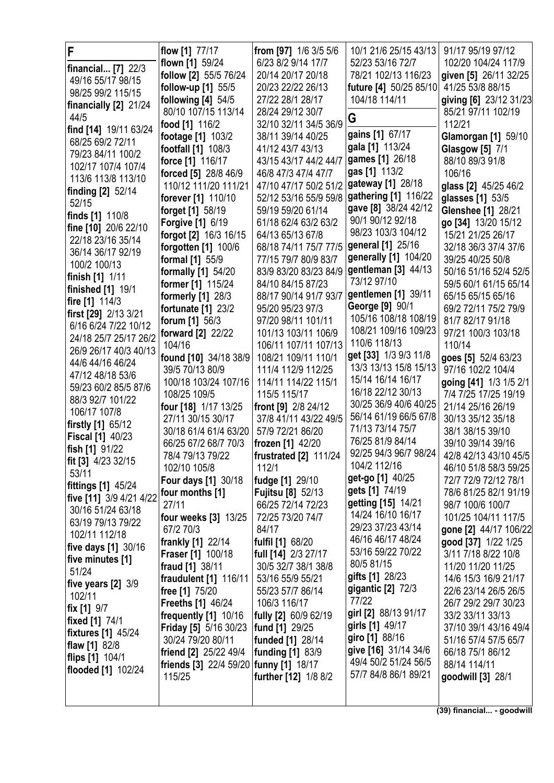| F                                            | flow [1] 77/17                         | from [97] 1/6 3/5 5/6                        | 10/1 21/6 25/15 43/13                        | 91/17 95/19 97/12         |
|----------------------------------------------|----------------------------------------|----------------------------------------------|----------------------------------------------|---------------------------|
|                                              | flown [1] 59/24                        | 6/23 8/2 9/14 17/7                           | 52/23 53/16 72/7                             | 102/20 104/24 117/9       |
| financial [7] 22/3<br>49/16 55/17 98/15      | follow [2] 55/5 76/24                  | 20/14 20/17 20/18                            | 78/21 102/13 116/23                          | given [5] 26/11 32/25     |
| 98/25 99/2 115/15                            | follow-up [1] 55/5                     | 20/23 22/22 26/13                            | future [4] 50/25 85/10                       | 41/25 53/8 88/15          |
|                                              | following $[4]$ 54/5                   | 27/22 28/1 28/17                             | 104/18 114/11                                | giving [6] 23/12 31/23    |
| financially [2] 21/24                        | 80/10 107/15 113/14                    | 28/24 29/12 30/7                             |                                              | 85/21 97/11 102/19        |
| 44/5                                         | food [1] 116/2                         | 32/10 32/11 34/5 36/9                        | G                                            | 112/21                    |
| find [14] 19/11 63/24                        | footage [1] 103/2                      | 38/11 39/14 40/25                            | gains [1] 67/17                              | Glamorgan [1] 59/10       |
| 68/25 69/2 72/11                             | footfall [1] 108/3                     | 41/12 43/7 43/13                             | gala [1] 113/24                              | <b>Glasgow</b> [5] 7/1    |
| 79/23 84/11 100/2                            | force [1] 116/17                       | 43/15 43/17 44/2 44/7                        | games [1] 26/18                              | 88/10 89/3 91/8           |
| 102/17 107/4 107/4                           | forced [5] 28/8 46/9                   | 46/8 47/3 47/4 47/7                          | gas [1] 113/2                                | 106/16                    |
| 113/6 113/8 113/10                           | 110/12 111/20 111/21                   | 47/10 47/17 50/2 51/2                        | gateway [1] 28/18                            | glass [2] 45/25 46/2      |
| finding [2] 52/14                            | forever [1] 110/10                     | 52/12 53/16 55/9 59/8   gathering [1] 116/22 |                                              | glasses [1] 53/5          |
| 52/15                                        | forget [1] 58/19                       | 59/19 59/20 61/14                            | gave [8] 38/24 42/12                         | <b>Glenshee [1] 28/21</b> |
| finds [1] 110/8                              | <b>Forgive [1] 6/19</b>                | 61/18 62/4 63/2 63/2                         | 90/1 90/12 92/18                             | go [34] 13/20 15/12       |
| fine [10] 20/6 22/10                         | forgot [2] 16/3 16/15                  | 64/13 65/13 67/8                             | 98/23 103/3 104/12                           | 15/21 21/25 26/17         |
| 22/18 23/16 35/14                            | forgotten [1] 100/6                    | 68/18 74/11 75/7 77/5                        | general [1] 25/16                            | 32/18 36/3 37/4 37/6      |
| 36/14 36/17 92/19                            | formal [1] 55/9                        | 77/15 79/7 80/9 83/7                         | generally [1] 104/20                         | 39/25 40/25 50/8          |
| 100/2 100/13                                 | formally [1] 54/20                     | 83/9 83/20 83/23 84/9                        | gentleman [3] 44/13                          | 50/16 51/16 52/4 52/5     |
| finish [1] 1/11                              | former [1] 115/24                      | 84/10 84/15 87/23                            | 73/12 97/10                                  | 59/5 60/1 61/15 65/14     |
| finished [1] 19/1                            | formerly [1] 28/3                      | 88/17 90/14 91/7 93/7                        | gentlemen [1] 39/11                          | 65/15 65/15 65/16         |
| fire [1] 114/3                               | <b>fortunate</b> [1] 23/2              | 95/20 95/23 97/3                             | George [9] 90/1                              | 69/2 72/11 75/2 79/9      |
| first [29] 2/13 3/21<br>6/16 6/24 7/22 10/12 | forum [1] 56/3                         | 97/20 98/11 101/11                           | 105/16 108/18 108/19                         | 81/7 82/17 91/18          |
| 24/18 25/7 25/17 26/2                        | forward [2] 22/22                      | 101/13 103/11 106/9                          | 108/21 109/16 109/23                         | 97/21 100/3 103/18        |
| 26/9 26/17 40/3 40/13                        | 104/16                                 | 106/11 107/11 107/13                         | 110/6 118/13                                 | 110/14                    |
| 44/6 44/16 46/24                             | found [10] 34/18 38/9                  | 108/21 109/11 110/1                          | get [33] 1/3 9/3 11/8                        | goes [5] 52/4 63/23       |
| 47/12 48/18 53/6                             | 39/5 70/13 80/9                        | 111/4 112/9 112/25                           | 13/3 13/13 15/8 15/13                        | 97/16 102/2 104/4         |
| 59/23 60/2 85/5 87/6                         | 100/18 103/24 107/16                   | 114/11 114/22 115/1                          | 15/14 16/14 16/17                            | going [41] 1/3 1/5 2/1    |
| 88/3 92/7 101/22                             | 108/25 109/5                           | 115/5 115/17                                 | 16/18 22/12 30/13                            | 7/4 7/25 17/25 19/19      |
| 106/17 107/8                                 | four [18] 1/17 13/25                   | front [9] 2/8 24/12                          | 30/25 36/9 40/6 40/25                        | 21/14 25/16 26/19         |
| firstly [1] 65/12                            | 27/11 30/15 30/17                      | 37/8 41/11 43/22 49/5                        | 56/14 61/19 66/5 67/8                        | 30/13 35/12 35/18         |
| <b>Fiscal [1] 40/23</b>                      | 30/18 61/4 61/4 63/20                  | 57/9 72/21 86/20                             | 71/13 73/14 75/7                             | 38/1 38/15 39/10          |
| fish [1] 91/22                               | 66/25 67/2 68/7 70/3                   | frozen [1] 42/20                             | 76/25 81/9 84/14                             | 39/10 39/14 39/16         |
| fit [3] 4/23 32/15                           | 78/4 79/13 79/22                       | <b>frustrated [2] 111/24</b>                 | 92/25 94/3 96/7 98/24                        | 42/8 42/13 43/10 45/5     |
| 53/11                                        | 102/10 105/8                           | 112/1                                        | 104/2 112/16                                 | 46/10 51/8 58/3 59/25     |
| fittings [1] 45/24                           | <b>Four days [1] 30/18</b>             | fudge [1] 29/10                              | get-go [1] 40/25                             | 72/7 72/9 72/12 78/1      |
| five [11] 3/9 4/21 4/22                      | four months [1]                        | Fujitsu [8] 52/13                            | gets [1] 74/19                               | 78/6 81/25 82/1 91/19     |
| 30/16 51/24 63/18                            | 27/11                                  | 66/25 72/14 72/23                            | getting [15] 14/21                           | 98/7 100/6 100/7          |
| 63/19 79/13 79/22                            | four weeks [3] 13/25                   | 72/25 73/20 74/7                             | 14/24 16/10 16/17                            | 101/25 104/11 117/5       |
| 102/11 112/18                                | 67/2 70/3                              | 84/17                                        | 29/23 37/23 43/14                            | gone [2] 44/17 106/22     |
| five days [1] 30/16                          | frankly [1] 22/14                      | fulfil [1] 68/20                             | 46/16 46/17 48/24                            | good [37] 1/22 1/25       |
| five minutes [1]                             | Fraser [1] 100/18                      | full [14] 2/3 27/17                          | 53/16 59/22 70/22                            | 3/11 7/18 8/22 10/8       |
| 51/24                                        | fraud [1] 38/11                        | 30/5 32/7 38/1 38/8                          | 80/5 81/15                                   | 11/20 11/20 11/25         |
| five years $[2]$ 3/9                         | fraudulent [1] 116/11                  | 53/16 55/9 55/21                             | gifts [1] 28/23                              | 14/6 15/3 16/9 21/17      |
| 102/11                                       | free [1] 75/20                         | 55/23 57/7 86/14                             | gigantic $[2]$ 72/3                          | 22/6 23/14 26/5 26/5      |
| fix [1] 9/7                                  | <b>Freeths [1] 46/24</b>               | 106/3 116/17                                 | 77/22                                        | 26/7 29/2 29/7 30/23      |
| <b>fixed</b> [1] 74/1                        | frequently [1] 10/16                   | fully [2] 60/9 62/19                         | girl [2] 88/13 91/17                         | 33/2 33/11 33/13          |
| <b>fixtures</b> [1] 45/24                    | Friday [5] 5/16 30/23                  | fund [1] 29/25                               | girls [1] 49/17                              | 37/10 39/1 43/16 49/4     |
| flaw [1] 82/8                                | 30/24 79/20 80/11                      | funded [1] 28/14                             | giro [1] 88/16                               | 51/16 57/4 57/5 65/7      |
| flips [1] 104/1                              | friend [2] 25/22 49/4                  | funding [1] 83/9                             | give [16] 31/14 34/6<br>49/4 50/2 51/24 56/5 | 66/18 75/1 86/12          |
| <b>flooded</b> [1] 102/24                    | friends [3] 22/4 59/20 funny [1] 18/17 |                                              | 57/7 84/8 86/1 89/21                         | 88/14 114/11              |
|                                              | 115/25                                 | further [12] 1/8 8/2                         |                                              | goodwill [3] 28/1         |
|                                              |                                        |                                              |                                              |                           |

**(39) financial... - goodwill**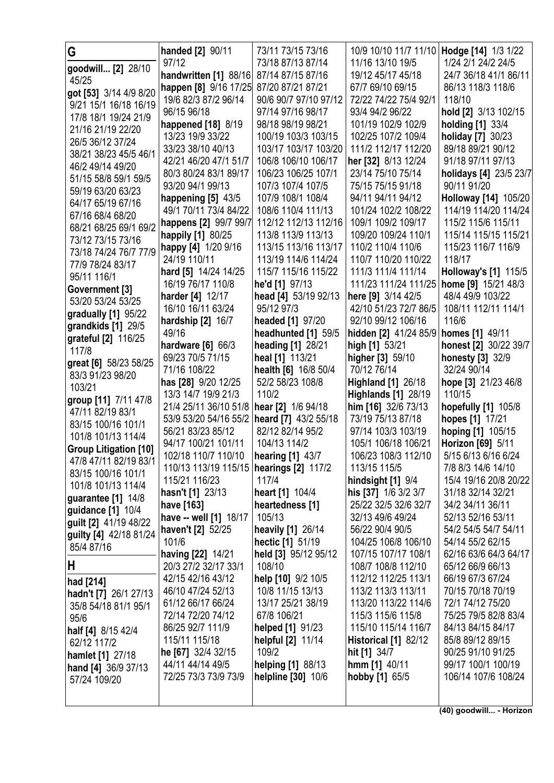| G                                         | handed [2] 90/11                          | 73/11 73/15 73/16                          | 10/9 10/10 11/7 11/10   Hodge [14] 1/3 1/22 |                                            |
|-------------------------------------------|-------------------------------------------|--------------------------------------------|---------------------------------------------|--------------------------------------------|
| goodwill [2] 28/10                        | 97/12                                     | 73/18 87/13 87/14                          | 11/16 13/10 19/5                            | 1/24 2/1 24/2 24/5                         |
| 45/25                                     | handwritten [1] 88/16                     | 87/14 87/15 87/16                          | 19/12 45/17 45/18                           | 24/7 36/18 41/1 86/11                      |
| got [53] 3/14 4/9 8/20                    | happen [8] 9/16 17/25                     | 87/20 87/21 87/21                          | 67/7 69/10 69/15                            | 86/13 118/3 118/6                          |
| 9/21 15/1 16/18 16/19                     | 19/6 82/3 87/2 96/14                      | 90/6 90/7 97/10 97/12                      | 72/22 74/22 75/4 92/1                       | 118/10                                     |
| 17/8 18/1 19/24 21/9                      | 96/15 96/18                               | 97/14 97/16 98/17                          | 93/4 94/2 96/22                             | hold [2] 3/13 102/15                       |
| 21/16 21/19 22/20                         | happened [18] 8/19                        | 98/18 98/19 98/21                          | 101/19 102/9 102/9                          | <b>holding</b> [1] 33/4                    |
| 26/5 36/12 37/24                          | 13/23 19/9 33/22                          | 100/19 103/3 103/15                        | 102/25 107/2 109/4                          | holiday [7] 30/23                          |
| 38/21 38/23 45/5 46/1                     | 33/23 38/10 40/13                         | 103/17 103/17 103/20                       | 111/2 112/17 112/20                         | 89/18 89/21 90/12                          |
| 46/2 49/14 49/20                          | 42/21 46/20 47/1 51/7                     | 106/8 106/10 106/17                        | her [32] 8/13 12/24                         | 91/18 97/11 97/13                          |
| 51/15 58/8 59/1 59/5                      | 80/3 80/24 83/1 89/17                     | 106/23 106/25 107/1                        | 23/14 75/10 75/14                           | holidays [4] 23/5 23/7                     |
| 59/19 63/20 63/23                         | 93/20 94/1 99/13                          | 107/3 107/4 107/5                          | 75/15 75/15 91/18                           | 90/11 91/20                                |
| 64/17 65/19 67/16                         | happening [5] 43/5                        | 107/9 108/1 108/4                          | 94/11 94/11 94/12                           | <b>Holloway [14] 105/20</b>                |
| 67/16 68/4 68/20                          | 49/1 70/11 73/4 84/22                     | 108/6 110/4 111/13                         | 101/24 102/2 108/22                         | 114/19 114/20 114/24                       |
| 68/21 68/25 69/1 69/2                     | happens [2] 99/7 99/7                     | 112/12 112/13 112/16<br>113/8 113/9 113/13 | 109/1 109/2 109/17<br>109/20 109/24 110/1   | 115/2 115/6 115/11<br>115/14 115/15 115/21 |
| 73/12 73/15 73/16                         | happily [1] 80/25                         | 113/15 113/16 113/17                       | 110/2 110/4 110/6                           | 115/23 116/7 116/9                         |
| 73/18 74/24 76/7 77/9                     | happy [4] 1/20 9/16<br>24/19 110/11       | 113/19 114/6 114/24                        | 110/7 110/20 110/22                         | 118/17                                     |
| 77/9 78/24 83/17                          | hard [5] 14/24 14/25                      | 115/7 115/16 115/22                        | 111/3 111/4 111/14                          | <b>Holloway's [1] 115/5</b>                |
| 95/11 116/1                               | 16/19 76/17 110/8                         | he'd [1] 97/13                             | 111/23 111/24 111/25                        | home [9] 15/21 48/3                        |
| Government [3]                            | <b>harder</b> [4] 12/17                   | head [4] 53/19 92/13                       | here [9] 3/14 42/5                          | 48/4 49/9 103/22                           |
| 53/20 53/24 53/25                         | 16/10 16/11 63/24                         | 95/12 97/3                                 | 42/10 51/23 72/7 86/5                       | 108/11 112/11 114/1                        |
| gradually [1] 95/22                       | hardship [2] 16/7                         | headed [1] 97/20                           | 92/10 99/12 106/16                          | 116/6                                      |
| grandkids [1] 29/5                        | 49/16                                     | headhunted [1] 59/5                        | hidden [2] 41/24 85/9                       | <b>homes</b> [1] 49/11                     |
| grateful [2] 116/25                       | hardware $[6]$ 66/3                       | <b>heading [1] 28/21</b>                   | high [1] 53/21                              | honest [2] 30/22 39/7                      |
| 117/8                                     | 69/23 70/5 71/15                          | heal [1] 113/21                            | higher [3] 59/10                            | honesty [3] 32/9                           |
| great [6] 58/23 58/25<br>83/3 91/23 98/20 | 71/16 108/22                              | health [6] 16/8 50/4                       | 70/12 76/14                                 | 32/24 90/14                                |
| 103/21                                    | has [28] 9/20 12/25                       | 52/2 58/23 108/8                           | <b>Highland [1] 26/18</b>                   | hope [3] 21/23 46/8                        |
| group [11] 7/11 47/8                      | 13/3 14/7 19/9 21/3                       | 110/2                                      | <b>Highlands [1] 28/19</b>                  | 110/15                                     |
| 47/11 82/19 83/1                          | 21/4 25/11 36/10 51/8                     | hear [2] 1/6 94/18                         | him [16] 32/6 73/13                         | hopefully [1] 105/8                        |
| 83/15 100/16 101/1                        | 53/9 53/20 54/16 55/2                     | heard [7] 43/2 55/18                       | 73/19 75/13 87/18                           | hopes [1] 17/21                            |
| 101/8 101/13 114/4                        | 56/21 83/23 85/12                         | 82/12 82/14 95/2                           | 97/14 103/3 103/19                          | hoping [1] 105/15                          |
| <b>Group Litigation [10]</b>              | 94/17 100/21 101/11                       | 104/13 114/2                               | 105/1 106/18 106/21                         | Horizon [69] 5/11                          |
| 47/8 47/11 82/19 83/1                     | 102/18 110/7 110/10                       | hearing [1] 43/7                           | 106/23 108/3 112/10                         | 5/15 6/13 6/16 6/24                        |
| 83/15 100/16 101/1                        | 110/13 113/19 115/15   hearings [2] 117/2 |                                            | 113/15 115/5                                | 7/8 8/3 14/6 14/10                         |
| 101/8 101/13 114/4                        | 115/21 116/23                             | 117/4                                      | hindsight [1] 9/4                           | 15/4 19/16 20/8 20/22                      |
| guarantee $[1]$ 14/8                      | hasn't [1] 23/13                          | heart [1] 104/4                            | his [37] 1/6 3/2 3/7                        | 31/18 32/14 32/21                          |
| guidance [1] 10/4                         | have [163]<br>have -- well [1] 18/17      | heartedness [1]<br>105/13                  | 25/22 32/5 32/6 32/7<br>32/13 49/6 49/24    | 34/2 34/11 36/11<br>52/13 52/16 53/11      |
| guilt [2] 41/19 48/22                     | haven't [2] 52/25                         | heavily [1] 26/14                          | 56/22 90/4 90/5                             | 54/2 54/5 54/7 54/11                       |
| guilty [4] 42/18 81/24                    | 101/6                                     | hectic [1] 51/19                           | 104/25 106/8 106/10                         | 54/14 55/2 62/15                           |
| 85/4 87/16                                | having [22] 14/21                         | held [3] 95/12 95/12                       | 107/15 107/17 108/1                         | 62/16 63/6 64/3 64/17                      |
| Н                                         | 20/3 27/2 32/17 33/1                      | 108/10                                     | 108/7 108/8 112/10                          | 65/12 66/9 66/13                           |
| had [214]                                 | 42/15 42/16 43/12                         | help [10] 9/2 10/5                         | 112/12 112/25 113/1                         | 66/19 67/3 67/24                           |
| hadn't [7] 26/1 27/13                     | 46/10 47/24 52/13                         | 10/8 11/15 13/13                           | 113/2 113/3 113/11                          | 70/15 70/18 70/19                          |
| 35/8 54/18 81/1 95/1                      | 61/12 66/17 66/24                         | 13/17 25/21 38/19                          | 113/20 113/22 114/6                         | 72/1 74/12 75/20                           |
| 95/6                                      | 72/14 72/20 74/12                         | 67/8 106/21                                | 115/3 115/6 115/8                           | 75/25 79/5 82/8 83/4                       |
| half [4] 8/15 42/4                        | 86/25 92/7 111/9                          | helped [1] 91/23                           | 115/10 115/14 116/7                         | 84/13 84/15 84/17                          |
| 62/12 117/2                               | 115/11 115/18                             | helpful [2] 11/14                          | Historical [1] 82/12                        | 85/8 89/12 89/15                           |
| <b>hamlet</b> [1] 27/18                   | he [67] 32/4 32/15                        | 109/2                                      | hit [1] 34/7                                | 90/25 91/10 91/25                          |
| hand [4] 36/9 37/13                       | 44/11 44/14 49/5                          | helping [1] 88/13                          | $hmm$ [1] 40/11                             | 99/17 100/1 100/19                         |
|                                           |                                           |                                            |                                             |                                            |
| 57/24 109/20                              | 72/25 73/3 73/9 73/9                      | helpline [30] 10/6                         | hobby [1] 65/5                              | 106/14 107/6 108/24                        |
|                                           |                                           |                                            |                                             |                                            |

**(40) goodwill... - Horizon**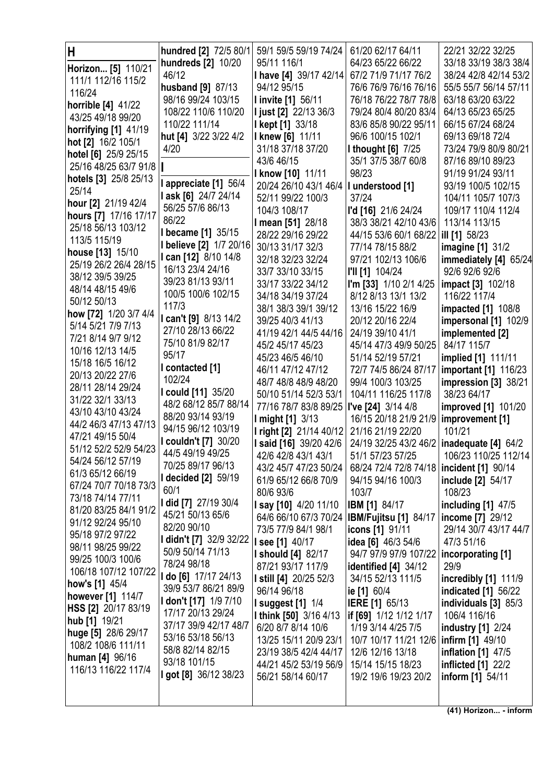| Н<br>Horizon [5] 110/21<br>111/1 112/16 115/2                                       | hundred [2] 72/5 80/1<br>hundreds [2] 10/20<br>46/12                                  | 59/1 59/5 59/19 74/24<br>95/11 116/1<br>I have [4] 39/17 42/14                                      | 61/20 62/17 64/11<br>64/23 65/22 66/22<br>67/2 71/9 71/17 76/2                                 | 22/21 32/22 32/25<br>33/18 33/19 38/3 38/4<br>38/24 42/8 42/14 53/2                |
|-------------------------------------------------------------------------------------|---------------------------------------------------------------------------------------|-----------------------------------------------------------------------------------------------------|------------------------------------------------------------------------------------------------|------------------------------------------------------------------------------------|
| 116/24<br><b>horrible [4] 41/22</b><br>43/25 49/18 99/20                            | husband [9] 87/13<br>98/16 99/24 103/15<br>108/22 110/6 110/20                        | 94/12 95/15<br><b>I invite [1] 56/11</b><br>I just [2] 22/13 36/3                                   | 76/6 76/9 76/16 76/16<br>76/18 76/22 78/7 78/8<br>79/24 80/4 80/20 83/4                        | 55/5 55/7 56/14 57/11<br>63/18 63/20 63/22<br>64/13 65/23 65/25                    |
| horrifying [1] 41/19<br>hot [2] 16/2 105/1<br>hotel [6] 25/9 25/15                  | 110/22 111/14<br>hut [4] 3/22 3/22 4/2<br>4/20                                        | <b>I kept [1] 33/18</b><br><b>I knew [6] 11/11</b><br>31/18 37/18 37/20                             | 83/6 85/8 90/22 95/11<br>96/6 100/15 102/1<br><b>I thought [6] 7/25</b>                        | 66/15 67/24 68/24<br>69/13 69/18 72/4<br>73/24 79/9 80/9 80/21                     |
| 25/16 48/25 63/7 91/8<br>hotels [3] 25/8 25/13<br>25/14                             | l appreciate [1] 56/4<br>l ask [6] 24/7 24/14                                         | 43/6 46/15<br><b>I know [10]</b> 11/11<br>20/24 26/10 43/1 46/4<br>52/11 99/22 100/3                | 35/1 37/5 38/7 60/8<br>98/23<br>I understood [1]<br>37/24                                      | 87/16 89/10 89/23<br>91/19 91/24 93/11<br>93/19 100/5 102/15<br>104/11 105/7 107/3 |
| hour [2] 21/19 42/4<br>hours [7] 17/16 17/17<br>25/18 56/13 103/12                  | 56/25 57/6 86/13<br>86/22<br>I became [1] 35/15                                       | 104/3 108/17<br><b>I mean [51]</b> 28/18<br>28/22 29/16 29/22                                       | l'd [16] 21/6 24/24<br>38/3 38/21 42/10 43/6<br>44/15 53/6 60/1 68/22                          | 109/17 110/4 112/4<br>113/14 113/15<br>ill [1] 58/23                               |
| 113/5 115/19<br>house [13] 15/10<br>25/19 26/2 26/4 28/15<br>38/12 39/5 39/25       | I believe [2] 1/7 20/16<br>I can [12] 8/10 14/8<br>16/13 23/4 24/16                   | 30/13 31/17 32/3<br>32/18 32/23 32/24<br>33/7 33/10 33/15                                           | 77/14 78/15 88/2<br>97/21 102/13 106/6<br>I'll [1] 104/24                                      | <b>imagine</b> [1] 31/2<br>immediately [4] 65/24<br>92/6 92/6 92/6                 |
| 48/14 48/15 49/6<br>50/12 50/13<br>how [72] 1/20 3/7 4/4                            | 39/23 81/13 93/11<br>100/5 100/6 102/15<br>117/3<br>I can't [9] 8/13 14/2             | 33/17 33/22 34/12<br>34/18 34/19 37/24<br>38/1 38/3 39/1 39/12<br>39/25 40/3 41/13                  | I'm [33] 1/10 2/1 4/25<br>8/12 8/13 13/1 13/2<br>13/16 15/22 16/9<br>20/12 20/16 22/4          | <b>impact</b> [3] 102/18<br>116/22 117/4<br><b>impacted</b> [1] 108/8              |
| 5/14 5/21 7/9 7/13<br>7/21 8/14 9/7 9/12<br>10/16 12/13 14/5                        | 27/10 28/13 66/22<br>75/10 81/9 82/17<br>95/17                                        | 41/19 42/1 44/5 44/16<br>45/2 45/17 45/23<br>45/23 46/5 46/10                                       | 24/19 39/10 41/1<br>45/14 47/3 49/9 50/25<br>51/14 52/19 57/21                                 | impersonal [1] 102/9<br>implemented [2]<br>84/17 115/7<br>implied [1] 111/11       |
| 15/18 16/5 16/12<br>20/13 20/22 27/6<br>28/11 28/14 29/24                           | I contacted [1]<br>102/24<br>I could [11] 35/20                                       | 46/11 47/12 47/12<br>48/7 48/8 48/9 48/20<br>50/10 51/14 52/3 53/1                                  | 72/7 74/5 86/24 87/17<br>99/4 100/3 103/25<br>104/11 116/25 117/8                              | <b>important</b> [1] 116/23<br>impression [3] 38/21<br>38/23 64/17                 |
| 31/22 32/1 33/13<br>43/10 43/10 43/24<br>44/2 46/3 47/13 47/13<br>47/21 49/15 50/4  | 48/2 68/12 85/7 88/14<br>88/20 93/14 93/19<br>94/15 96/12 103/19                      | 77/16 78/7 83/8 89/25<br>I might [1] 3/13<br><b>I right [2]</b> 21/14 40/12                         | I've [24] 3/14 4/8<br>16/15 20/18 21/9 21/9<br>21/16 21/19 22/20                               | improved [1] 101/20<br>improvement [1]<br>101/21                                   |
| 51/12 52/2 52/9 54/23<br>54/24 56/12 57/19<br>61/3 65/12 66/19                      | <b>I couldn't [7]</b> 30/20<br>44/5 49/19 49/25<br>70/25 89/17 96/13                  | <b>I said [16] 39/20 42/6</b><br>42/6 42/8 43/1 43/1<br>43/2 45/7 47/23 50/24                       | 24/19 32/25 43/2 46/2<br>51/1 57/23 57/25<br>68/24 72/4 72/8 74/18                             | inadequate $[4]$ 64/2<br>106/23 110/25 112/14<br>incident [1] 90/14                |
| 67/24 70/7 70/18 73/3<br>73/18 74/14 77/11<br>81/20 83/25 84/1 91/2                 | <b>I decided [2]</b> 59/19<br>60/1<br>I did [7] 27/19 30/4<br>45/21 50/13 65/6        | 61/9 65/12 66/8 70/9<br>80/6 93/6<br><b>I say [10]</b> 4/20 11/10                                   | 94/15 94/16 100/3<br>103/7<br><b>IBM</b> [1] 84/17                                             | include [2] 54/17<br>108/23<br>including $[1]$ 47/5                                |
| 91/12 92/24 95/10<br>95/18 97/2 97/22<br>98/11 98/25 99/22                          | 82/20 90/10<br>I didn't [7] 32/9 32/22<br>50/9 50/14 71/13                            | 64/6 66/10 67/3 70/24<br>73/5 77/9 84/1 98/1<br><b>I see [1] 40/17</b><br><b>I should [4] 82/17</b> | <b>IBM/Fujitsu [1] 84/17</b><br>icons [1] 91/11<br>idea [6] 46/3 54/6<br>94/7 97/9 97/9 107/22 | income [7] 29/12<br>29/14 30/7 43/17 44/7<br>47/3 51/16<br>incorporating [1]       |
| 99/25 100/3 100/6<br>106/18 107/12 107/22<br>how's [1] 45/4                         | 78/24 98/18<br>I do [6] 17/17 24/13<br>39/9 53/7 86/21 89/9                           | 87/21 93/17 117/9<br><b>I still [4]</b> 20/25 52/3<br>96/14 96/18                                   | identified $[4]$ 34/12<br>34/15 52/13 111/5<br>ie [1] 60/4                                     | 29/9<br>incredibly [1] 111/9<br>indicated [1] 56/22                                |
| however [1] 114/7<br>HSS [2] 20/17 83/19<br>hub [1] 19/21                           | <b>I don't [17]</b> 1/9 7/10<br>17/17 20/13 29/24<br>37/17 39/9 42/17 48/7            | <b>I suggest [1] 1/4</b><br><b>I think [50] 3/16 4/13</b><br>6/20 8/7 8/14 10/6                     | <b>IERE</b> [1] 65/13<br>if [69] 1/12 1/12 1/17<br>1/19 3/14 4/25 7/5                          | individuals [3] 85/3<br>106/4 116/16<br><b>industry</b> [1] 2/24                   |
| huge [5] 28/6 29/17<br>108/2 108/6 111/11<br>human [4] 96/16<br>116/13 116/22 117/4 | 53/16 53/18 56/13<br>58/8 82/14 82/15<br>93/18 101/15<br><b>I got [8]</b> 36/12 38/23 | 13/25 15/11 20/9 23/1<br>23/19 38/5 42/4 44/17<br>44/21 45/2 53/19 56/9                             | 10/7 10/17 11/21 12/6<br>12/6 12/16 13/18<br>15/14 15/15 18/23                                 | <b>infirm</b> [1] 49/10<br><b>inflation</b> [1] 47/5<br>inflicted [1] 22/2         |
|                                                                                     |                                                                                       | 56/21 58/14 60/17                                                                                   | 19/2 19/6 19/23 20/2                                                                           | <b>inform</b> [1] 54/11                                                            |

**(41) Horizon... - inform**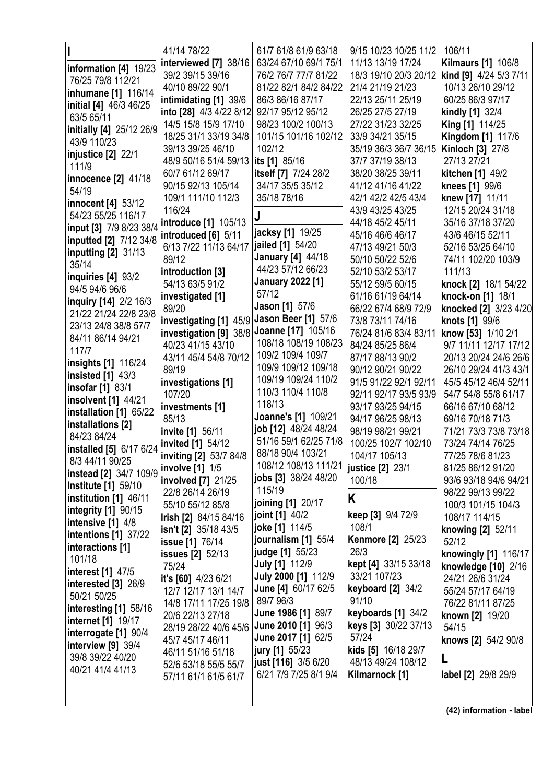|                                        | 41/14 78/22                                                 | 61/7 61/8 61/9 63/18     | 9/15 10/23 10/25 11/2                | 106/11                              |
|----------------------------------------|-------------------------------------------------------------|--------------------------|--------------------------------------|-------------------------------------|
| information [4] 19/23                  | interviewed [7] 38/16                                       | 63/24 67/10 69/1 75/1    | 11/13 13/19 17/24                    | <b>Kilmaurs [1] 106/8</b>           |
| 76/25 79/8 112/21                      | 39/2 39/15 39/16                                            | 76/2 76/7 77/7 81/22     | 18/3 19/10 20/3 20/12                | kind [9] 4/24 5/3 7/11              |
| inhumane [1] 116/14                    | 40/10 89/22 90/1                                            | 81/22 82/1 84/2 84/22    | 21/4 21/19 21/23                     | 10/13 26/10 29/12                   |
| initial [4] 46/3 46/25                 | intimidating [1] 39/6                                       | 86/3 86/16 87/17         | 22/13 25/11 25/19                    | 60/25 86/3 97/17                    |
| 63/5 65/11                             | into [28] 4/3 4/22 8/12                                     | 92/17 95/12 95/12        | 26/25 27/5 27/19                     | kindly [1] 32/4                     |
| initially [4] 25/12 26/9               | 14/5 15/8 15/9 17/10                                        | 98/23 100/2 100/13       | 27/22 31/23 32/25                    | <b>King [1] 114/25</b>              |
| 43/9 110/23                            | 18/25 31/1 33/19 34/8                                       | 101/15 101/16 102/12     | 33/9 34/21 35/15                     | Kingdom [1] 117/6                   |
| injustice [2] 22/1                     | 39/13 39/25 46/10                                           | 102/12                   | 35/19 36/3 36/7 36/15                | Kinloch [3] 27/8                    |
| 111/9                                  | 48/9 50/16 51/4 59/13                                       | its [1] 85/16            | 37/7 37/19 38/13                     | 27/13 27/21                         |
| innocence [2] 41/18                    | 60/7 61/12 69/17                                            | itself [7] 7/24 28/2     | 38/20 38/25 39/11                    | kitchen [1] 49/2                    |
| 54/19                                  | 90/15 92/13 105/14                                          | 34/17 35/5 35/12         | 41/12 41/16 41/22                    | knees [1] 99/6                      |
| innocent [4] 53/12                     | 109/1 111/10 112/3                                          | 35/18 78/16              | 42/1 42/2 42/5 43/4                  | knew [17] 11/11                     |
| 54/23 55/25 116/17                     | 116/24                                                      |                          | 43/9 43/25 43/25                     | 12/15 20/24 31/18                   |
| input [3] 7/9 8/23 38/4                | introduce [1] 105/13                                        |                          | 44/18 45/2 45/11                     | 35/16 37/18 37/20                   |
| inputted [2] 7/12 34/8                 | introduced [6] 5/11                                         | jacksy [1] 19/25         | 45/16 46/6 46/17                     | 43/6 46/15 52/11                    |
| inputting $[2]$ 31/13                  | 6/13 7/22 11/13 64/17                                       | jailed [1] 54/20         | 47/13 49/21 50/3                     | 52/16 53/25 64/10                   |
| 35/14                                  | 89/12                                                       | <b>January [4] 44/18</b> | 50/10 50/22 52/6                     | 74/11 102/20 103/9                  |
| inquiries [4] 93/2                     | introduction [3]                                            | 44/23 57/12 66/23        | 52/10 53/2 53/17                     | 111/13                              |
| 94/5 94/6 96/6                         | 54/13 63/5 91/2                                             | <b>January 2022 [1]</b>  | 55/12 59/5 60/15                     | knock [2] 18/1 54/22                |
| inquiry [14] 2/2 16/3                  | investigated [1]                                            | 57/12                    | 61/16 61/19 64/14                    | knock-on [1] 18/1                   |
| 21/22 21/24 22/8 23/8                  | 89/20                                                       | <b>Jason [1] 57/6</b>    | 66/22 67/4 68/9 72/9                 | knocked [2] 3/23 4/20               |
| 23/13 24/8 38/8 57/7                   | investigating [1] 45/9 Jason Beer [1] 57/6                  | Joanne [17] 105/16       | 73/8 73/11 74/16                     | knots [1] 99/6                      |
| 84/11 86/14 94/21                      | investigation [9] 38/8                                      | 108/18 108/19 108/23     | 76/24 81/6 83/4 83/11                | know [53] 1/10 2/1                  |
| 117/7                                  | 40/23 41/15 43/10                                           | 109/2 109/4 109/7        | 84/24 85/25 86/4                     | 9/7 11/11 12/17 17/12               |
| insights [1] 116/24                    | 43/11 45/4 54/8 70/12                                       | 109/9 109/12 109/18      | 87/17 88/13 90/2                     | 20/13 20/24 24/6 26/6               |
| <b>insisted</b> [1] 43/3               | 89/19                                                       | 109/19 109/24 110/2      | 90/12 90/21 90/22                    | 26/10 29/24 41/3 43/1               |
| insofar [1] 83/1                       | investigations [1]                                          | 110/3 110/4 110/8        | 91/5 91/22 92/1 92/11                | 45/5 45/12 46/4 52/11               |
| insolvent [1] 44/21                    | 107/20                                                      | 118/13                   | 92/11 92/17 93/5 93/9                | 54/7 54/8 55/8 61/17                |
| installation [1] 65/22                 | investments [1]                                             | Joanne's [1] 109/21      | 93/17 93/25 94/15                    | 66/16 67/10 68/12                   |
| installations [2]                      | 85/13                                                       | job [12] 48/24 48/24     | 94/17 96/25 98/13                    | 69/16 70/18 71/3                    |
| 84/23 84/24                            | invite [1] 56/11                                            | 51/16 59/1 62/25 71/8    | 98/19 98/21 99/21                    | 71/21 73/3 73/8 73/18               |
| installed [5] 6/17 6/24                | invited [1] 54/12                                           | 88/18 90/4 103/21        | 100/25 102/7 102/10<br>104/17 105/13 | 73/24 74/14 76/25                   |
| 8/3 44/11 90/25                        | inviting [2] 53/7 84/8                                      | 108/12 108/13 111/21     |                                      | 77/25 78/6 81/23                    |
| instead [2] 34/7 109/9 involve [1] 1/5 |                                                             | jobs [3] 38/24 48/20     | justice [2] 23/1                     | 81/25 86/12 91/20                   |
| <b>Institute [1] 59/10</b>             | involved [7] 21/25                                          | 115/19                   | 100/18                               | 93/6 93/18 94/6 94/21               |
| institution [1] 46/11                  | 22/8 26/14 26/19<br>55/10 55/12 85/8                        | joining [1] 20/17        | K                                    | 98/22 99/13 99/22                   |
| <b>integrity</b> [1] 90/15             |                                                             | joint [1] 40/2           | keep [3] 9/4 72/9                    | 100/3 101/15 104/3<br>108/17 114/15 |
| intensive [1] 4/8                      | <b>Irish [2] 84/15 84/16</b><br><b>isn't [2]</b> 35/18 43/5 | joke [1] 114/5           | 108/1                                | knowing [2] 52/11                   |
| intentions [1] 37/22                   | <b>issue [1] 76/14</b>                                      | journalism [1] 55/4      | <b>Kenmore [2] 25/23</b>             | 52/12                               |
| interactions [1]                       | <b>issues [2]</b> 52/13                                     | judge [1] 55/23          | 26/3                                 | knowingly [1] 116/17                |
| 101/18                                 | 75/24                                                       | <b>July [1] 112/9</b>    | kept [4] 33/15 33/18                 | knowledge [10] 2/16                 |
| <b>interest</b> [1] 47/5               | it's [60] 4/23 6/21                                         | July 2000 [1] 112/9      | 33/21 107/23                         | 24/21 26/6 31/24                    |
| interested $[3]$ 26/9                  | 12/7 12/17 13/1 14/7                                        | June [4] 60/17 62/5      | keyboard $[2]$ 34/2                  | 55/24 57/17 64/19                   |
| 50/21 50/25                            | 14/8 17/11 17/25 19/8                                       | 89/7 96/3                | 91/10                                | 76/22 81/11 87/25                   |
| interesting [1] 58/16                  | 20/6 22/13 27/18                                            | June 1986 [1] 89/7       | keyboards [1] 34/2                   | known [2] 19/20                     |
| <b>internet</b> [1] 19/17              | 28/19 28/22 40/6 45/6                                       | June 2010 [1] 96/3       | keys [3] 30/22 37/13                 | 54/15                               |
| interrogate [1] 90/4                   | 45/7 45/17 46/11                                            | June 2017 [1] 62/5       | 57/24                                | knows [2] 54/2 90/8                 |
| interview $[9]$ 39/4                   | 46/11 51/16 51/18                                           | jury [1] 55/23           | kids [5] 16/18 29/7                  |                                     |
| 39/8 39/22 40/20                       | 52/6 53/18 55/5 55/7                                        | just [116] 3/5 6/20      | 48/13 49/24 108/12                   |                                     |
| 40/21 41/4 41/13                       | 57/11 61/1 61/5 61/7                                        | 6/21 7/9 7/25 8/1 9/4    | Kilmarnock [1]                       | label [2] 29/8 29/9                 |
|                                        |                                                             |                          |                                      |                                     |
|                                        |                                                             |                          |                                      |                                     |

**(42) information - label**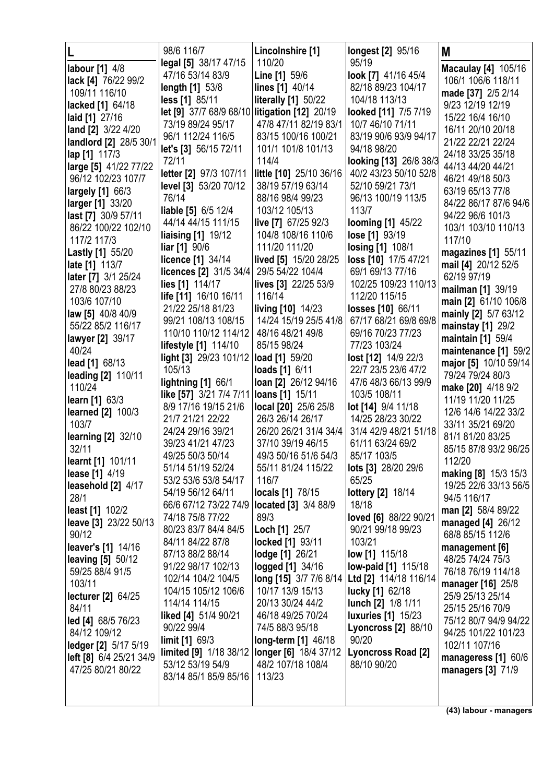|                                   | 98/6 116/7                                     | Lincolnshire [1]                           | longest [2] 95/16                                   | M                                         |
|-----------------------------------|------------------------------------------------|--------------------------------------------|-----------------------------------------------------|-------------------------------------------|
| labour [1] 4/8                    | legal [5] 38/17 47/15                          | 110/20                                     | 95/19                                               | <b>Macaulay [4] 105/16</b>                |
| lack [4] 76/22 99/2               | 47/16 53/14 83/9                               | Line [1] 59/6                              | look [7] 41/16 45/4                                 | 106/1 106/6 118/11                        |
| 109/11 116/10                     | length [1] 53/8                                | lines [1] 40/14                            | 82/18 89/23 104/17                                  | made [37] 2/5 2/14                        |
| lacked [1] 64/18                  | less [1] 85/11                                 | <b>literally [1] 50/22</b>                 | 104/18 113/13                                       | 9/23 12/19 12/19                          |
| laid [1] 27/16                    | let [9] 37/7 68/9 68/10 litigation [12] 20/19  |                                            | looked [11] 7/5 7/19                                | 15/22 16/4 16/10                          |
| land [2] 3/22 4/20                | 73/19 89/24 95/17                              | 47/8 47/11 82/19 83/1                      | 10/7 46/10 71/11                                    | 16/11 20/10 20/18                         |
| landlord [2] 28/5 30/1            | 96/1 112/24 116/5                              | 83/15 100/16 100/21                        | 83/19 90/6 93/9 94/17                               | 21/22 22/21 22/24                         |
| lap [1] 117/3                     | let's [3] 56/15 72/11                          | 101/1 101/8 101/13                         | 94/18 98/20                                         | 24/18 33/25 35/18                         |
| large [5] 41/22 77/22             | 72/11                                          | 114/4                                      | looking [13] 26/8 38/3                              | 44/13 44/20 44/21                         |
| 96/12 102/23 107/7                | letter [2] 97/3 107/11                         | little [10] 25/10 36/16                    | 40/2 43/23 50/10 52/8                               | 46/21 49/18 50/3                          |
| largely [1] 66/3                  | level [3] 53/20 70/12                          | 38/19 57/19 63/14                          | 52/10 59/21 73/1                                    | 63/19 65/13 77/8                          |
| larger [1] 33/20                  | 76/14                                          | 88/16 98/4 99/23                           | 96/13 100/19 113/5                                  | 84/22 86/17 87/6 94/6                     |
| last [7] 30/9 57/11               | <b>liable [5] 6/5 12/4</b>                     | 103/12 105/13                              | 113/7                                               | 94/22 96/6 101/3                          |
| 86/22 100/22 102/10               | 44/14 44/15 111/15                             | live [7] 67/25 92/3<br>104/8 108/16 110/6  | looming [1] 45/22                                   | 103/1 103/10 110/13                       |
| 117/2 117/3                       | <b>liaising [1] 19/12</b><br>liar [1] 90/6     | 111/20 111/20                              | lose [1] 93/19                                      | 117/10                                    |
| <b>Lastly [1] 55/20</b>           | licence [1] 34/14                              | lived [5] 15/20 28/25                      | <b>losing [1] 108/1</b><br>loss [10] 17/5 47/21     | magazines [1] 55/11                       |
| late [1] 113/7                    | licences [2] 31/5 34/4                         | 29/5 54/22 104/4                           | 69/1 69/13 77/16                                    | mail [4] 20/12 52/5                       |
| <b>later</b> [7] 3/1 25/24        | lies [1] 114/17                                | lives [3] 22/25 53/9                       | 102/25 109/23 110/13                                | 62/19 97/19                               |
| 27/8 80/23 88/23                  | life [11] 16/10 16/11                          | 116/14                                     | 112/20 115/15                                       | mailman [1] 39/19                         |
| 103/6 107/10                      | 21/22 25/18 81/23                              | living [10] 14/23                          | losses [10] 66/11                                   | main [2] 61/10 106/8                      |
| law [5] 40/8 40/9                 | 99/21 108/13 108/15                            | 14/24 15/19 25/5 41/8                      | 67/17 68/21 69/8 69/8                               | mainly [2] 5/7 63/12                      |
| 55/22 85/2 116/17                 | 110/10 110/12 114/12                           | 48/16 48/21 49/8                           | 69/16 70/23 77/23                                   | mainstay [1] 29/2                         |
| lawyer [2] 39/17                  | lifestyle [1] 114/10                           | 85/15 98/24                                | 77/23 103/24                                        | maintain [1] 59/4                         |
| 40/24                             | light [3] 29/23 101/12 load [1] 59/20          |                                            | lost [12] 14/9 22/3                                 | maintenance [1] 59/2                      |
| lead [1] 68/13                    | 105/13                                         | loads [1] 6/11                             | 22/7 23/5 23/6 47/2                                 | major [5] 10/10 59/14                     |
| <b>leading [2] 110/11</b>         | <b>lightning [1] 66/1</b>                      | loan [2] 26/12 94/16                       | 47/6 48/3 66/13 99/9                                | 79/24 79/24 80/3                          |
| 110/24                            | like [57] 3/21 7/4 7/11                        | loans [1] 15/11                            | 103/5 108/11                                        | make [20] 4/18 9/2                        |
| <b>learn</b> [1] 63/3             | 8/9 17/16 19/15 21/6                           | local [20] 25/6 25/8                       | lot [14] 9/4 11/18                                  | 11/19 11/20 11/25                         |
| <b>learned [2] 100/3</b><br>103/7 | 21/7 21/21 22/22                               | 26/3 26/14 26/17                           | 14/25 28/23 30/22                                   | 12/6 14/6 14/22 33/2<br>33/11 35/21 69/20 |
| <b>learning [2] 32/10</b>         | 24/24 29/16 39/21                              | 26/20 26/21 31/4 34/4                      | 31/4 42/9 48/21 51/18                               | 81/1 81/20 83/25                          |
| 32/11                             | 39/23 41/21 47/23                              | 37/10 39/19 46/15                          | 61/11 63/24 69/2                                    | 85/15 87/8 93/2 96/25                     |
| learnt [1] 101/11                 | 49/25 50/3 50/14                               | 49/3 50/16 51/6 54/3                       | 85/17 103/5                                         | 112/20                                    |
| <b>lease</b> [1] 4/19             | 51/14 51/19 52/24                              | 55/11 81/24 115/22                         | lots [3] 28/20 29/6                                 | making [8] 15/3 15/3                      |
| leasehold [2] 4/17                | 53/2 53/6 53/8 54/17                           | 116/7                                      | 65/25                                               | 19/25 22/6 33/13 56/5                     |
| 28/1                              | 54/19 56/12 64/11                              | <b>locals</b> [1] 78/15                    | lottery [2] 18/14                                   | 94/5 116/17                               |
| <b>least</b> [1] 102/2            | 66/6 67/12 73/22 74/9                          | located [3] 3/4 88/9                       | 18/18                                               | man [2] 58/4 89/22                        |
| leave [3] 23/22 50/13             | 74/18 75/8 77/22                               | 89/3                                       | loved [6] 88/22 90/21                               | managed [4] 26/12                         |
| 90/12                             | 80/23 83/7 84/4 84/5                           | Loch [1] 25/7                              | 90/21 99/18 99/23                                   | 68/8 85/15 112/6                          |
| leaver's [1] 14/16                | 84/11 84/22 87/8                               | locked [1] 93/11                           | 103/21                                              | management [6]                            |
| <b>leaving [5] 50/12</b>          | 87/13 88/2 88/14                               | lodge [1] 26/21                            | <b>low [1]</b> 115/18                               | 48/25 74/24 75/3                          |
| 59/25 88/4 91/5                   | 91/22 98/17 102/13<br>102/14 104/2 104/5       | logged [1] 34/16<br>long [15] 3/7 7/6 8/14 | <b>low-paid [1] 115/18</b><br>Ltd [2] 114/18 116/14 | 76/18 76/19 114/18                        |
| 103/11                            | 104/15 105/12 106/6                            | 10/17 13/9 15/13                           | <b>lucky</b> [1] 62/18                              | manager [16] 25/8                         |
| <b>lecturer</b> [2] 64/25         | 114/14 114/15                                  | 20/13 30/24 44/2                           | lunch [2] 1/8 1/11                                  | 25/9 25/13 25/14                          |
| 84/11                             | liked [4] 51/4 90/21                           | 46/18 49/25 70/24                          | <b>luxuries</b> [1] 15/23                           | 25/15 25/16 70/9                          |
| led [4] 68/5 76/23                | 90/22 99/4                                     | 74/5 88/3 95/18                            | <b>Lyoncross [2] 88/10</b>                          | 75/12 80/7 94/9 94/22                     |
| 84/12 109/12                      | limit [1] 69/3                                 | long-term [1] 46/18                        | 90/20                                               | 94/25 101/22 101/23                       |
| ledger [2] 5/17 5/19              | limited [9] 1/18 38/12   longer [6] 18/4 37/12 |                                            | Lyoncross Road [2]                                  | 102/11 107/16                             |
| left [8] 6/4 25/21 34/9           | 53/12 53/19 54/9                               | 48/2 107/18 108/4                          | 88/10 90/20                                         | manageress [1] 60/6                       |
| 47/25 80/21 80/22                 | 83/14 85/1 85/9 85/16                          | 113/23                                     |                                                     | managers [3] 71/9                         |
|                                   |                                                |                                            |                                                     |                                           |
|                                   |                                                |                                            |                                                     |                                           |

**(43) labour - managers**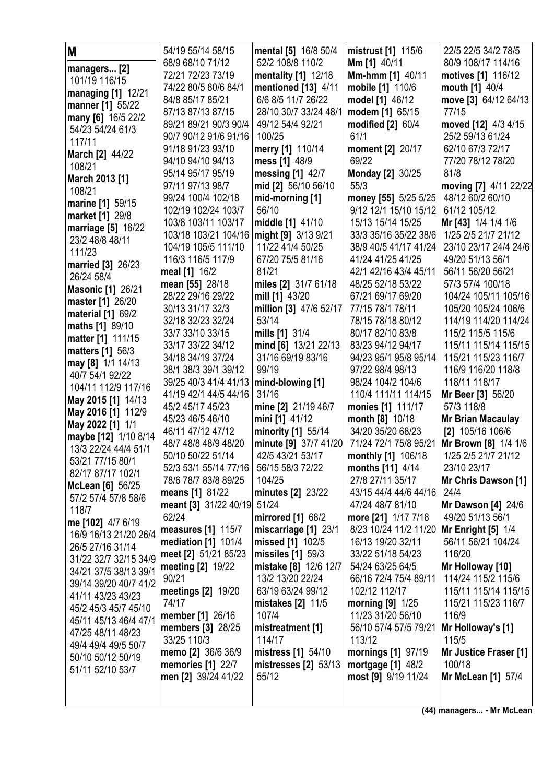| M<br>managers [2]                            | 54/19 55/14 58/15<br>68/9 68/10 71/12      | mental [5] 16/8 50/4<br>52/2 108/8 110/2     | mistrust [1] 115/6<br><b>Mm [1] 40/11</b>  | 22/5 22/5 34/2 78/5<br>80/9 108/17 114/16   |
|----------------------------------------------|--------------------------------------------|----------------------------------------------|--------------------------------------------|---------------------------------------------|
| 101/19 116/15                                | 72/21 72/23 73/19                          | mentality [1] 12/18                          | Mm-hmm [1] 40/11                           | motives [1] 116/12                          |
| managing [1] 12/21                           | 74/22 80/5 80/6 84/1                       | mentioned [13] 4/11                          | mobile [1] 110/6                           | mouth [1] 40/4                              |
| manner [1] 55/22                             | 84/8 85/17 85/21                           | 6/6 8/5 11/7 26/22                           | model [1] 46/12                            | move [3] 64/12 64/13                        |
| many [6] 16/5 22/2                           | 87/13 87/13 87/15<br>89/21 89/21 90/3 90/4 | 28/10 30/7 33/24 48/1<br>49/12 54/4 92/21    | modem [1] 65/15                            | 77/15                                       |
| 54/23 54/24 61/3                             | 90/7 90/12 91/6 91/16                      | 100/25                                       | modified [2] 60/4<br>61/1                  | moved [12] 4/3 4/15<br>25/2 59/13 61/24     |
| 117/11                                       | 91/18 91/23 93/10                          | merry [1] 110/14                             | moment [2] 20/17                           | 62/10 67/3 72/17                            |
| <b>March [2] 44/22</b>                       | 94/10 94/10 94/13                          | mess [1] 48/9                                | 69/22                                      | 77/20 78/12 78/20                           |
| 108/21                                       | 95/14 95/17 95/19                          | messing [1] 42/7                             | <b>Monday [2] 30/25</b>                    | 81/8                                        |
| March 2013 [1]                               | 97/11 97/13 98/7                           | mid [2] 56/10 56/10                          | 55/3                                       | moving [7] 4/11 22/22                       |
| 108/21                                       | 99/24 100/4 102/18                         | mid-morning [1]                              | money [55] 5/25 5/25                       | 48/12 60/2 60/10                            |
| marine [1] 59/15                             | 102/19 102/24 103/7                        | 56/10                                        | 9/12 12/1 15/10 15/12                      | 61/12 105/12                                |
| <b>market</b> [1] 29/8                       | 103/8 103/11 103/17                        | middle [1] 41/10                             | 15/13 15/14 15/25                          | Mr [43] 1/4 1/4 1/6                         |
| marriage [5] 16/22<br>23/2 48/8 48/11        | 103/18 103/21 104/16                       | might [9] 3/13 9/21                          | 33/3 35/16 35/22 38/6                      | 1/25 2/5 21/7 21/12                         |
| 111/23                                       | 104/19 105/5 111/10                        | 11/22 41/4 50/25                             | 38/9 40/5 41/17 41/24                      | 23/10 23/17 24/4 24/6                       |
| <b>married</b> [3] 26/23                     | 116/3 116/5 117/9                          | 67/20 75/5 81/16                             | 41/24 41/25 41/25                          | 49/20 51/13 56/1                            |
| 26/24 58/4                                   | meal [1] 16/2                              | 81/21                                        | 42/1 42/16 43/4 45/11                      | 56/11 56/20 56/21                           |
| <b>Masonic [1] 26/21</b>                     | mean [55] 28/18                            | miles [2] 31/7 61/18                         | 48/25 52/18 53/22                          | 57/3 57/4 100/18                            |
| master [1] 26/20                             | 28/22 29/16 29/22                          | mill [1] 43/20                               | 67/21 69/17 69/20                          | 104/24 105/11 105/16                        |
| material [1] 69/2                            | 30/13 31/17 32/3                           | million [3] 47/6 52/17                       | 77/15 78/1 78/11                           | 105/20 105/24 106/6                         |
| maths [1] 89/10                              | 32/18 32/23 32/24                          | 53/14                                        | 78/15 78/18 80/12                          | 114/19 114/20 114/24                        |
| matter [1] 111/15                            | 33/7 33/10 33/15                           | mills [1] 31/4                               | 80/17 82/10 83/8                           | 115/2 115/5 115/6                           |
| <b>matters</b> [1] 56/3                      | 33/17 33/22 34/12<br>34/18 34/19 37/24     | mind [6] 13/21 22/13<br>31/16 69/19 83/16    | 83/23 94/12 94/17<br>94/23 95/1 95/8 95/14 | 115/11 115/14 115/15<br>115/21 115/23 116/7 |
| may [8] 1/1 14/13                            | 38/1 38/3 39/1 39/12                       | 99/19                                        | 97/22 98/4 98/13                           | 116/9 116/20 118/8                          |
| 40/7 54/1 92/22                              | 39/25 40/3 41/4 41/13                      | mind-blowing [1]                             | 98/24 104/2 104/6                          | 118/11 118/17                               |
| 104/11 112/9 117/16                          | 41/19 42/1 44/5 44/16                      | 31/16                                        | 110/4 111/11 114/15                        | <b>Mr Beer [3] 56/20</b>                    |
| May 2015 [1] 14/13                           | 45/2 45/17 45/23                           | mine [2] 21/19 46/7                          | monies [1] 111/17                          | 57/3 118/8                                  |
| May 2016 [1] 112/9                           | 45/23 46/5 46/10                           | mini [1] 41/12                               | month [8] 10/18                            | <b>Mr Brian Macaulay</b>                    |
| May 2022 [1] 1/1                             | 46/11 47/12 47/12                          | minority [1] 55/14                           | 34/20 35/20 68/23                          | [2] 105/16 106/6                            |
| maybe [12] 1/10 8/14<br>13/3 22/24 44/4 51/1 | 48/7 48/8 48/9 48/20                       | minute [9] 37/7 41/20                        | 71/24 72/1 75/8 95/21                      | <b>Mr Brown [8] 1/4 1/6</b>                 |
| 53/21 77/15 80/1                             | 50/10 50/22 51/14                          | 42/5 43/21 53/17                             | monthly [1] 106/18                         | 1/25 2/5 21/7 21/12                         |
| 82/17 87/17 102/1                            | 52/3 53/1 55/14 77/16                      | 56/15 58/3 72/22                             | months [11] 4/14                           | 23/10 23/17                                 |
| <b>McLean</b> [6] 56/25                      | 78/6 78/7 83/8 89/25                       | 104/25                                       | 27/8 27/11 35/17                           | Mr Chris Dawson [1]                         |
| 57/2 57/4 57/8 58/6                          | means [1] 81/22                            | minutes [2] 23/22                            | 43/15 44/4 44/6 44/16                      | 24/4                                        |
| 118/7                                        | meant [3] 31/22 40/19                      | 51/24                                        | 47/24 48/7 81/10                           | <b>Mr Dawson [4] 24/6</b>                   |
| me [102] 4/7 6/19                            | 62/24                                      | mirrored [1] 68/2                            | more [21] 1/17 7/18                        | 49/20 51/13 56/1                            |
| 16/9 16/13 21/20 26/4                        | measures [1] 115/7                         | miscarriage [1] 23/1                         | 8/23 10/24 11/2 11/20                      | Mr Enright $[5]$ 1/4                        |
| 26/5 27/16 31/14                             | <b>mediation</b> [1] 101/4                 | missed [1] 102/5                             | 16/13 19/20 32/11                          | 56/11 56/21 104/24<br>116/20                |
| 31/22 32/7 32/15 34/9                        | meet [2] 51/21 85/23<br>meeting [2] 19/22  | missiles $[1]$ 59/3<br>mistake [8] 12/6 12/7 | 33/22 51/18 54/23<br>54/24 63/25 64/5      | Mr Holloway [10]                            |
| 34/21 37/5 38/13 39/1                        | 90/21                                      | 13/2 13/20 22/24                             | 66/16 72/4 75/4 89/11                      | 114/24 115/2 115/6                          |
| 39/14 39/20 40/7 41/2                        | meetings [2] 19/20                         | 63/19 63/24 99/12                            | 102/12 112/17                              | 115/11 115/14 115/15                        |
| 41/11 43/23 43/23                            | 74/17                                      | mistakes [2] 11/5                            | morning $[9]$ 1/25                         | 115/21 115/23 116/7                         |
| 45/2 45/3 45/7 45/10                         | <b>member</b> [1] 26/16                    | 107/4                                        | 11/23 31/20 56/10                          | 116/9                                       |
| 45/11 45/13 46/4 47/1                        | <b>members</b> [3] 28/25                   | mistreatment [1]                             | 56/10 57/4 57/5 79/21                      | Mr Holloway's [1]                           |
| 47/25 48/11 48/23                            | 33/25 110/3                                | 114/17                                       | 113/12                                     | 115/5                                       |
| 49/4 49/4 49/5 50/7<br>50/10 50/12 50/19     | memo [2] 36/6 36/9                         | mistress [1] 54/10                           | mornings [1] 97/19                         | Mr Justice Fraser [1]                       |
| 51/11 52/10 53/7                             | memories [1] 22/7                          | mistresses [2] 53/13                         | mortgage $[1]$ 48/2                        | 100/18                                      |
|                                              | men [2] 39/24 41/22                        | 55/12                                        | most [9] 9/19 11/24                        | Mr McLean [1] 57/4                          |
|                                              |                                            |                                              |                                            |                                             |
|                                              |                                            |                                              |                                            |                                             |

**(44) managers... - Mr McLean**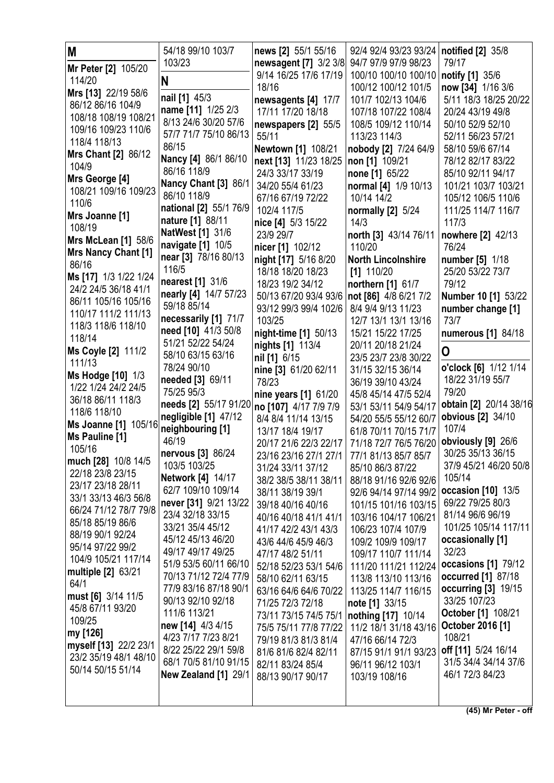| M                          | 54/18 99/10 103/7                           | news [2] 55/1 55/16                        | 92/4 92/4 93/23 93/24     | notified [2] 35/8      |
|----------------------------|---------------------------------------------|--------------------------------------------|---------------------------|------------------------|
| Mr Peter [2] 105/20        | 103/23                                      | newsagent [7] 3/2 3/8                      | 94/7 97/9 97/9 98/23      | 79/17                  |
| 114/20                     | N                                           | 9/14 16/25 17/6 17/19                      | 100/10 100/10 100/10      | <b>notify</b> [1] 35/6 |
| Mrs [13] 22/19 58/6        |                                             | 18/16                                      | 100/12 100/12 101/5       | now [34] 1/16 3/6      |
| 86/12 86/16 104/9          | nail [1] 45/3                               | newsagents [4] 17/7                        | 101/7 102/13 104/6        | 5/11 18/3 18/25 20/22  |
| 108/18 108/19 108/21       | name [11] 1/25 2/3                          | 17/11 17/20 18/18                          | 107/18 107/22 108/4       | 20/24 43/19 49/8       |
| 109/16 109/23 110/6        | 8/13 24/6 30/20 57/6                        | newspapers [2] 55/5                        | 108/5 109/12 110/14       | 50/10 52/9 52/10       |
| 118/4 118/13               | 57/7 71/7 75/10 86/13                       | 55/11                                      | 113/23 114/3              | 52/11 56/23 57/21      |
| Mrs Chant [2] 86/12        | 86/15                                       | Newtown [1] 108/21                         | nobody [2] 7/24 64/9      | 58/10 59/6 67/14       |
| 104/9                      | Nancy [4] 86/1 86/10                        | next [13] 11/23 18/25                      | non [1] 109/21            | 78/12 82/17 83/22      |
| Mrs George [4]             | 86/16 118/9                                 | 24/3 33/17 33/19                           | none [1] 65/22            | 85/10 92/11 94/17      |
| 108/21 109/16 109/23       | Nancy Chant [3] 86/1                        | 34/20 55/4 61/23                           | normal [4] 1/9 10/13      | 101/21 103/7 103/21    |
| 110/6                      | 86/10 118/9                                 | 67/16 67/19 72/22                          | 10/14 14/2                | 105/12 106/5 110/6     |
| Mrs Joanne [1]             | national [2] 55/1 76/9                      | 102/4 117/5                                | normally [2] 5/24         | 111/25 114/7 116/7     |
| 108/19                     | nature [1] 88/11                            | nice [4] 5/3 15/22                         | 14/3                      | 117/3                  |
| <b>Mrs McLean [1] 58/6</b> | NatWest [1] 31/6                            | 23/9 29/7                                  | north [3] 43/14 76/11     | nowhere [2] 42/13      |
| Mrs Nancy Chant [1]        | navigate [1] 10/5                           | nicer [1] 102/12                           | 110/20                    | 76/24                  |
| 86/16                      | near [3] 78/16 80/13                        | night [17] 5/16 8/20                       | <b>North Lincolnshire</b> | number [5] 1/18        |
| Ms [17] 1/3 1/22 1/24      | 116/5                                       | 18/18 18/20 18/23                          | $[1]$ 110/20              | 25/20 53/22 73/7       |
| 24/2 24/5 36/18 41/1       | nearest [1] 31/6                            | 18/23 19/2 34/12                           | northern [1] 61/7         | 79/12                  |
| 86/11 105/16 105/16        | nearly [4] 14/7 57/23                       | 50/13 67/20 93/4 93/6                      | not [86] 4/8 6/21 7/2     | Number 10 [1] 53/22    |
| 110/17 111/2 111/13        | 59/18 85/14                                 | 93/12 99/3 99/4 102/6                      | 8/4 9/4 9/13 11/23        | number change [1]      |
| 118/3 118/6 118/10         | necessarily [1] 71/7                        | 103/25                                     | 12/7 13/1 13/1 13/16      | 73/7                   |
| 118/14                     | need [10] 41/3 50/8                         | night-time [1] 50/13                       | 15/21 15/22 17/25         | numerous [1] 84/18     |
| Ms Coyle [2] 111/2         | 51/21 52/22 54/24                           | nights [1] 113/4                           | 20/11 20/18 21/24         | 0                      |
| 111/13                     | 58/10 63/15 63/16                           | nil [1] 6/15                               | 23/5 23/7 23/8 30/22      |                        |
| Ms Hodge [10] 1/3          | 78/24 90/10                                 | nine [3] 61/20 62/11                       | 31/15 32/15 36/14         | o'clock [6] 1/12 1/14  |
| 1/22 1/24 24/2 24/5        | needed [3] 69/11                            | 78/23                                      | 36/19 39/10 43/24         | 18/22 31/19 55/7       |
| 36/18 86/11 118/3          | 75/25 95/3                                  | nine years [1] 61/20                       | 45/8 45/14 47/5 52/4      | 79/20                  |
| 118/6 118/10               | needs [2] 55/17 91/20 no [107] 4/17 7/9 7/9 |                                            | 53/1 53/11 54/9 54/17     | obtain [2] 20/14 38/16 |
| Ms Joanne [1] 105/16       | negligible [1] 47/12                        | 8/4 8/4 11/14 13/15                        | 54/20 55/5 55/12 60/7     | obvious [2] 34/10      |
| Ms Pauline [1]             | neighbouring [1]                            | 13/17 18/4 19/17                           | 61/8 70/11 70/15 71/7     | 107/4                  |
| 105/16                     | 46/19                                       | 20/17 21/6 22/3 22/17                      | 71/18 72/7 76/5 76/20     | obviously [9] 26/6     |
| much [28] 10/8 14/5        | nervous [3] 86/24                           | 23/16 23/16 27/1 27/1 77/1 81/13 85/7 85/7 |                           | 30/25 35/13 36/15      |
| 22/18 23/8 23/15           | 103/5 103/25                                | 31/24 33/11 37/12                          | 85/10 86/3 87/22          | 37/9 45/21 46/20 50/8  |
| 23/17 23/18 28/11          | <b>Network [4] 14/17</b>                    | 38/2 38/5 38/11 38/11                      | 88/18 91/16 92/6 92/6     | 105/14                 |
| 33/1 33/13 46/3 56/8       | 62/7 109/10 109/14                          | 38/11 38/19 39/1                           | 92/6 94/14 97/14 99/2     | occasion [10] 13/5     |
| 66/24 71/12 78/7 79/8      | never [31] 9/21 13/22                       | 39/18 40/16 40/16                          | 101/15 101/16 103/15      | 69/22 79/25 80/3       |
| 85/18 85/19 86/6           | 23/4 32/18 33/15                            | 40/16 40/18 41/1 41/1                      | 103/16 104/17 106/21      | 81/14 96/6 96/19       |
| 88/19 90/1 92/24           | 33/21 35/4 45/12                            | 41/17 42/2 43/1 43/3                       | 106/23 107/4 107/9        | 101/25 105/14 117/11   |
| 95/14 97/22 99/2           | 45/12 45/13 46/20                           | 43/6 44/6 45/9 46/3                        | 109/2 109/9 109/17        | occasionally [1]       |
| 104/9 105/21 117/14        | 49/17 49/17 49/25                           | 47/17 48/2 51/11                           | 109/17 110/7 111/14       | 32/23                  |
| multiple [2] 63/21         | 51/9 53/5 60/11 66/10                       | 52/18 52/23 53/1 54/6                      | 111/20 111/21 112/24      | occasions [1] 79/12    |
| 64/1                       | 70/13 71/12 72/4 77/9                       | 58/10 62/11 63/15                          | 113/8 113/10 113/16       | occurred [1] 87/18     |
| must [6] 3/14 11/5         | 77/9 83/16 87/18 90/1                       | 63/16 64/6 64/6 70/22                      | 113/25 114/7 116/15       | occurring [3] 19/15    |
| 45/8 67/11 93/20           | 90/13 92/10 92/18                           | 71/25 72/3 72/18                           | note [1] 33/15            | 33/25 107/23           |
| 109/25                     | 111/6 113/21                                | 73/11 73/15 74/5 75/1                      | nothing [17] 10/14        | October [1] 108/21     |
| my [126]                   | new [14] 4/3 4/15                           | 75/5 75/11 77/8 77/22                      | 11/2 18/1 31/18 43/16     | October 2016 [1]       |
| myself [13] 22/2 23/1      | 4/23 7/17 7/23 8/21                         | 79/19 81/3 81/3 81/4                       | 47/16 66/14 72/3          | 108/21                 |
| 23/2 35/19 48/1 48/10      | 8/22 25/22 29/1 59/8                        | 81/6 81/6 82/4 82/11                       | 87/15 91/1 91/1 93/23     | off [11] 5/24 16/14    |
| 50/14 50/15 51/14          | 68/1 70/5 81/10 91/15                       | 82/11 83/24 85/4                           | 96/11 96/12 103/1         | 31/5 34/4 34/14 37/6   |
|                            | New Zealand [1] 29/1                        | 88/13 90/17 90/17                          | 103/19 108/16             | 46/1 72/3 84/23        |
|                            |                                             |                                            |                           |                        |
|                            |                                             |                                            |                           |                        |

**(45) Mr Peter - off**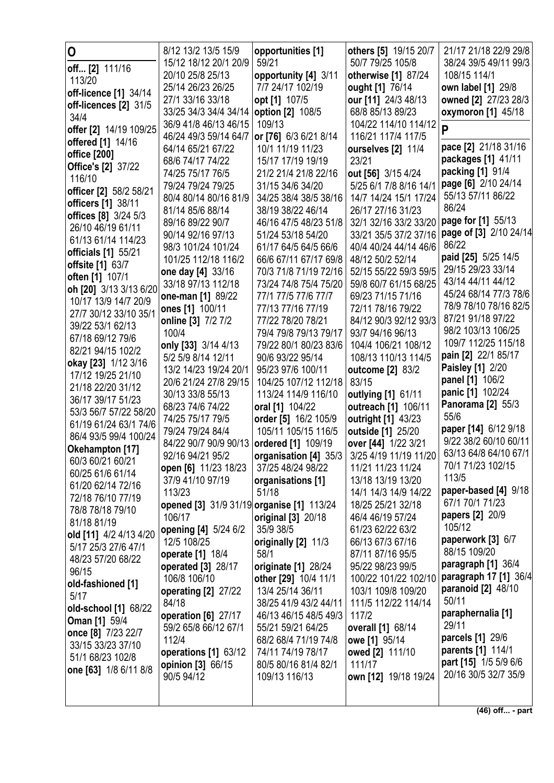| 0                                                  | 8/12 13/2 13/5 15/9                       | opportunities [1]                            | others [5] 19/15 20/7                  | 21/17 21/18 22/9 29/8                      |
|----------------------------------------------------|-------------------------------------------|----------------------------------------------|----------------------------------------|--------------------------------------------|
|                                                    | 15/12 18/12 20/1 20/9                     | 59/21                                        | 50/7 79/25 105/8                       | 38/24 39/5 49/11 99/3                      |
| <b>off</b> [2] 111/16                              | 20/10 25/8 25/13                          | opportunity [4] 3/11                         | otherwise [1] 87/24                    | 108/15 114/1                               |
| 113/20                                             | 25/14 26/23 26/25                         | 7/7 24/17 102/19                             | ought [1] 76/14                        | own label [1] 29/8                         |
| off-licence [1] 34/14                              | 27/1 33/16 33/18                          | opt [1] 107/5                                | our [11] 24/3 48/13                    | owned [2] 27/23 28/3                       |
| off-licences [2] 31/5<br>34/4                      | 33/25 34/3 34/4 34/14   option [2] 108/5  |                                              | 68/8 85/13 89/23                       | oxymoron [1] 45/18                         |
|                                                    | 36/9 41/8 46/13 46/15                     | 109/13                                       | 104/22 114/10 114/12                   | P                                          |
| offer [2] 14/19 109/25<br><b>offered</b> [1] 14/16 | 46/24 49/3 59/14 64/7                     | or [76] 6/3 6/21 8/14                        | 116/21 117/4 117/5                     |                                            |
| office [200]                                       | 64/14 65/21 67/22                         | 10/1 11/19 11/23                             | ourselves [2] 11/4                     | pace [2] 21/18 31/16                       |
| <b>Office's [2] 37/22</b>                          | 68/6 74/17 74/22                          | 15/17 17/19 19/19                            | 23/21                                  | packages [1] 41/11                         |
| 116/10                                             | 74/25 75/17 76/5                          | 21/2 21/4 21/8 22/16                         | out [56] 3/15 4/24                     | packing [1] 91/4                           |
| officer [2] 58/2 58/21                             | 79/24 79/24 79/25                         | 31/15 34/6 34/20                             | 5/25 6/1 7/8 8/16 14/1                 | page [6] 2/10 24/14                        |
| officers [1] 38/11                                 | 80/4 80/14 80/16 81/9                     | 34/25 38/4 38/5 38/16                        | 14/7 14/24 15/1 17/24                  | 55/13 57/11 86/22                          |
| offices [8] 3/24 5/3                               | 81/14 85/6 88/14                          | 38/19 38/22 46/14                            | 26/17 27/16 31/23                      | 86/24                                      |
| 26/10 46/19 61/11                                  | 89/16 89/22 90/7                          | 46/16 47/5 48/23 51/8                        | 32/1 32/16 33/2 33/20                  | page for [1] 55/13                         |
| 61/13 61/14 114/23                                 | 90/14 92/16 97/13                         | 51/24 53/18 54/20                            | 33/21 35/5 37/2 37/16                  | page of [3] 2/10 24/14                     |
| officials [1] 55/21                                | 98/3 101/24 101/24                        | 61/17 64/5 64/5 66/6                         | 40/4 40/24 44/14 46/6                  | 86/22                                      |
| offsite [1] 63/7                                   | 101/25 112/18 116/2                       | 66/6 67/11 67/17 69/8                        | 48/12 50/2 52/14                       | paid [25] 5/25 14/5                        |
| often [1] 107/1                                    | one day [4] 33/16                         | 70/3 71/8 71/19 72/16                        | 52/15 55/22 59/3 59/5                  | 29/15 29/23 33/14                          |
| oh [20] 3/13 3/13 6/20                             | 33/18 97/13 112/18                        | 73/24 74/8 75/4 75/20                        | 59/8 60/7 61/15 68/25                  | 43/14 44/11 44/12                          |
| 10/17 13/9 14/7 20/9                               | one-man [1] 89/22                         | 77/1 77/5 77/6 77/7                          | 69/23 71/15 71/16                      | 45/24 68/14 77/3 78/6                      |
| 27/7 30/12 33/10 35/1                              | ones [1] 100/11                           | 77/13 77/16 77/19                            | 72/11 78/16 79/22                      | 78/9 78/10 78/16 82/5                      |
| 39/22 53/1 62/13                                   | online [3] 7/2 7/2                        | 77/22 78/20 78/21                            | 84/12 90/3 92/12 93/3                  | 87/21 91/18 97/22                          |
| 67/18 69/12 79/6                                   | 100/4                                     | 79/4 79/8 79/13 79/17                        | 93/7 94/16 96/13                       | 98/2 103/13 106/25                         |
| 82/21 94/15 102/2                                  | only [33] 3/14 4/13                       | 79/22 80/1 80/23 83/6                        | 104/4 106/21 108/12                    | 109/7 112/25 115/18                        |
| okay [23] 1/12 3/16                                | 5/2 5/9 8/14 12/11                        | 90/6 93/22 95/14                             | 108/13 110/13 114/5                    | pain [2] 22/1 85/17                        |
| 17/12 19/25 21/10                                  | 13/2 14/23 19/24 20/1                     | 95/23 97/6 100/11                            | outcome [2] 83/2                       | <b>Paisley [1] 2/20</b><br>panel [1] 106/2 |
| 21/18 22/20 31/12                                  | 20/6 21/24 27/8 29/15                     | 104/25 107/12 112/18                         | 83/15                                  | panic [1] 102/24                           |
| 36/17 39/17 51/23                                  | 30/13 33/8 55/13                          | 113/24 114/9 116/10                          | outlying [1] 61/11                     | Panorama [2] 55/3                          |
| 53/3 56/7 57/22 58/20                              | 68/23 74/6 74/22                          | oral [1] 104/22                              | outreach [1] 106/11                    | 55/6                                       |
| 61/19 61/24 63/1 74/6                              | 74/25 75/17 79/5                          | order [5] 16/2 105/9                         | outright [1] 43/23                     | paper [14] 6/12 9/18                       |
| 86/4 93/5 99/4 100/24                              | 79/24 79/24 84/4                          | 105/11 105/15 116/5                          | outside [1] 25/20                      | 9/22 38/2 60/10 60/11                      |
| <b>Okehampton [17]</b>                             | 84/22 90/7 90/9 90/13                     | ordered [1] 109/19                           | over [44] 1/22 3/21                    | 63/13 64/8 64/10 67/1                      |
| 60/3 60/21 60/21                                   | 92/16 94/21 95/2                          | organisation [4] 35/3  <br>37/25 48/24 98/22 | 3/25 4/19 11/19 11/20                  | 70/1 71/23 102/15                          |
| 60/25 61/6 61/14                                   | open [6] 11/23 18/23<br>37/9 41/10 97/19  |                                              | 11/21 11/23 11/24<br>13/18 13/19 13/20 | 113/5                                      |
| 61/20 62/14 72/16                                  | 113/23                                    | organisations [1]<br>51/18                   | 14/1 14/3 14/9 14/22                   | paper-based [4] 9/18                       |
| 72/18 76/10 77/19                                  | opened [3] 31/9 31/19 organise [1] 113/24 |                                              | 18/25 25/21 32/18                      | 67/1 70/1 71/23                            |
| 78/8 78/18 79/10                                   | 106/17                                    | original [3] 20/18                           | 46/4 46/19 57/24                       | papers [2] 20/9                            |
| 81/18 81/19                                        | opening [4] 5/24 6/2                      | 35/9 38/5                                    | 61/23 62/22 63/2                       | 105/12                                     |
| old [11] 4/2 4/13 4/20                             | 12/5 108/25                               | originally [2] 11/3                          | 66/13 67/3 67/16                       | paperwork [3] 6/7                          |
| 5/17 25/3 27/6 47/1                                | operate [1] 18/4                          | 58/1                                         | 87/11 87/16 95/5                       | 88/15 109/20                               |
| 48/23 57/20 68/22                                  | operated [3] 28/17                        | originate [1] 28/24                          | 95/22 98/23 99/5                       | paragraph [1] 36/4                         |
| 96/15                                              | 106/8 106/10                              | other [29] 10/4 11/1                         | 100/22 101/22 102/10                   | paragraph 17 [1] 36/4                      |
| old-fashioned [1]                                  | operating [2] 27/22                       | 13/4 25/14 36/11                             | 103/1 109/8 109/20                     | paranoid [2] 48/10                         |
| 5/17                                               | 84/18                                     | 38/25 41/9 43/2 44/11                        | 111/5 112/22 114/14                    | 50/11                                      |
| old-school [1] 68/22                               | operation [6] 27/17                       | 46/13 46/15 48/5 49/3                        | 117/2                                  | paraphernalia [1]                          |
| <b>Oman</b> [1] 59/4                               | 59/2 65/8 66/12 67/1                      | 55/21 59/21 64/25                            | overall [1] 68/14                      | 29/11                                      |
| once [8] 7/23 22/7                                 | 112/4                                     | 68/2 68/4 71/19 74/8                         | owe [1] 95/14                          | parcels [1] 29/6                           |
| 33/15 33/23 37/10                                  | operations [1] 63/12                      | 74/11 74/19 78/17                            | owed [2] 111/10                        | parents [1] 114/1                          |
| 51/1 68/23 102/8<br>one [63] 1/8 6/11 8/8          | opinion [3] 66/15                         | 80/5 80/16 81/4 82/1                         | 111/17                                 | part [15] 1/5 5/9 6/6                      |
|                                                    | 90/5 94/12                                | 109/13 116/13                                | own [12] 19/18 19/24                   | 20/16 30/5 32/7 35/9                       |
|                                                    |                                           |                                              |                                        |                                            |
|                                                    |                                           |                                              |                                        |                                            |

**(46) off... - part**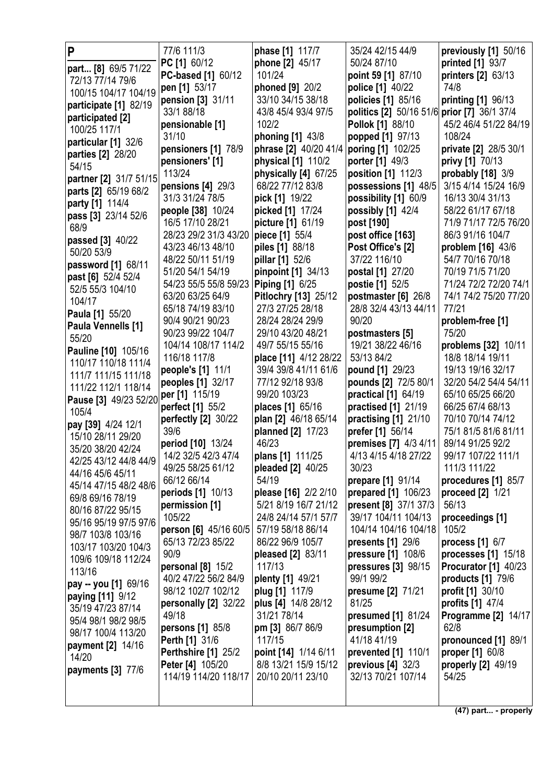| P                                          | 77/6 111/3                | phase [1] 117/7       | 35/24 42/15 44/9                            | previously [1] 50/16       |
|--------------------------------------------|---------------------------|-----------------------|---------------------------------------------|----------------------------|
| part [8] 69/5 71/22                        | PC [1] 60/12              | phone [2] 45/17       | 50/24 87/10                                 | printed [1] 93/7           |
| 72/13 77/14 79/6                           | <b>PC-based [1] 60/12</b> | 101/24                | point 59 [1] 87/10                          | printers [2] 63/13         |
| 100/15 104/17 104/19                       | pen [1] 53/17             | phoned [9] 20/2       | police [1] 40/22                            | 74/8                       |
| participate [1] 82/19                      | pension [3] 31/11         | 33/10 34/15 38/18     | policies [1] 85/16                          | printing [1] 96/13         |
| participated [2]                           | 33/1 88/18                | 43/8 45/4 93/4 97/5   | politics [2] 50/16 51/6 prior [7] 36/1 37/4 |                            |
| 100/25 117/1                               | pensionable [1]           | 102/2                 | Pollok [1] 88/10                            | 45/2 46/4 51/22 84/19      |
| particular [1] 32/6                        | 31/10                     | phoning [1] 43/8      | popped [1] 97/13                            | 108/24                     |
| parties [2] 28/20                          | pensioners [1] 78/9       | phrase [2] 40/20 41/4 | poring [1] 102/25                           | private [2] 28/5 30/1      |
| 54/15                                      | pensioners' [1]           | physical [1] 110/2    | porter [1] 49/3                             | privy [1] 70/13            |
| partner [2] 31/7 51/15                     | 113/24                    | physically [4] 67/25  | position [1] 112/3                          | probably [18] 3/9          |
| parts [2] 65/19 68/2                       | pensions $[4]$ 29/3       | 68/22 77/12 83/8      | possessions [1] 48/5                        | 3/15 4/14 15/24 16/9       |
|                                            | 31/3 31/24 78/5           | pick [1] 19/22        | possibility [1] 60/9                        | 16/13 30/4 31/13           |
| party [1] 114/4                            | people [38] 10/24         | picked [1] 17/24      | possibly [1] 42/4                           | 58/22 61/17 67/18          |
| pass [3] 23/14 52/6<br>68/9                | 16/5 17/10 28/21          | picture [1] 61/19     | post [190]                                  | 71/9 71/17 72/5 76/20      |
|                                            | 28/23 29/2 31/3 43/20     | piece [1] 55/4        | post office [163]                           | 86/3 91/16 104/7           |
| passed [3] 40/22<br>50/20 53/9             | 43/23 46/13 48/10         | piles [1] 88/18       | Post Office's [2]                           | problem [16] 43/6          |
|                                            | 48/22 50/11 51/19         | pillar [1] 52/6       | 37/22 116/10                                | 54/7 70/16 70/18           |
| password [1] 68/11                         | 51/20 54/1 54/19          | pinpoint [1] 34/13    | postal [1] 27/20                            | 70/19 71/5 71/20           |
| past [6] 52/4 52/4                         | 54/23 55/5 55/8 59/23     | Piping [1] 6/25       | postie [1] 52/5                             | 71/24 72/2 72/20 74/1      |
| 52/5 55/3 104/10                           | 63/20 63/25 64/9          | Pitlochry [13] 25/12  | postmaster [6] 26/8                         | 74/1 74/2 75/20 77/20      |
| 104/17                                     | 65/18 74/19 83/10         | 27/3 27/25 28/18      | 28/8 32/4 43/13 44/11                       | 77/21                      |
| Paula [1] 55/20                            | 90/4 90/21 90/23          | 28/24 28/24 29/9      | 90/20                                       | problem-free [1]           |
| Paula Vennells [1]                         | 90/23 99/22 104/7         | 29/10 43/20 48/21     | postmasters [5]                             | 75/20                      |
| 55/20                                      | 104/14 108/17 114/2       | 49/7 55/15 55/16      | 19/21 38/22 46/16                           | problems [32] 10/11        |
| Pauline [10] 105/16                        | 116/18 117/8              | place [11] 4/12 28/22 | 53/13 84/2                                  | 18/8 18/14 19/11           |
| 110/17 110/18 111/4<br>111/7 111/15 111/18 | people's [1] 11/1         | 39/4 39/8 41/11 61/6  | pound [1] 29/23                             | 19/13 19/16 32/17          |
| 111/22 112/1 118/14                        | peoples [1] 32/17         | 77/12 92/18 93/8      | pounds [2] 72/5 80/1                        | 32/20 54/2 54/4 54/11      |
| Pause [3] 49/23 52/20                      | per [1] 115/19            | 99/20 103/23          | practical [1] 64/19                         | 65/10 65/25 66/20          |
| 105/4                                      | perfect [1] 55/2          | places [1] 65/16      | practised [1] 21/19                         | 66/25 67/4 68/13           |
|                                            | perfectly [2] 30/22       | plan [2] 46/18 65/14  | practising [1] 21/10                        | 70/10 70/14 74/12          |
| pay [39] 4/24 12/1<br>15/10 28/11 29/20    | 39/6                      | planned [2] 17/23     | prefer [1] 56/14                            | 75/1 81/5 81/6 81/11       |
| 35/20 38/20 42/24                          | period [10] 13/24         | 46/23                 | premises [7] 4/3 4/11                       | 89/14 91/25 92/2           |
| 42/25 43/12 44/8 44/9                      | 14/2 32/5 42/3 47/4       | plans [1] 111/25      | 4/13 4/15 4/18 27/22                        | 99/17 107/22 111/1         |
| 44/16 45/6 45/11                           | 49/25 58/25 61/12         | pleaded [2] 40/25     | 30/23                                       | 111/3 111/22               |
| 45/14 47/15 48/2 48/6                      | 66/12 66/14               | 54/19                 | prepare [1] 91/14                           | procedures [1] 85/7        |
| 69/8 69/16 78/19                           | periods [1] 10/13         | please [16] 2/2 2/10  | prepared [1] 106/23                         | proceed $[2]$ 1/21         |
| 80/16 87/22 95/15                          | permission [1]            | 5/21 8/19 16/7 21/12  | present [8] 37/1 37/3                       | 56/13                      |
| 95/16 95/19 97/5 97/6                      | 105/22                    | 24/8 24/14 57/1 57/7  | 39/17 104/11 104/13                         | proceedings [1]            |
| 98/7 103/8 103/16                          | person [6] 45/16 60/5     | 57/19 58/18 86/14     | 104/14 104/16 104/18                        | 105/2                      |
| 103/17 103/20 104/3                        | 65/13 72/23 85/22         | 86/22 96/9 105/7      | presents $[1]$ 29/6                         | process $[1]$ 6/7          |
| 109/6 109/18 112/24                        | 90/9                      | pleased [2] 83/11     | pressure [1] 108/6                          | processes $[1]$ 15/18      |
| 113/16                                     | personal [8] 15/2         | 117/13                | pressures [3] 98/15                         | Procurator [1] 40/23       |
| <b>pay -- you [1]</b> 69/16                | 40/2 47/22 56/2 84/9      | plenty [1] 49/21      | 99/1 99/2                                   | products $[1]$ 79/6        |
| <b>paying [11]</b> 9/12                    | 98/12 102/7 102/12        | plug [1] 117/9        | presume [2] 71/21                           | profit [1] 30/10           |
| 35/19 47/23 87/14                          | personally [2] 32/22      | plus [4] 14/8 28/12   | 81/25                                       | profits [1] 47/4           |
| 95/4 98/1 98/2 98/5                        | 49/18                     | 31/21 78/14           | presumed [1] 81/24                          | <b>Programme [2] 14/17</b> |
| 98/17 100/4 113/20                         | <b>persons</b> [1] 85/8   | pm [3] 86/7 86/9      | presumption [2]                             | 62/8                       |
| payment [2] 14/16                          | <b>Perth [1] 31/6</b>     | 117/15                | 41/18 41/19                                 | pronounced [1] 89/1        |
| 14/20                                      | Perthshire [1] 25/2       | point [14] 1/14 6/11  | prevented [1] 110/1                         | proper [1] 60/8            |
| <b>payments</b> [3] 77/6                   | Peter [4] 105/20          | 8/8 13/21 15/9 15/12  | previous $[4]$ 32/3                         | properly [2] 49/19         |
|                                            | 114/19 114/20 118/17      | 20/10 20/11 23/10     | 32/13 70/21 107/14                          | 54/25                      |
|                                            |                           |                       |                                             |                            |
|                                            |                           |                       |                                             |                            |

**(47) part... - properly**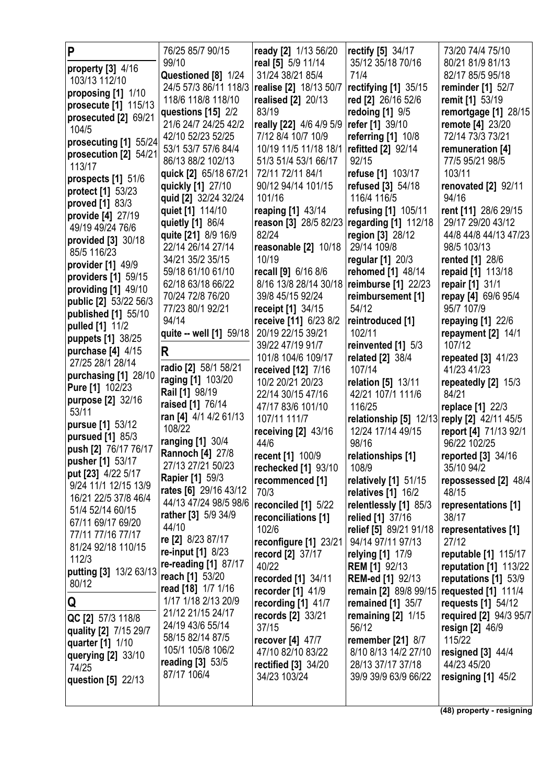| P                                     | 76/25 85/7 90/15                          | ready [2] 1/13 56/20                   | <b>rectify [5] 34/17</b>                    | 73/20 74/4 75/10                  |
|---------------------------------------|-------------------------------------------|----------------------------------------|---------------------------------------------|-----------------------------------|
| property [3] 4/16                     | 99/10                                     | real [5] 5/9 11/14                     | 35/12 35/18 70/16                           | 80/21 81/9 81/13                  |
| 103/13 112/10                         | Questioned [8] 1/24                       | 31/24 38/21 85/4                       | 71/4                                        | 82/17 85/5 95/18                  |
| proposing [1] 1/10                    | 24/5 57/3 86/11 118/3                     | realise [2] 18/13 50/7                 | rectifying $[1]$ 35/15                      | reminder [1] 52/7                 |
| prosecute [1] 115/13                  | 118/6 118/8 118/10                        | <b>realised</b> [2] 20/13              | red [2] 26/16 52/6                          | remit [1] 53/19                   |
| prosecuted [2] 69/21                  | questions $[15]$ 2/2                      | 83/19                                  | redoing [1] 9/5                             | remortgage [1] 28/15              |
| 104/5                                 | 21/6 24/7 24/25 42/2                      | really [22] 4/6 4/9 5/9                | refer [1] 39/10                             | remote [4] 23/20                  |
| prosecuting [1] 55/24                 | 42/10 52/23 52/25                         | 7/12 8/4 10/7 10/9                     | referring [1] 10/8                          | 72/14 73/3 73/21                  |
| prosecution [2] 54/21                 | 53/1 53/7 57/6 84/4                       | 10/19 11/5 11/18 18/1                  | refitted [2] 92/14                          | remuneration [4]                  |
| 113/17                                | 86/13 88/2 102/13                         | 51/3 51/4 53/1 66/17                   | 92/15                                       | 77/5 95/21 98/5                   |
| prospects [1] 51/6                    | quick [2] 65/18 67/21                     | 72/11 72/11 84/1                       | refuse [1] 103/17                           | 103/11                            |
| protect [1] 53/23                     | quickly [1] 27/10                         | 90/12 94/14 101/15                     | refused [3] 54/18                           | renovated [2] 92/11               |
| proved [1] 83/3                       | quid [2] 32/24 32/24                      | 101/16                                 | 116/4 116/5                                 | 94/16                             |
| provide [4] 27/19                     | quiet [1] 114/10                          | reaping [1] 43/14                      | refusing [1] 105/11                         | rent [11] 28/6 29/15              |
| 49/19 49/24 76/6                      | quietly [1] 86/4                          | reason [3] 28/5 82/23                  | regarding [1] 112/18                        | 29/17 29/20 43/12                 |
| provided [3] 30/18                    | quite [21] 8/9 16/9                       | 82/24                                  | region [3] 28/12                            | 44/8 44/8 44/13 47/23             |
| 85/5 116/23                           | 22/14 26/14 27/14                         | reasonable [2] 10/18                   | 29/14 109/8                                 | 98/5 103/13                       |
| provider [1] 49/9                     | 34/21 35/2 35/15                          | 10/19                                  | regular [1] 20/3                            | rented [1] 28/6                   |
| providers [1] 59/15                   | 59/18 61/10 61/10                         | recall [9] 6/16 8/6                    | rehomed [1] 48/14                           | repaid [1] 113/18                 |
| providing [1] 49/10                   | 62/18 63/18 66/22                         | 8/16 13/8 28/14 30/18                  | reimburse [1] 22/23                         | repair [1] 31/1                   |
| public [2] 53/22 56/3                 | 70/24 72/8 76/20                          | 39/8 45/15 92/24                       | reimbursement [1]                           | repay [4] 69/6 95/4               |
| published [1] 55/10                   | 77/23 80/1 92/21                          | receipt [1] 34/15                      | 54/12                                       | 95/7 107/9                        |
| pulled [1] 11/2                       | 94/14                                     | receive [11] 6/23 8/2                  | reintroduced [1]                            | <b>repaying [1] 22/6</b>          |
| puppets [1] 38/25                     | quite -- well [1] 59/18                   | 20/19 22/15 39/21                      | 102/11                                      | repayment [2] 14/1                |
| purchase [4] 4/15                     | R                                         | 39/22 47/19 91/7                       | reinvented [1] 5/3                          | 107/12                            |
| 27/25 28/1 28/14                      | radio [2] 58/1 58/21                      | 101/8 104/6 109/17                     | related [2] 38/4<br>107/14                  | repeated [3] 41/23<br>41/23 41/23 |
| purchasing [1] 28/10                  | raging [1] 103/20                         | received [12] 7/16<br>10/2 20/21 20/23 |                                             |                                   |
| <b>Pure [1] 102/23</b>                | Rail [1] 98/19                            | 22/14 30/15 47/16                      | relation [5] 13/11<br>42/21 107/1 111/6     | repeatedly [2] 15/3<br>84/21      |
| purpose [2] 32/16                     | raised [1] 76/14                          | 47/17 83/6 101/10                      | 116/25                                      | replace [1] 22/3                  |
| 53/11                                 | ran [4] 4/1 4/2 61/13                     | 107/11 111/7                           | relationship [5] 12/13 reply [2] 42/11 45/5 |                                   |
| pursue [1] 53/12                      | 108/22                                    | receiving $[2]$ 43/16                  | 12/24 17/14 49/15                           | report [4] 71/13 92/1             |
| pursued [1] 85/3                      | ranging [1] 30/4                          | 44/6                                   | 98/16                                       | 96/22 102/25                      |
| push [2] 76/17 76/17                  | <b>Rannoch [4] 27/8</b>                   | recent [1] 100/9                       | relationships [1]                           | reported [3] 34/16                |
| pusher [1] 53/17                      | 27/13 27/21 50/23                         | rechecked [1] 93/10                    | 108/9                                       | 35/10 94/2                        |
| put [23] 4/22 5/17                    | <b>Rapier [1] 59/3</b>                    | recommenced [1]                        | relatively [1] 51/15                        | repossessed [2] 48/4              |
| 9/24 11/1 12/15 13/9                  | rates [6] 29/16 43/12                     | 70/3                                   | relatives $[1]$ 16/2                        | 48/15                             |
| 16/21 22/5 37/8 46/4                  | 44/13 47/24 98/5 98/6                     | reconciled [1] 5/22                    | relentlessly [1] 85/3                       | representations [1]               |
| 51/4 52/14 60/15<br>67/11 69/17 69/20 | rather [3] 5/9 34/9                       | reconciliations [1]                    | relied [1] 37/16                            | 38/17                             |
| 77/11 77/16 77/17                     | 44/10                                     | 102/6                                  | relief [5] 89/21 91/18                      | representatives [1]               |
| 81/24 92/18 110/15                    | re [2] 8/23 87/17                         | reconfigure [1] 23/21                  | 94/14 97/11 97/13                           | 27/12                             |
| 112/3                                 | <b>re-input</b> [1] 8/23                  | record [2] 37/17                       | relying [1] 17/9                            | <b>reputable [1] 115/17</b>       |
| putting [3] 13/2 63/13                | re-reading [1] 87/17                      | 40/22                                  | <b>REM [1] 92/13</b>                        | reputation $[1]$ 113/22           |
| 80/12                                 | reach [1] 53/20                           | recorded [1] 34/11                     | <b>REM-ed [1] 92/13</b>                     | reputations [1] 53/9              |
|                                       | read [18] 1/7 1/16<br>1/17 1/18 2/13 20/9 | recorder $[1]$ 41/9                    | remain [2] 89/8 99/15                       | requested [1] 111/4               |
| Q                                     | 21/12 21/15 24/17                         | recording [1] 41/7                     | remained [1] 35/7                           | requests [1] 54/12                |
| QC [2] 57/3 118/8                     | 24/19 43/6 55/14                          | records [2] 33/21<br>37/15             | remaining $[2]$ 1/15<br>56/12               | required [2] 94/3 95/7            |
| quality [2] 7/15 29/7                 | 58/15 82/14 87/5                          | recover $[4]$ 47/7                     | <b>remember</b> [21] 8/7                    | resign [2] 46/9<br>115/22         |
| quarter [1] 1/10                      | 105/1 105/8 106/2                         | 47/10 82/10 83/22                      | 8/10 8/13 14/2 27/10                        | resigned $[3]$ 44/4               |
| querying [2] 33/10                    | reading [3] 53/5                          | rectified [3] 34/20                    | 28/13 37/17 37/18                           | 44/23 45/20                       |
| 74/25                                 | 87/17 106/4                               | 34/23 103/24                           | 39/9 39/9 63/9 66/22                        | resigning $[1]$ 45/2              |
| question [5] 22/13                    |                                           |                                        |                                             |                                   |
|                                       |                                           |                                        |                                             |                                   |

**(48) property - resigning**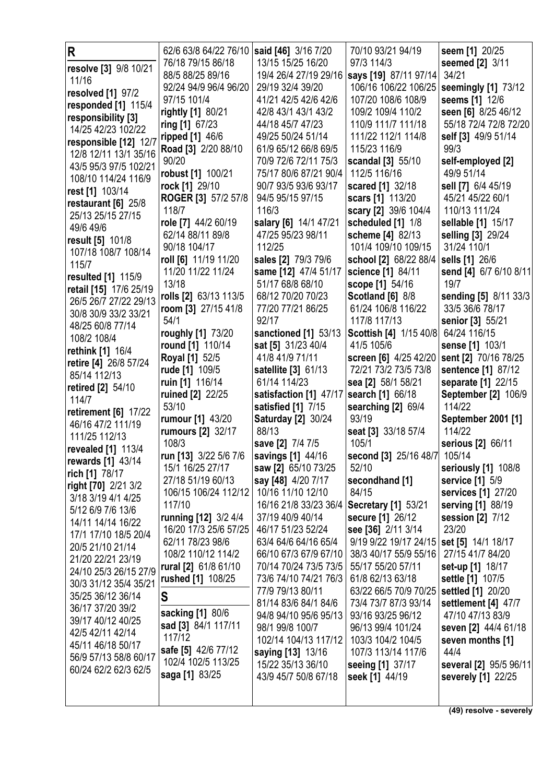| R                        | 62/6 63/8 64/22 76/10   said [46] 3/16 7/20 |                                            | 70/10 93/21 94/19                       | seem [1] 20/25         |
|--------------------------|---------------------------------------------|--------------------------------------------|-----------------------------------------|------------------------|
|                          | 76/18 79/15 86/18                           | 13/15 15/25 16/20                          | 97/3 114/3                              | seemed [2] 3/11        |
| resolve [3] 9/8 10/21    | 88/5 88/25 89/16                            | 19/4 26/4 27/19 29/16                      | says [19] 87/11 97/14                   | 34/21                  |
| 11/16                    | 92/24 94/9 96/4 96/20                       | 29/19 32/4 39/20                           | 106/16 106/22 106/25                    | seemingly [1] 73/12    |
| resolved [1] 97/2        | 97/15 101/4                                 | 41/21 42/5 42/6 42/6                       | 107/20 108/6 108/9                      | seems [1] 12/6         |
| responded [1] 115/4      | rightly [1] 80/21                           | 42/8 43/1 43/1 43/2                        | 109/2 109/4 110/2                       | seen [6] 8/25 46/12    |
| responsibility [3]       | ring $[1]$ 67/23                            | 44/18 45/7 47/23                           | 110/9 111/7 111/18                      | 55/18 72/4 72/8 72/20  |
| 14/25 42/23 102/22       | ripped [1] 46/6                             | 49/25 50/24 51/14                          | 111/22 112/1 114/8                      | self [3] 49/9 51/14    |
| responsible [12] 12/7    | Road [3] 2/20 88/10                         | 61/9 65/12 66/8 69/5                       | 115/23 116/9                            | 99/3                   |
| 12/8 12/11 13/1 35/16    | 90/20                                       | 70/9 72/6 72/11 75/3                       | scandal [3] 55/10                       | self-employed [2]      |
| 43/5 95/3 97/5 102/21    | robust [1] 100/21                           | 75/17 80/6 87/21 90/4                      | 112/5 116/16                            | 49/9 51/14             |
| 108/10 114/24 116/9      | rock [1] 29/10                              | 90/7 93/5 93/6 93/17                       | scared [1] 32/18                        | sell [7] 6/4 45/19     |
| rest [1] 103/14          | <b>ROGER [3] 57/2 57/8</b>                  | 94/5 95/15 97/15                           | scars [1] 113/20                        | 45/21 45/22 60/1       |
| restaurant [6] 25/8      | 118/7                                       | 116/3                                      | scary [2] 39/6 104/4                    | 110/13 111/24          |
| 25/13 25/15 27/15        |                                             |                                            |                                         |                        |
| 49/6 49/6                | role [7] 44/2 60/19<br>62/14 88/11 89/8     | salary [6] 14/1 47/21<br>47/25 95/23 98/11 | scheduled [1] 1/8                       | sellable [1] 15/17     |
| result [5] 101/8         | 90/18 104/17                                | 112/25                                     | scheme [4] 82/13<br>101/4 109/10 109/15 | selling [3] 29/24      |
| 107/18 108/7 108/14      |                                             |                                            |                                         | 31/24 110/1            |
| 115/7                    | roll [6] 11/19 11/20                        | sales [2] 79/3 79/6                        | school [2] 68/22 88/4                   | sells [1] 26/6         |
| resulted [1] 115/9       | 11/20 11/22 11/24                           | same [12] 47/4 51/17                       | science [1] 84/11                       | send [4] 6/7 6/10 8/11 |
| retail [15] 17/6 25/19   | 13/18                                       | 51/17 68/8 68/10                           | scope [1] 54/16                         | 19/7                   |
| 26/5 26/7 27/22 29/13    | rolls [2] 63/13 113/5                       | 68/12 70/20 70/23                          | <b>Scotland [6] 8/8</b>                 | sending [5] 8/11 33/3  |
| 30/8 30/9 33/2 33/21     | room [3] 27/15 41/8                         | 77/20 77/21 86/25                          | 61/24 106/8 116/22                      | 33/5 36/6 78/17        |
| 48/25 60/8 77/14         | 54/1                                        | 92/17                                      | 117/8 117/13                            | senior [3] 55/21       |
| 108/2 108/4              | roughly [1] 73/20                           | sanctioned [1] 53/13                       | Scottish [4] 1/15 40/8                  | 64/24 116/15           |
| rethink [1] 16/4         | round [1] 110/14                            | sat [5] 31/23 40/4                         | 41/5 105/6                              | sense [1] 103/1        |
| retire [4] 26/8 57/24    | Royal [1] 52/5                              | 41/8 41/9 71/11                            | screen [6] 4/25 42/20                   | sent [2] 70/16 78/25   |
| 85/14 112/13             | rude [1] 109/5                              | satellite [3] 61/13                        | 72/21 73/2 73/5 73/8                    | sentence [1] 87/12     |
| retired [2] 54/10        | ruin [1] 116/14                             | 61/14 114/23                               | sea [2] 58/1 58/21                      | separate [1] 22/15     |
| 114/7                    | ruined [2] 22/25                            | satisfaction [1] 47/17                     | search [1] 66/18                        | September [2] 106/9    |
| retirement [6] 17/22     | 53/10                                       | satisfied [1] 7/15                         | searching [2] 69/4                      | 114/22                 |
| 46/16 47/2 111/19        | rumour [1] 43/20                            | <b>Saturday [2] 30/24</b>                  | 93/19                                   | September 2001 [1]     |
| 111/25 112/13            | rumours [2] 32/17                           | 88/13                                      | seat [3] 33/18 57/4                     | 114/22                 |
| revealed [1] 113/4       | 108/3                                       | save [2] 7/4 7/5                           | 105/1                                   | serious [2] 66/11      |
| <b>rewards</b> [1] 43/14 | run [13] 3/22 5/6 7/6                       | savings [1] 44/16                          | second [3] 25/16 48/7 105/14            |                        |
| rich [1] 78/17           | 15/1 16/25 27/17                            | saw [2] 65/10 73/25                        | 52/10                                   | seriously [1] 108/8    |
| right [70] 2/21 3/2      | 27/18 51/19 60/13                           | say [48] 4/20 7/17                         | secondhand [1]                          | service [1] 5/9        |
| 3/18 3/19 4/1 4/25       | 106/15 106/24 112/12                        | 10/16 11/10 12/10                          | 84/15                                   | services [1] 27/20     |
| 5/12 6/9 7/6 13/6        | 117/10                                      | 16/16 21/8 33/23 36/4                      | <b>Secretary [1] 53/21</b>              | serving [1] 88/19      |
| 14/11 14/14 16/22        | running [12] 3/2 4/4                        | 37/19 40/9 40/14                           | secure [1] 26/12                        | session [2] 7/12       |
| 17/1 17/10 18/5 20/4     | 16/20 17/3 25/6 57/25                       | 46/17 51/23 52/24                          | see [36] 2/11 3/14                      | 23/20                  |
| 20/5 21/10 21/14         | 62/11 78/23 98/6                            | 63/4 64/6 64/16 65/4                       | 9/19 9/22 19/17 24/15                   | set [5] 14/1 18/17     |
| 21/20 22/21 23/19        | 108/2 110/12 114/2                          | 66/10 67/3 67/9 67/10                      | 38/3 40/17 55/9 55/16                   | 27/15 41/7 84/20       |
| 24/10 25/3 26/15 27/9    | rural [2] 61/8 61/10                        | 70/14 70/24 73/5 73/5                      | 55/17 55/20 57/11                       | set-up [1] 18/17       |
| 30/3 31/12 35/4 35/21    | rushed [1] 108/25                           | 73/6 74/10 74/21 76/3                      | 61/8 62/13 63/18                        | settle [1] 107/5       |
| 35/25 36/12 36/14        | S                                           | 77/9 79/13 80/11                           | 63/22 66/5 70/9 70/25                   | settled [1] 20/20      |
| 36/17 37/20 39/2         |                                             | 81/14 83/6 84/1 84/6                       | 73/4 73/7 87/3 93/14                    | settlement [4] 47/7    |
| 39/17 40/12 40/25        | sacking [1] 80/6                            | 94/8 94/10 95/6 95/13                      | 93/16 93/25 96/12                       | 47/10 47/13 83/9       |
| 42/5 42/11 42/14         | sad [3] 84/1 117/11                         | 98/1 99/8 100/7                            | 96/13 99/4 101/24                       | seven [2] 44/4 61/18   |
| 45/11 46/18 50/17        | 117/12                                      | 102/14 104/13 117/12                       | 103/3 104/2 104/5                       | seven months [1]       |
| 56/9 57/13 58/8 60/17    | safe [5] 42/6 77/12                         | saying [13] 13/16                          | 107/3 113/14 117/6                      | 44/4                   |
| 60/24 62/2 62/3 62/5     | 102/4 102/5 113/25                          | 15/22 35/13 36/10                          | seeing [1] 37/17                        | several [2] 95/5 96/11 |
|                          | saga [1] 83/25                              | 43/9 45/7 50/8 67/18                       | seek [1] 44/19                          | severely [1] 22/25     |
|                          |                                             |                                            |                                         |                        |
|                          |                                             |                                            |                                         |                        |

**(49) resolve - severely**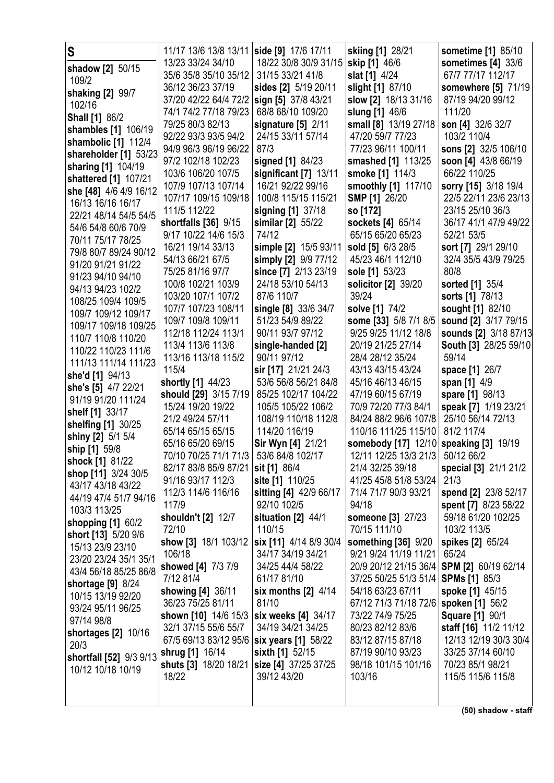| S<br>shadow [2] 50/15<br>109/2<br>shaking [2] 99/7<br>102/16<br><b>Shall [1] 86/2</b><br>shambles [1] 106/19<br>shambolic [1] 112/4<br>shareholder [1] 53/23<br>sharing [1] 104/19<br>shattered [1] 107/21<br>she [48] 4/6 4/9 16/12<br>16/13 16/16 16/17<br>22/21 48/14 54/5 54/5<br>54/6 54/8 60/6 70/9<br>70/11 75/17 78/25<br>79/8 80/7 89/24 90/12<br>91/20 91/21 91/22<br>91/23 94/10 94/10<br>94/13 94/23 102/2<br>108/25 109/4 109/5<br>109/7 109/12 109/17<br>109/17 109/18 109/25<br>110/7 110/8 110/20<br>110/22 110/23 111/6<br>111/13 111/14 111/23<br>she'd [1] 94/13<br>she's [5] 4/7 22/21<br>91/19 91/20 111/24<br>shelf [1] 33/17<br>shelfing [1] 30/25<br>shiny [2] 5/1 5/4<br>ship [1] 59/8<br>shock [1] 81/22<br>shop [11] 3/24 30/5<br>43/17 43/18 43/22<br>44/19 47/4 51/7 94/16 | 11/17 13/6 13/8 13/11   side [9] 17/6 17/11<br>13/23 33/24 34/10<br>35/6 35/8 35/10 35/12<br>36/12 36/23 37/19<br>37/20 42/22 64/4 72/2<br>74/1 74/2 77/18 79/23<br>79/25 80/3 82/13<br>92/22 93/3 93/5 94/2<br>94/9 96/3 96/19 96/22<br>97/2 102/18 102/23<br>103/6 106/20 107/5<br>107/9 107/13 107/14<br>107/17 109/15 109/18<br>111/5 112/22<br>shortfalls [36] 9/15<br>9/17 10/22 14/6 15/3<br>16/21 19/14 33/13<br>54/13 66/21 67/5<br>75/25 81/16 97/7<br>100/8 102/21 103/9<br>103/20 107/1 107/2<br>107/7 107/23 108/11<br>109/7 109/8 109/11<br>112/18 112/24 113/1<br>113/4 113/6 113/8<br>113/16 113/18 115/2<br>115/4<br>shortly [1] 44/23<br>should [29] 3/15 7/19<br>15/24 19/20 19/22<br>21/2 49/24 57/11<br>65/14 65/15 65/15<br>65/16 65/20 69/15<br>70/10 70/25 71/1 71/3<br>82/17 83/8 85/9 87/21 sit [1] 86/4<br>91/16 93/17 112/3<br>112/3 114/6 116/16 | 18/22 30/8 30/9 31/15<br>31/15 33/21 41/8<br>sides [2] 5/19 20/11<br>sign [5] 37/8 43/21<br>68/8 68/10 109/20<br>signature $[5]$ 2/11<br>24/15 33/11 57/14<br>87/3<br>signed [1] 84/23<br>significant [7] 13/11<br>16/21 92/22 99/16<br>100/8 115/15 115/21<br>signing [1] 37/18<br>similar [2] 55/22<br>74/12<br>simple [2] 15/5 93/11<br>simply [2] 9/9 77/12<br>since [7] 2/13 23/19<br>24/18 53/10 54/13<br>87/6 110/7<br>single [8] 33/6 34/7<br>51/23 54/9 89/22<br>90/11 93/7 97/12<br>single-handed [2]<br>90/11 97/12<br>sir [17] 21/21 24/3<br>53/6 56/8 56/21 84/8<br>85/25 102/17 104/22<br>105/5 105/22 106/2<br>108/19 110/18 112/8<br>114/20 116/19<br>Sir Wyn [4] 21/21<br>53/6 84/8 102/17<br>site [1] 110/25<br>sitting [4] 42/9 66/17 | skiing [1] 28/21<br>skip [1] 46/6<br>slat [1] 4/24<br>slight [1] 87/10<br>slow [2] 18/13 31/16<br>slung [1] 46/6<br>small [8] 13/19 27/18<br>47/20 59/7 77/23<br>77/23 96/11 100/11<br>smashed [1] 113/25<br>smoke [1] 114/3<br>smoothly [1] 117/10<br><b>SMP [1] 26/20</b><br>so [172]<br>sockets [4] 65/14<br>65/15 65/20 65/23<br>sold [5] 6/3 28/5<br>45/23 46/1 112/10<br>sole [1] 53/23<br>solicitor [2] 39/20<br>39/24<br>solve [1] 74/2<br>some [33] 5/8 7/1 8/5<br>9/25 9/25 11/12 18/8<br>20/19 21/25 27/14<br>28/4 28/12 35/24<br>43/13 43/15 43/24<br>45/16 46/13 46/15<br>47/19 60/15 67/19<br>70/9 72/20 77/3 84/1<br>84/24 88/2 96/6 107/8<br>110/16 111/25 115/10<br>somebody [17] 12/10 speaking [3] 19/19<br>12/11 12/25 13/3 21/3 50/12 66/2<br>21/4 32/25 39/18<br>41/25 45/8 51/8 53/24<br>71/4 71/7 90/3 93/21 | sometime [1] 85/10<br>sometimes $[4]$ 33/6<br>67/7 77/17 112/17<br>somewhere [5] 71/19<br>87/19 94/20 99/12<br>111/20<br>son [4] 32/6 32/7<br>103/2 110/4<br>sons [2] 32/5 106/10<br>soon [4] 43/8 66/19<br>66/22 110/25<br>sorry [15] 3/18 19/4<br>22/5 22/11 23/6 23/13<br>23/15 25/10 36/3<br>36/17 41/1 47/9 49/22<br>52/21 53/5<br>sort [7] 29/1 29/10<br>32/4 35/5 43/9 79/25<br>80/8<br>sorted [1] 35/4<br>sorts [1] 78/13<br>sought [1] 82/10<br>sound [2] 3/17 79/15<br>sounds [2] 3/18 87/13<br>South [3] 28/25 59/10<br>59/14<br>space [1] 26/7<br>span [1] 4/9<br>spare [1] 98/13<br>speak [7] 1/19 23/21<br>25/10 56/14 72/13<br>81/2 117/4<br>special [3] 21/1 21/2<br>21/3<br>spend [2] 23/8 52/17 |
|---------------------------------------------------------------------------------------------------------------------------------------------------------------------------------------------------------------------------------------------------------------------------------------------------------------------------------------------------------------------------------------------------------------------------------------------------------------------------------------------------------------------------------------------------------------------------------------------------------------------------------------------------------------------------------------------------------------------------------------------------------------------------------------------------------|-------------------------------------------------------------------------------------------------------------------------------------------------------------------------------------------------------------------------------------------------------------------------------------------------------------------------------------------------------------------------------------------------------------------------------------------------------------------------------------------------------------------------------------------------------------------------------------------------------------------------------------------------------------------------------------------------------------------------------------------------------------------------------------------------------------------------------------------------------------------------------|----------------------------------------------------------------------------------------------------------------------------------------------------------------------------------------------------------------------------------------------------------------------------------------------------------------------------------------------------------------------------------------------------------------------------------------------------------------------------------------------------------------------------------------------------------------------------------------------------------------------------------------------------------------------------------------------------------------------------------------------------------|--------------------------------------------------------------------------------------------------------------------------------------------------------------------------------------------------------------------------------------------------------------------------------------------------------------------------------------------------------------------------------------------------------------------------------------------------------------------------------------------------------------------------------------------------------------------------------------------------------------------------------------------------------------------------------------------------------------------------------------------------------------------------------------------------------------------------------------|-------------------------------------------------------------------------------------------------------------------------------------------------------------------------------------------------------------------------------------------------------------------------------------------------------------------------------------------------------------------------------------------------------------------------------------------------------------------------------------------------------------------------------------------------------------------------------------------------------------------------------------------------------------------------------------------------------------------|
|                                                                                                                                                                                                                                                                                                                                                                                                                                                                                                                                                                                                                                                                                                                                                                                                         |                                                                                                                                                                                                                                                                                                                                                                                                                                                                                                                                                                                                                                                                                                                                                                                                                                                                               |                                                                                                                                                                                                                                                                                                                                                                                                                                                                                                                                                                                                                                                                                                                                                          |                                                                                                                                                                                                                                                                                                                                                                                                                                                                                                                                                                                                                                                                                                                                                                                                                                      |                                                                                                                                                                                                                                                                                                                                                                                                                                                                                                                                                                                                                                                                                                                   |
|                                                                                                                                                                                                                                                                                                                                                                                                                                                                                                                                                                                                                                                                                                                                                                                                         |                                                                                                                                                                                                                                                                                                                                                                                                                                                                                                                                                                                                                                                                                                                                                                                                                                                                               |                                                                                                                                                                                                                                                                                                                                                                                                                                                                                                                                                                                                                                                                                                                                                          |                                                                                                                                                                                                                                                                                                                                                                                                                                                                                                                                                                                                                                                                                                                                                                                                                                      |                                                                                                                                                                                                                                                                                                                                                                                                                                                                                                                                                                                                                                                                                                                   |
|                                                                                                                                                                                                                                                                                                                                                                                                                                                                                                                                                                                                                                                                                                                                                                                                         |                                                                                                                                                                                                                                                                                                                                                                                                                                                                                                                                                                                                                                                                                                                                                                                                                                                                               |                                                                                                                                                                                                                                                                                                                                                                                                                                                                                                                                                                                                                                                                                                                                                          |                                                                                                                                                                                                                                                                                                                                                                                                                                                                                                                                                                                                                                                                                                                                                                                                                                      |                                                                                                                                                                                                                                                                                                                                                                                                                                                                                                                                                                                                                                                                                                                   |
|                                                                                                                                                                                                                                                                                                                                                                                                                                                                                                                                                                                                                                                                                                                                                                                                         |                                                                                                                                                                                                                                                                                                                                                                                                                                                                                                                                                                                                                                                                                                                                                                                                                                                                               |                                                                                                                                                                                                                                                                                                                                                                                                                                                                                                                                                                                                                                                                                                                                                          |                                                                                                                                                                                                                                                                                                                                                                                                                                                                                                                                                                                                                                                                                                                                                                                                                                      |                                                                                                                                                                                                                                                                                                                                                                                                                                                                                                                                                                                                                                                                                                                   |
|                                                                                                                                                                                                                                                                                                                                                                                                                                                                                                                                                                                                                                                                                                                                                                                                         |                                                                                                                                                                                                                                                                                                                                                                                                                                                                                                                                                                                                                                                                                                                                                                                                                                                                               |                                                                                                                                                                                                                                                                                                                                                                                                                                                                                                                                                                                                                                                                                                                                                          |                                                                                                                                                                                                                                                                                                                                                                                                                                                                                                                                                                                                                                                                                                                                                                                                                                      |                                                                                                                                                                                                                                                                                                                                                                                                                                                                                                                                                                                                                                                                                                                   |
|                                                                                                                                                                                                                                                                                                                                                                                                                                                                                                                                                                                                                                                                                                                                                                                                         |                                                                                                                                                                                                                                                                                                                                                                                                                                                                                                                                                                                                                                                                                                                                                                                                                                                                               |                                                                                                                                                                                                                                                                                                                                                                                                                                                                                                                                                                                                                                                                                                                                                          |                                                                                                                                                                                                                                                                                                                                                                                                                                                                                                                                                                                                                                                                                                                                                                                                                                      |                                                                                                                                                                                                                                                                                                                                                                                                                                                                                                                                                                                                                                                                                                                   |
|                                                                                                                                                                                                                                                                                                                                                                                                                                                                                                                                                                                                                                                                                                                                                                                                         |                                                                                                                                                                                                                                                                                                                                                                                                                                                                                                                                                                                                                                                                                                                                                                                                                                                                               |                                                                                                                                                                                                                                                                                                                                                                                                                                                                                                                                                                                                                                                                                                                                                          |                                                                                                                                                                                                                                                                                                                                                                                                                                                                                                                                                                                                                                                                                                                                                                                                                                      |                                                                                                                                                                                                                                                                                                                                                                                                                                                                                                                                                                                                                                                                                                                   |
|                                                                                                                                                                                                                                                                                                                                                                                                                                                                                                                                                                                                                                                                                                                                                                                                         |                                                                                                                                                                                                                                                                                                                                                                                                                                                                                                                                                                                                                                                                                                                                                                                                                                                                               |                                                                                                                                                                                                                                                                                                                                                                                                                                                                                                                                                                                                                                                                                                                                                          |                                                                                                                                                                                                                                                                                                                                                                                                                                                                                                                                                                                                                                                                                                                                                                                                                                      |                                                                                                                                                                                                                                                                                                                                                                                                                                                                                                                                                                                                                                                                                                                   |
|                                                                                                                                                                                                                                                                                                                                                                                                                                                                                                                                                                                                                                                                                                                                                                                                         |                                                                                                                                                                                                                                                                                                                                                                                                                                                                                                                                                                                                                                                                                                                                                                                                                                                                               |                                                                                                                                                                                                                                                                                                                                                                                                                                                                                                                                                                                                                                                                                                                                                          |                                                                                                                                                                                                                                                                                                                                                                                                                                                                                                                                                                                                                                                                                                                                                                                                                                      |                                                                                                                                                                                                                                                                                                                                                                                                                                                                                                                                                                                                                                                                                                                   |
|                                                                                                                                                                                                                                                                                                                                                                                                                                                                                                                                                                                                                                                                                                                                                                                                         |                                                                                                                                                                                                                                                                                                                                                                                                                                                                                                                                                                                                                                                                                                                                                                                                                                                                               |                                                                                                                                                                                                                                                                                                                                                                                                                                                                                                                                                                                                                                                                                                                                                          |                                                                                                                                                                                                                                                                                                                                                                                                                                                                                                                                                                                                                                                                                                                                                                                                                                      |                                                                                                                                                                                                                                                                                                                                                                                                                                                                                                                                                                                                                                                                                                                   |
|                                                                                                                                                                                                                                                                                                                                                                                                                                                                                                                                                                                                                                                                                                                                                                                                         |                                                                                                                                                                                                                                                                                                                                                                                                                                                                                                                                                                                                                                                                                                                                                                                                                                                                               |                                                                                                                                                                                                                                                                                                                                                                                                                                                                                                                                                                                                                                                                                                                                                          |                                                                                                                                                                                                                                                                                                                                                                                                                                                                                                                                                                                                                                                                                                                                                                                                                                      |                                                                                                                                                                                                                                                                                                                                                                                                                                                                                                                                                                                                                                                                                                                   |
|                                                                                                                                                                                                                                                                                                                                                                                                                                                                                                                                                                                                                                                                                                                                                                                                         |                                                                                                                                                                                                                                                                                                                                                                                                                                                                                                                                                                                                                                                                                                                                                                                                                                                                               |                                                                                                                                                                                                                                                                                                                                                                                                                                                                                                                                                                                                                                                                                                                                                          |                                                                                                                                                                                                                                                                                                                                                                                                                                                                                                                                                                                                                                                                                                                                                                                                                                      |                                                                                                                                                                                                                                                                                                                                                                                                                                                                                                                                                                                                                                                                                                                   |
|                                                                                                                                                                                                                                                                                                                                                                                                                                                                                                                                                                                                                                                                                                                                                                                                         |                                                                                                                                                                                                                                                                                                                                                                                                                                                                                                                                                                                                                                                                                                                                                                                                                                                                               |                                                                                                                                                                                                                                                                                                                                                                                                                                                                                                                                                                                                                                                                                                                                                          |                                                                                                                                                                                                                                                                                                                                                                                                                                                                                                                                                                                                                                                                                                                                                                                                                                      |                                                                                                                                                                                                                                                                                                                                                                                                                                                                                                                                                                                                                                                                                                                   |
|                                                                                                                                                                                                                                                                                                                                                                                                                                                                                                                                                                                                                                                                                                                                                                                                         |                                                                                                                                                                                                                                                                                                                                                                                                                                                                                                                                                                                                                                                                                                                                                                                                                                                                               |                                                                                                                                                                                                                                                                                                                                                                                                                                                                                                                                                                                                                                                                                                                                                          |                                                                                                                                                                                                                                                                                                                                                                                                                                                                                                                                                                                                                                                                                                                                                                                                                                      |                                                                                                                                                                                                                                                                                                                                                                                                                                                                                                                                                                                                                                                                                                                   |
|                                                                                                                                                                                                                                                                                                                                                                                                                                                                                                                                                                                                                                                                                                                                                                                                         |                                                                                                                                                                                                                                                                                                                                                                                                                                                                                                                                                                                                                                                                                                                                                                                                                                                                               |                                                                                                                                                                                                                                                                                                                                                                                                                                                                                                                                                                                                                                                                                                                                                          |                                                                                                                                                                                                                                                                                                                                                                                                                                                                                                                                                                                                                                                                                                                                                                                                                                      |                                                                                                                                                                                                                                                                                                                                                                                                                                                                                                                                                                                                                                                                                                                   |
|                                                                                                                                                                                                                                                                                                                                                                                                                                                                                                                                                                                                                                                                                                                                                                                                         |                                                                                                                                                                                                                                                                                                                                                                                                                                                                                                                                                                                                                                                                                                                                                                                                                                                                               |                                                                                                                                                                                                                                                                                                                                                                                                                                                                                                                                                                                                                                                                                                                                                          |                                                                                                                                                                                                                                                                                                                                                                                                                                                                                                                                                                                                                                                                                                                                                                                                                                      |                                                                                                                                                                                                                                                                                                                                                                                                                                                                                                                                                                                                                                                                                                                   |
| 103/3 113/25                                                                                                                                                                                                                                                                                                                                                                                                                                                                                                                                                                                                                                                                                                                                                                                            | 117/9                                                                                                                                                                                                                                                                                                                                                                                                                                                                                                                                                                                                                                                                                                                                                                                                                                                                         | 92/10 102/5                                                                                                                                                                                                                                                                                                                                                                                                                                                                                                                                                                                                                                                                                                                                              | 94/18                                                                                                                                                                                                                                                                                                                                                                                                                                                                                                                                                                                                                                                                                                                                                                                                                                | spent [7] 8/23 58/22                                                                                                                                                                                                                                                                                                                                                                                                                                                                                                                                                                                                                                                                                              |
| shopping $[1]$ 60/2                                                                                                                                                                                                                                                                                                                                                                                                                                                                                                                                                                                                                                                                                                                                                                                     | shouldn't [2] 12/7                                                                                                                                                                                                                                                                                                                                                                                                                                                                                                                                                                                                                                                                                                                                                                                                                                                            | situation $[2]$ 44/1                                                                                                                                                                                                                                                                                                                                                                                                                                                                                                                                                                                                                                                                                                                                     | <b>someone</b> [3] 27/23                                                                                                                                                                                                                                                                                                                                                                                                                                                                                                                                                                                                                                                                                                                                                                                                             | 59/18 61/20 102/25                                                                                                                                                                                                                                                                                                                                                                                                                                                                                                                                                                                                                                                                                                |
| short [13] 5/20 9/6                                                                                                                                                                                                                                                                                                                                                                                                                                                                                                                                                                                                                                                                                                                                                                                     | 72/10<br>show [3] 18/1 103/12                                                                                                                                                                                                                                                                                                                                                                                                                                                                                                                                                                                                                                                                                                                                                                                                                                                 | 110/15<br>six [11] 4/14 8/9 30/4                                                                                                                                                                                                                                                                                                                                                                                                                                                                                                                                                                                                                                                                                                                         | 70/15 111/10<br>something [36] 9/20                                                                                                                                                                                                                                                                                                                                                                                                                                                                                                                                                                                                                                                                                                                                                                                                  | 103/2 113/5<br>spikes [2] 65/24                                                                                                                                                                                                                                                                                                                                                                                                                                                                                                                                                                                                                                                                                   |
| 15/13 23/9 23/10                                                                                                                                                                                                                                                                                                                                                                                                                                                                                                                                                                                                                                                                                                                                                                                        | 106/18                                                                                                                                                                                                                                                                                                                                                                                                                                                                                                                                                                                                                                                                                                                                                                                                                                                                        | 34/17 34/19 34/21                                                                                                                                                                                                                                                                                                                                                                                                                                                                                                                                                                                                                                                                                                                                        | 9/21 9/24 11/19 11/21                                                                                                                                                                                                                                                                                                                                                                                                                                                                                                                                                                                                                                                                                                                                                                                                                | 65/24                                                                                                                                                                                                                                                                                                                                                                                                                                                                                                                                                                                                                                                                                                             |
| 23/20 23/24 35/1 35/1<br>43/4 56/18 85/25 86/8                                                                                                                                                                                                                                                                                                                                                                                                                                                                                                                                                                                                                                                                                                                                                          | showed [4] 7/3 7/9                                                                                                                                                                                                                                                                                                                                                                                                                                                                                                                                                                                                                                                                                                                                                                                                                                                            | 34/25 44/4 58/22                                                                                                                                                                                                                                                                                                                                                                                                                                                                                                                                                                                                                                                                                                                                         | 20/9 20/12 21/15 36/4   SPM [2] 60/19 62/14                                                                                                                                                                                                                                                                                                                                                                                                                                                                                                                                                                                                                                                                                                                                                                                          |                                                                                                                                                                                                                                                                                                                                                                                                                                                                                                                                                                                                                                                                                                                   |
| shortage [9] 8/24                                                                                                                                                                                                                                                                                                                                                                                                                                                                                                                                                                                                                                                                                                                                                                                       | 7/12 81/4                                                                                                                                                                                                                                                                                                                                                                                                                                                                                                                                                                                                                                                                                                                                                                                                                                                                     | 61/17 81/10                                                                                                                                                                                                                                                                                                                                                                                                                                                                                                                                                                                                                                                                                                                                              | 37/25 50/25 51/3 51/4   SPMs [1] 85/3                                                                                                                                                                                                                                                                                                                                                                                                                                                                                                                                                                                                                                                                                                                                                                                                |                                                                                                                                                                                                                                                                                                                                                                                                                                                                                                                                                                                                                                                                                                                   |
| 10/15 13/19 92/20                                                                                                                                                                                                                                                                                                                                                                                                                                                                                                                                                                                                                                                                                                                                                                                       | showing [4] 36/11                                                                                                                                                                                                                                                                                                                                                                                                                                                                                                                                                                                                                                                                                                                                                                                                                                                             | six months $[2]$ 4/14                                                                                                                                                                                                                                                                                                                                                                                                                                                                                                                                                                                                                                                                                                                                    | 54/18 63/23 67/11                                                                                                                                                                                                                                                                                                                                                                                                                                                                                                                                                                                                                                                                                                                                                                                                                    | spoke [1] 45/15                                                                                                                                                                                                                                                                                                                                                                                                                                                                                                                                                                                                                                                                                                   |
| 93/24 95/11 96/25                                                                                                                                                                                                                                                                                                                                                                                                                                                                                                                                                                                                                                                                                                                                                                                       | 36/23 75/25 81/11<br>shown [10] 14/6 15/3   six weeks [4] 34/17                                                                                                                                                                                                                                                                                                                                                                                                                                                                                                                                                                                                                                                                                                                                                                                                               | 81/10                                                                                                                                                                                                                                                                                                                                                                                                                                                                                                                                                                                                                                                                                                                                                    | 67/12 71/3 71/18 72/6 spoken [1] 56/2<br>73/22 74/9 75/25                                                                                                                                                                                                                                                                                                                                                                                                                                                                                                                                                                                                                                                                                                                                                                            | <b>Square [1] 90/1</b>                                                                                                                                                                                                                                                                                                                                                                                                                                                                                                                                                                                                                                                                                            |
| 97/14 98/8                                                                                                                                                                                                                                                                                                                                                                                                                                                                                                                                                                                                                                                                                                                                                                                              | 32/1 37/15 55/6 55/7                                                                                                                                                                                                                                                                                                                                                                                                                                                                                                                                                                                                                                                                                                                                                                                                                                                          | 34/19 34/21 34/25                                                                                                                                                                                                                                                                                                                                                                                                                                                                                                                                                                                                                                                                                                                                        | 80/23 82/12 83/6                                                                                                                                                                                                                                                                                                                                                                                                                                                                                                                                                                                                                                                                                                                                                                                                                     | staff [16] 11/2 11/12                                                                                                                                                                                                                                                                                                                                                                                                                                                                                                                                                                                                                                                                                             |
| <b>shortages [2] 10/16</b><br>20/3                                                                                                                                                                                                                                                                                                                                                                                                                                                                                                                                                                                                                                                                                                                                                                      | 67/5 69/13 83/12 95/6   six years [1] 58/22                                                                                                                                                                                                                                                                                                                                                                                                                                                                                                                                                                                                                                                                                                                                                                                                                                   |                                                                                                                                                                                                                                                                                                                                                                                                                                                                                                                                                                                                                                                                                                                                                          | 83/12 87/15 87/18                                                                                                                                                                                                                                                                                                                                                                                                                                                                                                                                                                                                                                                                                                                                                                                                                    | 12/13 12/19 30/3 30/4                                                                                                                                                                                                                                                                                                                                                                                                                                                                                                                                                                                                                                                                                             |
| shortfall [52] 9/3 9/13                                                                                                                                                                                                                                                                                                                                                                                                                                                                                                                                                                                                                                                                                                                                                                                 | shrug [1] 16/14                                                                                                                                                                                                                                                                                                                                                                                                                                                                                                                                                                                                                                                                                                                                                                                                                                                               | sixth [1] 52/15                                                                                                                                                                                                                                                                                                                                                                                                                                                                                                                                                                                                                                                                                                                                          | 87/19 90/10 93/23                                                                                                                                                                                                                                                                                                                                                                                                                                                                                                                                                                                                                                                                                                                                                                                                                    | 33/25 37/14 60/10                                                                                                                                                                                                                                                                                                                                                                                                                                                                                                                                                                                                                                                                                                 |
| 10/12 10/18 10/19                                                                                                                                                                                                                                                                                                                                                                                                                                                                                                                                                                                                                                                                                                                                                                                       | shuts [3] 18/20 18/21                                                                                                                                                                                                                                                                                                                                                                                                                                                                                                                                                                                                                                                                                                                                                                                                                                                         | size [4] 37/25 37/25                                                                                                                                                                                                                                                                                                                                                                                                                                                                                                                                                                                                                                                                                                                                     | 98/18 101/15 101/16                                                                                                                                                                                                                                                                                                                                                                                                                                                                                                                                                                                                                                                                                                                                                                                                                  | 70/23 85/1 98/21                                                                                                                                                                                                                                                                                                                                                                                                                                                                                                                                                                                                                                                                                                  |
|                                                                                                                                                                                                                                                                                                                                                                                                                                                                                                                                                                                                                                                                                                                                                                                                         | 18/22                                                                                                                                                                                                                                                                                                                                                                                                                                                                                                                                                                                                                                                                                                                                                                                                                                                                         | 39/12 43/20                                                                                                                                                                                                                                                                                                                                                                                                                                                                                                                                                                                                                                                                                                                                              | 103/16                                                                                                                                                                                                                                                                                                                                                                                                                                                                                                                                                                                                                                                                                                                                                                                                                               | 115/5 115/6 115/8                                                                                                                                                                                                                                                                                                                                                                                                                                                                                                                                                                                                                                                                                                 |
|                                                                                                                                                                                                                                                                                                                                                                                                                                                                                                                                                                                                                                                                                                                                                                                                         |                                                                                                                                                                                                                                                                                                                                                                                                                                                                                                                                                                                                                                                                                                                                                                                                                                                                               |                                                                                                                                                                                                                                                                                                                                                                                                                                                                                                                                                                                                                                                                                                                                                          |                                                                                                                                                                                                                                                                                                                                                                                                                                                                                                                                                                                                                                                                                                                                                                                                                                      |                                                                                                                                                                                                                                                                                                                                                                                                                                                                                                                                                                                                                                                                                                                   |

**(50) shadow - staff**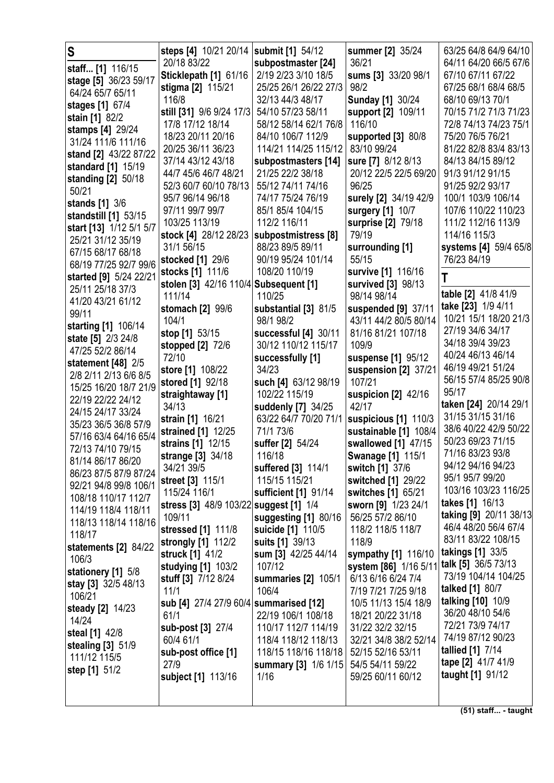| S                                            | steps [4] 10/21 20/14   submit [1] 54/12<br>20/18 83/22 | subpostmaster [24]    | summer [2] 35/24<br>36/21 | 63/25 64/8 64/9 64/10<br>64/11 64/20 66/5 67/6 |
|----------------------------------------------|---------------------------------------------------------|-----------------------|---------------------------|------------------------------------------------|
| staff [1] 116/15                             | Sticklepath [1] 61/16                                   | 2/19 2/23 3/10 18/5   | sums [3] 33/20 98/1       | 67/10 67/11 67/22                              |
| stage [5] 36/23 59/17                        | stigma [2] 115/21                                       | 25/25 26/1 26/22 27/3 | 98/2                      | 67/25 68/1 68/4 68/5                           |
| 64/24 65/7 65/11                             | 116/8                                                   | 32/13 44/3 48/17      | <b>Sunday [1] 30/24</b>   | 68/10 69/13 70/1                               |
| stages [1] 67/4                              | still [31] 9/6 9/24 17/3                                | 54/10 57/23 58/11     | support [2] 109/11        | 70/15 71/2 71/3 71/23                          |
| stain [1] 82/2                               | 17/8 17/12 18/14                                        | 58/12 58/14 62/1 76/8 | 116/10                    | 72/8 74/13 74/23 75/1                          |
| stamps [4] 29/24                             | 18/23 20/11 20/16                                       | 84/10 106/7 112/9     | supported [3] 80/8        | 75/20 76/5 76/21                               |
| 31/24 111/6 111/16                           | 20/25 36/11 36/23                                       | 114/21 114/25 115/12  | 83/10 99/24               | 81/22 82/8 83/4 83/13                          |
| stand [2] 43/22 87/22                        | 37/14 43/12 43/18                                       | subpostmasters [14]   | sure [7] 8/12 8/13        | 84/13 84/15 89/12                              |
| standard [1] 15/19                           | 44/7 45/6 46/7 48/21                                    | 21/25 22/2 38/18      | 20/12 22/5 22/5 69/20     | 91/3 91/12 91/15                               |
| standing [2] 50/18                           | 52/3 60/7 60/10 78/13                                   | 55/12 74/11 74/16     | 96/25                     | 91/25 92/2 93/17                               |
| 50/21                                        | 95/7 96/14 96/18                                        | 74/17 75/24 76/19     | surely [2] 34/19 42/9     | 100/1 103/9 106/14                             |
| stands [1] 3/6                               | 97/11 99/7 99/7                                         | 85/1 85/4 104/15      | surgery [1] 10/7          | 107/6 110/22 110/23                            |
| standstill [1] 53/15                         | 103/25 113/19                                           | 112/2 116/11          | surprise [2] 79/18        | 111/2 112/16 113/9                             |
| start [13] 1/12 5/1 5/7                      | stock [4] 28/12 28/23                                   | subpostmistress [8]   | 79/19                     | 114/16 115/3                                   |
| 25/21 31/12 35/19                            | 31/1 56/15                                              | 88/23 89/5 89/11      | surrounding [1]           | systems [4] 59/4 65/8                          |
| 67/15 68/17 68/18                            | stocked [1] 29/6                                        | 90/19 95/24 101/14    | 55/15                     | 76/23 84/19                                    |
| 68/19 77/25 92/7 99/6                        | stocks [1] 111/6                                        | 108/20 110/19         | survive [1] 116/16        |                                                |
| started [9] 5/24 22/21                       | stolen [3] 42/16 110/4 Subsequent [1]                   |                       | survived [3] 98/13        | Τ                                              |
| 25/11 25/18 37/3                             | 111/14                                                  | 110/25                | 98/14 98/14               | table [2] 41/8 41/9                            |
| 41/20 43/21 61/12                            | stomach [2] 99/6                                        | substantial [3] 81/5  | suspended [9] 37/11       | take [23] 1/9 4/11                             |
| 99/11                                        | 104/1                                                   | 98/1 98/2             | 43/11 44/2 80/5 80/14     | 10/21 15/1 18/20 21/3                          |
| starting [1] 106/14                          | stop [1] 53/15                                          | successful [4] 30/11  | 81/16 81/21 107/18        | 27/19 34/6 34/17                               |
| state [5] 2/3 24/8                           | stopped [2] 72/6                                        | 30/12 110/12 115/17   | 109/9                     | 34/18 39/4 39/23                               |
| 47/25 52/2 86/14                             | 72/10                                                   | successfully [1]      | suspense [1] 95/12        | 40/24 46/13 46/14                              |
| statement $[48]$ 2/5                         | store [1] 108/22                                        | 34/23                 | suspension [2] 37/21      | 46/19 49/21 51/24                              |
| 2/8 2/11 2/13 6/6 8/5                        | stored [1] 92/18                                        | such [4] 63/12 98/19  | 107/21                    | 56/15 57/4 85/25 90/8                          |
| 15/25 16/20 18/7 21/9                        | straightaway [1]                                        | 102/22 115/19         | suspicion [2] 42/16       | 95/17                                          |
| 22/19 22/22 24/12                            | 34/13                                                   | suddenly [7] 34/25    | 42/17                     | taken [24] 20/14 29/1                          |
| 24/15 24/17 33/24                            | strain [1] 16/21                                        | 63/22 64/7 70/20 71/1 | suspicious [1] 110/3      | 31/15 31/15 31/16                              |
| 35/23 36/5 36/8 57/9                         | strained [1] 12/25                                      | 71/1 73/6             | sustainable [1] 108/4     | 38/6 40/22 42/9 50/22                          |
| 57/16 63/4 64/16 65/4                        | strains [1] 12/15                                       | suffer [2] 54/24      | swallowed [1] 47/15       | 50/23 69/23 71/15                              |
| 72/13 74/10 79/15                            | strange [3] 34/18                                       | 116/18                | <b>Swanage [1] 115/1</b>  | 71/16 83/23 93/8                               |
| 81/14 86/17 86/20                            | 34/21 39/5                                              | suffered [3] 114/1    | switch [1] 37/6           | 94/12 94/16 94/23                              |
| 86/23 87/5 87/9 87/24                        | street [3] 115/1                                        | 115/15 115/21         | switched [1] 29/22        | 95/1 95/7 99/20                                |
| 92/21 94/8 99/8 106/1<br>108/18 110/17 112/7 | 115/24 116/1                                            | sufficient [1] 91/14  | switches [1] 65/21        | 103/16 103/23 116/25                           |
|                                              | stress [3] 48/9 103/22 suggest [1] 1/4                  |                       | sworn [9] 1/23 24/1       | takes [1] 16/13                                |
| 114/19 118/4 118/11<br>118/13 118/14 118/16  | 109/11                                                  | suggesting [1] 80/16  | 56/25 57/2 86/10          | taking [9] 20/11 38/13                         |
| 118/17                                       | stressed [1] 111/8                                      | suicide [1] 110/5     | 118/2 118/5 118/7         | 46/4 48/20 56/4 67/4                           |
| statements [2] 84/22                         | strongly [1] 112/2                                      | suits [1] 39/13       | 118/9                     | 83/11 83/22 108/15                             |
| 106/3                                        | struck [1] 41/2                                         | sum [3] 42/25 44/14   | sympathy [1] 116/10       | <b>takings [1] 33/5</b>                        |
| stationery [1] 5/8                           | studying [1] 103/2                                      | 107/12                | system [86] 1/16 5/11     | talk [5] 36/5 73/13                            |
|                                              | stuff [3] 7/12 8/24                                     | summaries [2] 105/1   | 6/13 6/16 6/24 7/4        | 73/19 104/14 104/25                            |
| stay [3] 32/5 48/13<br>106/21                | 11/1                                                    | 106/4                 | 7/19 7/21 7/25 9/18       | talked [1] 80/7                                |
|                                              | sub [4] 27/4 27/9 60/4 summarised [12]                  |                       | 10/5 11/13 15/4 18/9      | talking [10] 10/9                              |
| steady [2] 14/23<br>14/24                    | 61/1                                                    | 22/19 106/1 108/18    | 18/21 20/22 31/18         | 36/20 48/10 54/6                               |
| steal [1] 42/8                               | sub-post [3] 27/4                                       | 110/17 112/7 114/19   | 31/22 32/2 32/15          | 72/21 73/9 74/17                               |
| stealing [3] 51/9                            | 60/4 61/1                                               | 118/4 118/12 118/13   | 32/21 34/8 38/2 52/14     | 74/19 87/12 90/23                              |
| 111/12 115/5                                 | sub-post office [1]                                     | 118/15 118/16 118/18  | 52/15 52/16 53/11         | tallied [1] 7/14                               |
| step [1] 51/2                                | 27/9                                                    | summary [3] 1/6 1/15  | 54/5 54/11 59/22          | tape [2] 41/7 41/9                             |
|                                              | subject [1] 113/16                                      | 1/16                  | 59/25 60/11 60/12         | taught [1] 91/12                               |
|                                              |                                                         |                       |                           |                                                |
|                                              |                                                         |                       |                           |                                                |

**(51) staff... - taught**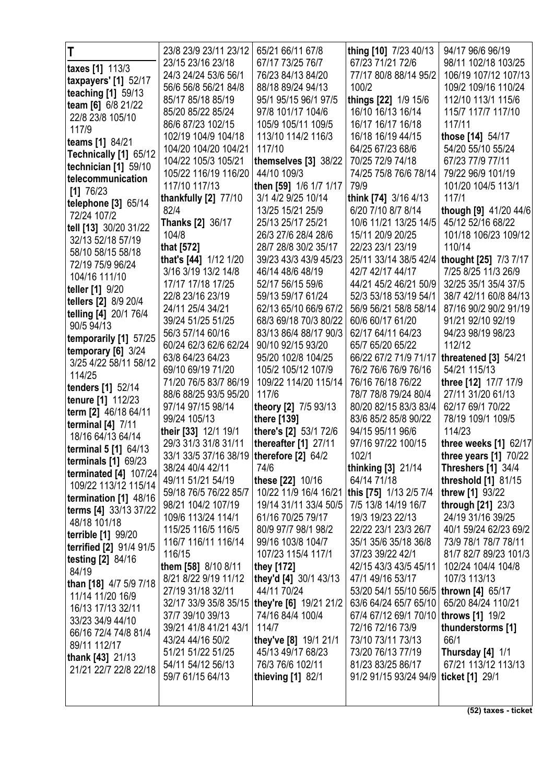| T                          | 23/8 23/9 23/11 23/12                      | 65/21 66/11 67/8                               | thing [10] 7/23 40/13  | 94/17 96/6 96/19          |
|----------------------------|--------------------------------------------|------------------------------------------------|------------------------|---------------------------|
|                            | 23/15 23/16 23/18                          | 67/17 73/25 76/7                               | 67/23 71/21 72/6       | 98/11 102/18 103/25       |
| taxes [1] 113/3            | 24/3 24/24 53/6 56/1                       | 76/23 84/13 84/20                              | 77/17 80/8 88/14 95/2  | 106/19 107/12 107/13      |
| taxpayers' [1] 52/17       | 56/6 56/8 56/21 84/8                       | 88/18 89/24 94/13                              | 100/2                  | 109/2 109/16 110/24       |
| teaching [1] 59/13         | 85/17 85/18 85/19                          | 95/1 95/15 96/1 97/5                           | things [22] 1/9 15/6   | 112/10 113/1 115/6        |
| team [6] 6/8 21/22         | 85/20 85/22 85/24                          | 97/8 101/17 104/6                              | 16/10 16/13 16/14      | 115/7 117/7 117/10        |
| 22/8 23/8 105/10           | 86/6 87/23 102/15                          | 105/9 105/11 109/5                             | 16/17 16/17 16/18      | 117/11                    |
| 117/9                      | 102/19 104/9 104/18                        | 113/10 114/2 116/3                             | 16/18 16/19 44/15      | those [14] 54/17          |
| teams [1] 84/21            | 104/20 104/20 104/21                       | 117/10                                         | 64/25 67/23 68/6       | 54/20 55/10 55/24         |
| Technically [1] 65/12      | 104/22 105/3 105/21                        | themselves [3] 38/22                           | 70/25 72/9 74/18       | 67/23 77/9 77/11          |
| technician [1] 59/10       | 105/22 116/19 116/20                       | 44/10 109/3                                    | 74/25 75/8 76/6 78/14  | 79/22 96/9 101/19         |
| telecommunication          | 117/10 117/13                              | then [59] 1/6 1/7 1/17                         | 79/9                   | 101/20 104/5 113/1        |
| $[1]$ 76/23                | thankfully $[2]$ 77/10                     | 3/1 4/2 9/25 10/14                             | think [74] 3/16 4/13   | 117/1                     |
| telephone [3] 65/14        | 82/4                                       | 13/25 15/21 25/9                               | 6/20 7/10 8/7 8/14     | though [9] 41/20 44/6     |
| 72/24 107/2                | <b>Thanks [2] 36/17</b>                    | 25/13 25/17 25/21                              | 10/6 11/21 13/25 14/5  | 45/12 52/16 68/22         |
| tell [13] 30/20 31/22      | 104/8                                      | 26/3 27/6 28/4 28/6                            | 15/11 20/9 20/25       | 101/18 106/23 109/12      |
| 32/13 52/18 57/19          | that [572]                                 | 28/7 28/8 30/2 35/17                           | 22/23 23/1 23/19       | 110/14                    |
| 58/10 58/15 58/18          | that's [44] 1/12 1/20                      | 39/23 43/3 43/9 45/23                          | 25/11 33/14 38/5 42/4  | thought [25] 7/3 7/17     |
| 72/19 75/9 96/24           | 3/16 3/19 13/2 14/8                        | 46/14 48/6 48/19                               | 42/7 42/17 44/17       | 7/25 8/25 11/3 26/9       |
| 104/16 111/10              | 17/17 17/18 17/25                          | 52/17 56/15 59/6                               | 44/21 45/2 46/21 50/9  | 32/25 35/1 35/4 37/5      |
| teller [1] 9/20            | 22/8 23/16 23/19                           | 59/13 59/17 61/24                              | 52/3 53/18 53/19 54/1  | 38/7 42/11 60/8 84/13     |
| tellers [2] 8/9 20/4       | 24/11 25/4 34/21                           | 62/13 65/10 66/9 67/2                          | 56/9 56/21 58/8 58/14  | 87/16 90/2 90/2 91/19     |
| telling [4] 20/1 76/4      | 39/24 51/25 51/25                          | 68/3 69/18 70/3 80/22                          | 60/6 60/17 61/20       | 91/21 92/10 92/19         |
| 90/5 94/13                 | 56/3 57/14 60/16                           | 83/13 86/4 88/17 90/3                          | 62/17 64/11 64/23      | 94/23 98/19 98/23         |
| temporarily [1] 57/25      | 60/24 62/3 62/6 62/24                      | 90/10 92/15 93/20                              | 65/7 65/20 65/22       | 112/12                    |
| temporary $[6]$ 3/24       | 63/8 64/23 64/23                           | 95/20 102/8 104/25                             | 66/22 67/2 71/9 71/17  | threatened [3] 54/21      |
| 3/25 4/22 58/11 58/12      | 69/10 69/19 71/20                          | 105/2 105/12 107/9                             | 76/2 76/6 76/9 76/16   | 54/21 115/13              |
| 114/25                     | 71/20 76/5 83/7 86/19                      | 109/22 114/20 115/14                           | 76/16 76/18 76/22      | three [12] 17/7 17/9      |
| tenders [1] 52/14          | 88/6 88/25 93/5 95/20                      | 117/6                                          | 78/7 78/8 79/24 80/4   | 27/11 31/20 61/13         |
| tenure [1] 112/23          | 97/14 97/15 98/14                          | theory [2] 7/5 93/13                           | 80/20 82/15 83/3 83/4  | 62/17 69/1 70/22          |
| term [2] 46/18 64/11       | 99/24 105/13                               | there [139]                                    | 83/6 85/2 85/8 90/22   | 78/19 109/1 109/5         |
| terminal $[4]$ $7/11$      | their [33] 12/1 19/1                       | there's [2] 53/1 72/6                          | 94/15 95/11 96/6       | 114/23                    |
| 18/16 64/13 64/14          | 29/3 31/3 31/8 31/11                       | thereafter $[1]$ 27/11                         | 97/16 97/22 100/15     | three weeks $[1]$ 62/17   |
| terminal 5 [1] 64/13       | 33/1 33/5 37/16 38/19   therefore [2] 64/2 |                                                | 102/1                  | three years $[1]$ 70/22   |
| <b>terminals</b> [1] 69/23 | 38/24 40/4 42/11                           | 74/6                                           | thinking [3] 21/14     | <b>Threshers [1] 34/4</b> |
| terminated [4] 107/24      | 49/11 51/21 54/19                          | these [22] 10/16                               | 64/14 71/18            | threshold [1] 81/15       |
| 109/22 113/12 115/14       | 59/18 76/5 76/22 85/7                      | 10/22 11/9 16/4 16/21                          | this [75] 1/13 2/5 7/4 | threw [1] 93/22           |
| termination [1] 48/16      | 98/21 104/2 107/19                         | 19/14 31/11 33/4 50/5                          | 7/5 13/8 14/19 16/7    | through [21] 23/3         |
| terms [4] 33/13 37/22      | 109/6 113/24 114/1                         | 61/16 70/25 79/17                              | 19/3 19/23 22/13       | 24/19 31/16 39/25         |
| 48/18 101/18               | 115/25 116/5 116/5                         | 80/9 97/7 98/1 98/2                            | 22/22 23/1 23/3 26/7   | 40/1 59/24 62/23 69/2     |
| terrible [1] 99/20         | 116/7 116/11 116/14                        | 99/16 103/8 104/7                              | 35/1 35/6 35/18 36/8   | 73/9 78/1 78/7 78/11      |
| terrified [2] 91/4 91/5    | 116/15                                     | 107/23 115/4 117/1                             | 37/23 39/22 42/1       | 81/7 82/7 89/23 101/3     |
| testing $[2]$ 84/16        | them [58] 8/10 8/11                        | they [172]                                     | 42/15 43/3 43/5 45/11  | 102/24 104/4 104/8        |
| 84/19                      | 8/21 8/22 9/19 11/12                       | they'd [4] 30/1 43/13                          | 47/1 49/16 53/17       | 107/3 113/13              |
| than [18] 4/7 5/9 7/18     | 27/19 31/18 32/11                          | 44/11 70/24                                    | 53/20 54/1 55/10 56/5  | thrown [4] 65/17          |
| 11/14 11/20 16/9           |                                            | 32/17 33/9 35/8 35/15   they're [6] 19/21 21/2 | 63/6 64/24 65/7 65/10  | 65/20 84/24 110/21        |
| 16/13 17/13 32/11          | 37/7 39/10 39/13                           | 74/16 84/4 100/4                               | 67/4 67/12 69/1 70/10  | <b>throws</b> [1] 19/2    |
| 33/23 34/9 44/10           | 39/21 41/8 41/21 43/1                      | 114/7                                          | 72/16 72/16 73/9       | thunderstorms [1]         |
| 66/16 72/4 74/8 81/4       | 43/24 44/16 50/2                           | they've [8] 19/1 21/1                          | 73/10 73/11 73/13      | 66/1                      |
| 89/11 112/17               | 51/21 51/22 51/25                          | 45/13 49/17 68/23                              | 73/20 76/13 77/19      | Thursday [4] 1/1          |
| thank [43] 21/13           | 54/11 54/12 56/13                          | 76/3 76/6 102/11                               | 81/23 83/25 86/17      | 67/21 113/12 113/13       |
| 21/21 22/7 22/8 22/18      | 59/7 61/15 64/13                           | thieving [1] 82/1                              | 91/2 91/15 93/24 94/9  | ticket [1] 29/1           |
|                            |                                            |                                                |                        |                           |
|                            |                                            |                                                |                        |                           |
|                            |                                            |                                                |                        |                           |

**(52) taxes - ticket**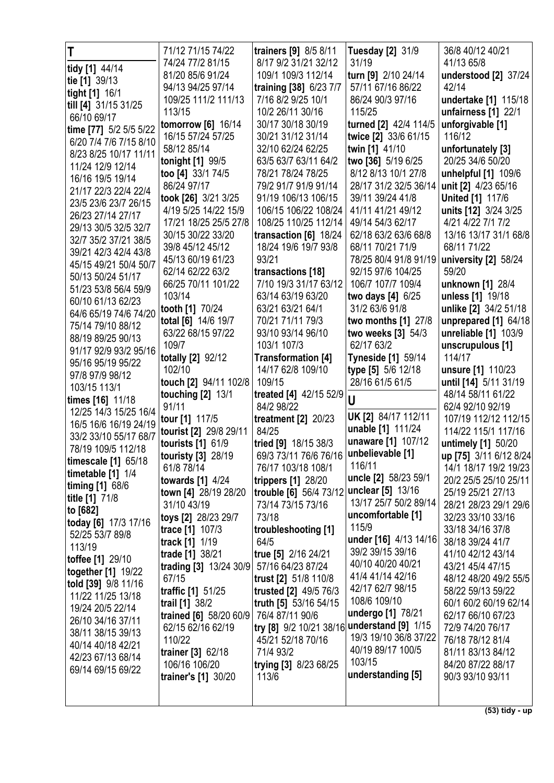| T                                         | 71/12 71/15 74/22                         | trainers [9] 8/5 8/11                       | <b>Tuesday [2] 31/9</b>                    | 36/8 40/12 40/21                      |
|-------------------------------------------|-------------------------------------------|---------------------------------------------|--------------------------------------------|---------------------------------------|
| tidy [1] 44/14                            | 74/24 77/2 81/15                          | 8/17 9/2 31/21 32/12                        | 31/19                                      | 41/13 65/8                            |
| tie [1] 39/13                             | 81/20 85/6 91/24                          | 109/1 109/3 112/14                          | turn [9] 2/10 24/14                        | understood [2] 37/24                  |
| tight [1] 16/1                            | 94/13 94/25 97/14                         | training [38] 6/23 7/7                      | 57/11 67/16 86/22                          | 42/14                                 |
| till [4] 31/15 31/25                      | 109/25 111/2 111/13                       | 7/16 8/2 9/25 10/1                          | 86/24 90/3 97/16                           | undertake [1] 115/18                  |
| 66/10 69/17                               | 113/15                                    | 10/2 26/11 30/16                            | 115/25                                     | unfairness [1] 22/1                   |
| time [77] 5/2 5/5 5/22                    | tomorrow [6] 16/14                        | 30/17 30/18 30/19                           | turned [2] 42/4 114/5                      | unforgivable [1]                      |
| 6/20 7/4 7/6 7/15 8/10                    | 16/15 57/24 57/25                         | 30/21 31/12 31/14                           | twice [2] 33/6 61/15                       | 116/12                                |
| 8/23 8/25 10/17 11/11                     | 58/12 85/14                               | 32/10 62/24 62/25                           | twin [1] 41/10                             | unfortunately [3]                     |
| 11/24 12/9 12/14                          | tonight [1] 99/5                          | 63/5 63/7 63/11 64/2                        | two [36] 5/19 6/25                         | 20/25 34/6 50/20                      |
| 16/16 19/5 19/14                          | too [4] 33/1 74/5                         | 78/21 78/24 78/25                           | 8/12 8/13 10/1 27/8                        | unhelpful [1] 109/6                   |
| 21/17 22/3 22/4 22/4                      | 86/24 97/17                               | 79/2 91/7 91/9 91/14                        | 28/17 31/2 32/5 36/14                      | unit [2] 4/23 65/16                   |
| 23/5 23/6 23/7 26/15                      | took [26] 3/21 3/25                       | 91/19 106/13 106/15                         | 39/11 39/24 41/8                           | <b>United [1] 117/6</b>               |
| 26/23 27/14 27/17                         | 4/19 5/25 14/22 15/9                      | 106/15 106/22 108/24                        | 41/11 41/21 49/12                          | units [12] 3/24 3/25                  |
| 29/13 30/5 32/5 32/7                      | 17/21 18/25 25/5 27/8                     | 108/25 110/25 112/14                        | 49/14 54/3 62/17                           | 4/21 4/22 7/1 7/2                     |
| 32/7 35/2 37/21 38/5                      | 30/15 30/22 33/20                         | transaction [6] 18/24                       | 62/18 63/2 63/6 68/8                       | 13/16 13/17 31/1 68/8                 |
| 39/21 42/3 42/4 43/8                      | 39/8 45/12 45/12                          | 18/24 19/6 19/7 93/8                        | 68/11 70/21 71/9                           | 68/11 71/22                           |
| 45/15 49/21 50/4 50/7                     | 45/13 60/19 61/23                         | 93/21                                       | 78/25 80/4 91/8 91/19<br>92/15 97/6 104/25 | university [2] 58/24                  |
| 50/13 50/24 51/17                         | 62/14 62/22 63/2<br>66/25 70/11 101/22    | transactions [18]<br>7/10 19/3 31/17 63/12  | 106/7 107/7 109/4                          | 59/20<br>unknown [1] 28/4             |
| 51/23 53/8 56/4 59/9                      | 103/14                                    | 63/14 63/19 63/20                           | two days [4] 6/25                          | unless [1] 19/18                      |
| 60/10 61/13 62/23                         | tooth [1] 70/24                           | 63/21 63/21 64/1                            | 31/2 63/6 91/8                             | unlike [2] 34/2 51/18                 |
| 64/6 65/19 74/6 74/20                     | total [6] 14/6 19/7                       | 70/21 71/11 79/3                            | two months [1] 27/8                        | unprepared [1] 64/18                  |
| 75/14 79/10 88/12                         | 63/22 68/15 97/22                         | 93/10 93/14 96/10                           | two weeks [3] 54/3                         | unreliable [1] 103/9                  |
| 88/19 89/25 90/13                         | 109/7                                     | 103/1 107/3                                 | 62/17 63/2                                 | unscrupulous [1]                      |
| 91/17 92/9 93/2 95/16                     | totally [2] 92/12                         | <b>Transformation [4]</b>                   | <b>Tyneside [1] 59/14</b>                  | 114/17                                |
| 95/16 95/19 95/22                         | 102/10                                    | 14/17 62/8 109/10                           | type [5] 5/6 12/18                         | unsure [1] 110/23                     |
| 97/8 97/9 98/12                           | touch [2] 94/11 102/8                     | 109/15                                      | 28/16 61/5 61/5                            | until [14] 5/11 31/19                 |
| 103/15 113/1                              | touching $[2]$ 13/1                       | treated [4] 42/15 52/9                      | U                                          | 48/14 58/11 61/22                     |
| times [16] 11/18<br>12/25 14/3 15/25 16/4 | 91/11                                     | 84/2 98/22                                  |                                            | 62/4 92/10 92/19                      |
| 16/5 16/6 16/19 24/19                     | tour [1] 117/5                            | treatment $[2]$ 20/23                       | UK [2] 84/17 112/11                        | 107/19 112/12 112/15                  |
| 33/2 33/10 55/17 68/7                     | tourist [2] 29/8 29/11                    | 84/25                                       | unable [1] 111/24                          | 114/22 115/1 117/16                   |
| 78/19 109/5 112/18                        | tourists [1] 61/9                         | tried [9] 18/15 38/3                        | unaware [1] 107/12                         | untimely [1] 50/20                    |
| timescale $[1]$ 65/18                     | touristy [3] 28/19                        | 69/3 73/11 76/6 76/16   unbelievable [1]    |                                            | up [75] 3/11 6/12 8/24                |
| timetable [1] 1/4                         | 61/8 78/14                                | 76/17 103/18 108/1                          | 116/11                                     | 14/1 18/17 19/2 19/23                 |
| timing [1] 68/6                           | towards [1] 4/24                          | trippers [1] 28/20                          | uncle [2] 58/23 59/1                       | 20/2 25/5 25/10 25/11                 |
| title [1] 71/8                            | town [4] 28/19 28/20                      | trouble [6] 56/4 73/12                      | unclear [5] 13/16<br>13/17 25/7 50/2 89/14 | 25/19 25/21 27/13                     |
| to [682]                                  | 31/10 43/19                               | 73/14 73/15 73/16                           |                                            | 28/21 28/23 29/1 29/6                 |
| today [6] 17/3 17/16                      | toys [2] 28/23 29/7                       | 73/18                                       | uncomfortable [1]<br>115/9                 | 32/23 33/10 33/16                     |
| 52/25 53/7 89/8                           | trace [1] 107/3                           | troubleshooting [1]                         | under [16] 4/13 14/16                      | 33/18 34/16 37/8                      |
| 113/19                                    | track [1] 1/19                            | 64/5                                        | 39/2 39/15 39/16                           | 38/18 39/24 41/7                      |
| <b>toffee [1] 29/10</b>                   | trade [1] 38/21<br>trading [3] 13/24 30/9 | true [5] 2/16 24/21<br>57/16 64/23 87/24    | 40/10 40/20 40/21                          | 41/10 42/12 43/14<br>43/21 45/4 47/15 |
| together [1] 19/22                        | 67/15                                     | trust [2] 51/8 110/8                        | 41/4 41/14 42/16                           | 48/12 48/20 49/2 55/5                 |
| told [39] 9/8 11/16                       | traffic [1] 51/25                         | trusted [2] 49/5 76/3                       | 42/17 62/7 98/15                           | 58/22 59/13 59/22                     |
| 11/22 11/25 13/18                         | trail [1] 38/2                            | truth [5] 53/16 54/15                       | 108/6 109/10                               | 60/1 60/2 60/19 62/14                 |
| 19/24 20/5 22/14                          | trained [6] 58/20 60/9                    | 76/4 87/11 90/6                             | undergo [1] 78/21                          | 62/17 66/10 67/23                     |
| 26/10 34/16 37/11                         | 62/15 62/16 62/19                         | try [8] 9/2 10/21 38/16 understand [9] 1/15 |                                            | 72/9 74/20 76/17                      |
| 38/11 38/15 39/13                         | 110/22                                    | 45/21 52/18 70/16                           | 19/3 19/10 36/8 37/22                      | 76/18 78/12 81/4                      |
| 40/14 40/18 42/21                         | trainer [3] 62/18                         | 71/4 93/2                                   | 40/19 89/17 100/5                          | 81/11 83/13 84/12                     |
| 42/23 67/13 68/14<br>69/14 69/15 69/22    | 106/16 106/20                             | trying [3] 8/23 68/25                       | 103/15                                     | 84/20 87/22 88/17                     |
|                                           | trainer's [1] 30/20                       | 113/6                                       | understanding [5]                          | 90/3 93/10 93/11                      |
|                                           |                                           |                                             |                                            |                                       |
|                                           |                                           |                                             |                                            | $\overline{(53)}$ tidy - up           |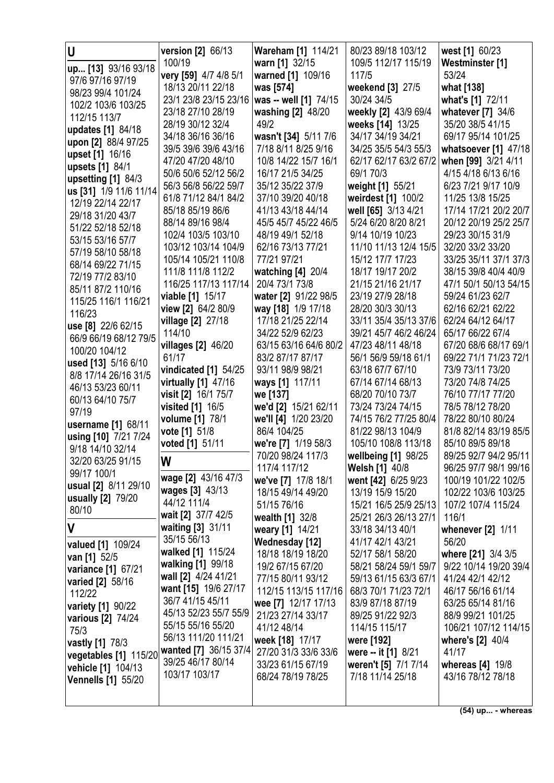| U                         | version [2] 66/13       | Wareham [1] 114/21                          | 80/23 89/18 103/12                      | west [1] 60/23        |
|---------------------------|-------------------------|---------------------------------------------|-----------------------------------------|-----------------------|
|                           | 100/19                  | warn [1] 32/15                              | 109/5 112/17 115/19                     | Westminster [1]       |
| up [13] 93/16 93/18       | very [59] 4/7 4/8 5/1   | warned [1] 109/16                           | 117/5                                   | 53/24                 |
| 97/6 97/16 97/19          | 18/13 20/11 22/18       | was [574]                                   | weekend [3] 27/5                        | what [138]            |
| 98/23 99/4 101/24         | 23/1 23/8 23/15 23/16   | was -- well [1] 74/15                       | 30/24 34/5                              | what's [1] 72/11      |
| 102/2 103/6 103/25        | 23/18 27/10 28/19       | washing [2] 48/20                           | weekly [2] 43/9 69/4                    | whatever [7] 34/6     |
| 112/15 113/7              | 28/19 30/12 32/4        | 49/2                                        | weeks [14] 13/25                        | 35/20 38/5 41/15      |
| updates [1] 84/18         | 34/18 36/16 36/16       |                                             | 34/17 34/19 34/21                       | 69/17 95/14 101/25    |
| upon [2] 88/4 97/25       |                         | wasn't [34] 5/11 7/6<br>7/18 8/11 8/25 9/16 | 34/25 35/5 54/3 55/3                    |                       |
| upset [1] 16/16           | 39/5 39/6 39/6 43/16    |                                             |                                         | whatsoever [1] 47/18  |
| upsets [1] 84/1           | 47/20 47/20 48/10       | 10/8 14/22 15/7 16/1                        | 62/17 62/17 63/2 67/2                   | when [99] 3/21 4/11   |
| upsetting $[1]$ 84/3      | 50/6 50/6 52/12 56/2    | 16/17 21/5 34/25                            | 69/1 70/3                               | 4/15 4/18 6/13 6/16   |
| us [31] 1/9 11/6 11/14    | 56/3 56/8 56/22 59/7    | 35/12 35/22 37/9                            | weight [1] 55/21                        | 6/23 7/21 9/17 10/9   |
| 12/19 22/14 22/17         | 61/8 71/12 84/1 84/2    | 37/10 39/20 40/18                           | weirdest [1] 100/2                      | 11/25 13/8 15/25      |
| 29/18 31/20 43/7          | 85/18 85/19 86/6        | 41/13 43/18 44/14                           | well [65] 3/13 4/21                     | 17/14 17/21 20/2 20/7 |
| 51/22 52/18 52/18         | 88/14 89/16 98/4        | 45/5 45/7 45/22 46/5                        | 5/24 6/20 8/20 8/21                     | 20/12 20/19 25/2 25/7 |
| 53/15 53/16 57/7          | 102/4 103/5 103/10      | 48/19 49/1 52/18                            | 9/14 10/19 10/23                        | 29/23 30/15 31/9      |
| 57/19 58/10 58/18         | 103/12 103/14 104/9     | 62/16 73/13 77/21                           | 11/10 11/13 12/4 15/5                   | 32/20 33/2 33/20      |
| 68/14 69/22 71/15         | 105/14 105/21 110/8     | 77/21 97/21                                 | 15/12 17/7 17/23                        | 33/25 35/11 37/1 37/3 |
| 72/19 77/2 83/10          | 111/8 111/8 112/2       | watching [4] 20/4                           | 18/17 19/17 20/2                        | 38/15 39/8 40/4 40/9  |
| 85/11 87/2 110/16         | 116/25 117/13 117/14    | 20/4 73/1 73/8                              | 21/15 21/16 21/17                       | 47/1 50/1 50/13 54/15 |
| 115/25 116/1 116/21       | viable [1] 15/17        | water [2] 91/22 98/5                        | 23/19 27/9 28/18                        | 59/24 61/23 62/7      |
| 116/23                    | view [2] 64/2 80/9      | way [18] 1/9 17/18                          | 28/20 30/3 30/13                        | 62/16 62/21 62/22     |
| use [8] 22/6 62/15        | village [2] 27/18       | 17/18 21/25 22/14                           | 33/11 35/4 35/13 37/6                   | 62/24 64/12 64/17     |
|                           | 114/10                  | 34/22 52/9 62/23                            | 39/21 45/7 46/2 46/24                   | 65/17 66/22 67/4      |
| 66/9 66/19 68/12 79/5     | villages [2] 46/20      | 63/15 63/16 64/6 80/2                       | 47/23 48/11 48/18                       | 67/20 68/6 68/17 69/1 |
| 100/20 104/12             | 61/17                   | 83/2 87/17 87/17                            | 56/1 56/9 59/18 61/1                    | 69/22 71/1 71/23 72/1 |
| used [13] 5/16 6/10       | vindicated [1] 54/25    | 93/11 98/9 98/21                            | 63/18 67/7 67/10                        | 73/9 73/11 73/20      |
| 8/8 17/14 26/16 31/5      | virtually [1] 47/16     | ways [1] 117/11                             | 67/14 67/14 68/13                       | 73/20 74/8 74/25      |
| 46/13 53/23 60/11         | visit [2] 16/1 75/7     | we [137]                                    | 68/20 70/10 73/7                        | 76/10 77/17 77/20     |
| 60/13 64/10 75/7          | <b>visited</b> [1] 16/5 | we'd [2] 15/21 62/11                        | 73/24 73/24 74/15                       | 78/5 78/12 78/20      |
| 97/19                     | volume [1] 78/1         | we'll [4] 1/20 23/20                        | 74/15 76/2 77/25 80/4                   | 78/22 80/10 80/24     |
| username [1] 68/11        | vote [1] 51/8           | 86/4 104/25                                 | 81/22 98/13 104/9                       | 81/8 82/14 83/19 85/5 |
| using [10] 7/21 7/24      | voted [1] 51/11         | we're [7] 1/19 58/3                         | 105/10 108/8 113/18                     | 85/10 89/5 89/18      |
| 9/18 14/10 32/14          |                         | 70/20 98/24 117/3                           |                                         | 89/25 92/7 94/2 95/11 |
| 32/20 63/25 91/15         | W                       | 117/4 117/12                                | wellbeing [1] 98/25                     | 96/25 97/7 98/1 99/16 |
| 99/17 100/1               | wage [2] 43/16 47/3     |                                             | <b>Welsh [1] 40/8</b>                   | 100/19 101/22 102/5   |
| usual [2] 8/11 29/10      | wages [3] 43/13         | we've [7] 17/8 18/1                         | went [42] 6/25 9/23<br>13/19 15/9 15/20 | 102/22 103/6 103/25   |
| usually [2] 79/20         | 44/12 111/4             | 18/15 49/14 49/20                           |                                         |                       |
| 80/10                     | wait [2] 37/7 42/5      | 51/15 76/16                                 | 15/21 16/5 25/9 25/13                   | 107/2 107/4 115/24    |
| V                         | waiting [3] 31/11       | wealth [1] 32/8                             | 25/21 26/3 26/13 27/1                   | 116/1                 |
|                           | 35/15 56/13             | weary [1] 14/21                             | 33/18 34/13 40/1                        | whenever $[2]$ $1/11$ |
| valued [1] 109/24         | walked [1] 115/24       | Wednesday [12]                              | 41/17 42/1 43/21                        | 56/20                 |
| van [1] 52/5              |                         | 18/18 18/19 18/20                           | 52/17 58/1 58/20                        | where [21] 3/4 3/5    |
| variance [1] 67/21        | walking [1] 99/18       | 19/2 67/15 67/20                            | 58/21 58/24 59/1 59/7                   | 9/22 10/14 19/20 39/4 |
| varied [2] 58/16          | wall [2] 4/24 41/21     | 77/15 80/11 93/12                           | 59/13 61/15 63/3 67/1                   | 41/24 42/1 42/12      |
| 112/22                    | want [15] 19/6 27/17    | 112/15 113/15 117/16                        | 68/3 70/1 71/23 72/1                    | 46/17 56/16 61/14     |
| variety [1] 90/22         | 36/7 41/15 45/11        | wee [7] 12/17 17/13                         | 83/9 87/18 87/19                        | 63/25 65/14 81/16     |
| various [2] 74/24         | 45/13 52/23 55/7 55/9   | 21/23 27/14 33/17                           | 89/25 91/22 92/3                        | 88/9 99/21 101/25     |
| 75/3                      | 55/15 55/16 55/20       | 41/12 48/14                                 | 114/15 115/17                           | 106/21 107/12 114/15  |
| <b>vastly</b> [1] 78/3    | 56/13 111/20 111/21     | week [18] 17/17                             | were [192]                              | where's [2] 40/4      |
| vegetables [1] 115/20     | wanted [7] 36/15 37/4   | 27/20 31/3 33/6 33/6                        | were -- it [1] 8/21                     | 41/17                 |
| vehicle [1] 104/13        | 39/25 46/17 80/14       | 33/23 61/15 67/19                           | weren't [5] 7/1 7/14                    | whereas [4] 19/8      |
| <b>Vennells [1] 55/20</b> | 103/17 103/17           | 68/24 78/19 78/25                           | 7/18 11/14 25/18                        | 43/16 78/12 78/18     |
|                           |                         |                                             |                                         |                       |
|                           |                         |                                             |                                         |                       |

**(54) up... - whereas**